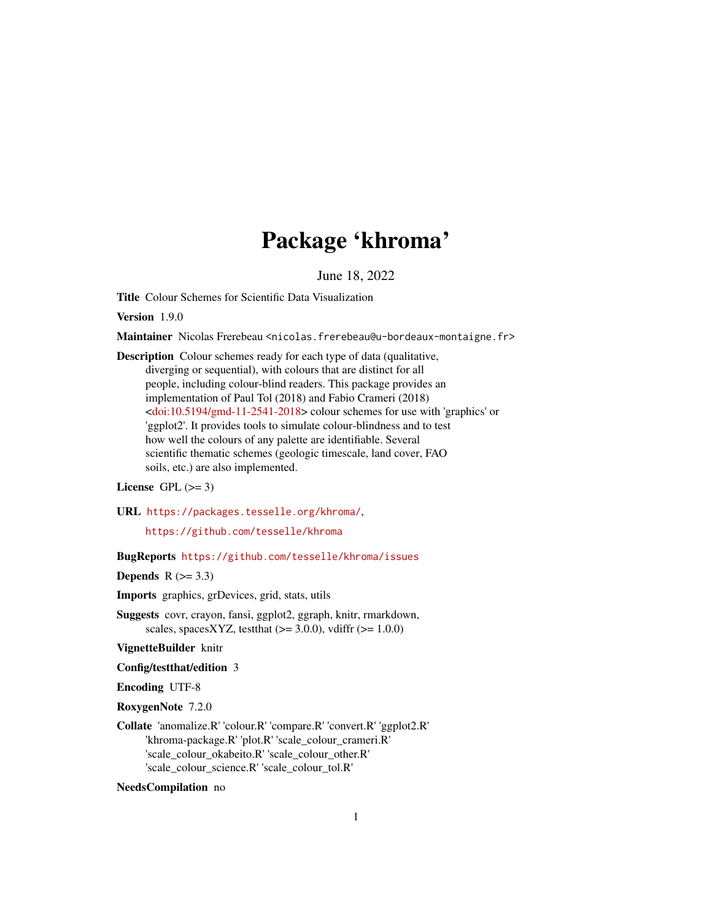# Package 'khroma'

June 18, 2022

<span id="page-0-0"></span>Title Colour Schemes for Scientific Data Visualization

Version 1.9.0

Maintainer Nicolas Frerebeau <nicolas.frerebeau@u-bordeaux-montaigne.fr>

Description Colour schemes ready for each type of data (qualitative, diverging or sequential), with colours that are distinct for all people, including colour-blind readers. This package provides an implementation of Paul Tol (2018) and Fabio Crameri (2018) [<doi:10.5194/gmd-11-2541-2018>](https://doi.org/10.5194/gmd-11-2541-2018) colour schemes for use with 'graphics' or 'ggplot2'. It provides tools to simulate colour-blindness and to test how well the colours of any palette are identifiable. Several scientific thematic schemes (geologic timescale, land cover, FAO soils, etc.) are also implemented.

### License GPL  $(>= 3)$

URL <https://packages.tesselle.org/khroma/>,

<https://github.com/tesselle/khroma>

BugReports <https://github.com/tesselle/khroma/issues>

Depends  $R$  ( $>= 3.3$ )

Imports graphics, grDevices, grid, stats, utils

Suggests covr, crayon, fansi, ggplot2, ggraph, knitr, rmarkdown, scales, spacesXYZ, testthat  $(>= 3.0.0)$ , vdiffr  $(>= 1.0.0)$ 

VignetteBuilder knitr

Config/testthat/edition 3

Encoding UTF-8

RoxygenNote 7.2.0

Collate 'anomalize.R' 'colour.R' 'compare.R' 'convert.R' 'ggplot2.R' 'khroma-package.R' 'plot.R' 'scale\_colour\_crameri.R' 'scale\_colour\_okabeito.R' 'scale\_colour\_other.R' 'scale\_colour\_science.R' 'scale\_colour\_tol.R'

NeedsCompilation no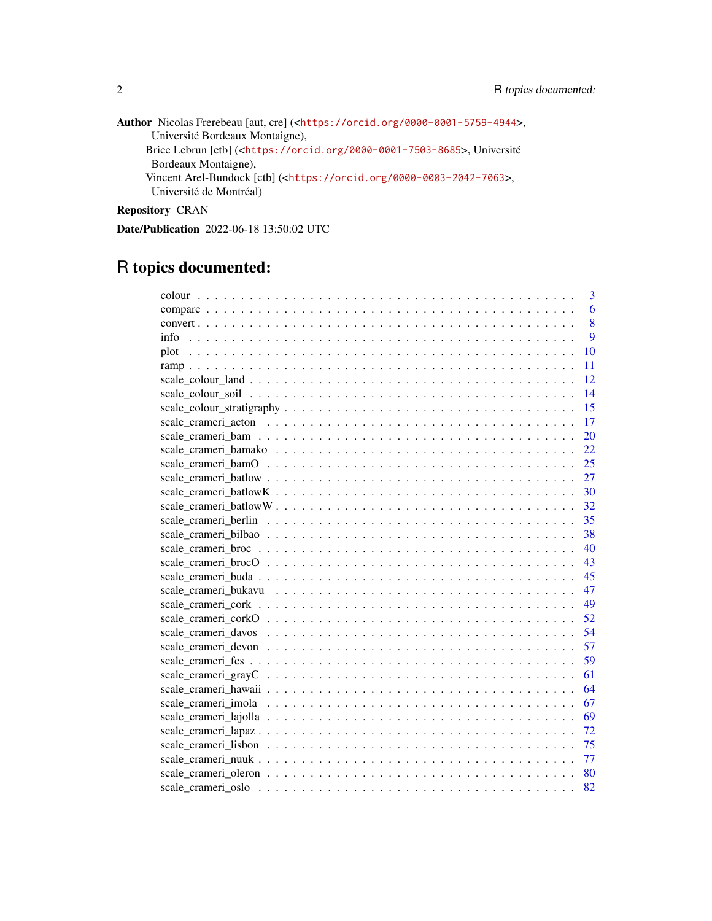| Author Nicolas Frerebeau [aut, cre] ( <https: 0000-0001-5759-4944="" orcid.org="">,</https:> |
|----------------------------------------------------------------------------------------------|
| Université Bordeaux Montaigne),                                                              |
| Brice Lebrun [ctb] ( <https: 0000-0001-7503-8685="" orcid.org="">, Université</https:>       |
| Bordeaux Montaigne),                                                                         |
| Vincent Arel-Bundock $[ctb]$ ( $<$ https://orcid.org/0000-0003-2042-7063>,                   |
| Université de Montréal)                                                                      |
|                                                                                              |

Repository CRAN

Date/Publication 2022-06-18 13:50:02 UTC

# R topics documented:

| 3                      |
|------------------------|
| 6                      |
| 8                      |
| $\overline{9}$<br>info |
| 10                     |
| 11                     |
| 12                     |
| 14                     |
| 15                     |
| 17                     |
| 20                     |
| 22                     |
| 25                     |
| 27                     |
| 30                     |
| 32                     |
| 35                     |
| 38                     |
| 40                     |
| 43                     |
| 45                     |
| 47                     |
| 49                     |
| 52                     |
| 54                     |
| 57                     |
| 59                     |
| 61                     |
| 64                     |
| 67                     |
| 69                     |
| 72                     |
| 75                     |
| 77                     |
| 80                     |
| 82                     |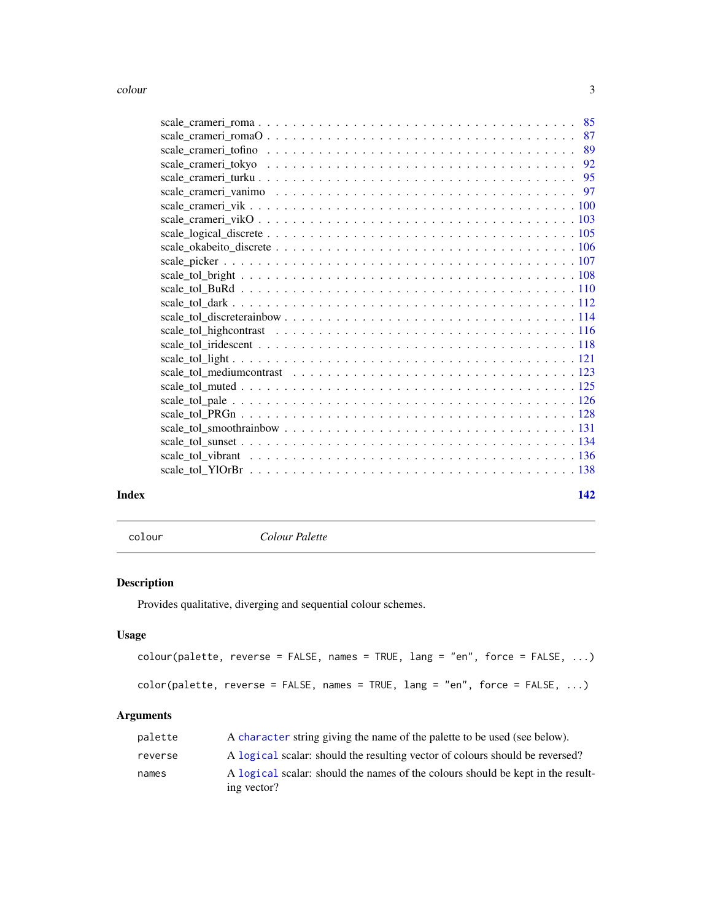<span id="page-2-0"></span>

| Index | 142 |  |
|-------|-----|--|

<span id="page-2-1"></span>colour *Colour Palette*

### Description

Provides qualitative, diverging and sequential colour schemes.

## Usage

```
colour(palette, reverse = FALSE, names = TRUE, lang = "en", force = FALSE, ...)
color(palette, reverse = FALSE, names = TRUE, lang = "en", force = FALSE, ...)
```
### Arguments

| palette | A character string giving the name of the palette to be used (see below).                      |
|---------|------------------------------------------------------------------------------------------------|
| reverse | A logical scalar: should the resulting vector of colours should be reversed?                   |
| names   | A logical scalar: should the names of the colours should be kept in the result-<br>ing vector? |
|         |                                                                                                |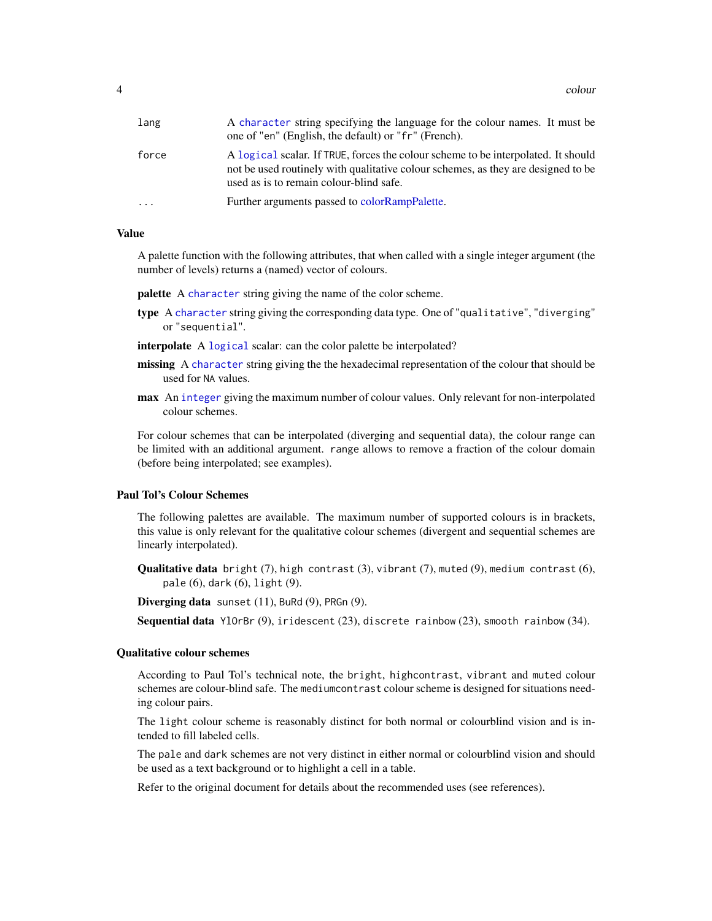| lang      | A character string specifying the language for the colour names. It must be<br>one of "en" (English, the default) or "fr" (French).                                                                               |
|-----------|-------------------------------------------------------------------------------------------------------------------------------------------------------------------------------------------------------------------|
| force     | A logical scalar. If TRUE, forces the colour scheme to be interpolated. It should<br>not be used routinely with qualitative colour schemes, as they are designed to be<br>used as is to remain colour-blind safe. |
| $\ddotsc$ | Further arguments passed to colorRampPalette.                                                                                                                                                                     |

#### Value

A palette function with the following attributes, that when called with a single integer argument (the number of levels) returns a (named) vector of colours.

palette A [character](#page-0-0) string giving the name of the color scheme.

type A [character](#page-0-0) string giving the corresponding data type. One of "qualitative", "diverging" or "sequential".

interpolate A [logical](#page-0-0) scalar: can the color palette be interpolated?

- missing A [character](#page-0-0) string giving the the hexadecimal representation of the colour that should be used for NA values.
- max An [integer](#page-0-0) giving the maximum number of colour values. Only relevant for non-interpolated colour schemes.

For colour schemes that can be interpolated (diverging and sequential data), the colour range can be limited with an additional argument. range allows to remove a fraction of the colour domain (before being interpolated; see examples).

### Paul Tol's Colour Schemes

The following palettes are available. The maximum number of supported colours is in brackets, this value is only relevant for the qualitative colour schemes (divergent and sequential schemes are linearly interpolated).

Qualitative data bright (7), high contrast (3), vibrant (7), muted (9), medium contrast (6), pale (6), dark (6), light (9).

Diverging data sunset (11), BuRd (9), PRGn (9).

Sequential data YlOrBr (9), iridescent (23), discrete rainbow (23), smooth rainbow (34).

#### Qualitative colour schemes

According to Paul Tol's technical note, the bright, highcontrast, vibrant and muted colour schemes are colour-blind safe. The mediumcontrast colour scheme is designed for situations needing colour pairs.

The light colour scheme is reasonably distinct for both normal or colourblind vision and is intended to fill labeled cells.

The pale and dark schemes are not very distinct in either normal or colourblind vision and should be used as a text background or to highlight a cell in a table.

Refer to the original document for details about the recommended uses (see references).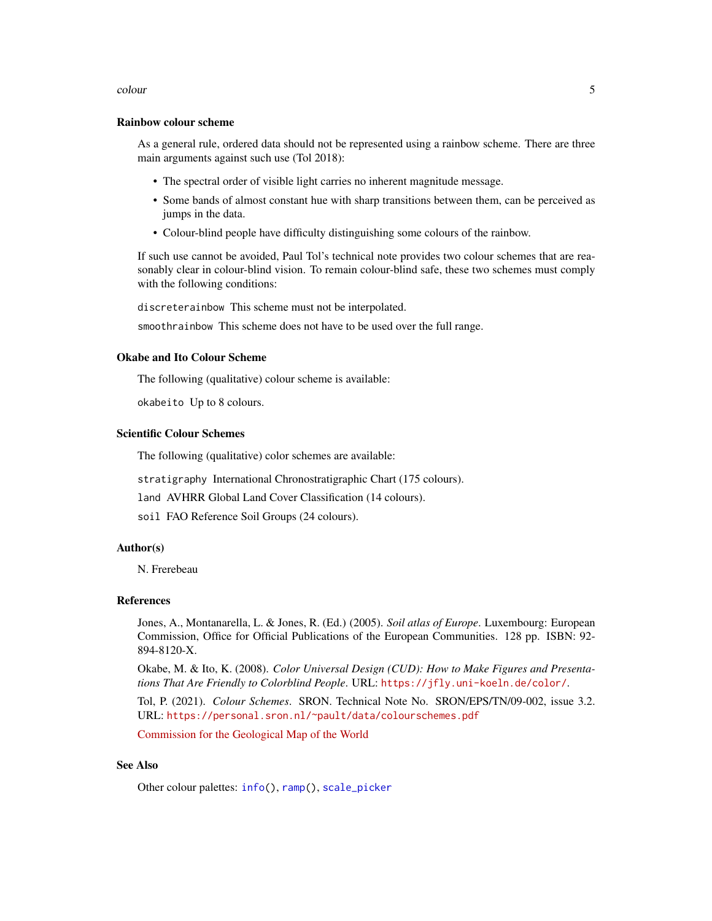#### colour 5

#### Rainbow colour scheme

As a general rule, ordered data should not be represented using a rainbow scheme. There are three main arguments against such use (Tol 2018):

- The spectral order of visible light carries no inherent magnitude message.
- Some bands of almost constant hue with sharp transitions between them, can be perceived as jumps in the data.
- Colour-blind people have difficulty distinguishing some colours of the rainbow.

If such use cannot be avoided, Paul Tol's technical note provides two colour schemes that are reasonably clear in colour-blind vision. To remain colour-blind safe, these two schemes must comply with the following conditions:

discreterainbow This scheme must not be interpolated.

smoothrainbow This scheme does not have to be used over the full range.

### Okabe and Ito Colour Scheme

The following (qualitative) colour scheme is available:

okabeito Up to 8 colours.

### Scientific Colour Schemes

The following (qualitative) color schemes are available:

stratigraphy International Chronostratigraphic Chart (175 colours).

land AVHRR Global Land Cover Classification (14 colours).

soil FAO Reference Soil Groups (24 colours).

### Author(s)

N. Frerebeau

### References

Jones, A., Montanarella, L. & Jones, R. (Ed.) (2005). *Soil atlas of Europe*. Luxembourg: European Commission, Office for Official Publications of the European Communities. 128 pp. ISBN: 92- 894-8120-X.

Okabe, M. & Ito, K. (2008). *Color Universal Design (CUD): How to Make Figures and Presentations That Are Friendly to Colorblind People*. URL: <https://jfly.uni-koeln.de/color/>.

Tol, P. (2021). *Colour Schemes*. SRON. Technical Note No. SRON/EPS/TN/09-002, issue 3.2. URL: <https://personal.sron.nl/~pault/data/colourschemes.pdf>

[Commission for the Geological Map of the World](https://www.ccgm.org)

### See Also

Other colour palettes: [info\(](#page-8-1)), [ramp\(](#page-10-1)), [scale\\_picker](#page-106-1)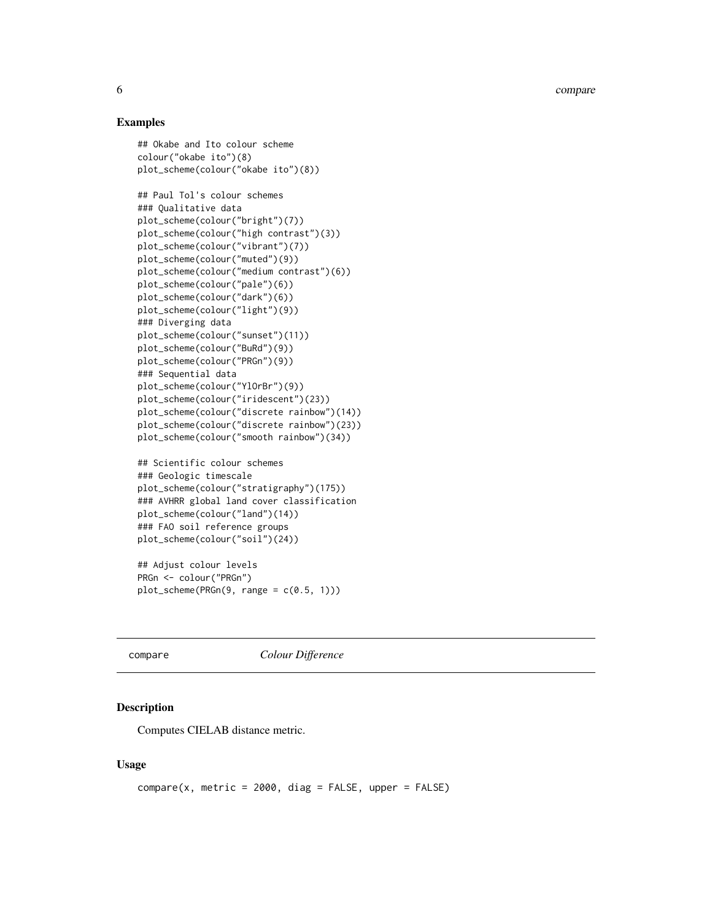6 compare to the compare of the compare of the compare of the compare of the compare of the compare of the compare of the compare of the compare of the compare of the compare of the compare of the compare of the compare of

### Examples

```
## Okabe and Ito colour scheme
colour("okabe ito")(8)
plot_scheme(colour("okabe ito")(8))
## Paul Tol's colour schemes
### Qualitative data
plot_scheme(colour("bright")(7))
plot_scheme(colour("high contrast")(3))
plot_scheme(colour("vibrant")(7))
plot_scheme(colour("muted")(9))
plot_scheme(colour("medium contrast")(6))
plot_scheme(colour("pale")(6))
plot_scheme(colour("dark")(6))
plot_scheme(colour("light")(9))
### Diverging data
plot_scheme(colour("sunset")(11))
plot_scheme(colour("BuRd")(9))
plot_scheme(colour("PRGn")(9))
### Sequential data
plot_scheme(colour("YlOrBr")(9))
plot_scheme(colour("iridescent")(23))
plot_scheme(colour("discrete rainbow")(14))
plot_scheme(colour("discrete rainbow")(23))
plot_scheme(colour("smooth rainbow")(34))
## Scientific colour schemes
```

```
### Geologic timescale
plot_scheme(colour("stratigraphy")(175))
### AVHRR global land cover classification
plot_scheme(colour("land")(14))
### FAO soil reference groups
plot_scheme(colour("soil")(24))
```

```
## Adjust colour levels
PRGn <- colour("PRGn")
plot\_scheme(PRGn(9, range = c(0.5, 1)))
```
<span id="page-5-1"></span>compare *Colour Difference*

#### Description

Computes CIELAB distance metric.

### Usage

 $compare(x, metric = 2000, diag = FALSE, upper = FALSE)$ 

<span id="page-5-0"></span>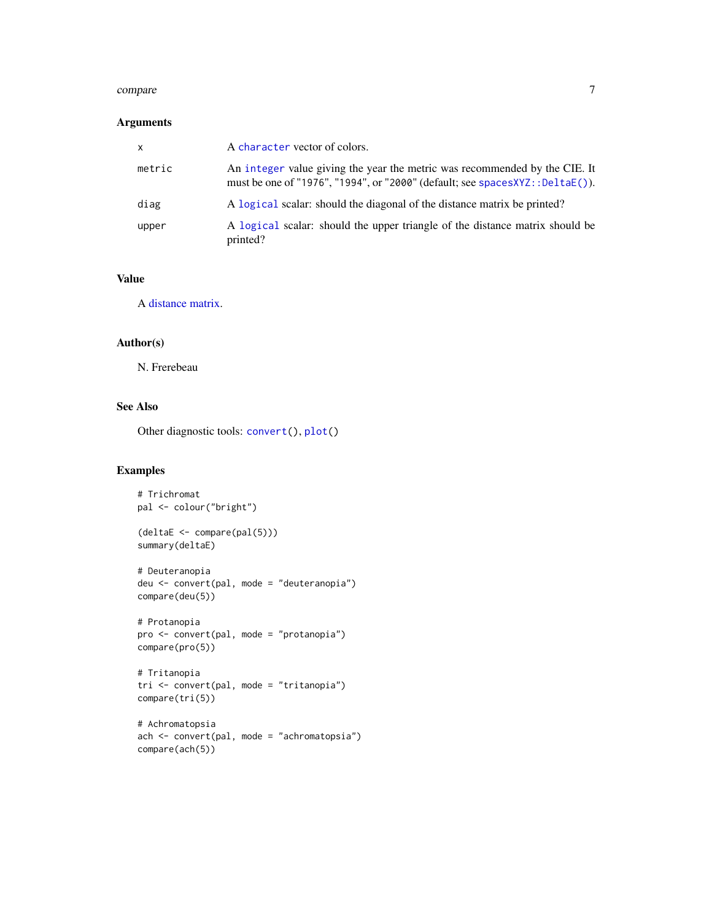#### compare 7

### Arguments

| $\mathsf{x}$ | A character vector of colors.                                                                                                                                 |
|--------------|---------------------------------------------------------------------------------------------------------------------------------------------------------------|
| metric       | An integer value giving the year the metric was recommended by the CIE. It<br>must be one of "1976", "1994", or "2000" (default; see $spacesXYZ::DeltaE()$ ). |
| diag         | A logical scalar: should the diagonal of the distance matrix be printed?                                                                                      |
| upper        | A logical scalar: should the upper triangle of the distance matrix should be<br>printed?                                                                      |

### Value

A [distance matrix.](#page-0-0)

### Author(s)

N. Frerebeau

### See Also

Other diagnostic tools: [convert\(](#page-7-1)), [plot\(](#page-9-1))

### Examples

```
# Trichromat
pal <- colour("bright")
(deltaE <- compare(pal(5)))
summary(deltaE)
# Deuteranopia
deu <- convert(pal, mode = "deuteranopia")
compare(deu(5))
# Protanopia
pro <- convert(pal, mode = "protanopia")
compare(pro(5))
# Tritanopia
tri <- convert(pal, mode = "tritanopia")
compare(tri(5))
# Achromatopsia
ach <- convert(pal, mode = "achromatopsia")
compare(ach(5))
```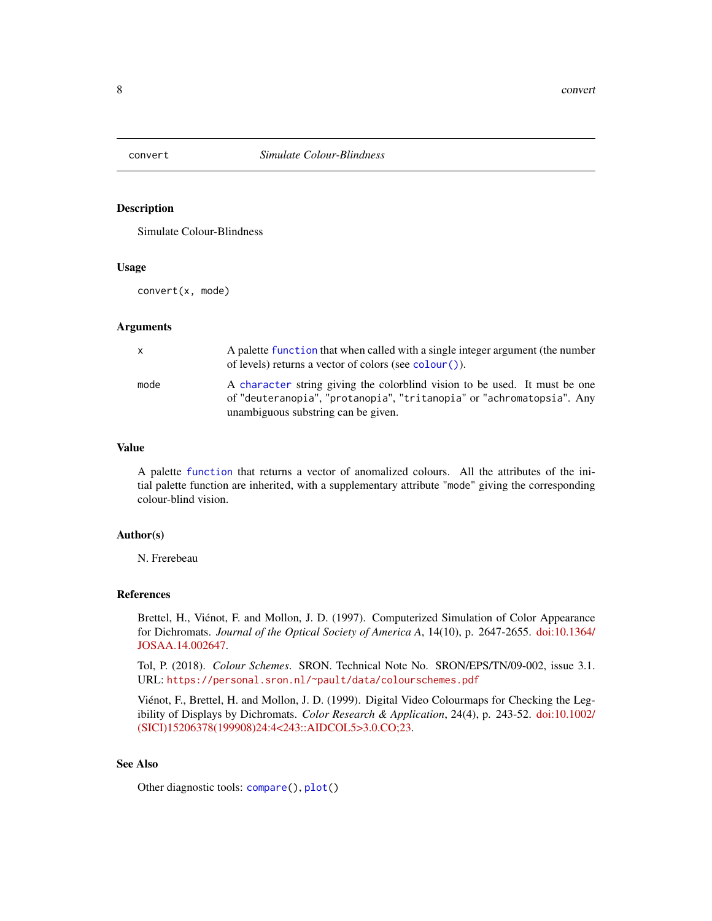<span id="page-7-1"></span><span id="page-7-0"></span>

#### Description

Simulate Colour-Blindness

### Usage

convert(x, mode)

#### Arguments

| $\mathsf{x}$ | A palette function that when called with a single integer argument (the number<br>of levels) returns a vector of colors (see colour()).                                                    |
|--------------|--------------------------------------------------------------------------------------------------------------------------------------------------------------------------------------------|
| mode         | A character string giving the colorblind vision to be used. It must be one<br>of "deuteranopia", "protanopia", "tritanopia" or "achromatopsia". Any<br>unambiguous substring can be given. |

### Value

A palette [function](#page-0-0) that returns a vector of anomalized colours. All the attributes of the initial palette function are inherited, with a supplementary attribute "mode" giving the corresponding colour-blind vision.

### Author(s)

N. Frerebeau

### References

Brettel, H., Viénot, F. and Mollon, J. D. (1997). Computerized Simulation of Color Appearance for Dichromats. *Journal of the Optical Society of America A*, 14(10), p. 2647-2655. [doi:10.1364/](https://doi.org/10.1364/JOSAA.14.002647) [JOSAA.14.002647.](https://doi.org/10.1364/JOSAA.14.002647)

Tol, P. (2018). *Colour Schemes*. SRON. Technical Note No. SRON/EPS/TN/09-002, issue 3.1. URL: <https://personal.sron.nl/~pault/data/colourschemes.pdf>

Viénot, F., Brettel, H. and Mollon, J. D. (1999). Digital Video Colourmaps for Checking the Legibility of Displays by Dichromats. *Color Research & Application*, 24(4), p. 243-52. [doi:10.1002/](https://doi.org/10.1002/%28SICI%291520-6378%28199908%2924%3A4%3C243%3A%3AAID-COL5%3E3.0.CO%3B2-3) [\(SICI\)15206378\(199908\)24:4<243::AIDCOL5>3.0.CO;23.](https://doi.org/10.1002/%28SICI%291520-6378%28199908%2924%3A4%3C243%3A%3AAID-COL5%3E3.0.CO%3B2-3)

### See Also

Other diagnostic tools: [compare\(](#page-5-1)), [plot\(](#page-9-1))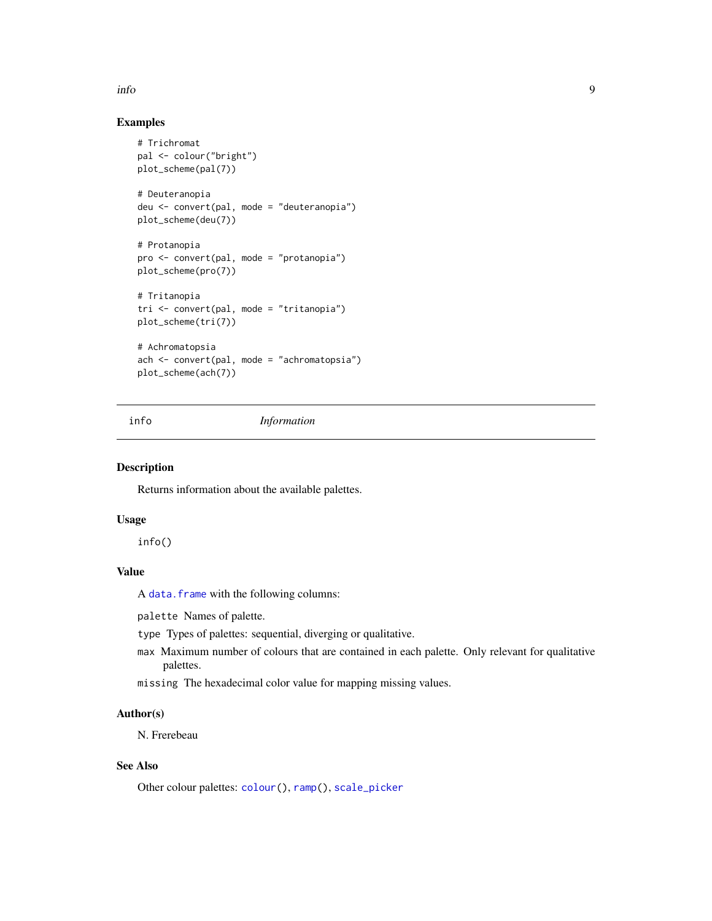#### <span id="page-8-0"></span>info 9

### Examples

```
# Trichromat
pal <- colour("bright")
plot_scheme(pal(7))
# Deuteranopia
deu <- convert(pal, mode = "deuteranopia")
plot_scheme(deu(7))
# Protanopia
pro <- convert(pal, mode = "protanopia")
plot_scheme(pro(7))
# Tritanopia
tri <- convert(pal, mode = "tritanopia")
plot_scheme(tri(7))
# Achromatopsia
ach <- convert(pal, mode = "achromatopsia")
plot_scheme(ach(7))
```
<span id="page-8-1"></span>

info *Information*

### Description

Returns information about the available palettes.

### Usage

info()

### Value

A [data.frame](#page-0-0) with the following columns:

palette Names of palette.

type Types of palettes: sequential, diverging or qualitative.

max Maximum number of colours that are contained in each palette. Only relevant for qualitative palettes.

missing The hexadecimal color value for mapping missing values.

### Author(s)

N. Frerebeau

### See Also

Other colour palettes: [colour\(](#page-2-1)), [ramp\(](#page-10-1)), [scale\\_picker](#page-106-1)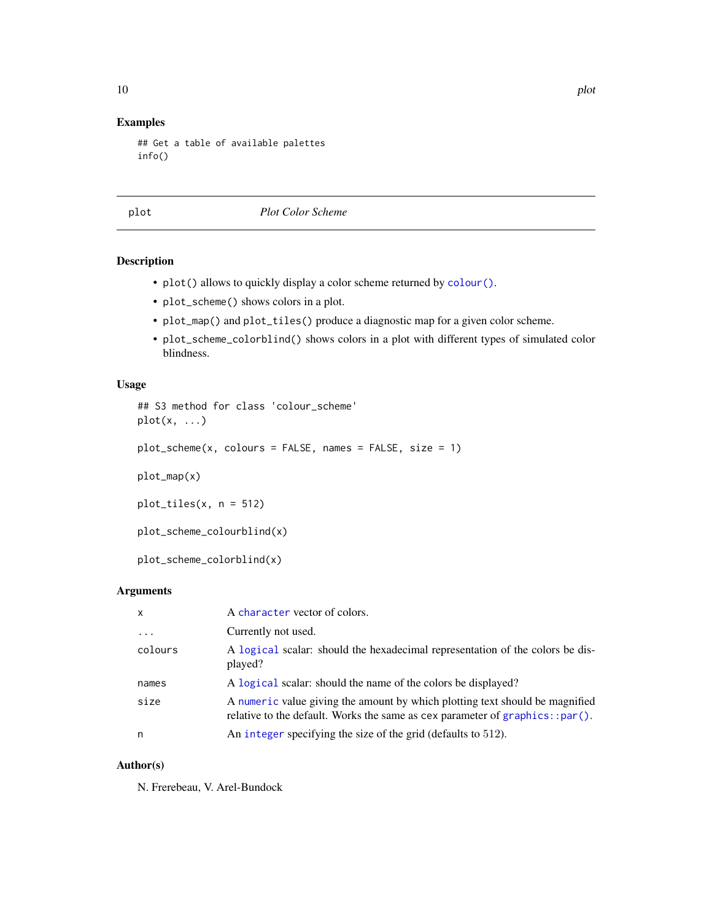### Examples

```
## Get a table of available palettes
info()
```
<span id="page-9-1"></span>plot *Plot Color Scheme*

### Description

- plot() allows to quickly display a color scheme returned by [colour\(\)](#page-2-1).
- plot\_scheme() shows colors in a plot.
- plot\_map() and plot\_tiles() produce a diagnostic map for a given color scheme.
- plot\_scheme\_colorblind() shows colors in a plot with different types of simulated color blindness.

### Usage

```
## S3 method for class 'colour_scheme'
plot(x, \ldots)plot_scheme(x, colours = FALSE, names = FALSE, size = 1)
plot_map(x)
plot_tiles(x, n = 512)
```

```
plot_scheme_colourblind(x)
```
plot\_scheme\_colorblind(x)

### Arguments

| x        | A character vector of colors.                                                                                                                                |
|----------|--------------------------------------------------------------------------------------------------------------------------------------------------------------|
| $\cdots$ | Currently not used.                                                                                                                                          |
| colours  | A logical scalar: should the hexadecimal representation of the colors be dis-<br>played?                                                                     |
| names    | A logical scalar: should the name of the colors be displayed?                                                                                                |
| size     | A numeric value giving the amount by which plotting text should be magnified<br>relative to the default. Works the same as cex parameter of graphics::par(). |
| n        | An integer specifying the size of the grid (defaults to 512).                                                                                                |

### Author(s)

N. Frerebeau, V. Arel-Bundock

<span id="page-9-0"></span>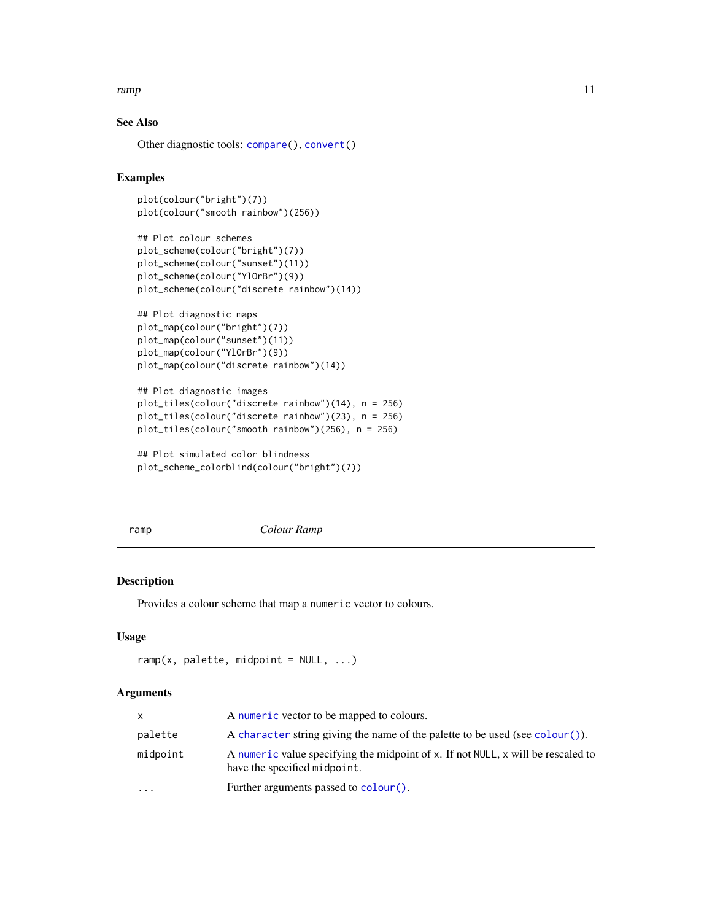#### <span id="page-10-0"></span>ramp that the contract of the contract of the contract of the contract of the contract of the contract of the contract of the contract of the contract of the contract of the contract of the contract of the contract of the

### See Also

Other diagnostic tools: [compare\(](#page-5-1)), [convert\(](#page-7-1))

### Examples

```
plot(colour("bright")(7))
plot(colour("smooth rainbow")(256))
```

```
## Plot colour schemes
plot_scheme(colour("bright")(7))
plot_scheme(colour("sunset")(11))
plot_scheme(colour("YlOrBr")(9))
plot_scheme(colour("discrete rainbow")(14))
```

```
## Plot diagnostic maps
plot_map(colour("bright")(7))
plot_map(colour("sunset")(11))
plot_map(colour("YlOrBr")(9))
plot_map(colour("discrete rainbow")(14))
```

```
## Plot diagnostic images
plot_tiles(colour("discrete rainbow")(14), n = 256)
plot_tiles(colour("discrete rainbow")(23), n = 256)
plot_tiles(colour("smooth rainbow")(256), n = 256)
```

```
## Plot simulated color blindness
plot_scheme_colorblind(colour("bright")(7))
```
<span id="page-10-1"></span>ramp *Colour Ramp*

### Description

Provides a colour scheme that map a numeric vector to colours.

#### Usage

```
ramp(x, palette, midpoint = NULL, ...)
```
#### Arguments

| x.       | A numeric vector to be mapped to colours.                                                                        |
|----------|------------------------------------------------------------------------------------------------------------------|
| palette  | A character string giving the name of the palette to be used (see colour ()).                                    |
| midpoint | A numeric value specifying the midpoint of x. If not NULL, x will be rescaled to<br>have the specified midpoint. |
| .        | Further arguments passed to colour ().                                                                           |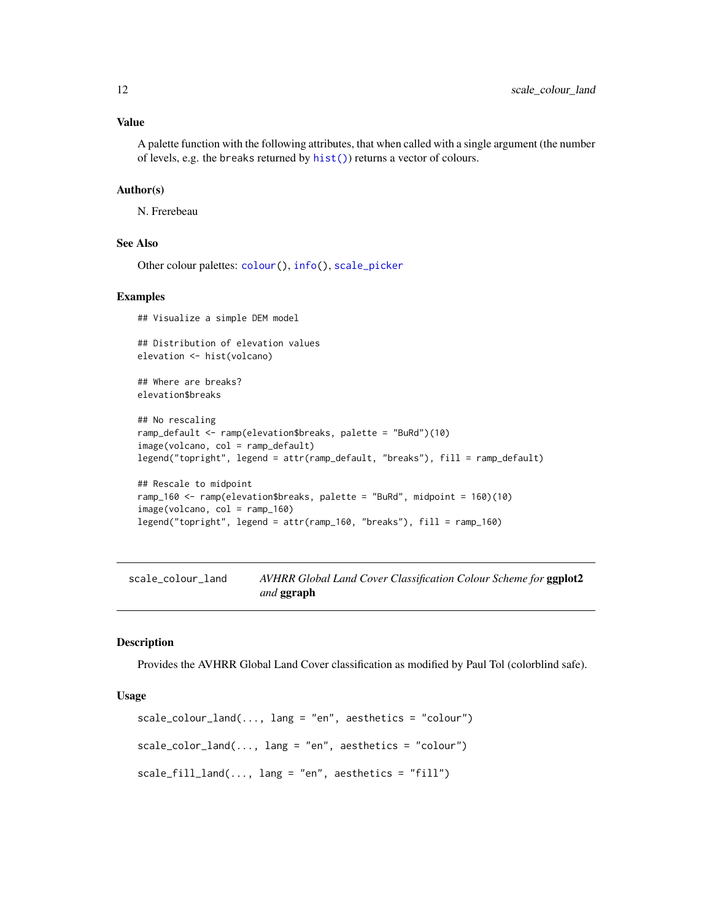<span id="page-11-0"></span>A palette function with the following attributes, that when called with a single argument (the number of levels, e.g. the breaks returned by [hist\(\)](#page-0-0)) returns a vector of colours.

#### Author(s)

N. Frerebeau

### See Also

Other colour palettes: [colour\(](#page-2-1)), [info\(](#page-8-1)), [scale\\_picker](#page-106-1)

#### Examples

## Visualize a simple DEM model

## Distribution of elevation values elevation <- hist(volcano)

## Where are breaks? elevation\$breaks

```
## No rescaling
ramp_default <- ramp(elevation$breaks, palette = "BuRd")(10)
image(volcano, col = ramp_default)
legend("topright", legend = attr(ramp_default, "breaks"), fill = ramp_default)
```

```
## Rescale to midpoint
ramp_160 <- ramp(elevation$breaks, palette = "BuRd", midpoint = 160)(10)
image(volcano, col = ramp_160)
legend("topright", legend = attr(ramp_160, "breaks"), fill = ramp_160)
```
<span id="page-11-1"></span>scale\_colour\_land *AVHRR Global Land Cover Classification Colour Scheme for* ggplot2 *and* ggraph

#### Description

Provides the AVHRR Global Land Cover classification as modified by Paul Tol (colorblind safe).

```
scale_{colour\_land(..., lang = "en", aesthetics = "colour")}scale\_color\_land(..., lang = "en", aesthetics = "colour")scale_fill_land(..., lang = "en", aesthetics = "fill")
```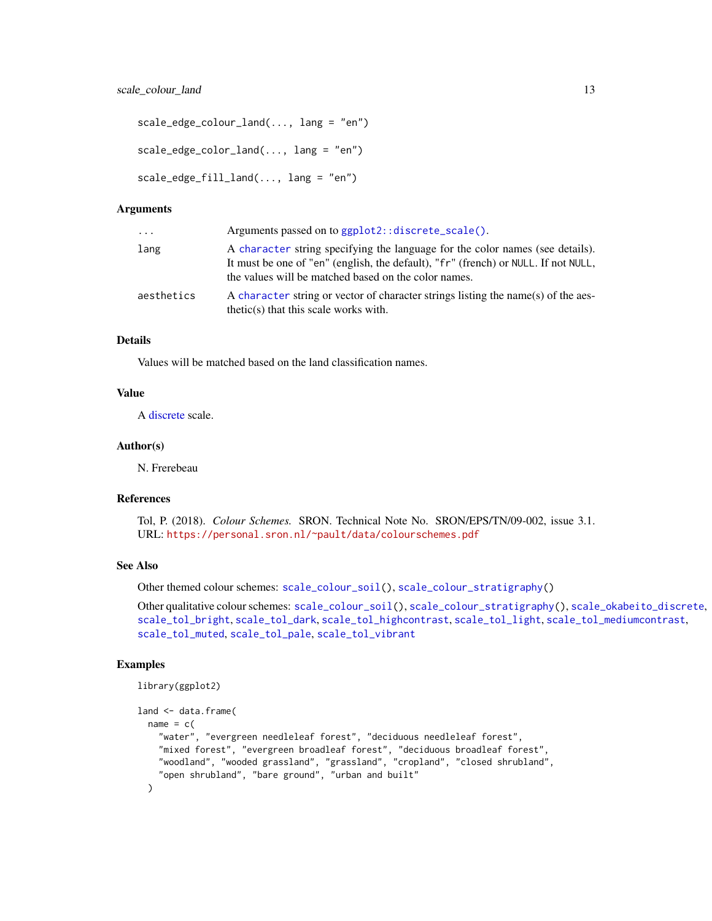```
scale_edge_colour_land(..., lang = "en")
scale_edge_color_land(..., lang = "en")
scale_edge_fill_land(..., lang = "en")
```

| $\cdots$   | Arguments passed on to ggplot2::discrete_scale().                                                                                                                                                                           |
|------------|-----------------------------------------------------------------------------------------------------------------------------------------------------------------------------------------------------------------------------|
| lang       | A character string specifying the language for the color names (see details).<br>It must be one of "en" (english, the default), "fr" (french) or NULL. If not NULL,<br>the values will be matched based on the color names. |
| aesthetics | A character string or vector of character strings listing the name(s) of the aes-<br>$thetic(s)$ that this scale works with.                                                                                                |

#### Details

Values will be matched based on the land classification names.

#### Value

A [discrete](#page-0-0) scale.

#### Author(s)

N. Frerebeau

### References

Tol, P. (2018). *Colour Schemes.* SRON. Technical Note No. SRON/EPS/TN/09-002, issue 3.1. URL: <https://personal.sron.nl/~pault/data/colourschemes.pdf>

#### See Also

Other themed colour schemes: [scale\\_colour\\_soil\(](#page-13-1)), [scale\\_colour\\_stratigraphy\(](#page-14-1))

Other qualitative colour schemes: [scale\\_colour\\_soil\(](#page-13-1)), [scale\\_colour\\_stratigraphy\(](#page-14-1)), [scale\\_okabeito\\_discrete](#page-105-1), [scale\\_tol\\_bright](#page-107-1), [scale\\_tol\\_dark](#page-111-1), [scale\\_tol\\_highcontrast](#page-115-1), [scale\\_tol\\_light](#page-120-1), [scale\\_tol\\_mediumcontrast](#page-122-1), [scale\\_tol\\_muted](#page-124-1), [scale\\_tol\\_pale](#page-125-1), [scale\\_tol\\_vibrant](#page-135-1)

#### Examples

```
library(ggplot2)
land <- data.frame(
 name = c("water", "evergreen needleleaf forest", "deciduous needleleaf forest",
    "mixed forest", "evergreen broadleaf forest", "deciduous broadleaf forest",
    "woodland", "wooded grassland", "grassland", "cropland", "closed shrubland",
    "open shrubland", "bare ground", "urban and built"
 )
```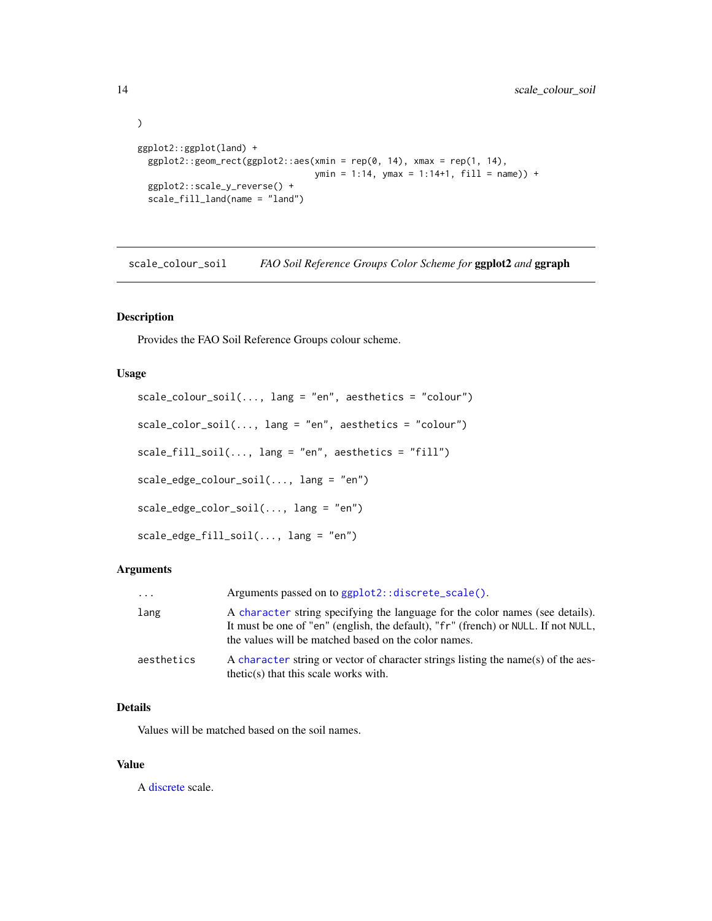```
)
ggplot2::ggplot(land) +
  ggplot2::geom\_rect(ggplot2::aes(xmin = rep(0, 14), xmax = rep(1, 14),ymin = 1:14, ymax = 1:14+1, fill = name)) +
  ggplot2::scale_y_reverse() +
  scale_fill_land(name = "land")
```
<span id="page-13-1"></span>scale\_colour\_soil *FAO Soil Reference Groups Color Scheme for* ggplot2 *and* ggraph

### Description

Provides the FAO Soil Reference Groups colour scheme.

#### Usage

```
scale_colour_soil(..., lang = "en", aesthetics = "colour")
scale\_color\_soil(..., lang = "en", aesthetics = "colour")scale_fill\_soil(..., lang = "en", aesthetics = "fill")scale_edge_colour_soil(..., lang = "en")
scale_edge_color_soil(..., lang = "en")
scale_edge_fill_soil(..., lang = "en")
```
#### Arguments

| .          | Arguments passed on to ggplot2::discrete_scale().                                                                                                                                                                           |
|------------|-----------------------------------------------------------------------------------------------------------------------------------------------------------------------------------------------------------------------------|
| lang       | A character string specifying the language for the color names (see details).<br>It must be one of "en" (english, the default), "fr" (french) or NULL. If not NULL,<br>the values will be matched based on the color names. |
| aesthetics | A character string or vector of character strings listing the name(s) of the aes-<br>$thetic(s)$ that this scale works with.                                                                                                |

#### Details

Values will be matched based on the soil names.

#### Value

A [discrete](#page-0-0) scale.

<span id="page-13-0"></span>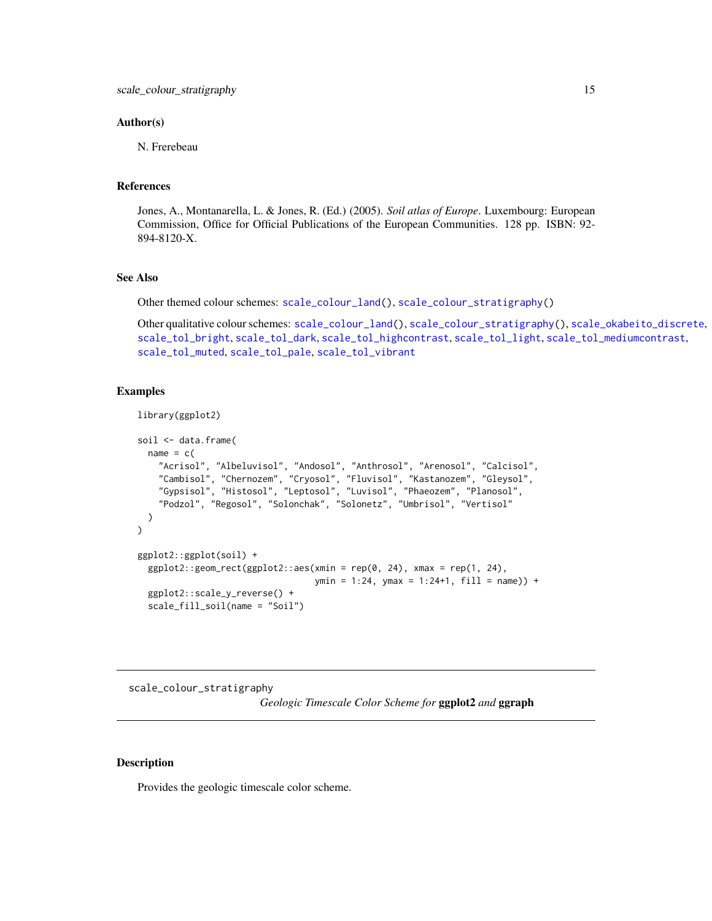#### <span id="page-14-0"></span>Author(s)

N. Frerebeau

#### References

Jones, A., Montanarella, L. & Jones, R. (Ed.) (2005). *Soil atlas of Europe*. Luxembourg: European Commission, Office for Official Publications of the European Communities. 128 pp. ISBN: 92- 894-8120-X.

### See Also

Other themed colour schemes: [scale\\_colour\\_land\(](#page-11-1)), [scale\\_colour\\_stratigraphy\(](#page-14-1))

Other qualitative colour schemes: [scale\\_colour\\_land\(](#page-11-1)), [scale\\_colour\\_stratigraphy\(](#page-14-1)), [scale\\_okabeito\\_discrete](#page-105-1), [scale\\_tol\\_bright](#page-107-1), [scale\\_tol\\_dark](#page-111-1), [scale\\_tol\\_highcontrast](#page-115-1), [scale\\_tol\\_light](#page-120-1), [scale\\_tol\\_mediumcontrast](#page-122-1), [scale\\_tol\\_muted](#page-124-1), [scale\\_tol\\_pale](#page-125-1), [scale\\_tol\\_vibrant](#page-135-1)

#### Examples

```
library(ggplot2)
```

```
soil <- data.frame(
 name = c("Acrisol", "Albeluvisol", "Andosol", "Anthrosol", "Arenosol", "Calcisol",
    "Cambisol", "Chernozem", "Cryosol", "Fluvisol", "Kastanozem", "Gleysol",
    "Gypsisol", "Histosol", "Leptosol", "Luvisol", "Phaeozem", "Planosol",
    "Podzol", "Regosol", "Solonchak", "Solonetz", "Umbrisol", "Vertisol"
 )
\mathcal{L}ggplot2::ggplot(soil) +
 ggplot2::geom\_rect(ggplot2::aes(xmin = rep(0, 24), xmax = rep(1, 24),ymin = 1:24, ymax = 1:24+1, fill = name)) +
 ggplot2::scale_y_reverse() +
 scale_fill_soil(name = "Soil")
```
<span id="page-14-1"></span>scale\_colour\_stratigraphy *Geologic Timescale Color Scheme for* ggplot2 *and* ggraph

### **Description**

Provides the geologic timescale color scheme.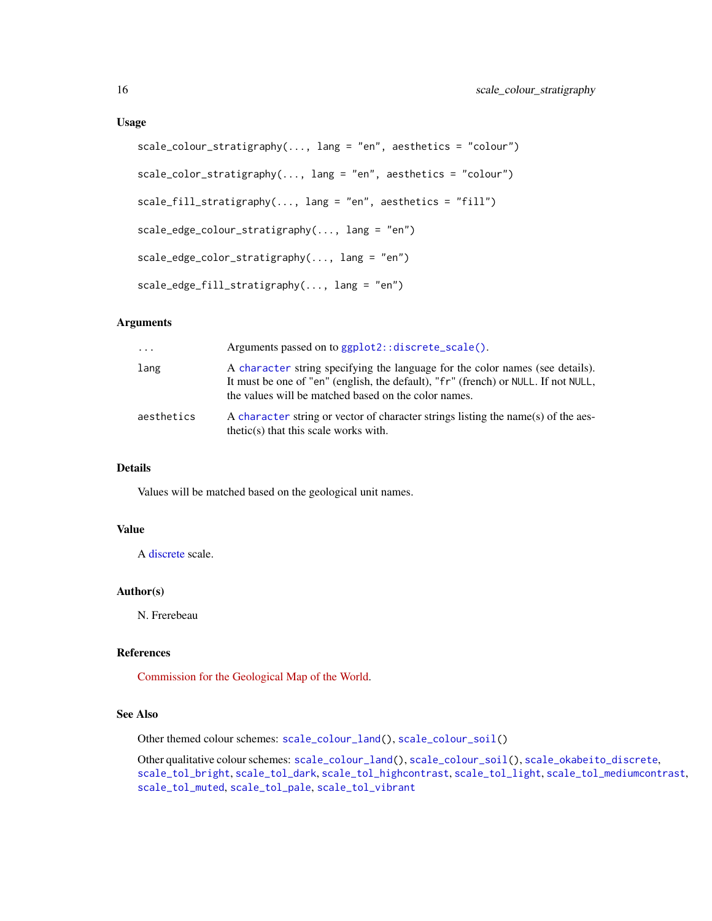```
scale_colour_stratigraphy(..., lang = "en", aesthetics = "colour")
scale\_color\_stratingraphy(..., lang = "en", aesthetics = "colour")scale_fill_stratigraphy(..., lang = "en", aesthetics = "fill")
scale_edge_colour_stratigraphy(..., lang = "en")
scale_edge_color_stratigraphy(..., lang = "en")
scale_edge_fill_stratigraphy(..., lang = "en")
```

| $\ddots$   | Arguments passed on to ggplot2::discrete_scale().                                                                                                                                                                           |
|------------|-----------------------------------------------------------------------------------------------------------------------------------------------------------------------------------------------------------------------------|
| lang       | A character string specifying the language for the color names (see details).<br>It must be one of "en" (english, the default), "fr" (french) or NULL. If not NULL,<br>the values will be matched based on the color names. |
| aesthetics | A character string or vector of character strings listing the name(s) of the aes-<br>$thetic(s)$ that this scale works with.                                                                                                |

### Details

Values will be matched based on the geological unit names.

### Value

A [discrete](#page-0-0) scale.

#### Author(s)

N. Frerebeau

#### References

[Commission for the Geological Map of the World.](https://www.ccgm.org)

#### See Also

Other themed colour schemes: [scale\\_colour\\_land\(](#page-11-1)), [scale\\_colour\\_soil\(](#page-13-1))

Other qualitative colour schemes: [scale\\_colour\\_land\(](#page-11-1)), [scale\\_colour\\_soil\(](#page-13-1)), [scale\\_okabeito\\_discrete](#page-105-1), [scale\\_tol\\_bright](#page-107-1), [scale\\_tol\\_dark](#page-111-1), [scale\\_tol\\_highcontrast](#page-115-1), [scale\\_tol\\_light](#page-120-1), [scale\\_tol\\_mediumcontrast](#page-122-1), [scale\\_tol\\_muted](#page-124-1), [scale\\_tol\\_pale](#page-125-1), [scale\\_tol\\_vibrant](#page-135-1)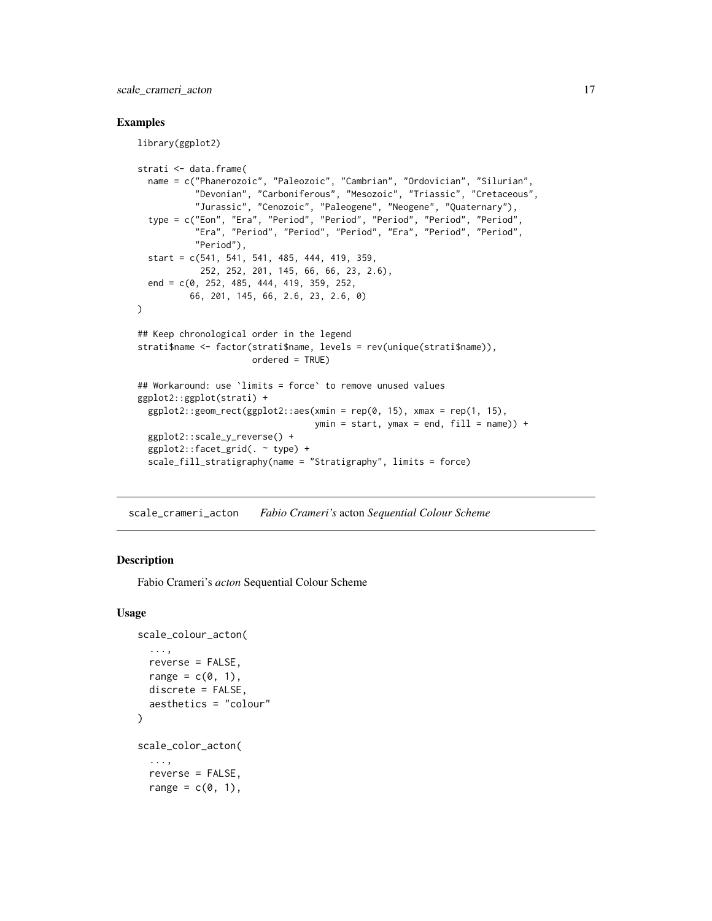<span id="page-16-0"></span>scale\_crameri\_acton 17

#### Examples

library(ggplot2)

```
strati <- data.frame(
 name = c("Phanerozoic", "Paleozoic", "Cambrian", "Ordovician", "Silurian",
           "Devonian", "Carboniferous", "Mesozoic", "Triassic", "Cretaceous",
           "Jurassic", "Cenozoic", "Paleogene", "Neogene", "Quaternary"),
 type = c("Eon", "Era", "Period", "Period", "Period", "Period", "Period",
           "Era", "Period", "Period", "Period", "Era", "Period", "Period",
           "Period"),
 start = c(541, 541, 541, 485, 444, 419, 359,
            252, 252, 201, 145, 66, 66, 23, 2.6),
 end = c(0, 252, 485, 444, 419, 359, 252,
          66, 201, 145, 66, 2.6, 23, 2.6, 0)
)
## Keep chronological order in the legend
strati$name <- factor(strati$name, levels = rev(unique(strati$name)),
                      ordered = TRUE)
## Workaround: use `limits = force` to remove unused values
ggplot2::ggplot(strati) +
 ggplot2::geom\_rect(ggplot2::aes(xmin = rep(0, 15), xmax = rep(1, 15),ymin = start, ymax = end, fill = name)) +
 ggplot2::scale_y_reverse() +
 ggplot2::facet_grid(. ~ type) +
 scale_fill_stratigraphy(name = "Stratigraphy", limits = force)
```
<span id="page-16-1"></span>scale\_crameri\_acton *Fabio Crameri's* acton *Sequential Colour Scheme*

#### Description

Fabio Crameri's *acton* Sequential Colour Scheme

```
scale_colour_acton(
  ...,
  reverse = FALSE,
  range = c(\emptyset, 1),
  discrete = FALSE,
  aesthetics = "colour"
\lambdascale_color_acton(
  ...,
  reverse = FALSE,
  range = c(0, 1),
```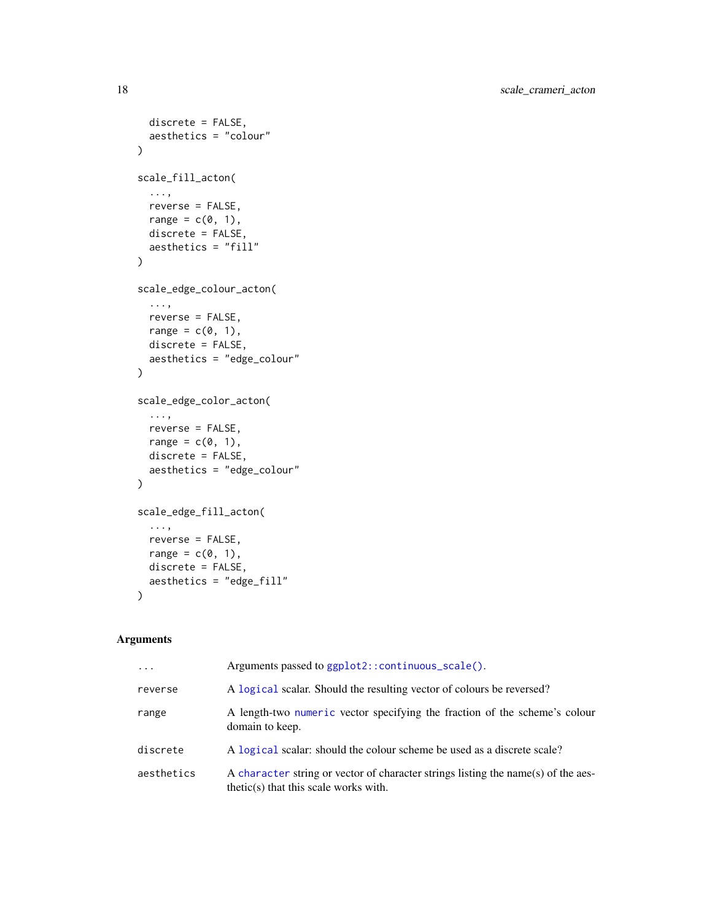```
discrete = FALSE,
  aesthetics = "colour"
\lambdascale_fill_acton(
  ...,
 reverse = FALSE,
  range = c(\emptyset, 1),
  discrete = FALSE,
  aesthetics = "fill"
\mathcal{L}scale_edge_colour_acton(
  ...,
 reverse = FALSE,
  range = c(\emptyset, 1),
  discrete = FALSE,
  aesthetics = "edge_colour"
\mathcal{L}scale_edge_color_acton(
  ...,
  reverse = FALSE,
  range = c(0, 1),
  discrete = FALSE,
  aesthetics = "edge_colour"
)
scale_edge_fill_acton(
  ...,
  reverse = FALSE,
  range = c(\emptyset, 1),
  discrete = FALSE,
  aesthetics = "edge_fill"
\mathcal{L}
```

| $\ddots$   | Arguments passed to ggplot2::continuous_scale().                                                                             |
|------------|------------------------------------------------------------------------------------------------------------------------------|
| reverse    | A logical scalar. Should the resulting vector of colours be reversed?                                                        |
| range      | A length-two numeric vector specifying the fraction of the scheme's colour<br>domain to keep.                                |
| discrete   | A logical scalar: should the colour scheme be used as a discrete scale?                                                      |
| aesthetics | A character string or vector of character strings listing the name(s) of the aes-<br>$thetic(s)$ that this scale works with. |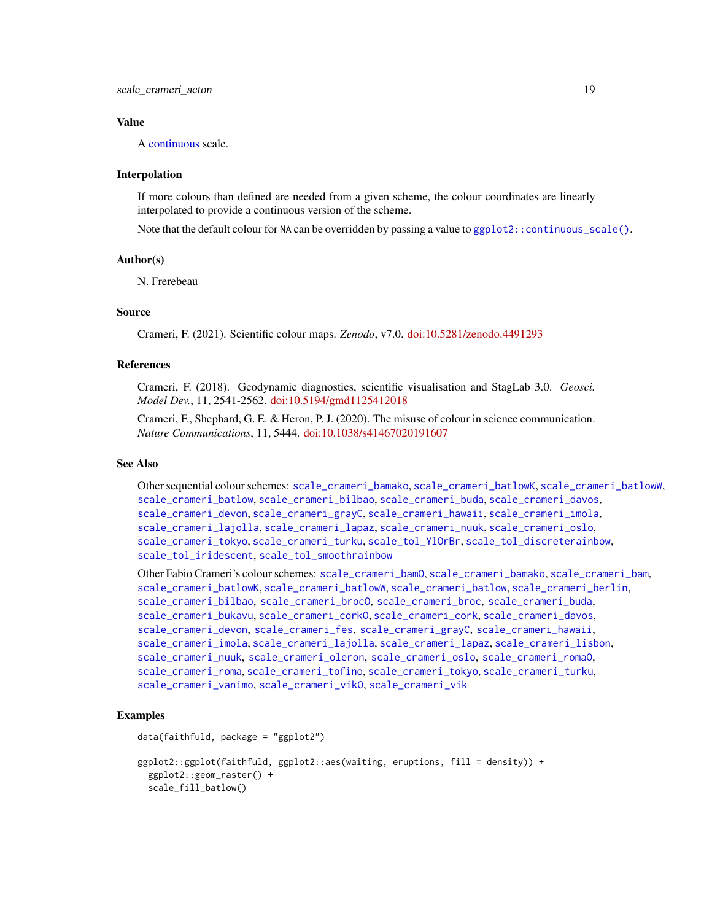#### Value

A [continuous](#page-0-0) scale.

#### Interpolation

If more colours than defined are needed from a given scheme, the colour coordinates are linearly interpolated to provide a continuous version of the scheme.

Note that the default colour for NA can be overridden by passing a value to  $ggplot2::continuous\_scale()$ .

#### Author(s)

N. Frerebeau

### Source

Crameri, F. (2021). Scientific colour maps. *Zenodo*, v7.0. [doi:10.5281/zenodo.4491293](https://doi.org/10.5281/zenodo.4491293)

### References

Crameri, F. (2018). Geodynamic diagnostics, scientific visualisation and StagLab 3.0. *Geosci. Model Dev.*, 11, 2541-2562. [doi:10.5194/gmd1125412018](https://doi.org/10.5194/gmd-11-2541-2018)

Crameri, F., Shephard, G. E. & Heron, P. J. (2020). The misuse of colour in science communication. *Nature Communications*, 11, 5444. [doi:10.1038/s41467020191607](https://doi.org/10.1038/s41467-020-19160-7)

#### See Also

Other sequential colour schemes: [scale\\_crameri\\_bamako](#page-21-1), [scale\\_crameri\\_batlowK](#page-29-1), [scale\\_crameri\\_batlowW](#page-31-1), [scale\\_crameri\\_batlow](#page-26-1), [scale\\_crameri\\_bilbao](#page-37-1), [scale\\_crameri\\_buda](#page-44-1), [scale\\_crameri\\_davos](#page-53-1), [scale\\_crameri\\_devon](#page-56-1), [scale\\_crameri\\_grayC](#page-60-1), [scale\\_crameri\\_hawaii](#page-63-1), [scale\\_crameri\\_imola](#page-66-1), [scale\\_crameri\\_lajolla](#page-68-1), [scale\\_crameri\\_lapaz](#page-71-1), [scale\\_crameri\\_nuuk](#page-76-1), [scale\\_crameri\\_oslo](#page-81-1), [scale\\_crameri\\_tokyo](#page-91-1), [scale\\_crameri\\_turku](#page-94-1), [scale\\_tol\\_YlOrBr](#page-137-1), [scale\\_tol\\_discreterainbow](#page-113-1), [scale\\_tol\\_iridescent](#page-117-1), [scale\\_tol\\_smoothrainbow](#page-130-1)

Other Fabio Crameri's colour schemes: [scale\\_crameri\\_bamO](#page-24-1), [scale\\_crameri\\_bamako](#page-21-1), [scale\\_crameri\\_bam](#page-19-1), [scale\\_crameri\\_batlowK](#page-29-1), [scale\\_crameri\\_batlowW](#page-31-1), [scale\\_crameri\\_batlow](#page-26-1), [scale\\_crameri\\_berlin](#page-34-1), [scale\\_crameri\\_bilbao](#page-37-1), [scale\\_crameri\\_brocO](#page-42-1), [scale\\_crameri\\_broc](#page-39-1), [scale\\_crameri\\_buda](#page-44-1), [scale\\_crameri\\_bukavu](#page-46-1), [scale\\_crameri\\_corkO](#page-51-1), [scale\\_crameri\\_cork](#page-48-1), [scale\\_crameri\\_davos](#page-53-1), [scale\\_crameri\\_devon](#page-56-1), [scale\\_crameri\\_fes](#page-58-1), [scale\\_crameri\\_grayC](#page-60-1), [scale\\_crameri\\_hawaii](#page-63-1), [scale\\_crameri\\_imola](#page-66-1), [scale\\_crameri\\_lajolla](#page-68-1), [scale\\_crameri\\_lapaz](#page-71-1), [scale\\_crameri\\_lisbon](#page-74-1), [scale\\_crameri\\_nuuk](#page-76-1), [scale\\_crameri\\_oleron](#page-79-1), [scale\\_crameri\\_oslo](#page-81-1), [scale\\_crameri\\_romaO](#page-86-1), [scale\\_crameri\\_roma](#page-84-1), [scale\\_crameri\\_tofino](#page-88-1), [scale\\_crameri\\_tokyo](#page-91-1), [scale\\_crameri\\_turku](#page-94-1), [scale\\_crameri\\_vanimo](#page-96-1), [scale\\_crameri\\_vikO](#page-102-1), [scale\\_crameri\\_vik](#page-99-1)

#### Examples

```
data(faithfuld, package = "ggplot2")
```

```
ggplot2::ggplot(faithfuld, ggplot2::aes(waiting, eruptions, fill = density)) +
 ggplot2::geom_raster() +
 scale_fill_batlow()
```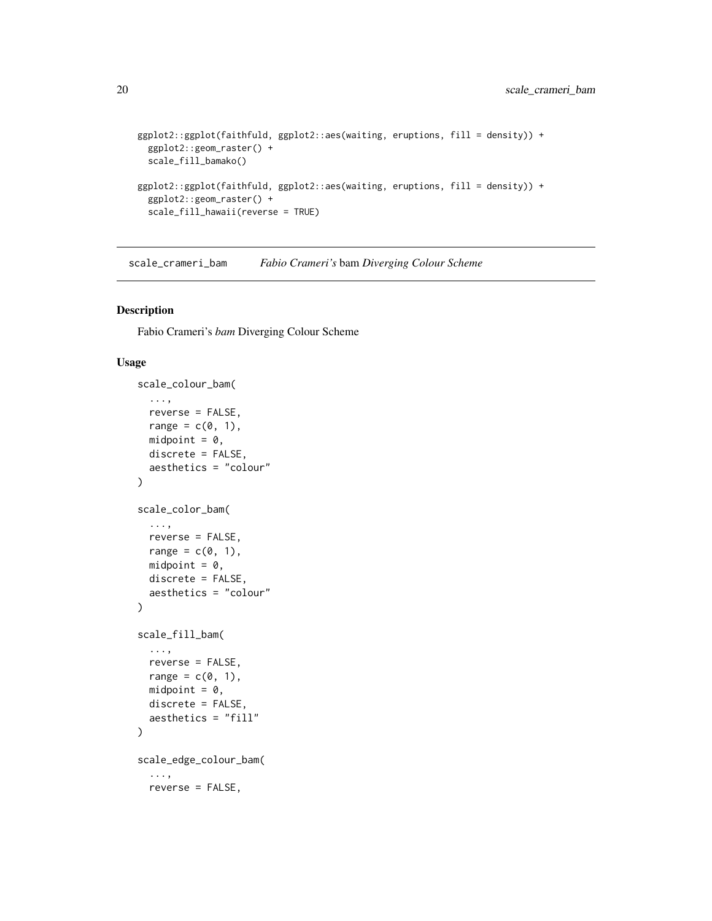```
ggplot2::ggplot(faithfuld, ggplot2::aes(waiting, eruptions, fill = density)) +
  ggplot2::geom_raster() +
  scale_fill_bamako()
ggplot2::ggplot(faithfuld, ggplot2::aes(waiting, eruptions, fill = density)) +
  ggplot2::geom_raster() +
  scale_fill_hawaii(reverse = TRUE)
```
<span id="page-19-1"></span>scale\_crameri\_bam *Fabio Crameri's* bam *Diverging Colour Scheme*

#### Description

Fabio Crameri's *bam* Diverging Colour Scheme

```
scale_colour_bam(
  ...,
  reverse = FALSE,
  range = c(\emptyset, 1),
  midpoint = 0,
  discrete = FALSE,
  aesthetics = "colour"
\lambdascale_color_bam(
  ...,
  reverse = FALSE,
  range = c(\emptyset, 1),
  midpoint = 0,
  discrete = FALSE,
  aesthetics = "colour"
)
scale_fill_bam(
  ...,
  reverse = FALSE,
  range = c(\emptyset, 1),
  midpoint = 0,
  discrete = FALSE,
  aesthetics = "fill"
\lambdascale_edge_colour_bam(
  ...,
  reverse = FALSE,
```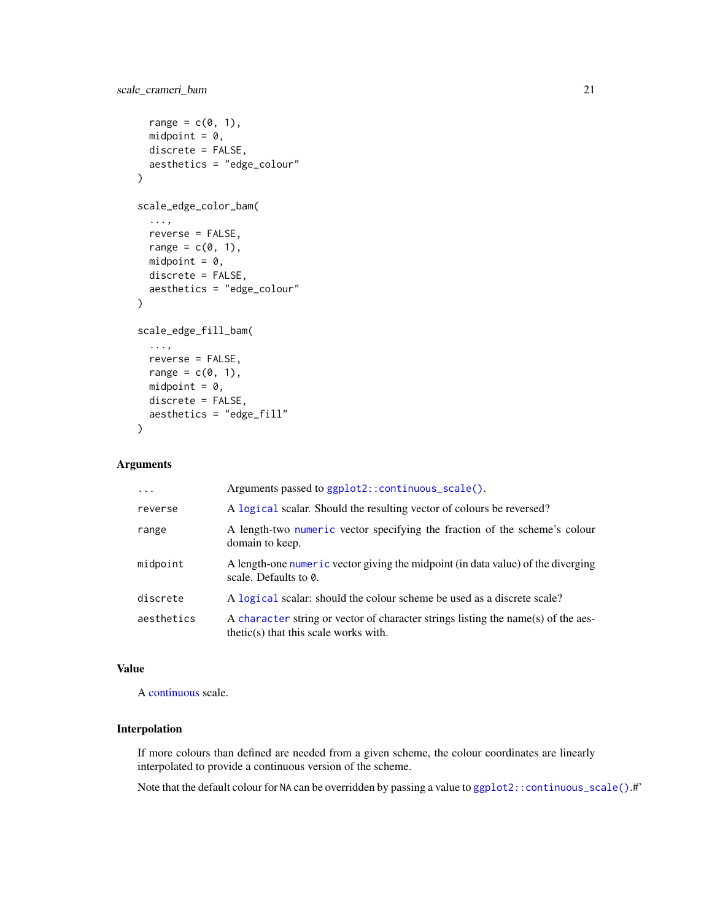```
range = c(\emptyset, 1),
 midpoint = 0,
 discrete = FALSE,
  aesthetics = "edge_colour"
)
scale_edge_color_bam(
  ...,
 reverse = FALSE,
 range = c(\emptyset, 1),
 midpoint = 0,
 discrete = FALSE,
  aesthetics = "edge_colour"
)
scale_edge_fill_bam(
  ...,
 reverse = FALSE,
 range = c(\emptyset, 1),
 midpoint = 0,
 discrete = FALSE,
  aesthetics = "edge_fill"
)
```

| $\cdot$ $\cdot$ $\cdot$ | Arguments passed to ggplot2::continuous_scale().                                                                             |
|-------------------------|------------------------------------------------------------------------------------------------------------------------------|
| reverse                 | A logical scalar. Should the resulting vector of colours be reversed?                                                        |
| range                   | A length-two numeric vector specifying the fraction of the scheme's colour<br>domain to keep.                                |
| midpoint                | A length-one numeric vector giving the midpoint (in data value) of the diverging<br>scale. Defaults to 0.                    |
| discrete                | A logical scalar: should the colour scheme be used as a discrete scale?                                                      |
| aesthetics              | A character string or vector of character strings listing the name(s) of the aes-<br>$thetic(s)$ that this scale works with. |

#### Value

A [continuous](#page-0-0) scale.

### Interpolation

If more colours than defined are needed from a given scheme, the colour coordinates are linearly interpolated to provide a continuous version of the scheme.

Note that the default colour for NA can be overridden by passing a value to ggplot2:: continuous\_scale().#'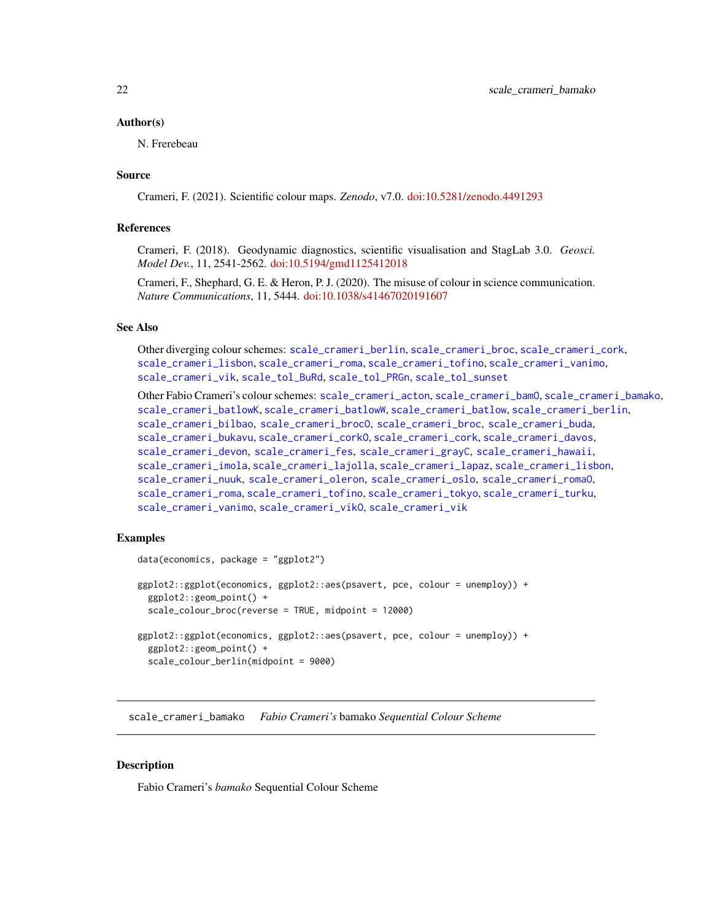#### <span id="page-21-0"></span>Author(s)

N. Frerebeau

#### Source

Crameri, F. (2021). Scientific colour maps. *Zenodo*, v7.0. [doi:10.5281/zenodo.4491293](https://doi.org/10.5281/zenodo.4491293)

#### References

Crameri, F. (2018). Geodynamic diagnostics, scientific visualisation and StagLab 3.0. *Geosci. Model Dev.*, 11, 2541-2562. [doi:10.5194/gmd1125412018](https://doi.org/10.5194/gmd-11-2541-2018)

Crameri, F., Shephard, G. E. & Heron, P. J. (2020). The misuse of colour in science communication. *Nature Communications*, 11, 5444. [doi:10.1038/s41467020191607](https://doi.org/10.1038/s41467-020-19160-7)

#### See Also

Other diverging colour schemes: [scale\\_crameri\\_berlin](#page-34-1), [scale\\_crameri\\_broc](#page-39-1), [scale\\_crameri\\_cork](#page-48-1), [scale\\_crameri\\_lisbon](#page-74-1), [scale\\_crameri\\_roma](#page-84-1), [scale\\_crameri\\_tofino](#page-88-1), [scale\\_crameri\\_vanimo](#page-96-1), [scale\\_crameri\\_vik](#page-99-1), [scale\\_tol\\_BuRd](#page-109-1), [scale\\_tol\\_PRGn](#page-127-1), [scale\\_tol\\_sunset](#page-133-1)

Other Fabio Crameri's colour schemes: [scale\\_crameri\\_acton](#page-16-1), [scale\\_crameri\\_bamO](#page-24-1), [scale\\_crameri\\_bamako](#page-21-1), [scale\\_crameri\\_batlowK](#page-29-1), [scale\\_crameri\\_batlowW](#page-31-1), [scale\\_crameri\\_batlow](#page-26-1), [scale\\_crameri\\_berlin](#page-34-1), [scale\\_crameri\\_bilbao](#page-37-1), [scale\\_crameri\\_brocO](#page-42-1), [scale\\_crameri\\_broc](#page-39-1), [scale\\_crameri\\_buda](#page-44-1), [scale\\_crameri\\_bukavu](#page-46-1), [scale\\_crameri\\_corkO](#page-51-1), [scale\\_crameri\\_cork](#page-48-1), [scale\\_crameri\\_davos](#page-53-1), [scale\\_crameri\\_devon](#page-56-1), [scale\\_crameri\\_fes](#page-58-1), [scale\\_crameri\\_grayC](#page-60-1), [scale\\_crameri\\_hawaii](#page-63-1), [scale\\_crameri\\_imola](#page-66-1), [scale\\_crameri\\_lajolla](#page-68-1), [scale\\_crameri\\_lapaz](#page-71-1), [scale\\_crameri\\_lisbon](#page-74-1), [scale\\_crameri\\_nuuk](#page-76-1), [scale\\_crameri\\_oleron](#page-79-1), [scale\\_crameri\\_oslo](#page-81-1), [scale\\_crameri\\_romaO](#page-86-1), [scale\\_crameri\\_roma](#page-84-1), [scale\\_crameri\\_tofino](#page-88-1), [scale\\_crameri\\_tokyo](#page-91-1), [scale\\_crameri\\_turku](#page-94-1), [scale\\_crameri\\_vanimo](#page-96-1), [scale\\_crameri\\_vikO](#page-102-1), [scale\\_crameri\\_vik](#page-99-1)

### Examples

```
data(economics, package = "ggplot2")
ggplot2::ggplot(economics, ggplot2::aes(psavert, pce, colour = unemploy)) +
 ggplot2::geom_point() +
 scale_colour_broc(reverse = TRUE, midpoint = 12000)
ggplot2::ggplot(economics, ggplot2::aes(psavert, pce, colour = unemploy)) +
 ggplot2::geom_point() +
 scale_colour_berlin(midpoint = 9000)
```
<span id="page-21-1"></span>scale\_crameri\_bamako *Fabio Crameri's* bamako *Sequential Colour Scheme*

#### **Description**

Fabio Crameri's *bamako* Sequential Colour Scheme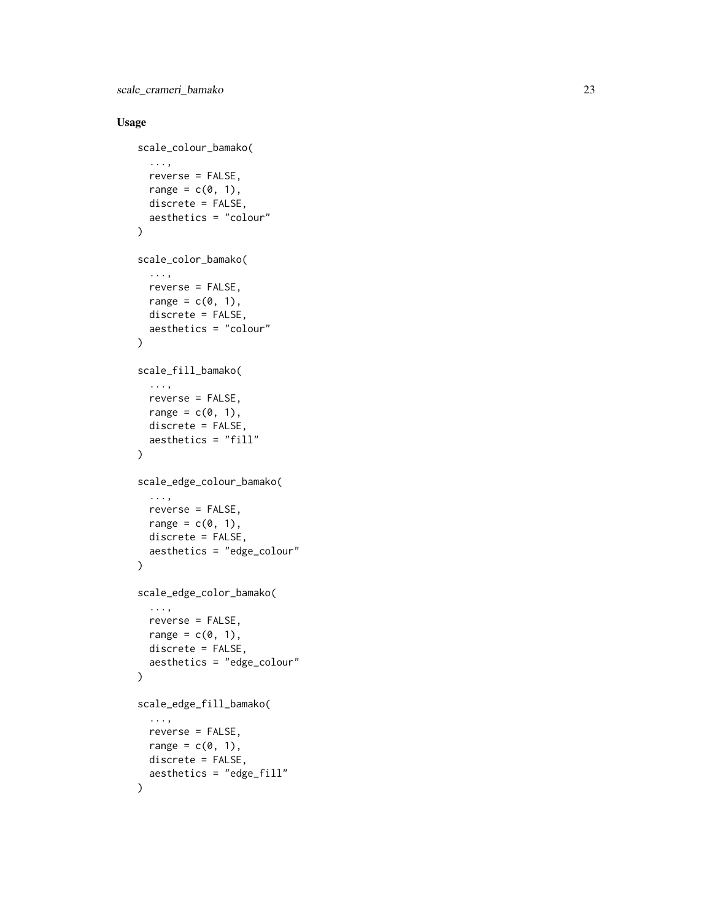scale\_crameri\_bamako 23

```
scale_colour_bamako(
  ...,
  reverse = FALSE,
  range = c(\emptyset, 1),
  discrete = FALSE,
  aesthetics = "colour"
\lambdascale_color_bamako(
  ...,
  reverse = FALSE,
  range = c(0, 1),
  discrete = FALSE,
  aesthetics = "colour"
)
scale_fill_bamako(
  ...,
  reverse = FALSE,
  range = c(\emptyset, 1),
  discrete = FALSE,
  aesthetics = "fill"
\mathcal{L}scale_edge_colour_bamako(
  ...,
  reverse = FALSE,
  range = c(0, 1),
  discrete = FALSE,
  aesthetics = "edge_colour"
\lambdascale_edge_color_bamako(
  ...,
  reverse = FALSE,
  range = c(\emptyset, 1),
  discrete = FALSE,
  aesthetics = "edge_colour"
\mathcal{L}scale_edge_fill_bamako(
  ...,
  reverse = FALSE,
  range = c(\emptyset, 1),
  discrete = FALSE,
  aesthetics = "edge_fill"
)
```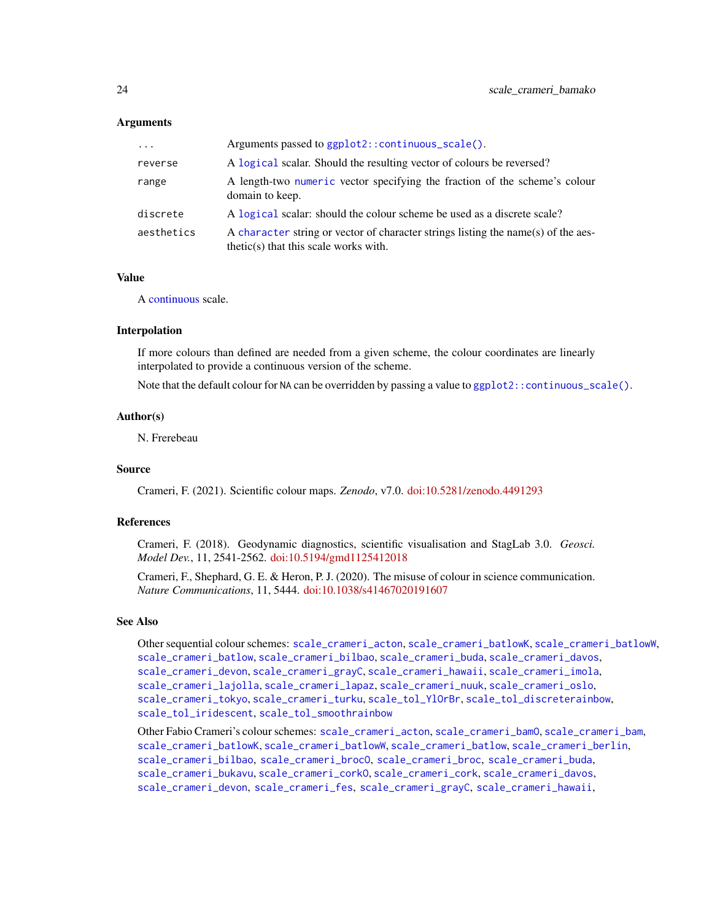| $\cdot \cdot \cdot$ | Arguments passed to ggplot2::continuous_scale().                                                                             |
|---------------------|------------------------------------------------------------------------------------------------------------------------------|
| reverse             | A logical scalar. Should the resulting vector of colours be reversed?                                                        |
| range               | A length-two numeric vector specifying the fraction of the scheme's colour<br>domain to keep.                                |
| discrete            | A logical scalar: should the colour scheme be used as a discrete scale?                                                      |
| aesthetics          | A character string or vector of character strings listing the name(s) of the aes-<br>$thetic(s)$ that this scale works with. |

### Value

A [continuous](#page-0-0) scale.

#### Interpolation

If more colours than defined are needed from a given scheme, the colour coordinates are linearly interpolated to provide a continuous version of the scheme.

Note that the default colour for NA can be overridden by passing a value to ggplot2:: continuous\_scale().

#### Author(s)

N. Frerebeau

#### Source

Crameri, F. (2021). Scientific colour maps. *Zenodo*, v7.0. [doi:10.5281/zenodo.4491293](https://doi.org/10.5281/zenodo.4491293)

#### References

Crameri, F. (2018). Geodynamic diagnostics, scientific visualisation and StagLab 3.0. *Geosci. Model Dev.*, 11, 2541-2562. [doi:10.5194/gmd1125412018](https://doi.org/10.5194/gmd-11-2541-2018)

Crameri, F., Shephard, G. E. & Heron, P. J. (2020). The misuse of colour in science communication. *Nature Communications*, 11, 5444. [doi:10.1038/s41467020191607](https://doi.org/10.1038/s41467-020-19160-7)

### See Also

Other sequential colour schemes: [scale\\_crameri\\_acton](#page-16-1), [scale\\_crameri\\_batlowK](#page-29-1), [scale\\_crameri\\_batlowW](#page-31-1), [scale\\_crameri\\_batlow](#page-26-1), [scale\\_crameri\\_bilbao](#page-37-1), [scale\\_crameri\\_buda](#page-44-1), [scale\\_crameri\\_davos](#page-53-1), [scale\\_crameri\\_devon](#page-56-1), [scale\\_crameri\\_grayC](#page-60-1), [scale\\_crameri\\_hawaii](#page-63-1), [scale\\_crameri\\_imola](#page-66-1), [scale\\_crameri\\_lajolla](#page-68-1), [scale\\_crameri\\_lapaz](#page-71-1), [scale\\_crameri\\_nuuk](#page-76-1), [scale\\_crameri\\_oslo](#page-81-1), [scale\\_crameri\\_tokyo](#page-91-1), [scale\\_crameri\\_turku](#page-94-1), [scale\\_tol\\_YlOrBr](#page-137-1), [scale\\_tol\\_discreterainbow](#page-113-1), [scale\\_tol\\_iridescent](#page-117-1), [scale\\_tol\\_smoothrainbow](#page-130-1)

Other Fabio Crameri's colour schemes: [scale\\_crameri\\_acton](#page-16-1), [scale\\_crameri\\_bamO](#page-24-1), [scale\\_crameri\\_bam](#page-19-1), [scale\\_crameri\\_batlowK](#page-29-1), [scale\\_crameri\\_batlowW](#page-31-1), [scale\\_crameri\\_batlow](#page-26-1), [scale\\_crameri\\_berlin](#page-34-1), [scale\\_crameri\\_bilbao](#page-37-1), [scale\\_crameri\\_brocO](#page-42-1), [scale\\_crameri\\_broc](#page-39-1), [scale\\_crameri\\_buda](#page-44-1), [scale\\_crameri\\_bukavu](#page-46-1), [scale\\_crameri\\_corkO](#page-51-1), [scale\\_crameri\\_cork](#page-48-1), [scale\\_crameri\\_davos](#page-53-1), [scale\\_crameri\\_devon](#page-56-1), [scale\\_crameri\\_fes](#page-58-1), [scale\\_crameri\\_grayC](#page-60-1), [scale\\_crameri\\_hawaii](#page-63-1),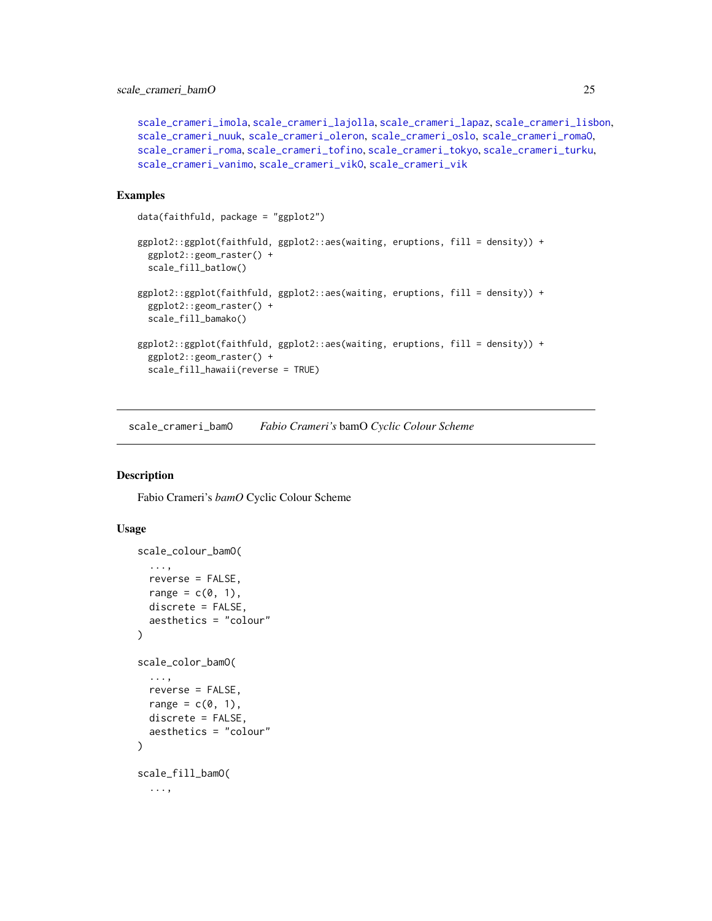```
scale_crameri_imola, scale_crameri_lajolla, scale_crameri_lapaz, scale_crameri_lisbon,
scale_crameri_nuuk, scale_crameri_oleron, scale_crameri_oslo, scale_crameri_romaO,
scale_crameri_roma, scale_crameri_tofino, scale_crameri_tokyo, scale_crameri_turku,
scale_crameri_vanimo, scale_crameri_vikO, scale_crameri_vik
```
#### Examples

```
data(faithfuld, package = "ggplot2")
```

```
ggplot2::ggplot(faithfuld, ggplot2::aes(waiting, eruptions, fill = density)) +
 ggplot2::geom_raster() +
 scale_fill_batlow()
ggplot2::ggplot(faithfuld, ggplot2::aes(waiting, eruptions, fill = density)) +
 ggplot2::geom_raster() +
 scale_fill_bamako()
ggplot2::ggplot(faithfuld, ggplot2::aes(waiting, eruptions, fill = density)) +
 ggplot2::geom_raster() +
 scale_fill_hawaii(reverse = TRUE)
```
<span id="page-24-1"></span>scale\_crameri\_bamO *Fabio Crameri's* bamO *Cyclic Colour Scheme*

#### Description

Fabio Crameri's *bamO* Cyclic Colour Scheme

```
scale_colour_bamO(
  ...,
 reverse = FALSE,
 range = c(\emptyset, 1),
 discrete = FALSE,
  aesthetics = "colour"
)
scale_color_bamO(
  ...,
 reverse = FALSE,
 range = c(0, 1),
 discrete = FALSE,
 aesthetics = "colour"
)
scale_fill_bamO(
  ...,
```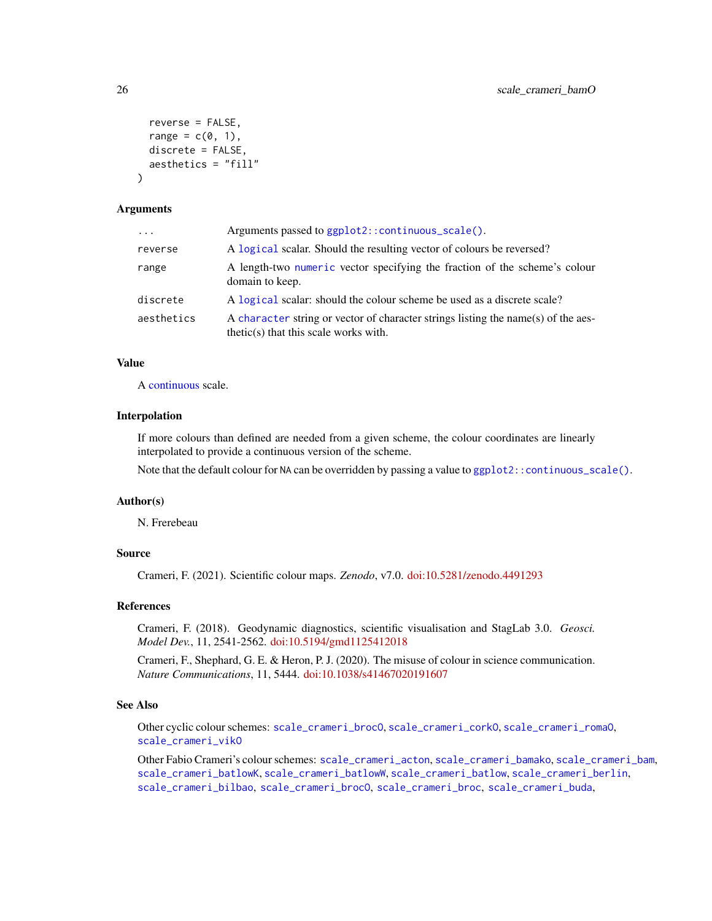```
reverse = FALSE,
  range = c(\emptyset, 1),
  discrete = FALSE,
  aesthetics = "fill"
)
```

| $\ddots$   | Arguments passed to ggplot2::continuous_scale().                                                                             |
|------------|------------------------------------------------------------------------------------------------------------------------------|
| reverse    | A logical scalar. Should the resulting vector of colours be reversed?                                                        |
| range      | A length-two numeric vector specifying the fraction of the scheme's colour<br>domain to keep.                                |
| discrete   | A logical scalar: should the colour scheme be used as a discrete scale?                                                      |
| aesthetics | A character string or vector of character strings listing the name(s) of the aes-<br>$thetic(s)$ that this scale works with. |

### Value

A [continuous](#page-0-0) scale.

### Interpolation

If more colours than defined are needed from a given scheme, the colour coordinates are linearly interpolated to provide a continuous version of the scheme.

Note that the default colour for NA can be overridden by passing a value to  $ggplot2::continuous\_scale()$ .

#### Author(s)

N. Frerebeau

### Source

Crameri, F. (2021). Scientific colour maps. *Zenodo*, v7.0. [doi:10.5281/zenodo.4491293](https://doi.org/10.5281/zenodo.4491293)

#### References

Crameri, F. (2018). Geodynamic diagnostics, scientific visualisation and StagLab 3.0. *Geosci. Model Dev.*, 11, 2541-2562. [doi:10.5194/gmd1125412018](https://doi.org/10.5194/gmd-11-2541-2018)

Crameri, F., Shephard, G. E. & Heron, P. J. (2020). The misuse of colour in science communication. *Nature Communications*, 11, 5444. [doi:10.1038/s41467020191607](https://doi.org/10.1038/s41467-020-19160-7)

#### See Also

Other cyclic colour schemes: [scale\\_crameri\\_brocO](#page-42-1), [scale\\_crameri\\_corkO](#page-51-1), [scale\\_crameri\\_romaO](#page-86-1), [scale\\_crameri\\_vikO](#page-102-1)

Other Fabio Crameri's colour schemes: [scale\\_crameri\\_acton](#page-16-1), [scale\\_crameri\\_bamako](#page-21-1), [scale\\_crameri\\_bam](#page-19-1), [scale\\_crameri\\_batlowK](#page-29-1), [scale\\_crameri\\_batlowW](#page-31-1), [scale\\_crameri\\_batlow](#page-26-1), [scale\\_crameri\\_berlin](#page-34-1), [scale\\_crameri\\_bilbao](#page-37-1), [scale\\_crameri\\_brocO](#page-42-1), [scale\\_crameri\\_broc](#page-39-1), [scale\\_crameri\\_buda](#page-44-1),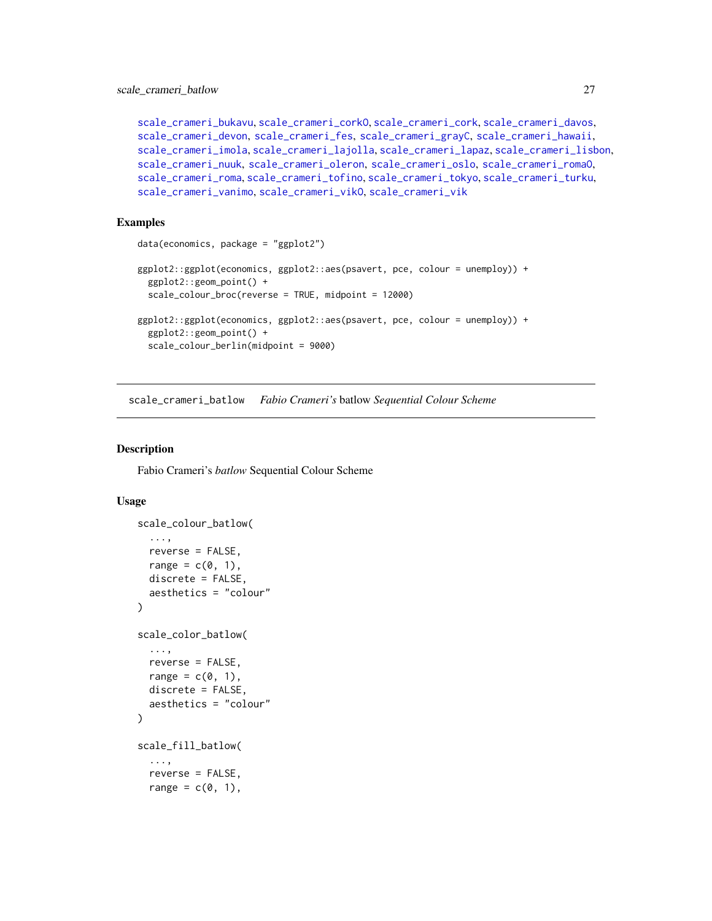```
scale_crameri_bukavu, scale_crameri_corkO, scale_crameri_cork, scale_crameri_davos,
scale_crameri_devon, scale_crameri_fes, scale_crameri_grayC, scale_crameri_hawaii,
scale_crameri_imola, scale_crameri_lajolla, scale_crameri_lapaz, scale_crameri_lisbon,
scale_crameri_nuuk, scale_crameri_oleron, scale_crameri_oslo, scale_crameri_romaO,
scale_crameri_roma, scale_crameri_tofino, scale_crameri_tokyo, scale_crameri_turku,
scale_crameri_vanimo, scale_crameri_vikO, scale_crameri_vik
```
#### Examples

```
data(economics, package = "ggplot2")
ggplot2::ggplot(economics, ggplot2::aes(psavert, pce, colour = unemploy)) +
 ggplot2::geom_point() +
 scale_colour_broc(reverse = TRUE, midpoint = 12000)
ggplot2::ggplot(economics, ggplot2::aes(psavert, pce, colour = unemploy)) +
 ggplot2::geom_point() +
 scale_colour_berlin(midpoint = 9000)
```
<span id="page-26-1"></span>scale\_crameri\_batlow *Fabio Crameri's* batlow *Sequential Colour Scheme*

### Description

Fabio Crameri's *batlow* Sequential Colour Scheme

```
scale_colour_batlow(
  ...,
  reverse = FALSE,
  range = c(0, 1),
  discrete = FALSE,
  aesthetics = "colour"
\lambdascale_color_batlow(
  ...,
  reverse = FALSE,
  range = c(\emptyset, 1),
  discrete = FALSE,
  aesthetics = "colour"
\lambdascale_fill_batlow(
  ...,
  reverse = FALSE,
  range = c(0, 1),
```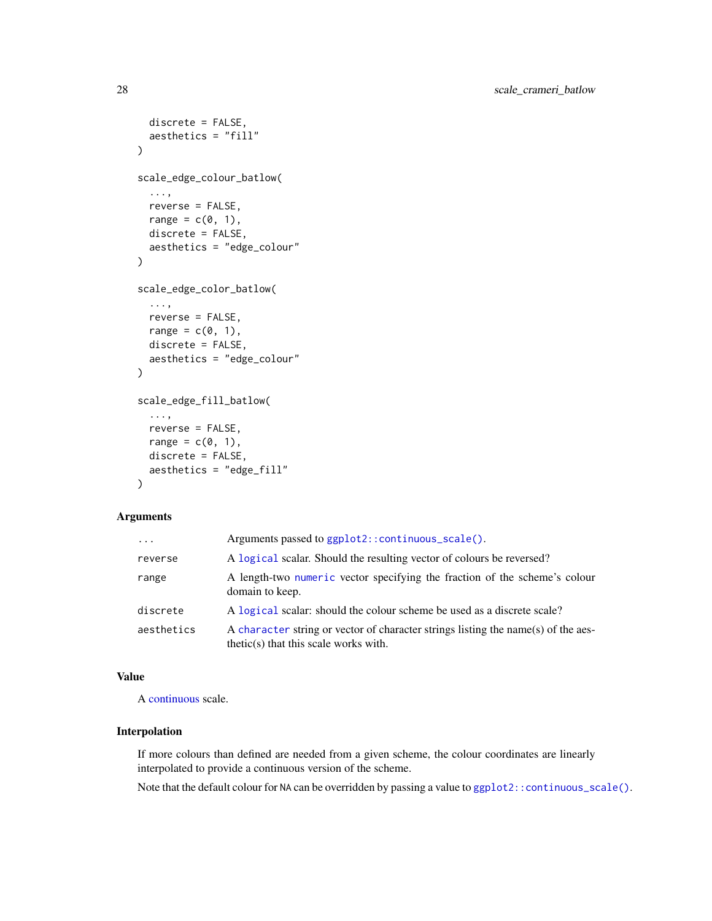```
discrete = FALSE,
  aesthetics = "fill"
\lambdascale_edge_colour_batlow(
  ...,
  reverse = FALSE,
  range = c(\emptyset, 1),
  discrete = FALSE,
  aesthetics = "edge_colour"
\mathcal{L}scale_edge_color_batlow(
  ...,
  reverse = FALSE,
  range = c(\emptyset, 1),
  discrete = FALSE,
  aesthetics = "edge_colour"
\mathcal{L}scale_edge_fill_batlow(
  ...,
  reverse = FALSE,
  range = c(\emptyset, 1),
  discrete = FALSE,
  aesthetics = "edge_fill"
\mathcal{L}
```

| $\cdots$   | Arguments passed to ggplot2::continuous_scale().                                                                             |
|------------|------------------------------------------------------------------------------------------------------------------------------|
| reverse    | A logical scalar. Should the resulting vector of colours be reversed?                                                        |
| range      | A length-two numeric vector specifying the fraction of the scheme's colour<br>domain to keep.                                |
| discrete   | A logical scalar: should the colour scheme be used as a discrete scale?                                                      |
| aesthetics | A character string or vector of character strings listing the name(s) of the aes-<br>$thetic(s)$ that this scale works with. |

### Value

A [continuous](#page-0-0) scale.

### Interpolation

If more colours than defined are needed from a given scheme, the colour coordinates are linearly interpolated to provide a continuous version of the scheme.

Note that the default colour for NA can be overridden by passing a value to ggplot2:: continuous\_scale().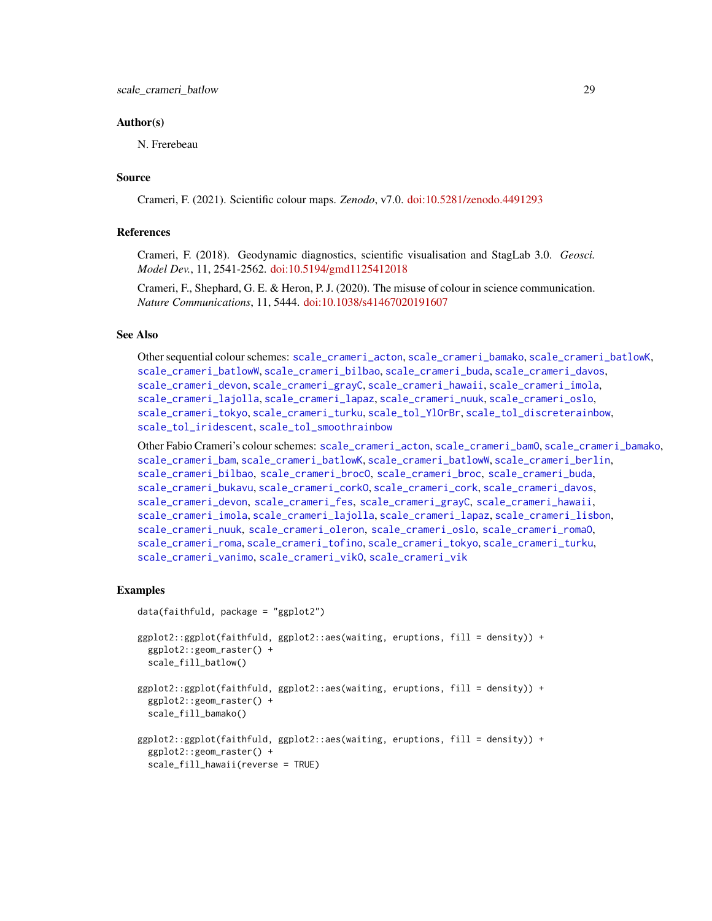#### Author(s)

N. Frerebeau

### Source

Crameri, F. (2021). Scientific colour maps. *Zenodo*, v7.0. [doi:10.5281/zenodo.4491293](https://doi.org/10.5281/zenodo.4491293)

#### References

Crameri, F. (2018). Geodynamic diagnostics, scientific visualisation and StagLab 3.0. *Geosci. Model Dev.*, 11, 2541-2562. [doi:10.5194/gmd1125412018](https://doi.org/10.5194/gmd-11-2541-2018)

Crameri, F., Shephard, G. E. & Heron, P. J. (2020). The misuse of colour in science communication. *Nature Communications*, 11, 5444. [doi:10.1038/s41467020191607](https://doi.org/10.1038/s41467-020-19160-7)

#### See Also

Other sequential colour schemes: [scale\\_crameri\\_acton](#page-16-1), [scale\\_crameri\\_bamako](#page-21-1), [scale\\_crameri\\_batlowK](#page-29-1), [scale\\_crameri\\_batlowW](#page-31-1), [scale\\_crameri\\_bilbao](#page-37-1), [scale\\_crameri\\_buda](#page-44-1), [scale\\_crameri\\_davos](#page-53-1), [scale\\_crameri\\_devon](#page-56-1), [scale\\_crameri\\_grayC](#page-60-1), [scale\\_crameri\\_hawaii](#page-63-1), [scale\\_crameri\\_imola](#page-66-1), [scale\\_crameri\\_lajolla](#page-68-1), [scale\\_crameri\\_lapaz](#page-71-1), [scale\\_crameri\\_nuuk](#page-76-1), [scale\\_crameri\\_oslo](#page-81-1), [scale\\_crameri\\_tokyo](#page-91-1), [scale\\_crameri\\_turku](#page-94-1), [scale\\_tol\\_YlOrBr](#page-137-1), [scale\\_tol\\_discreterainbow](#page-113-1), [scale\\_tol\\_iridescent](#page-117-1), [scale\\_tol\\_smoothrainbow](#page-130-1)

Other Fabio Crameri's colour schemes: [scale\\_crameri\\_acton](#page-16-1), [scale\\_crameri\\_bamO](#page-24-1), [scale\\_crameri\\_bamako](#page-21-1), [scale\\_crameri\\_bam](#page-19-1), [scale\\_crameri\\_batlowK](#page-29-1), [scale\\_crameri\\_batlowW](#page-31-1), [scale\\_crameri\\_berlin](#page-34-1), [scale\\_crameri\\_bilbao](#page-37-1), [scale\\_crameri\\_brocO](#page-42-1), [scale\\_crameri\\_broc](#page-39-1), [scale\\_crameri\\_buda](#page-44-1), [scale\\_crameri\\_bukavu](#page-46-1), [scale\\_crameri\\_corkO](#page-51-1), [scale\\_crameri\\_cork](#page-48-1), [scale\\_crameri\\_davos](#page-53-1), [scale\\_crameri\\_devon](#page-56-1), [scale\\_crameri\\_fes](#page-58-1), [scale\\_crameri\\_grayC](#page-60-1), [scale\\_crameri\\_hawaii](#page-63-1), [scale\\_crameri\\_imola](#page-66-1), [scale\\_crameri\\_lajolla](#page-68-1), [scale\\_crameri\\_lapaz](#page-71-1), [scale\\_crameri\\_lisbon](#page-74-1), [scale\\_crameri\\_nuuk](#page-76-1), [scale\\_crameri\\_oleron](#page-79-1), [scale\\_crameri\\_oslo](#page-81-1), [scale\\_crameri\\_romaO](#page-86-1), [scale\\_crameri\\_roma](#page-84-1), [scale\\_crameri\\_tofino](#page-88-1), [scale\\_crameri\\_tokyo](#page-91-1), [scale\\_crameri\\_turku](#page-94-1), [scale\\_crameri\\_vanimo](#page-96-1), [scale\\_crameri\\_vikO](#page-102-1), [scale\\_crameri\\_vik](#page-99-1)

#### Examples

```
data(faithfuld, package = "ggplot2")
ggplot2::ggplot(faithfuld, ggplot2::aes(waiting, eruptions, fill = density)) +
 ggplot2::geom_raster() +
 scale_fill_batlow()
ggplot2::ggplot(faithfuld, ggplot2::aes(waiting, eruptions, fill = density)) +
 ggplot2::geom_raster() +
 scale_fill_bamako()
ggplot2::ggplot(faithfuld, ggplot2::aes(waiting, eruptions, fill = density)) +
 ggplot2::geom_raster() +
 scale_fill_hawaii(reverse = TRUE)
```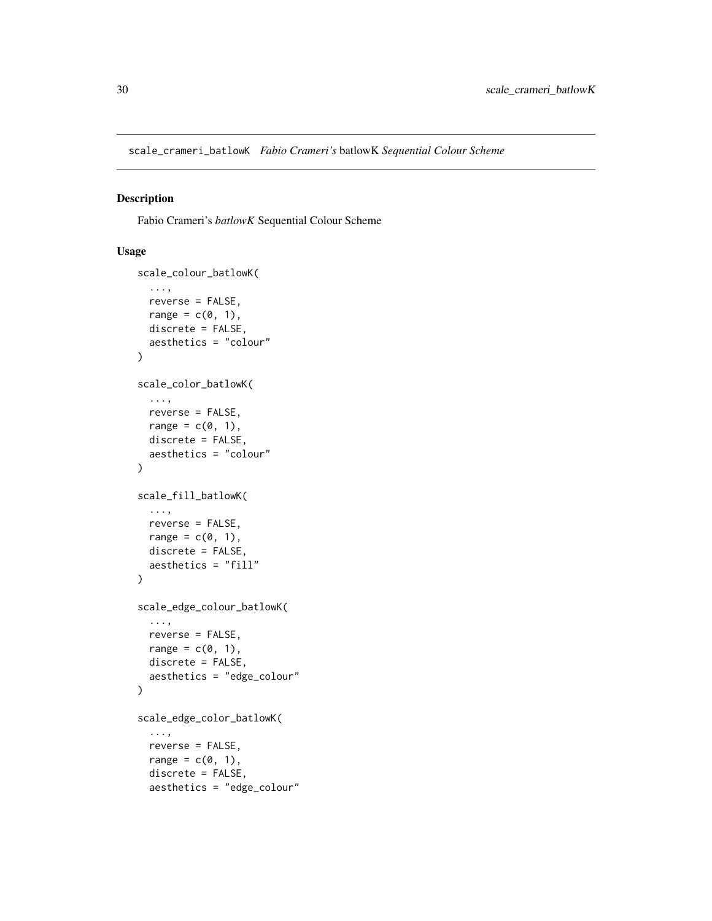<span id="page-29-1"></span><span id="page-29-0"></span>scale\_crameri\_batlowK *Fabio Crameri's* batlowK *Sequential Colour Scheme*

#### Description

Fabio Crameri's *batlowK* Sequential Colour Scheme

```
scale_colour_batlowK(
  ...,
 reverse = FALSE,
 range = c(\emptyset, 1),
 discrete = FALSE,
 aesthetics = "colour"
\lambdascale_color_batlowK(
  ...,
 reverse = FALSE,
 range = c(\emptyset, 1),
 discrete = FALSE,
  aesthetics = "colour"
\mathcal{L}scale_fill_batlowK(
  ...,
 reverse = FALSE,
 range = c(0, 1),
 discrete = FALSE,
  aesthetics = "fill"
)
scale_edge_colour_batlowK(
  ...,
 reverse = FALSE,
 range = c(\emptyset, 1),
 discrete = FALSE,
 aesthetics = "edge_colour"
)
scale_edge_color_batlowK(
  ...,
 reverse = FALSE,
 range = c(0, 1),
 discrete = FALSE,
 aesthetics = "edge_colour"
```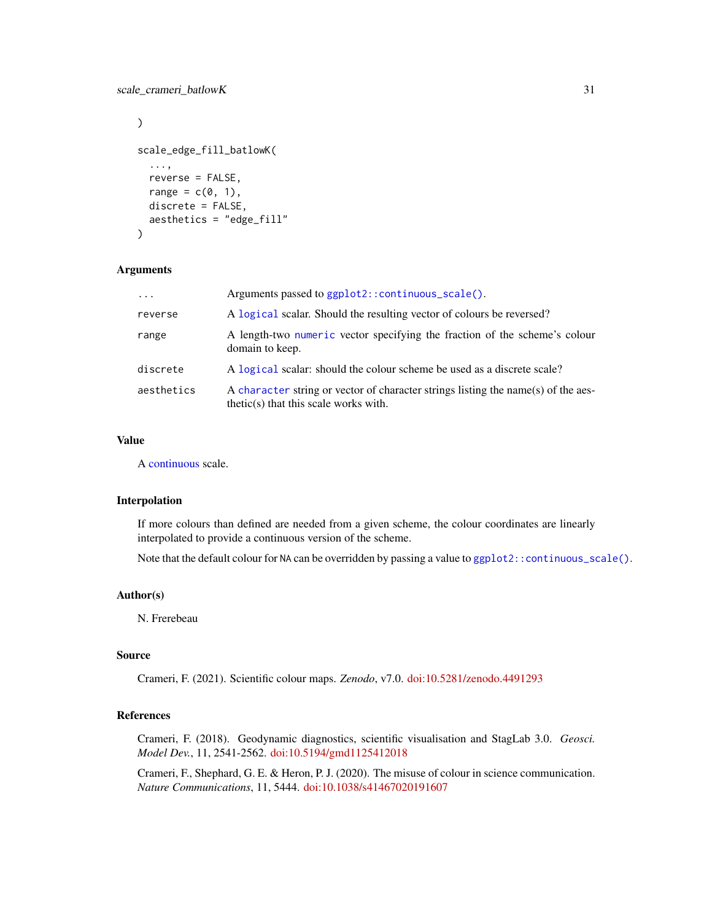```
\mathcal{L}scale_edge_fill_batlowK(
  ...,
 reverse = FALSE,
 range = c(0, 1),
 discrete = FALSE,
  aesthetics = "edge_fill"
\lambda
```

| $\cdot$ $\cdot$ $\cdot$ | Arguments passed to ggplot2::continuous_scale().                                                                             |
|-------------------------|------------------------------------------------------------------------------------------------------------------------------|
| reverse                 | A logical scalar. Should the resulting vector of colours be reversed?                                                        |
| range                   | A length-two numeric vector specifying the fraction of the scheme's colour<br>domain to keep.                                |
| discrete                | A logical scalar: should the colour scheme be used as a discrete scale?                                                      |
| aesthetics              | A character string or vector of character strings listing the name(s) of the aes-<br>$thetic(s)$ that this scale works with. |

### Value

A [continuous](#page-0-0) scale.

### Interpolation

If more colours than defined are needed from a given scheme, the colour coordinates are linearly interpolated to provide a continuous version of the scheme.

Note that the default colour for NA can be overridden by passing a value to  $ggplot2::continuous\_scale()$ .

#### Author(s)

N. Frerebeau

#### Source

Crameri, F. (2021). Scientific colour maps. *Zenodo*, v7.0. [doi:10.5281/zenodo.4491293](https://doi.org/10.5281/zenodo.4491293)

#### References

Crameri, F. (2018). Geodynamic diagnostics, scientific visualisation and StagLab 3.0. *Geosci. Model Dev.*, 11, 2541-2562. [doi:10.5194/gmd1125412018](https://doi.org/10.5194/gmd-11-2541-2018)

Crameri, F., Shephard, G. E. & Heron, P. J. (2020). The misuse of colour in science communication. *Nature Communications*, 11, 5444. [doi:10.1038/s41467020191607](https://doi.org/10.1038/s41467-020-19160-7)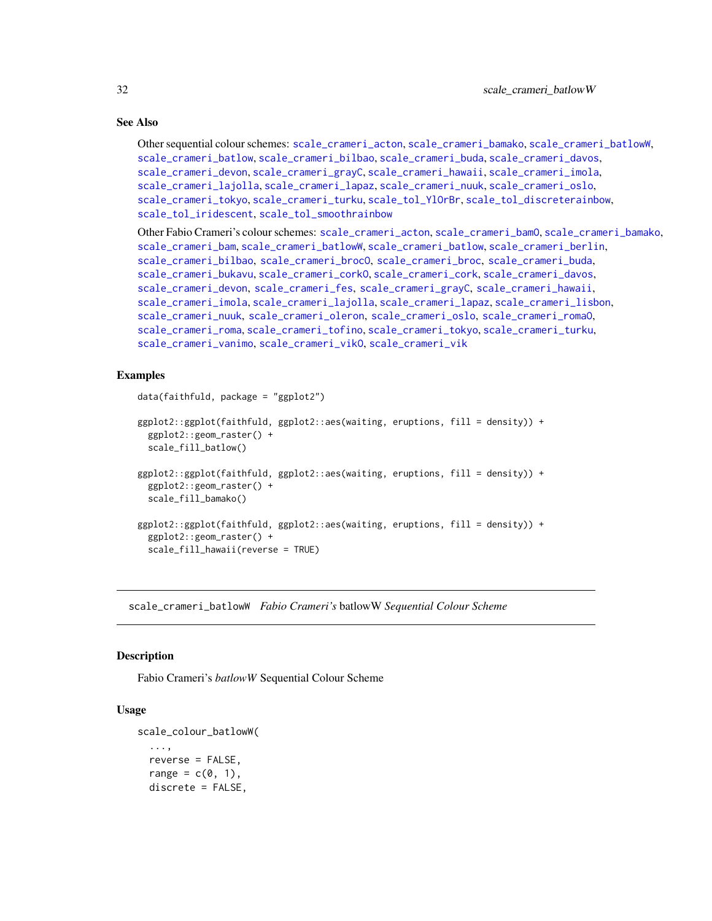### See Also

```
Other sequential colour schemes: scale_crameri_acton, scale_crameri_bamako, scale_crameri_batlowW,
scale_crameri_batlow, scale_crameri_bilbao, scale_crameri_buda, scale_crameri_davos,
scale_crameri_devon, scale_crameri_grayC, scale_crameri_hawaii, scale_crameri_imola,
scale_crameri_lajolla, scale_crameri_lapaz, scale_crameri_nuuk, scale_crameri_oslo,
scale_crameri_tokyo, scale_crameri_turku, scale_tol_YlOrBr, scale_tol_discreterainbow,
scale_tol_iridescent, scale_tol_smoothrainbow
```
Other Fabio Crameri's colour schemes: [scale\\_crameri\\_acton](#page-16-1), [scale\\_crameri\\_bamO](#page-24-1), [scale\\_crameri\\_bamako](#page-21-1), [scale\\_crameri\\_bam](#page-19-1), [scale\\_crameri\\_batlowW](#page-31-1), [scale\\_crameri\\_batlow](#page-26-1), [scale\\_crameri\\_berlin](#page-34-1), [scale\\_crameri\\_bilbao](#page-37-1), [scale\\_crameri\\_brocO](#page-42-1), [scale\\_crameri\\_broc](#page-39-1), [scale\\_crameri\\_buda](#page-44-1), [scale\\_crameri\\_bukavu](#page-46-1), [scale\\_crameri\\_corkO](#page-51-1), [scale\\_crameri\\_cork](#page-48-1), [scale\\_crameri\\_davos](#page-53-1), [scale\\_crameri\\_devon](#page-56-1), [scale\\_crameri\\_fes](#page-58-1), [scale\\_crameri\\_grayC](#page-60-1), [scale\\_crameri\\_hawaii](#page-63-1), [scale\\_crameri\\_imola](#page-66-1), [scale\\_crameri\\_lajolla](#page-68-1), [scale\\_crameri\\_lapaz](#page-71-1), [scale\\_crameri\\_lisbon](#page-74-1), [scale\\_crameri\\_nuuk](#page-76-1), [scale\\_crameri\\_oleron](#page-79-1), [scale\\_crameri\\_oslo](#page-81-1), [scale\\_crameri\\_romaO](#page-86-1), [scale\\_crameri\\_roma](#page-84-1), [scale\\_crameri\\_tofino](#page-88-1), [scale\\_crameri\\_tokyo](#page-91-1), [scale\\_crameri\\_turku](#page-94-1), [scale\\_crameri\\_vanimo](#page-96-1), [scale\\_crameri\\_vikO](#page-102-1), [scale\\_crameri\\_vik](#page-99-1)

#### Examples

```
data(faithfuld, package = "ggplot2")
ggplot2::ggplot(faithfuld, ggplot2::aes(waiting, eruptions, fill = density)) +
 ggplot2::geom_raster() +
  scale_fill_batlow()
ggplot2::ggplot(faithfuld, ggplot2::aes(waiting, eruptions, fill = density)) +
 ggplot2::geom_raster() +
 scale_fill_bamako()
ggplot2::ggplot(faithfuld, ggplot2::aes(waiting, eruptions, fill = density)) +
 ggplot2::geom_raster() +
 scale_fill_hawaii(reverse = TRUE)
```
<span id="page-31-1"></span>scale\_crameri\_batlowW *Fabio Crameri's* batlowW *Sequential Colour Scheme*

#### **Description**

Fabio Crameri's *batlowW* Sequential Colour Scheme

```
scale_colour_batlowW(
  ...,
  reverse = FALSE,
  range = c(0, 1),
  discrete = FALSE,
```
<span id="page-31-0"></span>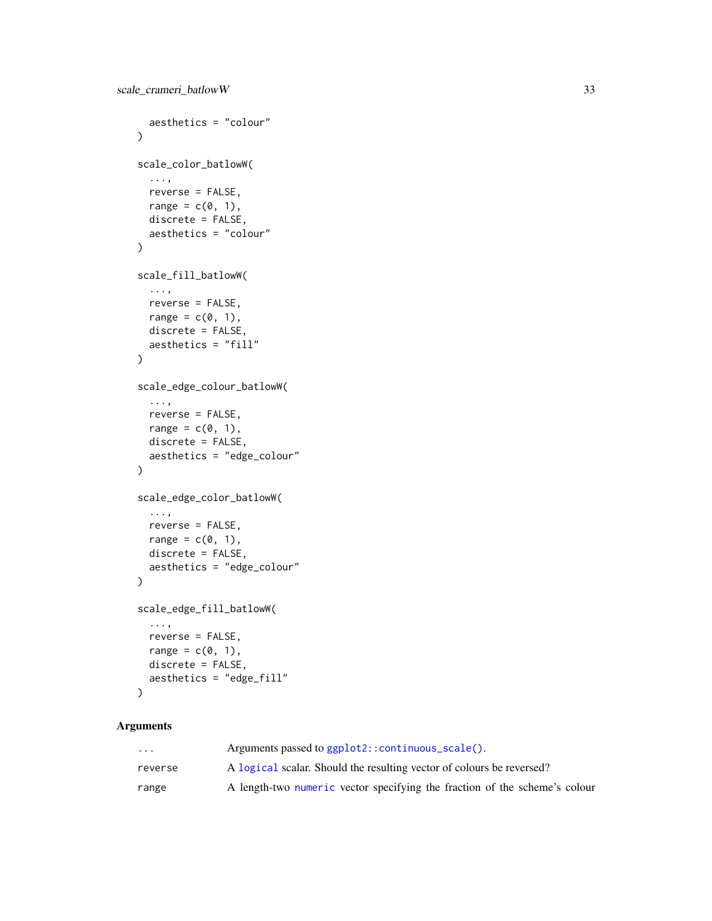```
aesthetics = "colour"
\lambdascale_color_batlowW(
  ...,
  reverse = FALSE,
 range = c(\emptyset, 1),
  discrete = FALSE,
  aesthetics = "colour"
)
scale_fill_batlowW(
  ...,
 reverse = FALSE,
  range = c(\emptyset, 1),
  discrete = FALSE,
  aesthetics = "fill"
)
scale_edge_colour_batlowW(
  ...,
 reverse = FALSE,
 range = c(\emptyset, 1),
  discrete = FALSE,
  aesthetics = "edge_colour"
\lambdascale_edge_color_batlowW(
  ...,
 reverse = FALSE,
  range = c(\emptyset, 1),
  discrete = FALSE,
  aesthetics = "edge_colour"
\lambdascale_edge_fill_batlowW(
  ...,
 reverse = FALSE,
  range = c(\emptyset, 1),
  discrete = FALSE,
  aesthetics = "edge_fill"
\lambda
```

| $\cdot$ $\cdot$ $\cdot$ | Arguments passed to ggplot2::continuous_scale().                           |
|-------------------------|----------------------------------------------------------------------------|
| reverse                 | A logical scalar. Should the resulting vector of colours be reversed?      |
| range                   | A length-two numeric vector specifying the fraction of the scheme's colour |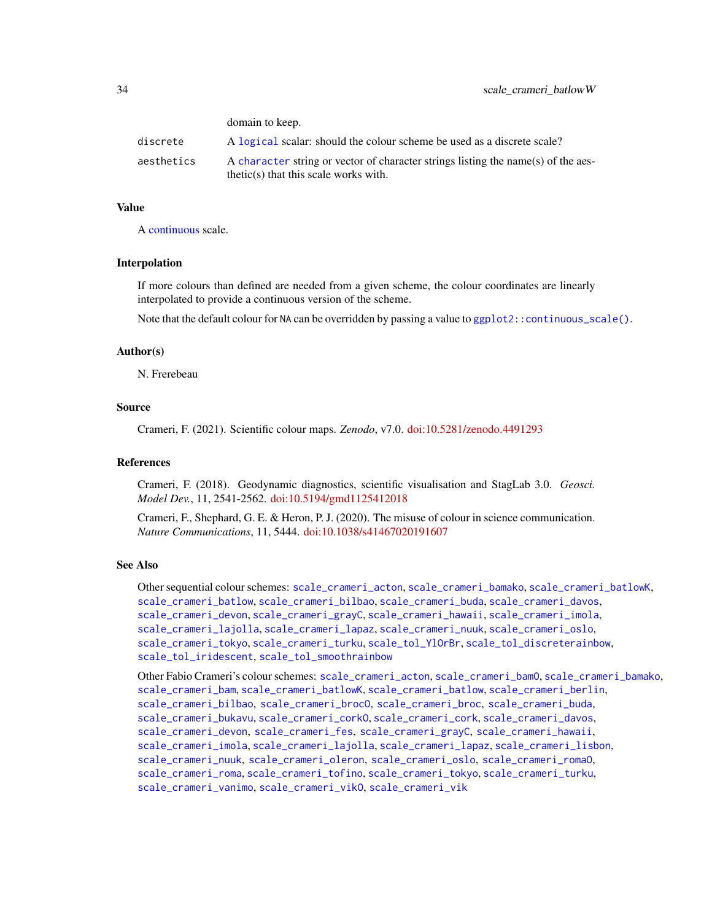|            | domain to keep.                                                                                                              |
|------------|------------------------------------------------------------------------------------------------------------------------------|
| discrete   | A logical scalar: should the colour scheme be used as a discrete scale?                                                      |
| aesthetics | A character string or vector of character strings listing the name(s) of the aes-<br>$thetic(s)$ that this scale works with. |

### Value

A [continuous](#page-0-0) scale.

domain to keep.

#### Interpolation

If more colours than defined are needed from a given scheme, the colour coordinates are linearly interpolated to provide a continuous version of the scheme.

Note that the default colour for NA can be overridden by passing a value to  $ggplot2::continuous\_scale()$ .

#### Author(s)

N. Frerebeau

### Source

Crameri, F. (2021). Scientific colour maps. *Zenodo*, v7.0. [doi:10.5281/zenodo.4491293](https://doi.org/10.5281/zenodo.4491293)

#### References

Crameri, F. (2018). Geodynamic diagnostics, scientific visualisation and StagLab 3.0. *Geosci. Model Dev.*, 11, 2541-2562. [doi:10.5194/gmd1125412018](https://doi.org/10.5194/gmd-11-2541-2018)

Crameri, F., Shephard, G. E. & Heron, P. J. (2020). The misuse of colour in science communication. *Nature Communications*, 11, 5444. [doi:10.1038/s41467020191607](https://doi.org/10.1038/s41467-020-19160-7)

#### See Also

Other sequential colour schemes: [scale\\_crameri\\_acton](#page-16-1), [scale\\_crameri\\_bamako](#page-21-1), [scale\\_crameri\\_batlowK](#page-29-1), [scale\\_crameri\\_batlow](#page-26-1), [scale\\_crameri\\_bilbao](#page-37-1), [scale\\_crameri\\_buda](#page-44-1), [scale\\_crameri\\_davos](#page-53-1), [scale\\_crameri\\_devon](#page-56-1), [scale\\_crameri\\_grayC](#page-60-1), [scale\\_crameri\\_hawaii](#page-63-1), [scale\\_crameri\\_imola](#page-66-1), [scale\\_crameri\\_lajolla](#page-68-1), [scale\\_crameri\\_lapaz](#page-71-1), [scale\\_crameri\\_nuuk](#page-76-1), [scale\\_crameri\\_oslo](#page-81-1), [scale\\_crameri\\_tokyo](#page-91-1), [scale\\_crameri\\_turku](#page-94-1), [scale\\_tol\\_YlOrBr](#page-137-1), [scale\\_tol\\_discreterainbow](#page-113-1), [scale\\_tol\\_iridescent](#page-117-1), [scale\\_tol\\_smoothrainbow](#page-130-1)

Other Fabio Crameri's colour schemes: [scale\\_crameri\\_acton](#page-16-1), [scale\\_crameri\\_bamO](#page-24-1), [scale\\_crameri\\_bamako](#page-21-1), [scale\\_crameri\\_bam](#page-19-1), [scale\\_crameri\\_batlowK](#page-29-1), [scale\\_crameri\\_batlow](#page-26-1), [scale\\_crameri\\_berlin](#page-34-1), [scale\\_crameri\\_bilbao](#page-37-1), [scale\\_crameri\\_brocO](#page-42-1), [scale\\_crameri\\_broc](#page-39-1), [scale\\_crameri\\_buda](#page-44-1), [scale\\_crameri\\_bukavu](#page-46-1), [scale\\_crameri\\_corkO](#page-51-1), [scale\\_crameri\\_cork](#page-48-1), [scale\\_crameri\\_davos](#page-53-1), [scale\\_crameri\\_devon](#page-56-1), [scale\\_crameri\\_fes](#page-58-1), [scale\\_crameri\\_grayC](#page-60-1), [scale\\_crameri\\_hawaii](#page-63-1), [scale\\_crameri\\_imola](#page-66-1), [scale\\_crameri\\_lajolla](#page-68-1), [scale\\_crameri\\_lapaz](#page-71-1), [scale\\_crameri\\_lisbon](#page-74-1), [scale\\_crameri\\_nuuk](#page-76-1), [scale\\_crameri\\_oleron](#page-79-1), [scale\\_crameri\\_oslo](#page-81-1), [scale\\_crameri\\_romaO](#page-86-1), [scale\\_crameri\\_roma](#page-84-1), [scale\\_crameri\\_tofino](#page-88-1), [scale\\_crameri\\_tokyo](#page-91-1), [scale\\_crameri\\_turku](#page-94-1), [scale\\_crameri\\_vanimo](#page-96-1), [scale\\_crameri\\_vikO](#page-102-1), [scale\\_crameri\\_vik](#page-99-1)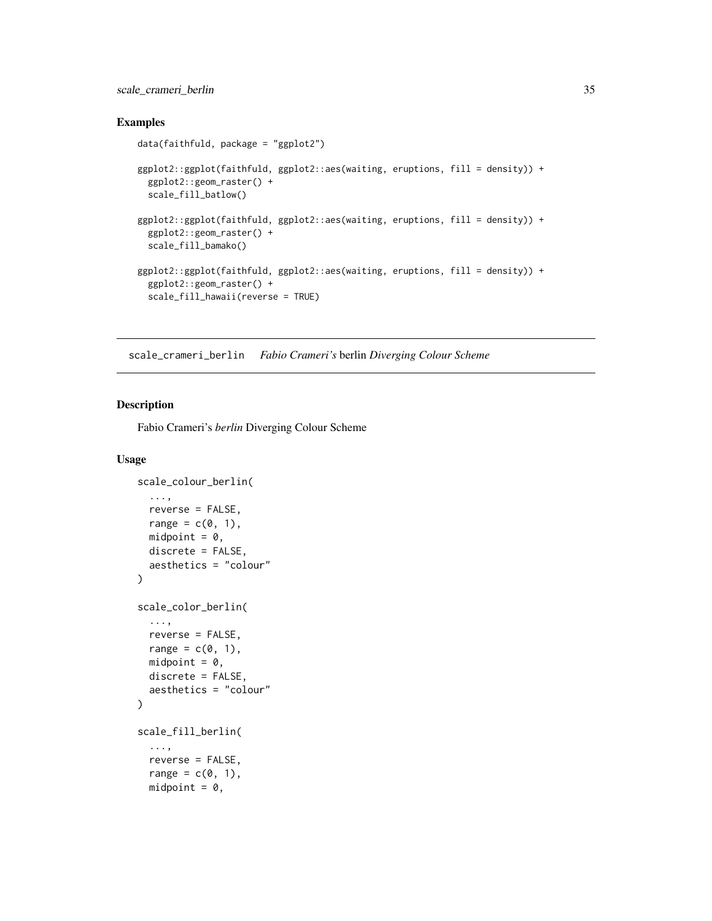### <span id="page-34-0"></span>scale\_crameri\_berlin 35

### Examples

```
data(faithfuld, package = "ggplot2")
ggplot2::ggplot(faithfuld, ggplot2::aes(waiting, eruptions, fill = density)) +
  ggplot2::geom_raster() +
  scale_fill_batlow()
ggplot2::ggplot(faithfuld, ggplot2::aes(waiting, eruptions, fill = density)) +
  ggplot2::geom_raster() +
  scale_fill_bamako()
ggplot2::ggplot(faithfuld, ggplot2::aes(waiting, eruptions, fill = density)) +
  ggplot2::geom_raster() +
  scale_fill_hawaii(reverse = TRUE)
```
<span id="page-34-1"></span>scale\_crameri\_berlin *Fabio Crameri's* berlin *Diverging Colour Scheme*

#### Description

Fabio Crameri's *berlin* Diverging Colour Scheme

```
scale_colour_berlin(
  ...,
  reverse = FALSE,
 range = c(0, 1),
 midpoint = 0,
 discrete = FALSE,
  aesthetics = "colour"
)
scale_color_berlin(
  ...,
 reverse = FALSE,
 range = c(\emptyset, 1),
 midpoint = 0,
 discrete = FALSE,
  aesthetics = "colour"
\lambdascale_fill_berlin(
  ...,
  reverse = FALSE,
  range = c(0, 1),
 midpoint = 0,
```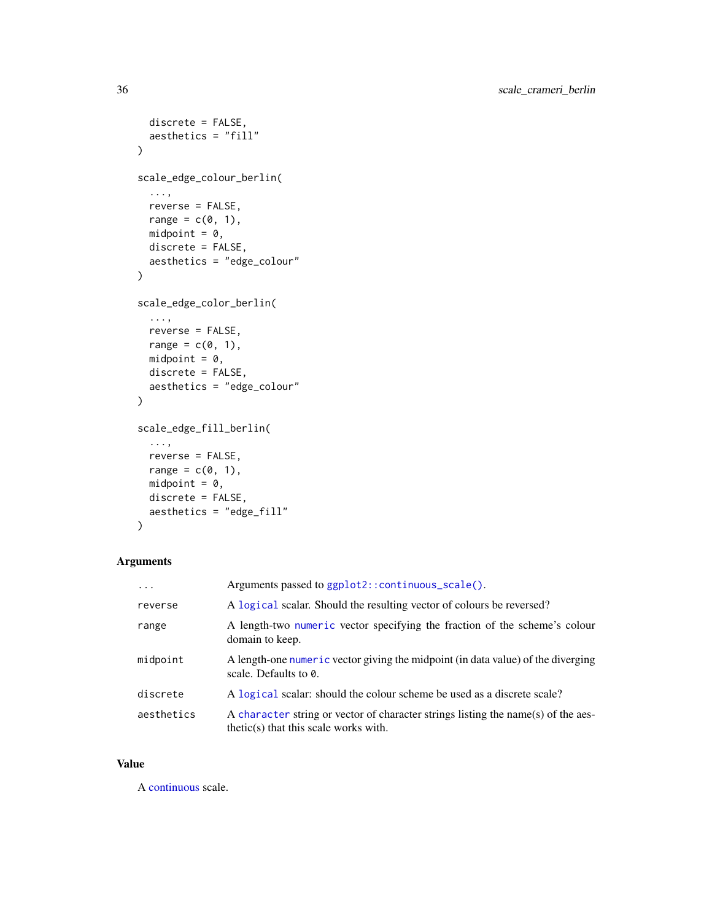```
discrete = FALSE,
  aesthetics = "fill"
\lambdascale_edge_colour_berlin(
  ...,
 reverse = FALSE,
  range = c(\emptyset, 1),
  midpoint = 0,
  discrete = FALSE,
  aesthetics = "edge_colour"
\mathcal{L}scale_edge_color_berlin(
  ...,
  reverse = FALSE,
  range = c(\emptyset, 1),
  midpoint = 0,
  discrete = FALSE,
  aesthetics = "edge_colour"
\mathcal{L}scale_edge_fill_berlin(
  ...,
  reverse = FALSE,
  range = c(0, 1),
  midpoint = 0,
  discrete = FALSE,
  aesthetics = "edge_fill"
\mathcal{L}
```

| $\ddotsc$  | Arguments passed to ggplot2:: continuous_scale().                                                                            |
|------------|------------------------------------------------------------------------------------------------------------------------------|
| reverse    | A logical scalar. Should the resulting vector of colours be reversed?                                                        |
| range      | A length-two numeric vector specifying the fraction of the scheme's colour<br>domain to keep.                                |
| midpoint   | A length-one numeric vector giving the midpoint (in data value) of the diverging<br>scale. Defaults to $\theta$ .            |
| discrete   | A logical scalar: should the colour scheme be used as a discrete scale?                                                      |
| aesthetics | A character string or vector of character strings listing the name(s) of the aes-<br>$thetic(s)$ that this scale works with. |

### Value

A [continuous](#page-0-0) scale.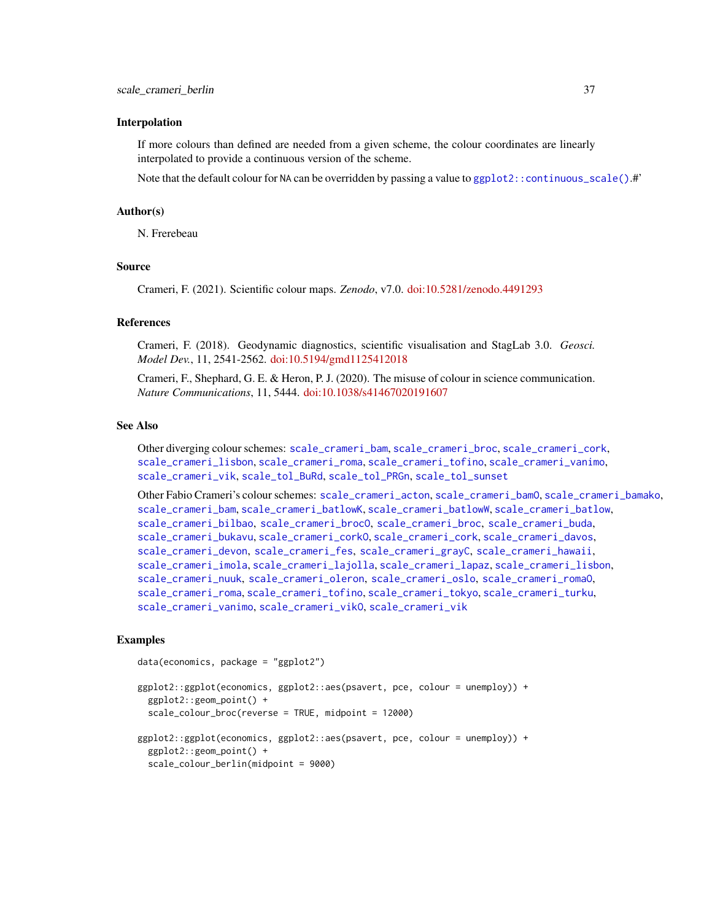#### Interpolation

If more colours than defined are needed from a given scheme, the colour coordinates are linearly interpolated to provide a continuous version of the scheme.

Note that the default colour for NA can be overridden by passing a value to ggplot2:: continuous\_scale().#'

## Author(s)

N. Frerebeau

## Source

Crameri, F. (2021). Scientific colour maps. *Zenodo*, v7.0. [doi:10.5281/zenodo.4491293](https://doi.org/10.5281/zenodo.4491293)

#### References

Crameri, F. (2018). Geodynamic diagnostics, scientific visualisation and StagLab 3.0. *Geosci. Model Dev.*, 11, 2541-2562. [doi:10.5194/gmd1125412018](https://doi.org/10.5194/gmd-11-2541-2018)

Crameri, F., Shephard, G. E. & Heron, P. J. (2020). The misuse of colour in science communication. *Nature Communications*, 11, 5444. [doi:10.1038/s41467020191607](https://doi.org/10.1038/s41467-020-19160-7)

#### See Also

Other diverging colour schemes: [scale\\_crameri\\_bam](#page-19-0), [scale\\_crameri\\_broc](#page-39-0), [scale\\_crameri\\_cork](#page-48-0), [scale\\_crameri\\_lisbon](#page-74-0), [scale\\_crameri\\_roma](#page-84-0), [scale\\_crameri\\_tofino](#page-88-0), [scale\\_crameri\\_vanimo](#page-96-0), [scale\\_crameri\\_vik](#page-99-0), [scale\\_tol\\_BuRd](#page-109-0), [scale\\_tol\\_PRGn](#page-127-0), [scale\\_tol\\_sunset](#page-133-0)

Other Fabio Crameri's colour schemes: [scale\\_crameri\\_acton](#page-16-0), [scale\\_crameri\\_bamO](#page-24-0), [scale\\_crameri\\_bamako](#page-21-0), [scale\\_crameri\\_bam](#page-19-0), [scale\\_crameri\\_batlowK](#page-29-0), [scale\\_crameri\\_batlowW](#page-31-0), [scale\\_crameri\\_batlow](#page-26-0), [scale\\_crameri\\_bilbao](#page-37-0), [scale\\_crameri\\_brocO](#page-42-0), [scale\\_crameri\\_broc](#page-39-0), [scale\\_crameri\\_buda](#page-44-0), [scale\\_crameri\\_bukavu](#page-46-0), [scale\\_crameri\\_corkO](#page-51-0), [scale\\_crameri\\_cork](#page-48-0), [scale\\_crameri\\_davos](#page-53-0), [scale\\_crameri\\_devon](#page-56-0), [scale\\_crameri\\_fes](#page-58-0), [scale\\_crameri\\_grayC](#page-60-0), [scale\\_crameri\\_hawaii](#page-63-0), [scale\\_crameri\\_imola](#page-66-0), [scale\\_crameri\\_lajolla](#page-68-0), [scale\\_crameri\\_lapaz](#page-71-0), [scale\\_crameri\\_lisbon](#page-74-0), [scale\\_crameri\\_nuuk](#page-76-0), [scale\\_crameri\\_oleron](#page-79-0), [scale\\_crameri\\_oslo](#page-81-0), [scale\\_crameri\\_romaO](#page-86-0), [scale\\_crameri\\_roma](#page-84-0), [scale\\_crameri\\_tofino](#page-88-0), [scale\\_crameri\\_tokyo](#page-91-0), [scale\\_crameri\\_turku](#page-94-0), [scale\\_crameri\\_vanimo](#page-96-0), [scale\\_crameri\\_vikO](#page-102-0), [scale\\_crameri\\_vik](#page-99-0)

## Examples

```
data(economics, package = "ggplot2")
```

```
ggplot2::ggplot(economics, ggplot2::aes(psavert, pce, colour = unemploy)) +
 ggplot2::geom_point() +
 scale_colour_broc(reverse = TRUE, midpoint = 12000)
ggplot2::ggplot(economics, ggplot2::aes(psavert, pce, colour = unemploy)) +
 ggplot2::geom_point() +
 scale_colour_berlin(midpoint = 9000)
```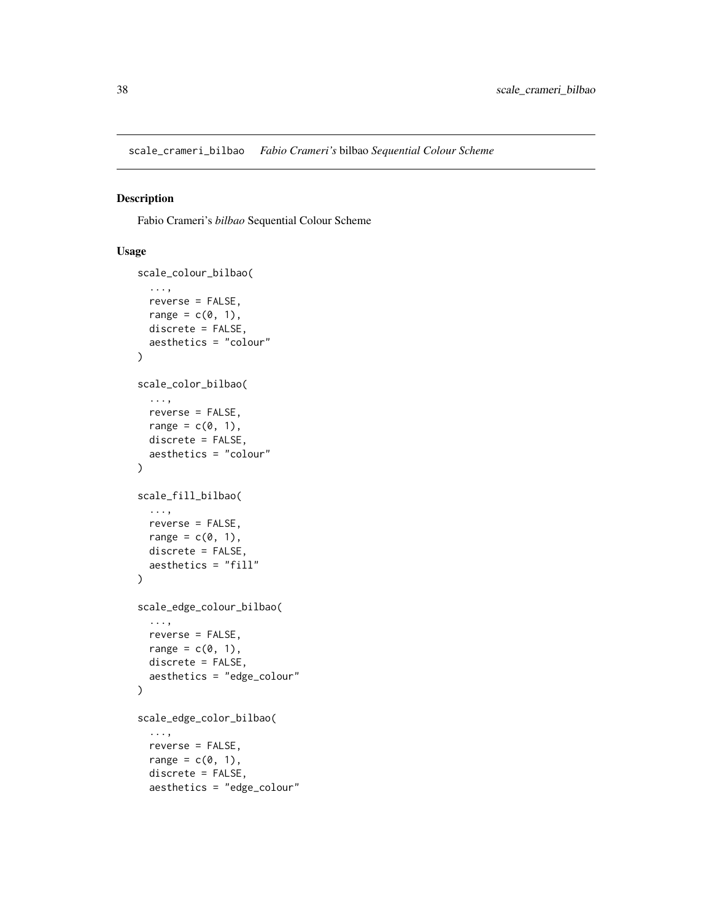<span id="page-37-0"></span>scale\_crameri\_bilbao *Fabio Crameri's* bilbao *Sequential Colour Scheme*

## Description

Fabio Crameri's *bilbao* Sequential Colour Scheme

```
scale_colour_bilbao(
  ...,
 reverse = FALSE,
 range = c(\theta, 1),
 discrete = FALSE,
  aesthetics = "colour"
\lambdascale_color_bilbao(
  ...,
 reverse = FALSE,
 range = c(\emptyset, 1),
 discrete = FALSE,
  aesthetics = "colour"
\mathcal{L}scale_fill_bilbao(
  ...,
 reverse = FALSE,
 range = c(\emptyset, 1),
 discrete = FALSE,
  aesthetics = "fill"
)
scale_edge_colour_bilbao(
  ...,
 reverse = FALSE,
 range = c(\emptyset, 1),
 discrete = FALSE,
  aesthetics = "edge_colour"
)
scale_edge_color_bilbao(
  ...,
  reverse = FALSE,
  range = c(0, 1),
  discrete = FALSE,
  aesthetics = "edge_colour"
```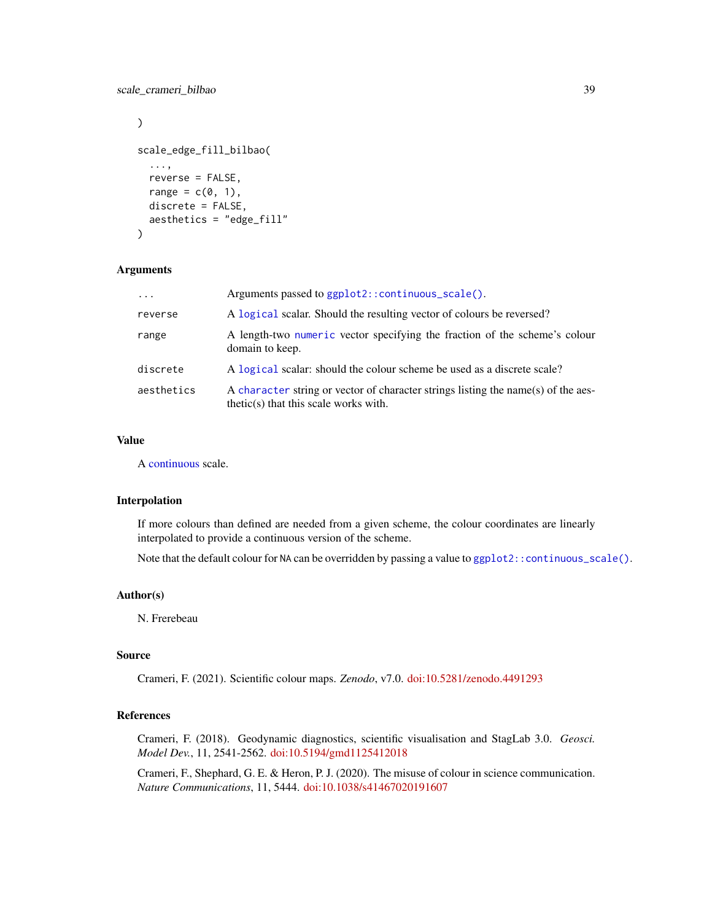## scale\_crameri\_bilbao 39

```
\mathcal{L}scale_edge_fill_bilbao(
  ...,
  reverse = FALSE,
  range = c(\emptyset, 1),
  discrete = FALSE,
  aesthetics = "edge_fill"
\lambda
```
## Arguments

| $\ddotsc$  | Arguments passed to ggplot2::continuous_scale().                                                                             |
|------------|------------------------------------------------------------------------------------------------------------------------------|
| reverse    | A logical scalar. Should the resulting vector of colours be reversed?                                                        |
| range      | A length-two numeric vector specifying the fraction of the scheme's colour<br>domain to keep.                                |
| discrete   | A logical scalar: should the colour scheme be used as a discrete scale?                                                      |
| aesthetics | A character string or vector of character strings listing the name(s) of the aes-<br>$thetic(s)$ that this scale works with. |

## Value

A [continuous](#page-0-0) scale.

## Interpolation

If more colours than defined are needed from a given scheme, the colour coordinates are linearly interpolated to provide a continuous version of the scheme.

Note that the default colour for NA can be overridden by passing a value to  $ggplot2::continuous\_scale()$ .

## Author(s)

N. Frerebeau

#### Source

Crameri, F. (2021). Scientific colour maps. *Zenodo*, v7.0. [doi:10.5281/zenodo.4491293](https://doi.org/10.5281/zenodo.4491293)

## References

Crameri, F. (2018). Geodynamic diagnostics, scientific visualisation and StagLab 3.0. *Geosci. Model Dev.*, 11, 2541-2562. [doi:10.5194/gmd1125412018](https://doi.org/10.5194/gmd-11-2541-2018)

Crameri, F., Shephard, G. E. & Heron, P. J. (2020). The misuse of colour in science communication. *Nature Communications*, 11, 5444. [doi:10.1038/s41467020191607](https://doi.org/10.1038/s41467-020-19160-7)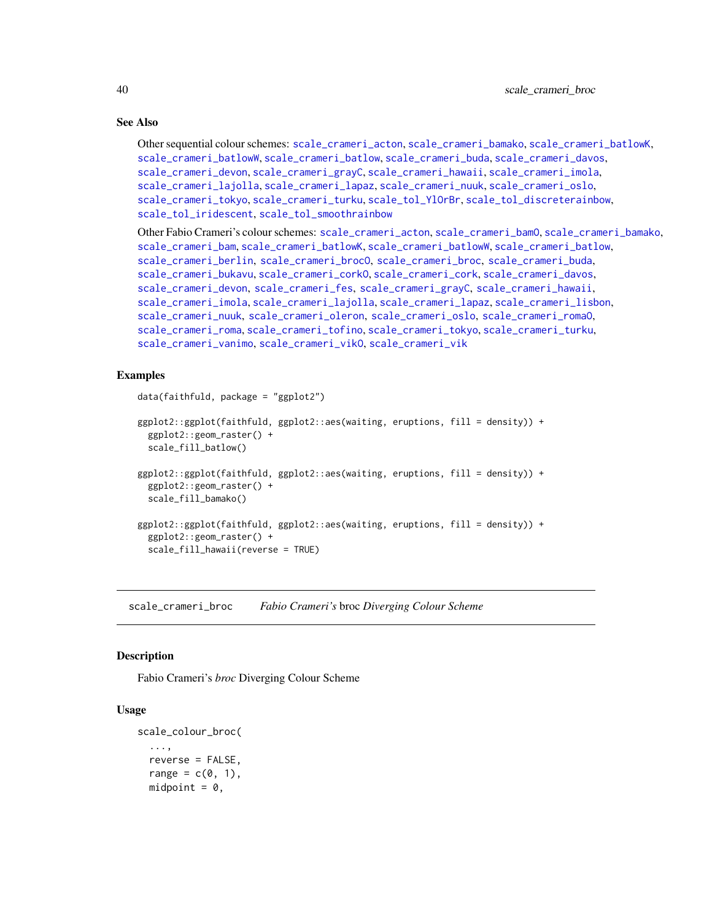## See Also

```
Other sequential colour schemes: scale_crameri_acton, scale_crameri_bamako, scale_crameri_batlowK,
scale_crameri_batlowW, scale_crameri_batlow, scale_crameri_buda, scale_crameri_davos,
scale_crameri_devon, scale_crameri_grayC, scale_crameri_hawaii, scale_crameri_imola,
scale_crameri_lajolla, scale_crameri_lapaz, scale_crameri_nuuk, scale_crameri_oslo,
scale_crameri_tokyo, scale_crameri_turku, scale_tol_YlOrBr, scale_tol_discreterainbow,
scale_tol_iridescent, scale_tol_smoothrainbow
```
Other Fabio Crameri's colour schemes: [scale\\_crameri\\_acton](#page-16-0), [scale\\_crameri\\_bamO](#page-24-0), [scale\\_crameri\\_bamako](#page-21-0), [scale\\_crameri\\_bam](#page-19-0), [scale\\_crameri\\_batlowK](#page-29-0), [scale\\_crameri\\_batlowW](#page-31-0), [scale\\_crameri\\_batlow](#page-26-0), [scale\\_crameri\\_berlin](#page-34-0), [scale\\_crameri\\_brocO](#page-42-0), [scale\\_crameri\\_broc](#page-39-0), [scale\\_crameri\\_buda](#page-44-0), [scale\\_crameri\\_bukavu](#page-46-0), [scale\\_crameri\\_corkO](#page-51-0), [scale\\_crameri\\_cork](#page-48-0), [scale\\_crameri\\_davos](#page-53-0), [scale\\_crameri\\_devon](#page-56-0), [scale\\_crameri\\_fes](#page-58-0), [scale\\_crameri\\_grayC](#page-60-0), [scale\\_crameri\\_hawaii](#page-63-0), [scale\\_crameri\\_imola](#page-66-0), [scale\\_crameri\\_lajolla](#page-68-0), [scale\\_crameri\\_lapaz](#page-71-0), [scale\\_crameri\\_lisbon](#page-74-0), [scale\\_crameri\\_nuuk](#page-76-0), [scale\\_crameri\\_oleron](#page-79-0), [scale\\_crameri\\_oslo](#page-81-0), [scale\\_crameri\\_romaO](#page-86-0), [scale\\_crameri\\_roma](#page-84-0), [scale\\_crameri\\_tofino](#page-88-0), [scale\\_crameri\\_tokyo](#page-91-0), [scale\\_crameri\\_turku](#page-94-0), [scale\\_crameri\\_vanimo](#page-96-0), [scale\\_crameri\\_vikO](#page-102-0), [scale\\_crameri\\_vik](#page-99-0)

## Examples

```
data(faithfuld, package = "ggplot2")
ggplot2::ggplot(faithfuld, ggplot2::aes(waiting, eruptions, fill = density)) +
 ggplot2::geom_raster() +
  scale_fill_batlow()
ggplot2::ggplot(faithfuld, ggplot2::aes(waiting, eruptions, fill = density)) +
 ggplot2::geom_raster() +
 scale_fill_bamako()
ggplot2::ggplot(faithfuld, ggplot2::aes(waiting, eruptions, fill = density)) +
 ggplot2::geom_raster() +
 scale_fill_hawaii(reverse = TRUE)
```
<span id="page-39-0"></span>scale\_crameri\_broc *Fabio Crameri's* broc *Diverging Colour Scheme*

#### **Description**

Fabio Crameri's *broc* Diverging Colour Scheme

```
scale_colour_broc(
  ...,
  reverse = FALSE,
  range = c(0, 1),
  midpoint = 0,
```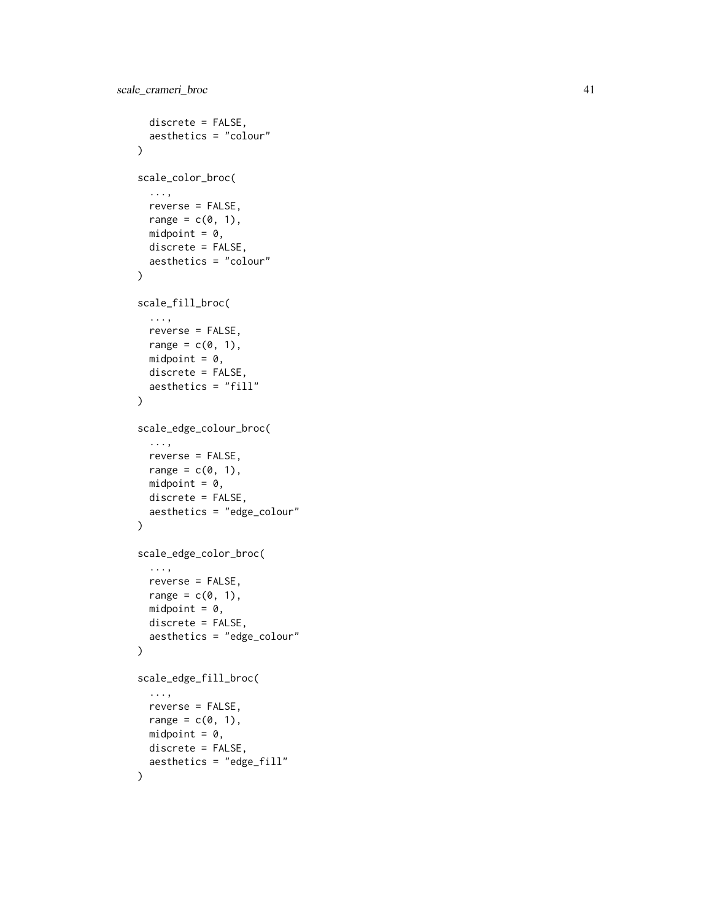```
discrete = FALSE,
  aesthetics = "colour"
\lambdascale_color_broc(
  ...,
 reverse = FALSE,
  range = c(\theta, 1),
  midpoint = 0,
  discrete = FALSE,
  aesthetics = "colour"
\mathcal{L}scale_fill_broc(
  ...,
  reverse = FALSE,
  range = c(\emptyset, 1),
  midpoint = 0,
  discrete = FALSE,
  aesthetics = "fill"
\mathcal{L}scale_edge_colour_broc(
  ...,
  reverse = FALSE,
  range = c(0, 1),
  midpoint = 0,
  discrete = FALSE,
  aesthetics = "edge_colour"
)
scale_edge_color_broc(
  ...,
  reverse = FALSE,
  range = c(\theta, 1),
  midpoint = 0,
  discrete = FALSE,
  aesthetics = "edge_colour"
\mathcal{L}scale_edge_fill_broc(
  ...,
  reverse = FALSE,
  range = c(\emptyset, 1),
  midpoint = 0,
  discrete = FALSE,
  aesthetics = "edge_fill"
\mathcal{L}
```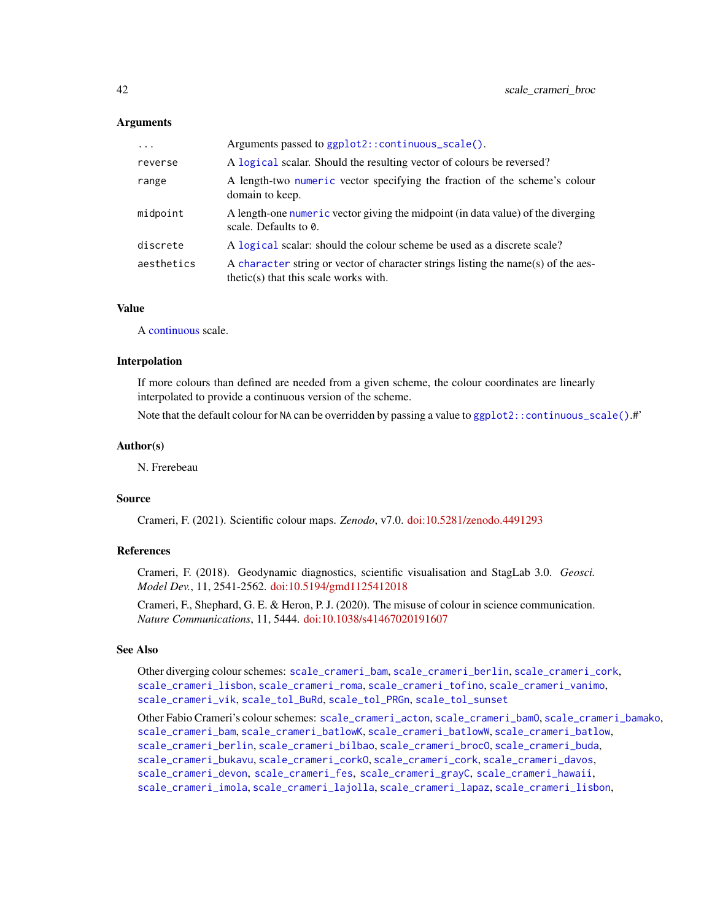| $\ddots$ . | Arguments passed to ggplot2::continuous_scale().                                                                             |
|------------|------------------------------------------------------------------------------------------------------------------------------|
| reverse    | A logical scalar. Should the resulting vector of colours be reversed?                                                        |
| range      | A length-two numeric vector specifying the fraction of the scheme's colour<br>domain to keep.                                |
| midpoint   | A length-one numeric vector giving the midpoint (in data value) of the diverging<br>scale. Defaults to 0.                    |
| discrete   | A logical scalar: should the colour scheme be used as a discrete scale?                                                      |
| aesthetics | A character string or vector of character strings listing the name(s) of the aes-<br>$thetic(s)$ that this scale works with. |

## Value

A [continuous](#page-0-0) scale.

#### Interpolation

If more colours than defined are needed from a given scheme, the colour coordinates are linearly interpolated to provide a continuous version of the scheme.

Note that the default colour for NA can be overridden by passing a value to ggplot2:: continuous\_scale().#'

## Author(s)

N. Frerebeau

## Source

Crameri, F. (2021). Scientific colour maps. *Zenodo*, v7.0. [doi:10.5281/zenodo.4491293](https://doi.org/10.5281/zenodo.4491293)

## References

Crameri, F. (2018). Geodynamic diagnostics, scientific visualisation and StagLab 3.0. *Geosci. Model Dev.*, 11, 2541-2562. [doi:10.5194/gmd1125412018](https://doi.org/10.5194/gmd-11-2541-2018)

Crameri, F., Shephard, G. E. & Heron, P. J. (2020). The misuse of colour in science communication. *Nature Communications*, 11, 5444. [doi:10.1038/s41467020191607](https://doi.org/10.1038/s41467-020-19160-7)

## See Also

Other diverging colour schemes: [scale\\_crameri\\_bam](#page-19-0), [scale\\_crameri\\_berlin](#page-34-0), [scale\\_crameri\\_cork](#page-48-0), [scale\\_crameri\\_lisbon](#page-74-0), [scale\\_crameri\\_roma](#page-84-0), [scale\\_crameri\\_tofino](#page-88-0), [scale\\_crameri\\_vanimo](#page-96-0), [scale\\_crameri\\_vik](#page-99-0), [scale\\_tol\\_BuRd](#page-109-0), [scale\\_tol\\_PRGn](#page-127-0), [scale\\_tol\\_sunset](#page-133-0)

Other Fabio Crameri's colour schemes: [scale\\_crameri\\_acton](#page-16-0), [scale\\_crameri\\_bamO](#page-24-0), [scale\\_crameri\\_bamako](#page-21-0), [scale\\_crameri\\_bam](#page-19-0), [scale\\_crameri\\_batlowK](#page-29-0), [scale\\_crameri\\_batlowW](#page-31-0), [scale\\_crameri\\_batlow](#page-26-0), [scale\\_crameri\\_berlin](#page-34-0), [scale\\_crameri\\_bilbao](#page-37-0), [scale\\_crameri\\_brocO](#page-42-0), [scale\\_crameri\\_buda](#page-44-0), [scale\\_crameri\\_bukavu](#page-46-0), [scale\\_crameri\\_corkO](#page-51-0), [scale\\_crameri\\_cork](#page-48-0), [scale\\_crameri\\_davos](#page-53-0), [scale\\_crameri\\_devon](#page-56-0), [scale\\_crameri\\_fes](#page-58-0), [scale\\_crameri\\_grayC](#page-60-0), [scale\\_crameri\\_hawaii](#page-63-0), [scale\\_crameri\\_imola](#page-66-0), [scale\\_crameri\\_lajolla](#page-68-0), [scale\\_crameri\\_lapaz](#page-71-0), [scale\\_crameri\\_lisbon](#page-74-0),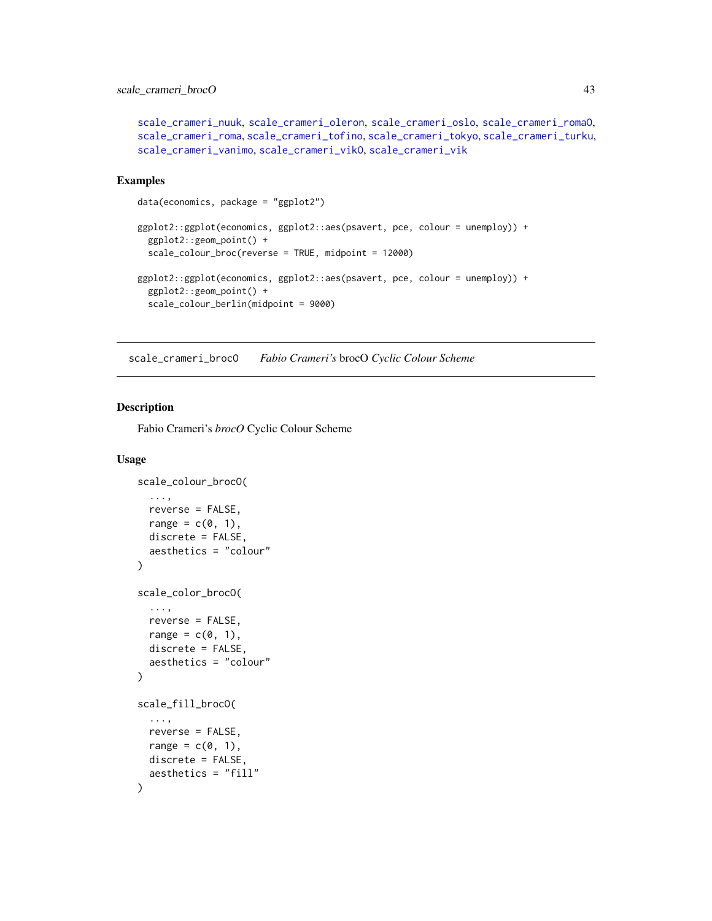## scale\_crameri\_brocO 43

```
scale_crameri_nuuk, scale_crameri_oleron, scale_crameri_oslo, scale_crameri_romaO,
scale_crameri_roma, scale_crameri_tofino, scale_crameri_tokyo, scale_crameri_turku,
scale_crameri_vanimo, scale_crameri_vikO, scale_crameri_vik
```
## Examples

```
data(economics, package = "ggplot2")
ggplot2::ggplot(economics, ggplot2::aes(psavert, pce, colour = unemploy)) +
 ggplot2::geom_point() +
 scale_colour_broc(reverse = TRUE, midpoint = 12000)
ggplot2::ggplot(economics, ggplot2::aes(psavert, pce, colour = unemploy)) +
 ggplot2::geom_point() +
 scale_colour_berlin(midpoint = 9000)
```
<span id="page-42-0"></span>scale\_crameri\_brocO *Fabio Crameri's* brocO *Cyclic Colour Scheme*

## Description

Fabio Crameri's *brocO* Cyclic Colour Scheme

```
scale_colour_brocO(
  ...,
  reverse = FALSE,
  range = c(\emptyset, 1),
  discrete = FALSE,
  aesthetics = "colour"
\lambdascale_color_brocO(
  ...,
  reverse = FALSE,
  range = c(\emptyset, 1),
  discrete = FALSE,
  aesthetics = "colour"
)
scale_fill_brocO(
  ...,
  reverse = FALSE,
  range = c(\emptyset, 1),
  discrete = FALSE,
  aesthetics = "fill"
)
```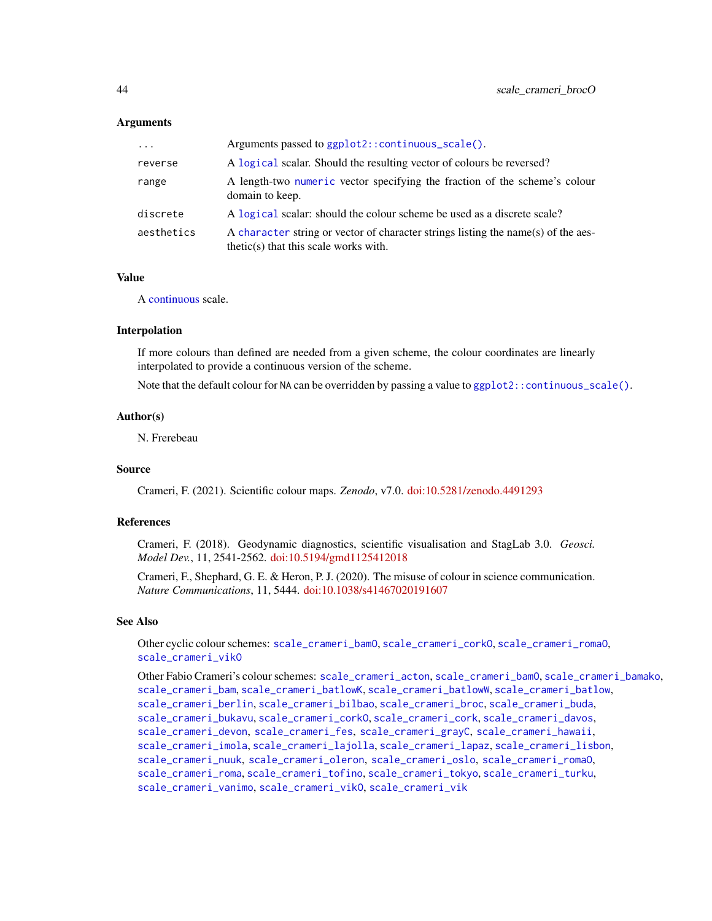| $\cdots$   | Arguments passed to ggplot2::continuous_scale().                                                                             |
|------------|------------------------------------------------------------------------------------------------------------------------------|
| reverse    | A logical scalar. Should the resulting vector of colours be reversed?                                                        |
| range      | A length-two numeric vector specifying the fraction of the scheme's colour<br>domain to keep.                                |
| discrete   | A logical scalar: should the colour scheme be used as a discrete scale?                                                      |
| aesthetics | A character string or vector of character strings listing the name(s) of the aes-<br>$thetic(s)$ that this scale works with. |

## Value

A [continuous](#page-0-0) scale.

### Interpolation

If more colours than defined are needed from a given scheme, the colour coordinates are linearly interpolated to provide a continuous version of the scheme.

Note that the default colour for NA can be overridden by passing a value to  $ggplot2$ :: continuous\_scale().

### Author(s)

N. Frerebeau

## Source

Crameri, F. (2021). Scientific colour maps. *Zenodo*, v7.0. [doi:10.5281/zenodo.4491293](https://doi.org/10.5281/zenodo.4491293)

## References

Crameri, F. (2018). Geodynamic diagnostics, scientific visualisation and StagLab 3.0. *Geosci. Model Dev.*, 11, 2541-2562. [doi:10.5194/gmd1125412018](https://doi.org/10.5194/gmd-11-2541-2018)

Crameri, F., Shephard, G. E. & Heron, P. J. (2020). The misuse of colour in science communication. *Nature Communications*, 11, 5444. [doi:10.1038/s41467020191607](https://doi.org/10.1038/s41467-020-19160-7)

## See Also

Other cyclic colour schemes: [scale\\_crameri\\_bamO](#page-24-0), [scale\\_crameri\\_corkO](#page-51-0), [scale\\_crameri\\_romaO](#page-86-0), scale crameri vikO

Other Fabio Crameri's colour schemes: [scale\\_crameri\\_acton](#page-16-0), [scale\\_crameri\\_bamO](#page-24-0), [scale\\_crameri\\_bamako](#page-21-0), [scale\\_crameri\\_bam](#page-19-0), [scale\\_crameri\\_batlowK](#page-29-0), [scale\\_crameri\\_batlowW](#page-31-0), [scale\\_crameri\\_batlow](#page-26-0), [scale\\_crameri\\_berlin](#page-34-0), [scale\\_crameri\\_bilbao](#page-37-0), [scale\\_crameri\\_broc](#page-39-0), [scale\\_crameri\\_buda](#page-44-0), [scale\\_crameri\\_bukavu](#page-46-0), [scale\\_crameri\\_corkO](#page-51-0), [scale\\_crameri\\_cork](#page-48-0), [scale\\_crameri\\_davos](#page-53-0), [scale\\_crameri\\_devon](#page-56-0), [scale\\_crameri\\_fes](#page-58-0), [scale\\_crameri\\_grayC](#page-60-0), [scale\\_crameri\\_hawaii](#page-63-0), [scale\\_crameri\\_imola](#page-66-0), [scale\\_crameri\\_lajolla](#page-68-0), [scale\\_crameri\\_lapaz](#page-71-0), [scale\\_crameri\\_lisbon](#page-74-0), [scale\\_crameri\\_nuuk](#page-76-0), [scale\\_crameri\\_oleron](#page-79-0), [scale\\_crameri\\_oslo](#page-81-0), [scale\\_crameri\\_romaO](#page-86-0), [scale\\_crameri\\_roma](#page-84-0), [scale\\_crameri\\_tofino](#page-88-0), [scale\\_crameri\\_tokyo](#page-91-0), [scale\\_crameri\\_turku](#page-94-0), [scale\\_crameri\\_vanimo](#page-96-0), [scale\\_crameri\\_vikO](#page-102-0), [scale\\_crameri\\_vik](#page-99-0)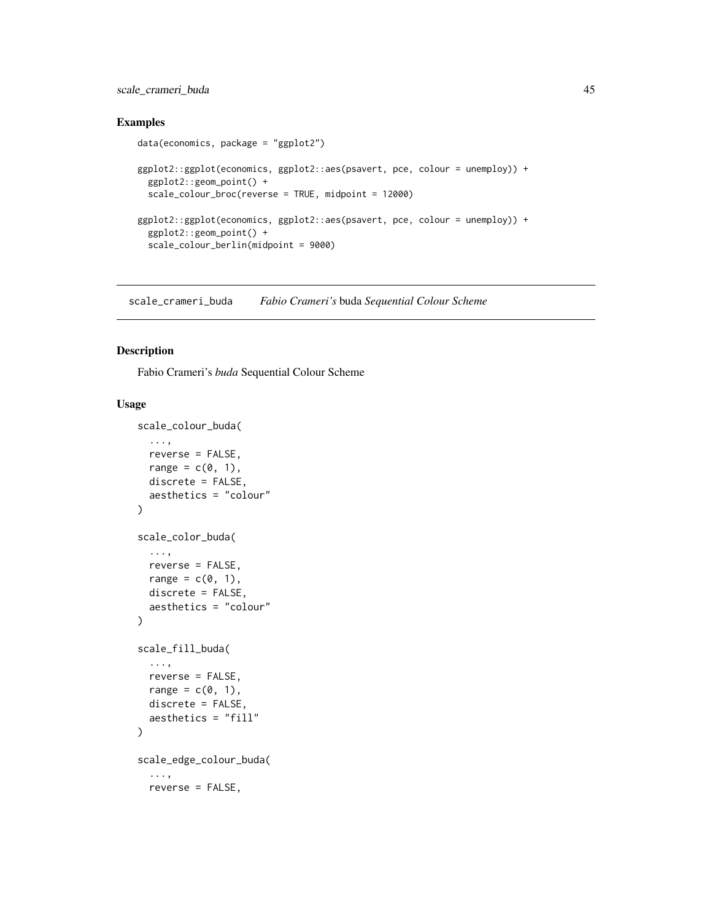## scale\_crameri\_buda 45

## Examples

```
data(economics, package = "ggplot2")
ggplot2::ggplot(economics, ggplot2::aes(psavert, pce, colour = unemploy)) +
 ggplot2::geom_point() +
 scale_colour_broc(reverse = TRUE, midpoint = 12000)
ggplot2::ggplot(economics, ggplot2::aes(psavert, pce, colour = unemploy)) +
 ggplot2::geom_point() +
 scale_colour_berlin(midpoint = 9000)
```
<span id="page-44-0"></span>scale\_crameri\_buda *Fabio Crameri's* buda *Sequential Colour Scheme*

## Description

Fabio Crameri's *buda* Sequential Colour Scheme

```
scale_colour_buda(
  ...,
  reverse = FALSE,
  range = c(\theta, 1),
  discrete = FALSE,
  aesthetics = "colour"
\lambdascale_color_buda(
  ...,
  reverse = FALSE,
  range = c(\emptyset, 1),
  discrete = FALSE,
  aesthetics = "colour"
)
scale_fill_buda(
  ...,
  reverse = FALSE,
  range = c(\emptyset, 1),
  discrete = FALSE,
  aesthetics = "fill"
\lambdascale_edge_colour_buda(
  ...,
  reverse = FALSE,
```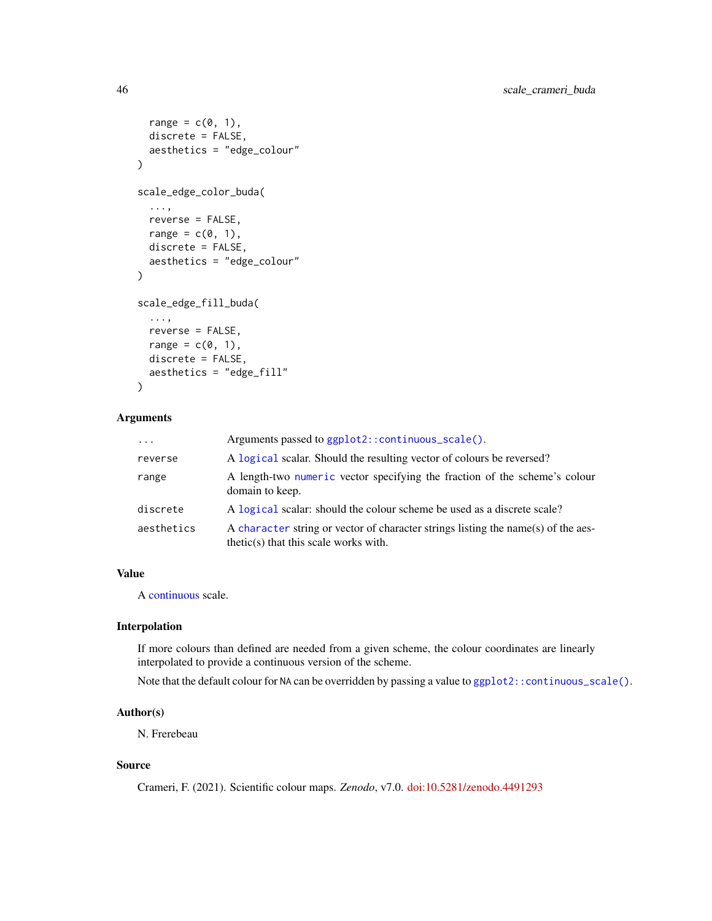```
range = c(\emptyset, 1),
  discrete = FALSE,
  aesthetics = "edge_colour"
\lambdascale_edge_color_buda(
  ...,
 reverse = FALSE,
 range = c(0, 1),
 discrete = FALSE,
  aesthetics = "edge_colour"
\mathcal{E}scale_edge_fill_buda(
  ...,
  reverse = FALSE,
 range = c(\emptyset, 1),
 discrete = FALSE,
  aesthetics = "edge_fill"
\lambda
```

| $\cdot \cdot \cdot$ | Arguments passed to ggplot2::continuous_scale().                                                                             |
|---------------------|------------------------------------------------------------------------------------------------------------------------------|
| reverse             | A logical scalar. Should the resulting vector of colours be reversed?                                                        |
| range               | A length-two numeric vector specifying the fraction of the scheme's colour<br>domain to keep.                                |
| discrete            | A logical scalar: should the colour scheme be used as a discrete scale?                                                      |
| aesthetics          | A character string or vector of character strings listing the name(s) of the aes-<br>$thetic(s)$ that this scale works with. |

## Value

A [continuous](#page-0-0) scale.

## Interpolation

If more colours than defined are needed from a given scheme, the colour coordinates are linearly interpolated to provide a continuous version of the scheme.

Note that the default colour for NA can be overridden by passing a value to  $ggplot2::continuous\_scale()$ .

## Author(s)

N. Frerebeau

## Source

Crameri, F. (2021). Scientific colour maps. *Zenodo*, v7.0. [doi:10.5281/zenodo.4491293](https://doi.org/10.5281/zenodo.4491293)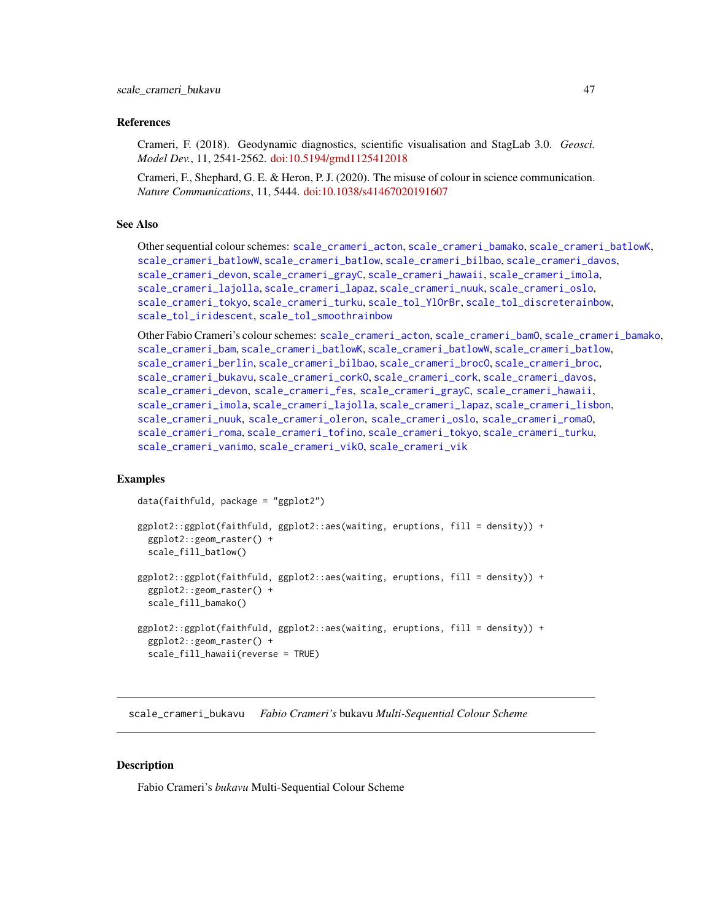## References

Crameri, F. (2018). Geodynamic diagnostics, scientific visualisation and StagLab 3.0. *Geosci. Model Dev.*, 11, 2541-2562. [doi:10.5194/gmd1125412018](https://doi.org/10.5194/gmd-11-2541-2018)

Crameri, F., Shephard, G. E. & Heron, P. J. (2020). The misuse of colour in science communication. *Nature Communications*, 11, 5444. [doi:10.1038/s41467020191607](https://doi.org/10.1038/s41467-020-19160-7)

## See Also

Other sequential colour schemes: [scale\\_crameri\\_acton](#page-16-0), [scale\\_crameri\\_bamako](#page-21-0), [scale\\_crameri\\_batlowK](#page-29-0), [scale\\_crameri\\_batlowW](#page-31-0), [scale\\_crameri\\_batlow](#page-26-0), [scale\\_crameri\\_bilbao](#page-37-0), [scale\\_crameri\\_davos](#page-53-0), [scale\\_crameri\\_devon](#page-56-0), [scale\\_crameri\\_grayC](#page-60-0), [scale\\_crameri\\_hawaii](#page-63-0), [scale\\_crameri\\_imola](#page-66-0), [scale\\_crameri\\_lajolla](#page-68-0), [scale\\_crameri\\_lapaz](#page-71-0), [scale\\_crameri\\_nuuk](#page-76-0), [scale\\_crameri\\_oslo](#page-81-0), [scale\\_crameri\\_tokyo](#page-91-0), [scale\\_crameri\\_turku](#page-94-0), [scale\\_tol\\_YlOrBr](#page-137-0), [scale\\_tol\\_discreterainbow](#page-113-0), [scale\\_tol\\_iridescent](#page-117-0), [scale\\_tol\\_smoothrainbow](#page-130-0)

```
Other Fabio Crameri's colour schemes: scale_crameri_acton, scale_crameri_bamO, scale_crameri_bamako,
scale_crameri_bam, scale_crameri_batlowK, scale_crameri_batlowW, scale_crameri_batlow,
scale_crameri_berlinscale_crameri_bilbaoscale_crameri_broc0, scale_crameri_broc,
scale_crameri_bukavu, scale_crameri_corkO, scale_crameri_cork, scale_crameri_davos,
scale_crameri_devon, scale_crameri_fes, scale_crameri_grayC, scale_crameri_hawaii,
scale_crameri_imola, scale_crameri_lajolla, scale_crameri_lapaz, scale_crameri_lisbon,
scale_crameri_nuuk, scale_crameri_oleron, scale_crameri_oslo, scale_crameri_romaO,
scale_crameri_roma, scale_crameri_tofino, scale_crameri_tokyo, scale_crameri_turku,
scale_crameri_vanimo, scale_crameri_vikO, scale_crameri_vik
```
## Examples

```
data(faithfuld, package = "ggplot2")
```

```
ggplot2::ggplot(faithfuld, ggplot2::aes(waiting, eruptions, fill = density)) +
 ggplot2::geom_raster() +
 scale_fill_batlow()
ggplot2::ggplot(faithfuld, ggplot2::aes(waiting, eruptions, fill = density)) +
 ggplot2::geom_raster() +
 scale_fill_bamako()
ggplot2::ggplot(faithfuld, ggplot2::aes(waiting, eruptions, fill = density)) +
 ggplot2::geom_raster() +
 scale_fill_hawaii(reverse = TRUE)
```
<span id="page-46-0"></span>scale\_crameri\_bukavu *Fabio Crameri's* bukavu *Multi-Sequential Colour Scheme*

## Description

Fabio Crameri's *bukavu* Multi-Sequential Colour Scheme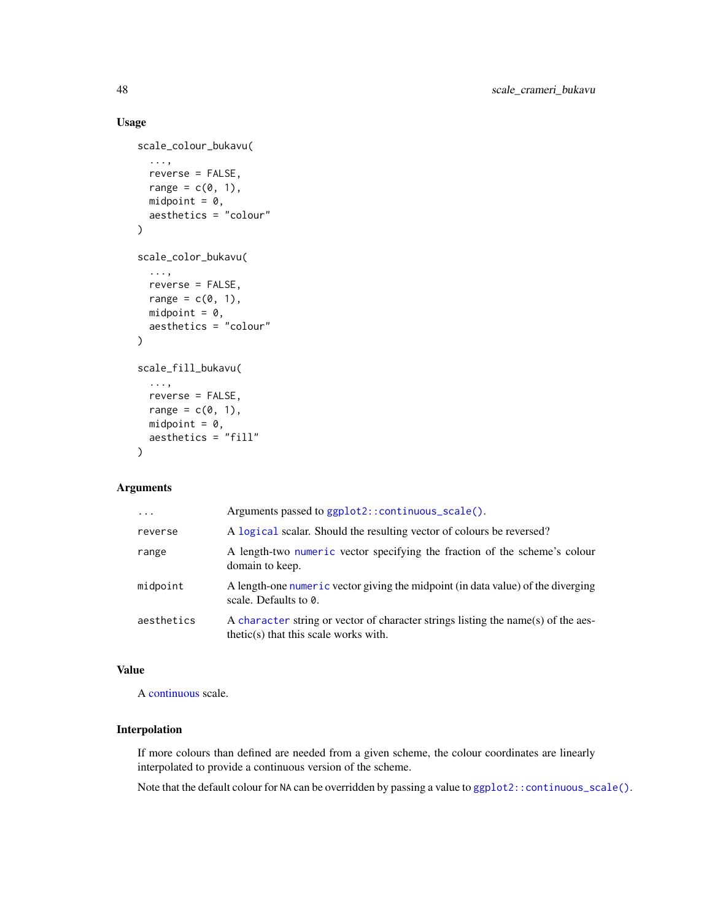## Usage

```
scale_colour_bukavu(
  ...,
  reverse = FALSE,
  range = c(\emptyset, 1),
  midpoint = 0,
  aesthetics = "colour"
)
scale_color_bukavu(
  ...,
  reverse = FALSE,
  range = c(\emptyset, 1),
  midpoint = 0,
  aesthetics = "colour"
\mathcal{L}scale_fill_bukavu(
  ...,
  reverse = FALSE,
  range = c(\emptyset, 1),
  midpoint = 0,
  aesthetics = "fill"
\lambda
```
## Arguments

| $\ddots$ . | Arguments passed to ggplot2::continuous_scale().                                                                             |
|------------|------------------------------------------------------------------------------------------------------------------------------|
| reverse    | A logical scalar. Should the resulting vector of colours be reversed?                                                        |
| range      | A length-two numeric vector specifying the fraction of the scheme's colour<br>domain to keep.                                |
| midpoint   | A length-one numeric vector giving the midpoint (in data value) of the diverging<br>scale. Defaults to 0.                    |
| aesthetics | A character string or vector of character strings listing the name(s) of the aes-<br>$thetic(s)$ that this scale works with. |

## Value

A [continuous](#page-0-0) scale.

## Interpolation

If more colours than defined are needed from a given scheme, the colour coordinates are linearly interpolated to provide a continuous version of the scheme.

Note that the default colour for NA can be overridden by passing a value to ggplot2:: continuous\_scale().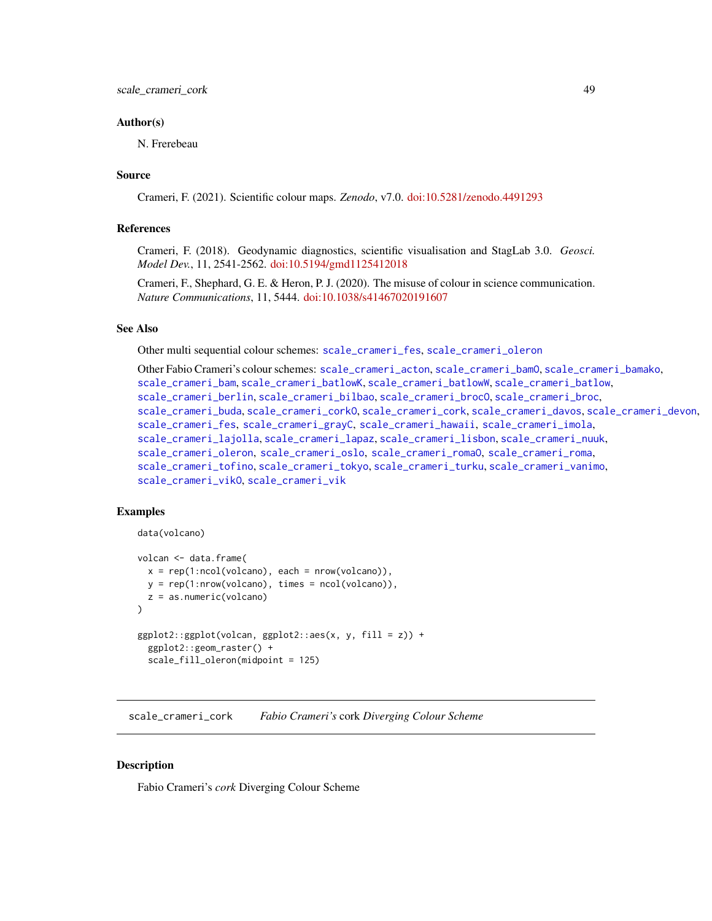## Author(s)

N. Frerebeau

## Source

Crameri, F. (2021). Scientific colour maps. *Zenodo*, v7.0. [doi:10.5281/zenodo.4491293](https://doi.org/10.5281/zenodo.4491293)

#### References

Crameri, F. (2018). Geodynamic diagnostics, scientific visualisation and StagLab 3.0. *Geosci. Model Dev.*, 11, 2541-2562. [doi:10.5194/gmd1125412018](https://doi.org/10.5194/gmd-11-2541-2018)

Crameri, F., Shephard, G. E. & Heron, P. J. (2020). The misuse of colour in science communication. *Nature Communications*, 11, 5444. [doi:10.1038/s41467020191607](https://doi.org/10.1038/s41467-020-19160-7)

#### See Also

Other multi sequential colour schemes: [scale\\_crameri\\_fes](#page-58-0), [scale\\_crameri\\_oleron](#page-79-0)

```
Other Fabio Crameri's colour schemes: scale_crameri_acton, scale_crameri_bamO, scale_crameri_bamako,
scale_crameri_bam, scale_crameri_batlowK, scale_crameri_batlowW, scale_crameri_batlow,
scale_crameri_berlinscale_crameri_bilbaoscale_crameri_broc0, scale_crameri_broc,
scale_crameri_buda, scale_crameri_corkO, scale_crameri_cork, scale_crameri_davos, scale_crameri_devon,
scale_crameri_fes, scale_crameri_grayC, scale_crameri_hawaii, scale_crameri_imola,
scale_crameri_lajolla, scale_crameri_lapaz, scale_crameri_lisbon, scale_crameri_nuuk,
scale_crameri_oleronscale_crameri_osloscale_crameri_romaOscale_crameri_roma,
scale_crameri_tofino, scale_crameri_tokyo, scale_crameri_turku, scale_crameri_vanimo,
scale_crameri_vikO, scale_crameri_vik
```
## Examples

data(volcano)

```
volcan <- data.frame(
 x = rep(1:ncol(volcano), each = nrow(volcano)),y = rep(1:nrow(volcano), times = ncol(volcano)),z = as.numeric(volcano)
)
ggplot2::ggplot(volcan, ggplot2::aes(x, y, fill = z)) +ggplot2::geom_raster() +
 scale_fill_oleron(midpoint = 125)
```
<span id="page-48-0"></span>scale\_crameri\_cork *Fabio Crameri's* cork *Diverging Colour Scheme*

#### **Description**

Fabio Crameri's *cork* Diverging Colour Scheme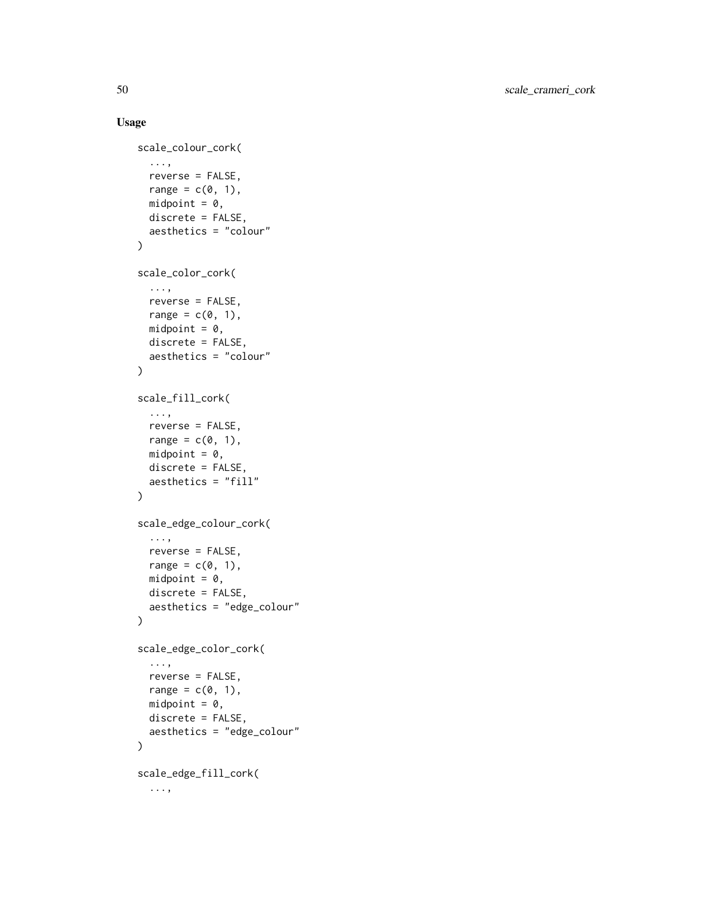```
scale_colour_cork(
  ...,
  reverse = FALSE,
  range = c(\emptyset, 1),
  midpoint = 0,
  discrete = FALSE,
  aesthetics = "colour"
\lambdascale_color_cork(
  ...,
  reverse = FALSE,
  range = c(\emptyset, 1),
  midpoint = 0,
  discrete = FALSE,
  aesthetics = "colour"
)
scale_fill_cork(
  ...,
  reverse = FALSE,
  range = c(\emptyset, 1),
  midpoint = 0,
  discrete = FALSE,
  aesthetics = "fill"
\mathcal{L}scale_edge_colour_cork(
  ...,
  reverse = FALSE,
  range = c(0, 1),
  midpoint = 0,
  discrete = FALSE,
  aesthetics = "edge_colour"
\mathcal{L}scale_edge_color_cork(
  ...,
  reverse = FALSE,
  range = c(\emptyset, 1),
  midpoint = 0,
  discrete = FALSE,
  aesthetics = "edge_colour"
\lambdascale_edge_fill_cork(
  ...,
```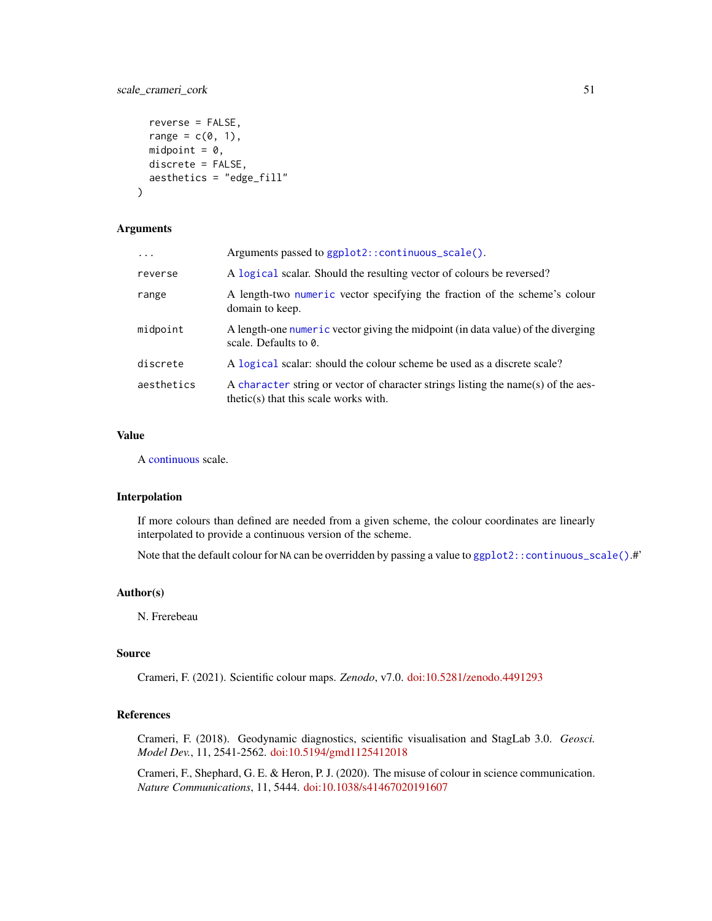## scale\_crameri\_cork 51

```
reverse = FALSE,
  range = c(\emptyset, 1),
 midpoint = 0,
 discrete = FALSE,
  aesthetics = "edge_fill"
)
```
## Arguments

| $\ddots$   | Arguments passed to ggplot2:: continuous_scale().                                                                            |
|------------|------------------------------------------------------------------------------------------------------------------------------|
| reverse    | A logical scalar. Should the resulting vector of colours be reversed?                                                        |
| range      | A length-two numeric vector specifying the fraction of the scheme's colour<br>domain to keep.                                |
| midpoint   | A length-one numeric vector giving the midpoint (in data value) of the diverging<br>scale. Defaults to 0.                    |
| discrete   | A logical scalar: should the colour scheme be used as a discrete scale?                                                      |
| aesthetics | A character string or vector of character strings listing the name(s) of the aes-<br>$thetic(s)$ that this scale works with. |

## Value

A [continuous](#page-0-0) scale.

#### Interpolation

If more colours than defined are needed from a given scheme, the colour coordinates are linearly interpolated to provide a continuous version of the scheme.

Note that the default colour for NA can be overridden by passing a value to ggplot2:: continuous\_scale().#'

## Author(s)

N. Frerebeau

#### Source

Crameri, F. (2021). Scientific colour maps. *Zenodo*, v7.0. [doi:10.5281/zenodo.4491293](https://doi.org/10.5281/zenodo.4491293)

## References

Crameri, F. (2018). Geodynamic diagnostics, scientific visualisation and StagLab 3.0. *Geosci. Model Dev.*, 11, 2541-2562. [doi:10.5194/gmd1125412018](https://doi.org/10.5194/gmd-11-2541-2018)

Crameri, F., Shephard, G. E. & Heron, P. J. (2020). The misuse of colour in science communication. *Nature Communications*, 11, 5444. [doi:10.1038/s41467020191607](https://doi.org/10.1038/s41467-020-19160-7)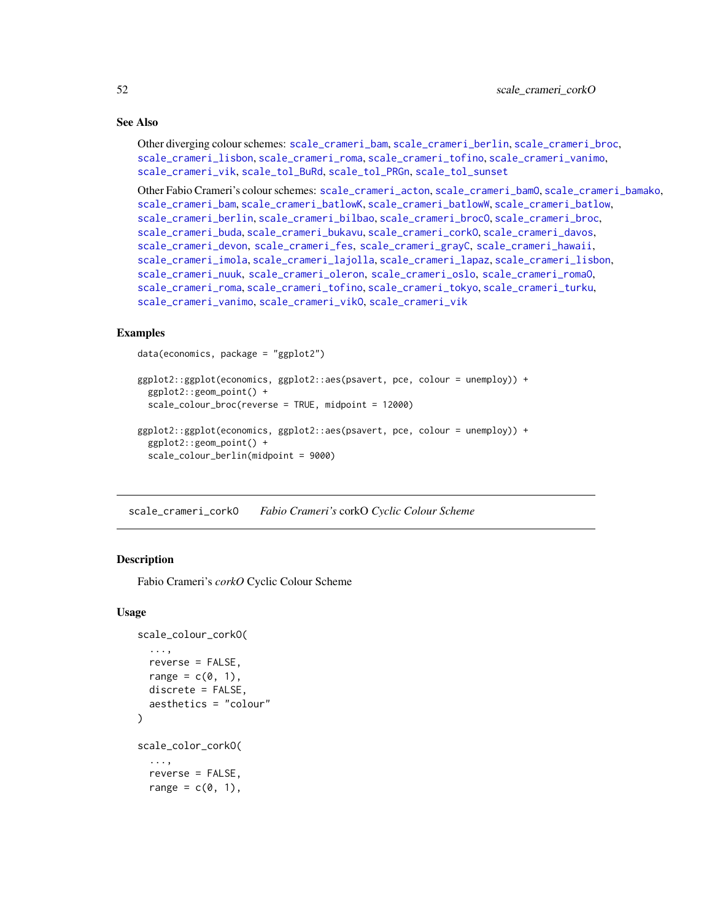## See Also

Other diverging colour schemes: [scale\\_crameri\\_bam](#page-19-0), [scale\\_crameri\\_berlin](#page-34-0), [scale\\_crameri\\_broc](#page-39-0), [scale\\_crameri\\_lisbon](#page-74-0), [scale\\_crameri\\_roma](#page-84-0), [scale\\_crameri\\_tofino](#page-88-0), [scale\\_crameri\\_vanimo](#page-96-0), [scale\\_crameri\\_vik](#page-99-0), [scale\\_tol\\_BuRd](#page-109-0), [scale\\_tol\\_PRGn](#page-127-0), [scale\\_tol\\_sunset](#page-133-0)

Other Fabio Crameri's colour schemes: [scale\\_crameri\\_acton](#page-16-0), [scale\\_crameri\\_bamO](#page-24-0), [scale\\_crameri\\_bamako](#page-21-0), [scale\\_crameri\\_bam](#page-19-0), [scale\\_crameri\\_batlowK](#page-29-0), [scale\\_crameri\\_batlowW](#page-31-0), [scale\\_crameri\\_batlow](#page-26-0), [scale\\_crameri\\_berlin](#page-34-0), [scale\\_crameri\\_bilbao](#page-37-0), [scale\\_crameri\\_brocO](#page-42-0), [scale\\_crameri\\_broc](#page-39-0), [scale\\_crameri\\_buda](#page-44-0), [scale\\_crameri\\_bukavu](#page-46-0), [scale\\_crameri\\_corkO](#page-51-0), [scale\\_crameri\\_davos](#page-53-0), [scale\\_crameri\\_devon](#page-56-0), [scale\\_crameri\\_fes](#page-58-0), [scale\\_crameri\\_grayC](#page-60-0), [scale\\_crameri\\_hawaii](#page-63-0), [scale\\_crameri\\_imola](#page-66-0), [scale\\_crameri\\_lajolla](#page-68-0), [scale\\_crameri\\_lapaz](#page-71-0), [scale\\_crameri\\_lisbon](#page-74-0), [scale\\_crameri\\_nuuk](#page-76-0), [scale\\_crameri\\_oleron](#page-79-0), [scale\\_crameri\\_oslo](#page-81-0), [scale\\_crameri\\_romaO](#page-86-0), [scale\\_crameri\\_roma](#page-84-0), [scale\\_crameri\\_tofino](#page-88-0), [scale\\_crameri\\_tokyo](#page-91-0), [scale\\_crameri\\_turku](#page-94-0), [scale\\_crameri\\_vanimo](#page-96-0), [scale\\_crameri\\_vikO](#page-102-0), [scale\\_crameri\\_vik](#page-99-0)

## Examples

```
data(economics, package = "ggplot2")
```

```
ggplot2::ggplot(economics, ggplot2::aes(psavert, pce, colour = unemploy)) +
 ggplot2::geom_point() +
  scale_colour_broc(reverse = TRUE, midpoint = 12000)
ggplot2::ggplot(economics, ggplot2::aes(psavert, pce, colour = unemploy)) +
 ggplot2::geom_point() +
 scale_colour_berlin(midpoint = 9000)
```
<span id="page-51-0"></span>scale\_crameri\_corkO *Fabio Crameri's* corkO *Cyclic Colour Scheme*

## **Description**

Fabio Crameri's *corkO* Cyclic Colour Scheme

```
scale_colour_corkO(
  ...,
 reverse = FALSE,
 range = c(0, 1),
  discrete = FALSE,
  aesthetics = "colour"
)
scale_color_corkO(
  ...,
  reverse = FALSE,
  range = c(0, 1),
```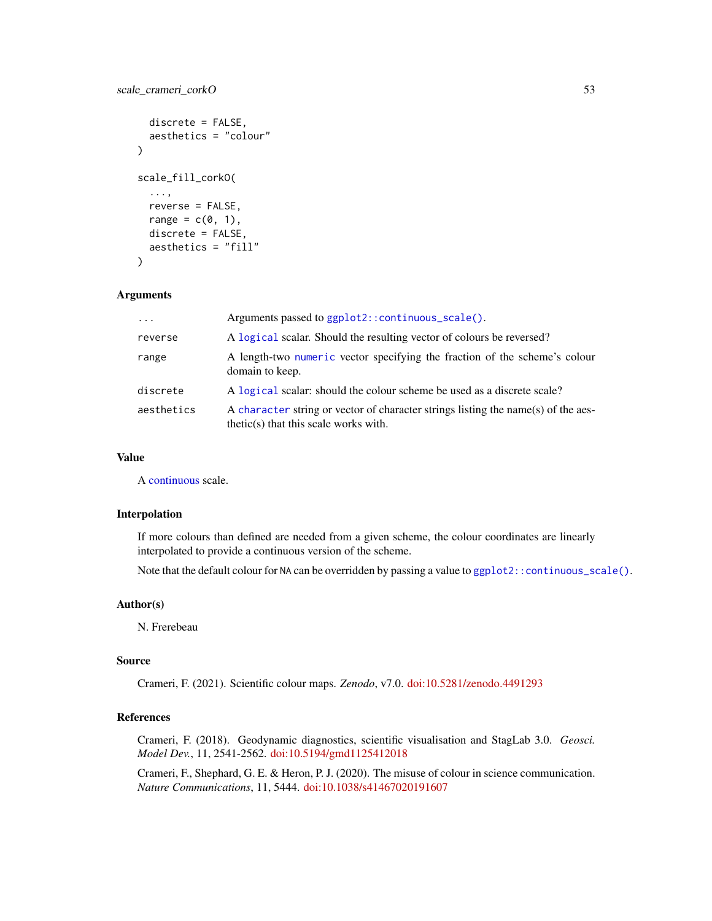```
discrete = FALSE,
 aesthetics = "colour"
)
scale_fill_corkO(
  ...,
 reverse = FALSE,
 range = c(\emptyset, 1),
 discrete = FALSE,
  aesthetics = "fill"
)
```

| $\cdot$    | Arguments passed to ggplot2::continuous_scale().                                                                             |
|------------|------------------------------------------------------------------------------------------------------------------------------|
| reverse    | A logical scalar. Should the resulting vector of colours be reversed?                                                        |
| range      | A length-two numeric vector specifying the fraction of the scheme's colour<br>domain to keep.                                |
| discrete   | A logical scalar: should the colour scheme be used as a discrete scale?                                                      |
| aesthetics | A character string or vector of character strings listing the name(s) of the aes-<br>$thetic(s)$ that this scale works with. |

#### Value

A [continuous](#page-0-0) scale.

#### Interpolation

If more colours than defined are needed from a given scheme, the colour coordinates are linearly interpolated to provide a continuous version of the scheme.

Note that the default colour for NA can be overridden by passing a value to  $ggplot2::continuous\_scale()$ .

## Author(s)

N. Frerebeau

## Source

Crameri, F. (2021). Scientific colour maps. *Zenodo*, v7.0. [doi:10.5281/zenodo.4491293](https://doi.org/10.5281/zenodo.4491293)

## References

Crameri, F. (2018). Geodynamic diagnostics, scientific visualisation and StagLab 3.0. *Geosci. Model Dev.*, 11, 2541-2562. [doi:10.5194/gmd1125412018](https://doi.org/10.5194/gmd-11-2541-2018)

Crameri, F., Shephard, G. E. & Heron, P. J. (2020). The misuse of colour in science communication. *Nature Communications*, 11, 5444. [doi:10.1038/s41467020191607](https://doi.org/10.1038/s41467-020-19160-7)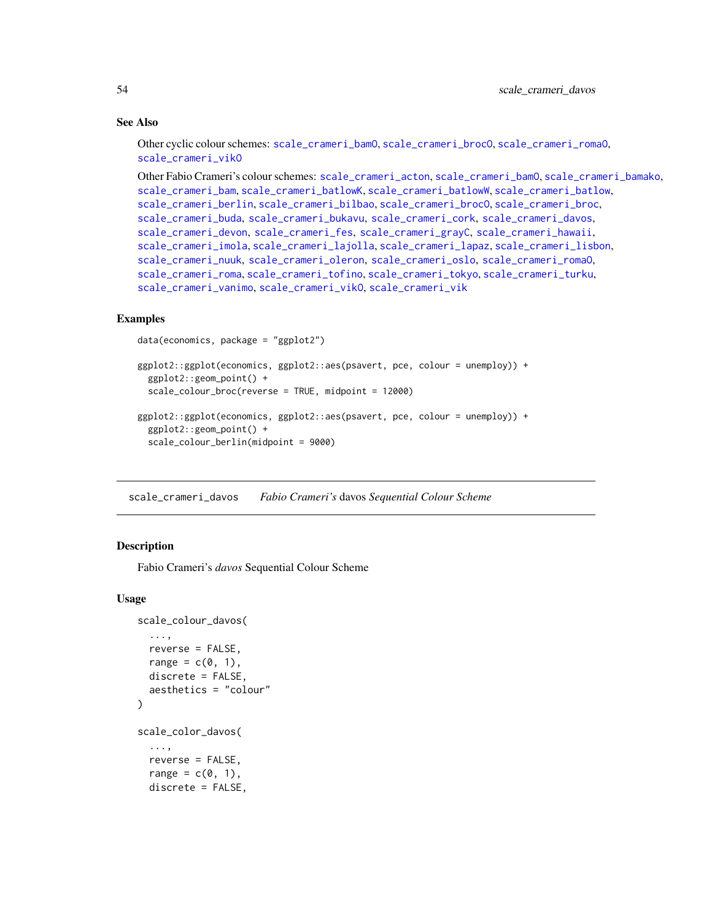## See Also

Other cyclic colour schemes: [scale\\_crameri\\_bamO](#page-24-0), [scale\\_crameri\\_brocO](#page-42-0), [scale\\_crameri\\_romaO](#page-86-0), [scale\\_crameri\\_vikO](#page-102-0)

Other Fabio Crameri's colour schemes: [scale\\_crameri\\_acton](#page-16-0), [scale\\_crameri\\_bamO](#page-24-0), [scale\\_crameri\\_bamako](#page-21-0), [scale\\_crameri\\_bam](#page-19-0), [scale\\_crameri\\_batlowK](#page-29-0), [scale\\_crameri\\_batlowW](#page-31-0), [scale\\_crameri\\_batlow](#page-26-0), [scale\\_crameri\\_berlin](#page-34-0), [scale\\_crameri\\_bilbao](#page-37-0), [scale\\_crameri\\_broc](#page-39-0)0, scale\_crameri\_broc, [scale\\_crameri\\_buda](#page-44-0), [scale\\_crameri\\_bukavu](#page-46-0), [scale\\_crameri\\_cork](#page-48-0), [scale\\_crameri\\_davos](#page-53-0), [scale\\_crameri\\_devon](#page-56-0), [scale\\_crameri\\_fes](#page-58-0), [scale\\_crameri\\_grayC](#page-60-0), [scale\\_crameri\\_hawaii](#page-63-0), [scale\\_crameri\\_imola](#page-66-0), [scale\\_crameri\\_lajolla](#page-68-0), [scale\\_crameri\\_lapaz](#page-71-0), [scale\\_crameri\\_lisbon](#page-74-0), [scale\\_crameri\\_nuuk](#page-76-0), [scale\\_crameri\\_oleron](#page-79-0), [scale\\_crameri\\_oslo](#page-81-0), [scale\\_crameri\\_romaO](#page-86-0), [scale\\_crameri\\_roma](#page-84-0), [scale\\_crameri\\_tofino](#page-88-0), [scale\\_crameri\\_tokyo](#page-91-0), [scale\\_crameri\\_turku](#page-94-0), [scale\\_crameri\\_vanimo](#page-96-0), [scale\\_crameri\\_vikO](#page-102-0), [scale\\_crameri\\_vik](#page-99-0)

## Examples

```
data(economics, package = "ggplot2")
ggplot2::ggplot(economics, ggplot2::aes(psavert, pce, colour = unemploy)) +
 ggplot2::geom_point() +
 scale_colour_broc(reverse = TRUE, midpoint = 12000)
ggplot2::ggplot(economics, ggplot2::aes(psavert, pce, colour = unemploy)) +
 ggplot2::geom_point() +
  scale_colour_berlin(midpoint = 9000)
```
<span id="page-53-0"></span>scale\_crameri\_davos *Fabio Crameri's* davos *Sequential Colour Scheme*

## **Description**

Fabio Crameri's *davos* Sequential Colour Scheme

```
scale_colour_davos(
  ...,
  reverse = FALSE,
  range = c(0, 1),
  discrete = FALSE,
  aesthetics = "colour"
\lambdascale_color_davos(
  ...,
  reverse = FALSE,
  range = c(\emptyset, 1),
  discrete = FALSE,
```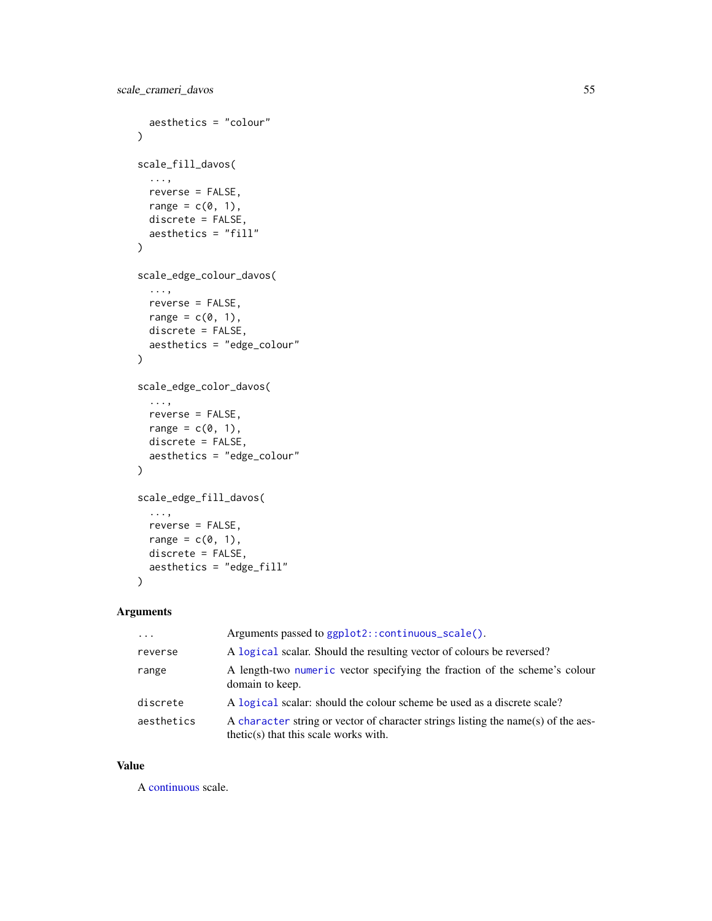```
aesthetics = "colour"
\lambdascale_fill_davos(
  ...,
 reverse = FALSE,
 range = c(\emptyset, 1),
 discrete = FALSE,
 aesthetics = "fill"
)
scale_edge_colour_davos(
  ...,
 reverse = FALSE,
 range = c(\emptyset, 1),
 discrete = FALSE,
  aesthetics = "edge_colour"
)
scale_edge_color_davos(
 ...,
 reverse = FALSE,
 range = c(\emptyset, 1),
 discrete = FALSE,
 aesthetics = "edge_colour"
)
scale_edge_fill_davos(
 ...,
 reverse = FALSE,
 range = c(\emptyset, 1),
 discrete = FALSE,
 aesthetics = "edge_fill"
)
```

| $\cdots$   | Arguments passed to ggplot2::continuous_scale().                                                                             |
|------------|------------------------------------------------------------------------------------------------------------------------------|
| reverse    | A logical scalar. Should the resulting vector of colours be reversed?                                                        |
| range      | A length-two numeric vector specifying the fraction of the scheme's colour<br>domain to keep.                                |
| discrete   | A logical scalar: should the colour scheme be used as a discrete scale?                                                      |
| aesthetics | A character string or vector of character strings listing the name(s) of the aes-<br>$thetic(s)$ that this scale works with. |

## Value

A [continuous](#page-0-0) scale.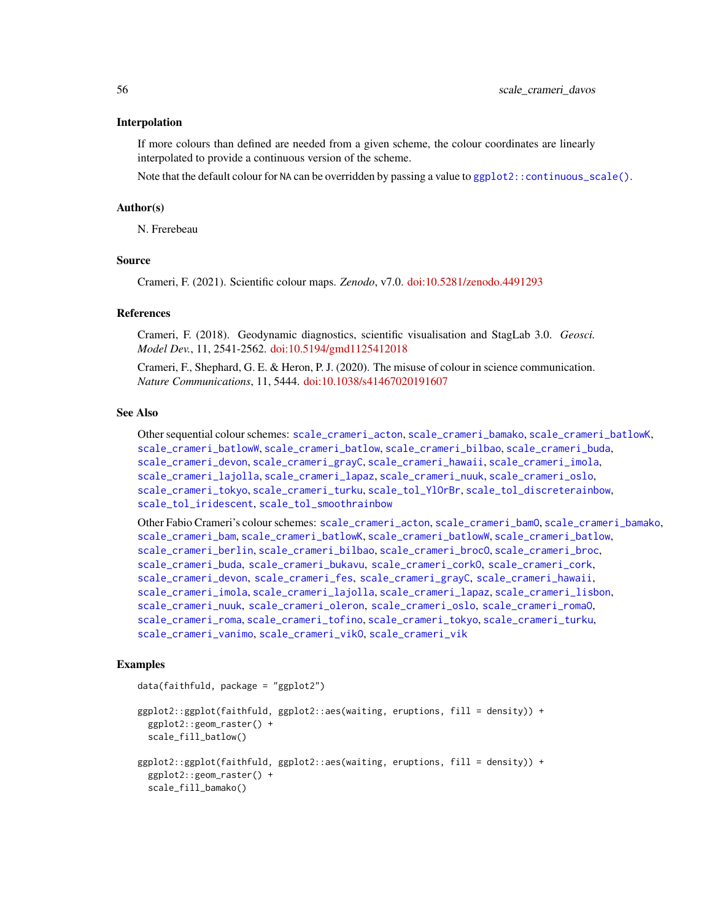#### Interpolation

If more colours than defined are needed from a given scheme, the colour coordinates are linearly interpolated to provide a continuous version of the scheme.

Note that the default colour for NA can be overridden by passing a value to [ggplot2::continuous\\_scale\(\)](#page-0-0).

#### Author(s)

N. Frerebeau

## Source

Crameri, F. (2021). Scientific colour maps. *Zenodo*, v7.0. [doi:10.5281/zenodo.4491293](https://doi.org/10.5281/zenodo.4491293)

## References

Crameri, F. (2018). Geodynamic diagnostics, scientific visualisation and StagLab 3.0. *Geosci. Model Dev.*, 11, 2541-2562. [doi:10.5194/gmd1125412018](https://doi.org/10.5194/gmd-11-2541-2018)

Crameri, F., Shephard, G. E. & Heron, P. J. (2020). The misuse of colour in science communication. *Nature Communications*, 11, 5444. [doi:10.1038/s41467020191607](https://doi.org/10.1038/s41467-020-19160-7)

## See Also

Other sequential colour schemes: [scale\\_crameri\\_acton](#page-16-0), [scale\\_crameri\\_bamako](#page-21-0), [scale\\_crameri\\_batlowK](#page-29-0), [scale\\_crameri\\_batlowW](#page-31-0), [scale\\_crameri\\_batlow](#page-26-0), [scale\\_crameri\\_bilbao](#page-37-0), [scale\\_crameri\\_buda](#page-44-0), [scale\\_crameri\\_devon](#page-56-0), [scale\\_crameri\\_grayC](#page-60-0), [scale\\_crameri\\_hawaii](#page-63-0), [scale\\_crameri\\_imola](#page-66-0), [scale\\_crameri\\_lajolla](#page-68-0), [scale\\_crameri\\_lapaz](#page-71-0), [scale\\_crameri\\_nuuk](#page-76-0), [scale\\_crameri\\_oslo](#page-81-0), [scale\\_crameri\\_tokyo](#page-91-0), [scale\\_crameri\\_turku](#page-94-0), [scale\\_tol\\_YlOrBr](#page-137-0), [scale\\_tol\\_discreterainbow](#page-113-0), [scale\\_tol\\_iridescent](#page-117-0), [scale\\_tol\\_smoothrainbow](#page-130-0)

Other Fabio Crameri's colour schemes: [scale\\_crameri\\_acton](#page-16-0), [scale\\_crameri\\_bamO](#page-24-0), [scale\\_crameri\\_bamako](#page-21-0), [scale\\_crameri\\_bam](#page-19-0), [scale\\_crameri\\_batlowK](#page-29-0), [scale\\_crameri\\_batlowW](#page-31-0), [scale\\_crameri\\_batlow](#page-26-0), [scale\\_crameri\\_berlin](#page-34-0), [scale\\_crameri\\_bilbao](#page-37-0), [scale\\_crameri\\_broc](#page-39-0)0, scale\_crameri\_broc, [scale\\_crameri\\_buda](#page-44-0), [scale\\_crameri\\_bukavu](#page-46-0), [scale\\_crameri\\_corkO](#page-51-0), [scale\\_crameri\\_cork](#page-48-0), [scale\\_crameri\\_devon](#page-56-0), [scale\\_crameri\\_fes](#page-58-0), [scale\\_crameri\\_grayC](#page-60-0), [scale\\_crameri\\_hawaii](#page-63-0), [scale\\_crameri\\_imola](#page-66-0), [scale\\_crameri\\_lajolla](#page-68-0), [scale\\_crameri\\_lapaz](#page-71-0), [scale\\_crameri\\_lisbon](#page-74-0), [scale\\_crameri\\_nuuk](#page-76-0), [scale\\_crameri\\_oleron](#page-79-0), [scale\\_crameri\\_oslo](#page-81-0), [scale\\_crameri\\_romaO](#page-86-0), [scale\\_crameri\\_roma](#page-84-0), [scale\\_crameri\\_tofino](#page-88-0), [scale\\_crameri\\_tokyo](#page-91-0), [scale\\_crameri\\_turku](#page-94-0), [scale\\_crameri\\_vanimo](#page-96-0), [scale\\_crameri\\_vikO](#page-102-0), [scale\\_crameri\\_vik](#page-99-0)

## Examples

data(faithfuld, package = "ggplot2")

```
ggplot2::ggplot(faithfuld, ggplot2::aes(waiting, eruptions, fill = density)) +
 ggplot2::geom_raster() +
 scale_fill_batlow()
ggplot2::ggplot(faithfuld, ggplot2::aes(waiting, eruptions, fill = density)) +
 ggplot2::geom_raster() +
```

```
scale_fill_bamako()
```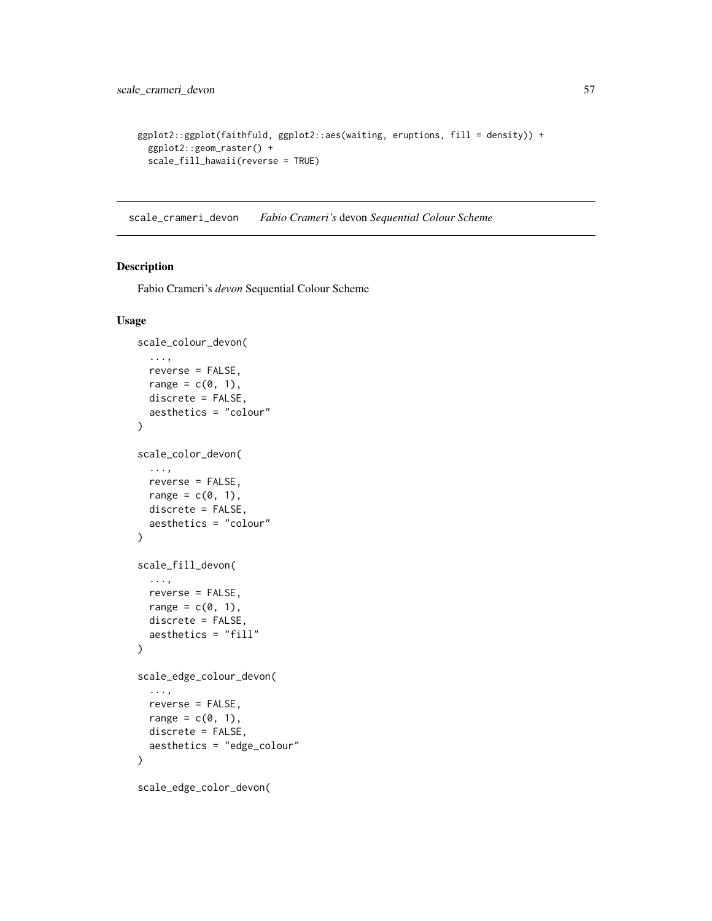```
ggplot2::ggplot(faithfuld, ggplot2::aes(waiting, eruptions, fill = density)) +
  ggplot2::geom_raster() +
  scale_fill_hawaii(reverse = TRUE)
```
<span id="page-56-0"></span>scale\_crameri\_devon *Fabio Crameri's* devon *Sequential Colour Scheme*

## Description

Fabio Crameri's *devon* Sequential Colour Scheme

```
scale_colour_devon(
  ...,
  reverse = FALSE,
  range = c(\emptyset, 1),
  discrete = FALSE,
  aesthetics = "colour"
)
scale_color_devon(
  ...,
  reverse = FALSE,
  range = c(\emptyset, 1),
  discrete = FALSE,
  aesthetics = "colour"
\mathcal{L}scale_fill_devon(
  ...,
  reverse = FALSE,
  range = c(\theta, 1),
  discrete = FALSE,
  aesthetics = "fill"
)
scale_edge_colour_devon(
  ...,
  reverse = FALSE,
  range = c(\emptyset, 1),
  discrete = FALSE,
  aesthetics = "edge_colour"
)
```

```
scale_edge_color_devon(
```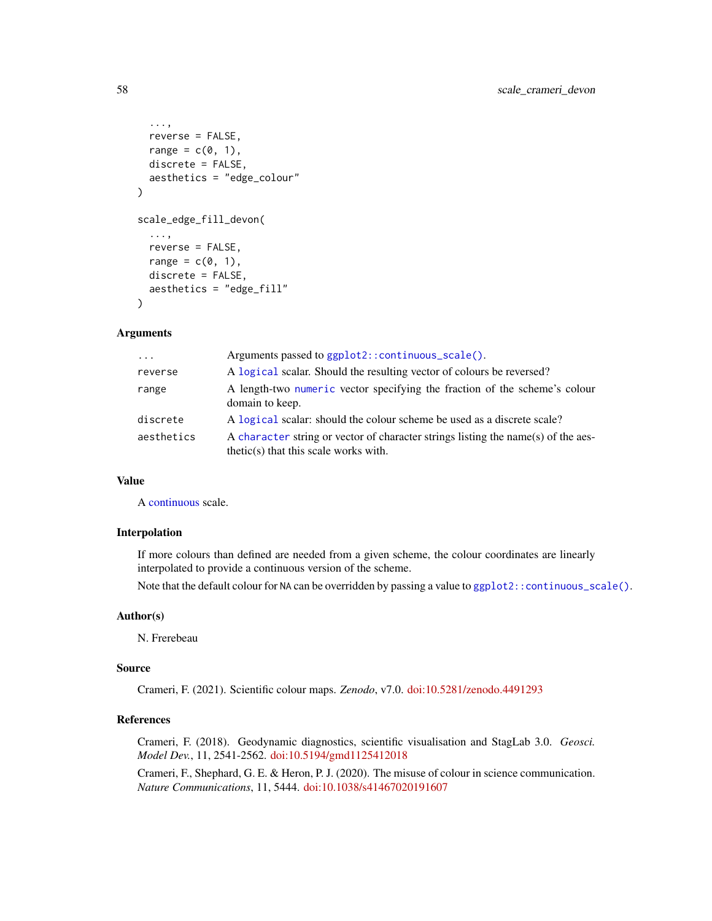```
...,
 reverse = FALSE,
 range = c(0, 1),
 discrete = FALSE,
  aesthetics = "edge_colour"
)
scale_edge_fill_devon(
  ...,
 reverse = FALSE,
 range = c(0, 1),
 discrete = FALSE,
 aesthetics = "edge_fill"
)
```

| $\cdots$   | Arguments passed to ggplot2::continuous_scale().                                                                             |
|------------|------------------------------------------------------------------------------------------------------------------------------|
| reverse    | A logical scalar. Should the resulting vector of colours be reversed?                                                        |
| range      | A length-two numeric vector specifying the fraction of the scheme's colour<br>domain to keep.                                |
| discrete   | A logical scalar: should the colour scheme be used as a discrete scale?                                                      |
| aesthetics | A character string or vector of character strings listing the name(s) of the aes-<br>$thetic(s)$ that this scale works with. |

#### Value

A [continuous](#page-0-0) scale.

#### Interpolation

If more colours than defined are needed from a given scheme, the colour coordinates are linearly interpolated to provide a continuous version of the scheme.

Note that the default colour for NA can be overridden by passing a value to  $ggplot2::continuous\_scale()$ .

#### Author(s)

N. Frerebeau

## Source

Crameri, F. (2021). Scientific colour maps. *Zenodo*, v7.0. [doi:10.5281/zenodo.4491293](https://doi.org/10.5281/zenodo.4491293)

## References

Crameri, F. (2018). Geodynamic diagnostics, scientific visualisation and StagLab 3.0. *Geosci. Model Dev.*, 11, 2541-2562. [doi:10.5194/gmd1125412018](https://doi.org/10.5194/gmd-11-2541-2018)

Crameri, F., Shephard, G. E. & Heron, P. J. (2020). The misuse of colour in science communication. *Nature Communications*, 11, 5444. [doi:10.1038/s41467020191607](https://doi.org/10.1038/s41467-020-19160-7)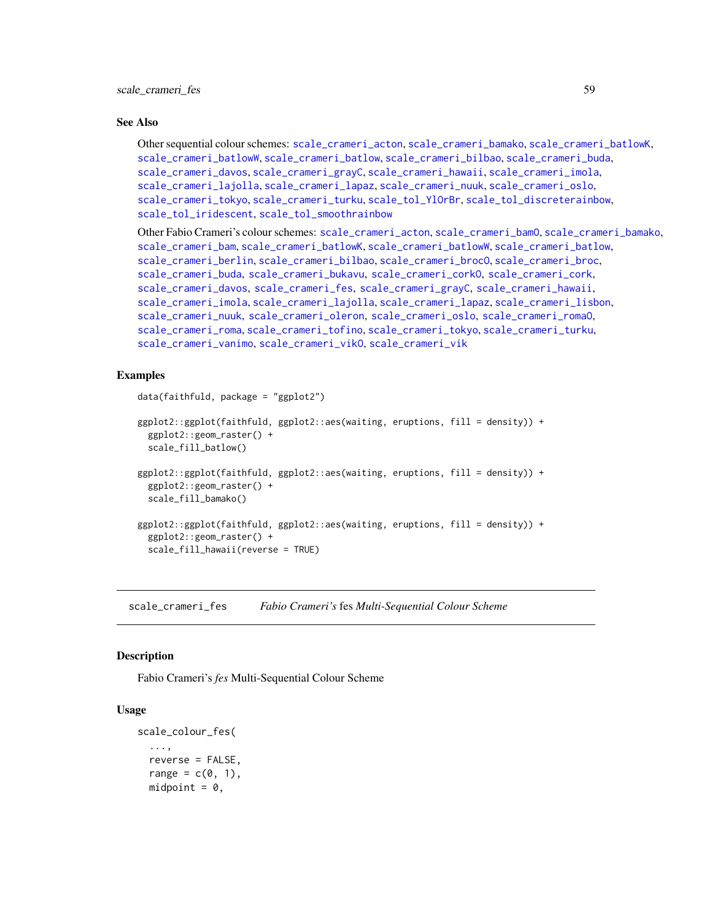#### See Also

Other sequential colour schemes: [scale\\_crameri\\_acton](#page-16-0), [scale\\_crameri\\_bamako](#page-21-0), [scale\\_crameri\\_batlowK](#page-29-0), [scale\\_crameri\\_batlowW](#page-31-0), [scale\\_crameri\\_batlow](#page-26-0), [scale\\_crameri\\_bilbao](#page-37-0), [scale\\_crameri\\_buda](#page-44-0), [scale\\_crameri\\_davos](#page-53-0), [scale\\_crameri\\_grayC](#page-60-0), [scale\\_crameri\\_hawaii](#page-63-0), [scale\\_crameri\\_imola](#page-66-0), [scale\\_crameri\\_lajolla](#page-68-0), [scale\\_crameri\\_lapaz](#page-71-0), [scale\\_crameri\\_nuuk](#page-76-0), [scale\\_crameri\\_oslo](#page-81-0), [scale\\_crameri\\_tokyo](#page-91-0), [scale\\_crameri\\_turku](#page-94-0), [scale\\_tol\\_YlOrBr](#page-137-0), [scale\\_tol\\_discreterainbow](#page-113-0), [scale\\_tol\\_iridescent](#page-117-0), [scale\\_tol\\_smoothrainbow](#page-130-0)

Other Fabio Crameri's colour schemes: [scale\\_crameri\\_acton](#page-16-0), [scale\\_crameri\\_bamO](#page-24-0), [scale\\_crameri\\_bamako](#page-21-0), [scale\\_crameri\\_bam](#page-19-0), [scale\\_crameri\\_batlowK](#page-29-0), [scale\\_crameri\\_batlowW](#page-31-0), [scale\\_crameri\\_batlow](#page-26-0), [scale\\_crameri\\_berlin](#page-34-0), [scale\\_crameri\\_bilbao](#page-37-0), [scale\\_crameri\\_brocO](#page-42-0), [scale\\_crameri\\_broc](#page-39-0), [scale\\_crameri\\_buda](#page-44-0), [scale\\_crameri\\_bukavu](#page-46-0), [scale\\_crameri\\_corkO](#page-51-0), [scale\\_crameri\\_cork](#page-48-0), [scale\\_crameri\\_davos](#page-53-0), [scale\\_crameri\\_fes](#page-58-0), [scale\\_crameri\\_grayC](#page-60-0), [scale\\_crameri\\_hawaii](#page-63-0), [scale\\_crameri\\_imola](#page-66-0), [scale\\_crameri\\_lajolla](#page-68-0), [scale\\_crameri\\_lapaz](#page-71-0), [scale\\_crameri\\_lisbon](#page-74-0), [scale\\_crameri\\_nuuk](#page-76-0), [scale\\_crameri\\_oleron](#page-79-0), [scale\\_crameri\\_oslo](#page-81-0), [scale\\_crameri\\_romaO](#page-86-0), [scale\\_crameri\\_roma](#page-84-0), [scale\\_crameri\\_tofino](#page-88-0), [scale\\_crameri\\_tokyo](#page-91-0), [scale\\_crameri\\_turku](#page-94-0), [scale\\_crameri\\_vanimo](#page-96-0), [scale\\_crameri\\_vikO](#page-102-0), [scale\\_crameri\\_vik](#page-99-0)

## Examples

```
data(faithfuld, package = "ggplot2")
ggplot2::ggplot(faithfuld, ggplot2::aes(waiting, eruptions, fill = density)) +
 ggplot2::geom_raster() +
  scale_fill_batlow()
ggplot2::ggplot(faithfuld, ggplot2::aes(waiting, eruptions, fill = density)) +
 ggplot2::geom_raster() +
 scale_fill_bamako()
ggplot2::ggplot(faithfuld, ggplot2::aes(waiting, eruptions, fill = density)) +
 ggplot2::geom_raster() +
 scale_fill_hawaii(reverse = TRUE)
```
<span id="page-58-0"></span>scale\_crameri\_fes *Fabio Crameri's* fes *Multi-Sequential Colour Scheme*

#### **Description**

Fabio Crameri's *fes* Multi-Sequential Colour Scheme

```
scale_colour_fes(
  ...,
  reverse = FALSE,
  range = c(0, 1),
  midpoint = 0,
```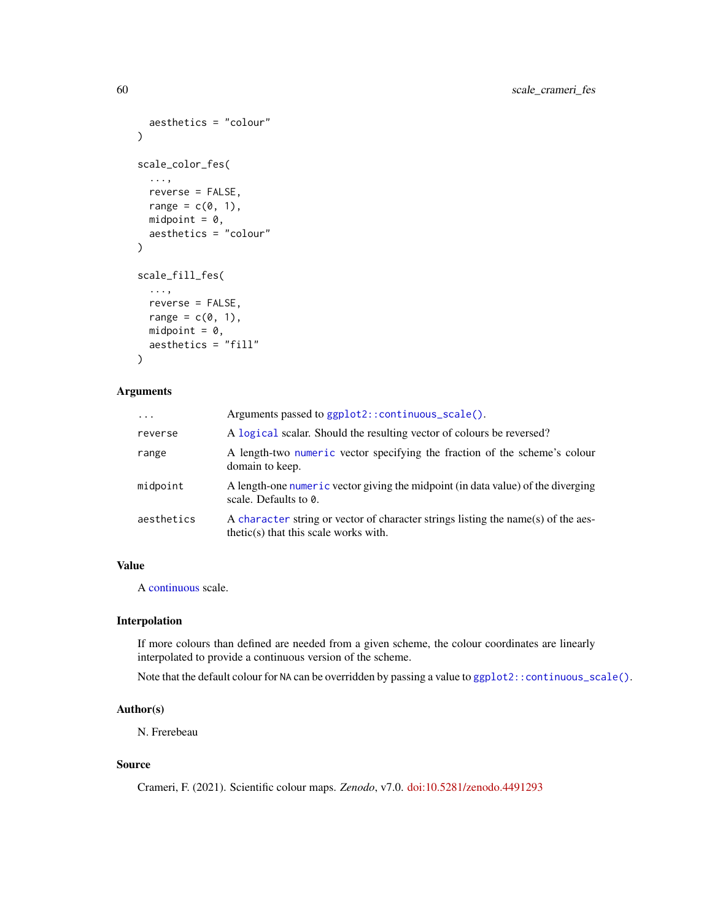```
aesthetics = "colour"
\lambdascale_color_fes(
  ...,
 reverse = FALSE,
 range = c(0, 1),
 midpoint = 0,
 aesthetics = "colour"
)
scale_fill_fes(
  ...,
 reverse = FALSE,
 range = c(\emptyset, 1),
 mid = 0,
 aesthetics = "fill"
)
```

| $\ddots$   | Arguments passed to ggplot2::continuous_scale().                                                                             |
|------------|------------------------------------------------------------------------------------------------------------------------------|
| reverse    | A logical scalar. Should the resulting vector of colours be reversed?                                                        |
| range      | A length-two numeric vector specifying the fraction of the scheme's colour<br>domain to keep.                                |
| midpoint   | A length-one numeric vector giving the midpoint (in data value) of the diverging<br>scale. Defaults to 0.                    |
| aesthetics | A character string or vector of character strings listing the name(s) of the aes-<br>$thetic(s)$ that this scale works with. |

## Value

A [continuous](#page-0-0) scale.

## Interpolation

If more colours than defined are needed from a given scheme, the colour coordinates are linearly interpolated to provide a continuous version of the scheme.

Note that the default colour for NA can be overridden by passing a value to ggplot2:: continuous\_scale().

## Author(s)

N. Frerebeau

## Source

Crameri, F. (2021). Scientific colour maps. *Zenodo*, v7.0. [doi:10.5281/zenodo.4491293](https://doi.org/10.5281/zenodo.4491293)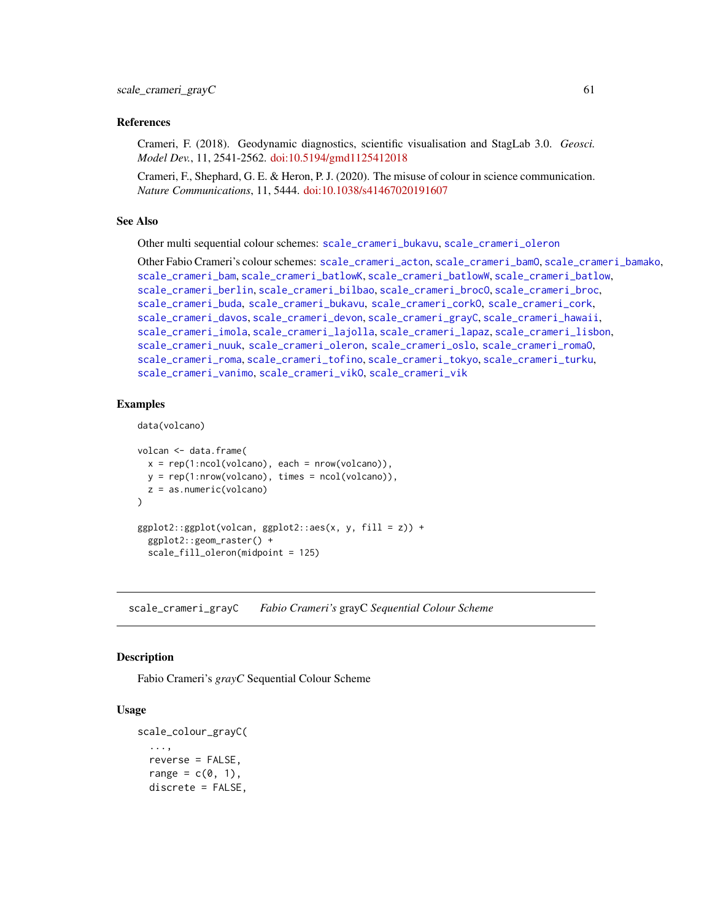## References

Crameri, F. (2018). Geodynamic diagnostics, scientific visualisation and StagLab 3.0. *Geosci. Model Dev.*, 11, 2541-2562. [doi:10.5194/gmd1125412018](https://doi.org/10.5194/gmd-11-2541-2018)

Crameri, F., Shephard, G. E. & Heron, P. J. (2020). The misuse of colour in science communication. *Nature Communications*, 11, 5444. [doi:10.1038/s41467020191607](https://doi.org/10.1038/s41467-020-19160-7)

#### See Also

Other multi sequential colour schemes: [scale\\_crameri\\_bukavu](#page-46-0), [scale\\_crameri\\_oleron](#page-79-0)

Other Fabio Crameri's colour schemes: [scale\\_crameri\\_acton](#page-16-0), [scale\\_crameri\\_bamO](#page-24-0), [scale\\_crameri\\_bamako](#page-21-0), [scale\\_crameri\\_bam](#page-19-0), [scale\\_crameri\\_batlowK](#page-29-0), [scale\\_crameri\\_batlowW](#page-31-0), [scale\\_crameri\\_batlow](#page-26-0), [scale\\_crameri\\_berlin](#page-34-0), [scale\\_crameri\\_bilbao](#page-37-0), [scale\\_crameri\\_brocO](#page-42-0), [scale\\_crameri\\_broc](#page-39-0), [scale\\_crameri\\_buda](#page-44-0), [scale\\_crameri\\_bukavu](#page-46-0), [scale\\_crameri\\_corkO](#page-51-0), [scale\\_crameri\\_cork](#page-48-0), [scale\\_crameri\\_davos](#page-53-0), [scale\\_crameri\\_devon](#page-56-0), [scale\\_crameri\\_grayC](#page-60-0), [scale\\_crameri\\_hawaii](#page-63-0), [scale\\_crameri\\_imola](#page-66-0), [scale\\_crameri\\_lajolla](#page-68-0), [scale\\_crameri\\_lapaz](#page-71-0), [scale\\_crameri\\_lisbon](#page-74-0), [scale\\_crameri\\_nuuk](#page-76-0), [scale\\_crameri\\_oleron](#page-79-0), [scale\\_crameri\\_oslo](#page-81-0), [scale\\_crameri\\_romaO](#page-86-0), [scale\\_crameri\\_roma](#page-84-0), [scale\\_crameri\\_tofino](#page-88-0), [scale\\_crameri\\_tokyo](#page-91-0), [scale\\_crameri\\_turku](#page-94-0), [scale\\_crameri\\_vanimo](#page-96-0), [scale\\_crameri\\_vikO](#page-102-0), [scale\\_crameri\\_vik](#page-99-0)

## Examples

```
data(volcano)
```

```
volcan <- data.frame(
 x = rep(1:ncol(volcano), each = nrow(volcano)),y = rep(1:nrow(volcano), times = ncol(volcano)),z = as.numeric(volcano)
)
ggplot2::ggplot(volcan, ggplot2::aes(x, y, fill = z)) +ggplot2::geom_raster() +
 scale_fill_oleron(midpoint = 125)
```
<span id="page-60-0"></span>scale\_crameri\_grayC *Fabio Crameri's* grayC *Sequential Colour Scheme*

## Description

Fabio Crameri's *grayC* Sequential Colour Scheme

```
scale_colour_grayC(
  ...,
  reverse = FALSE,
  range = c(\theta, 1),
  discrete = FALSE,
```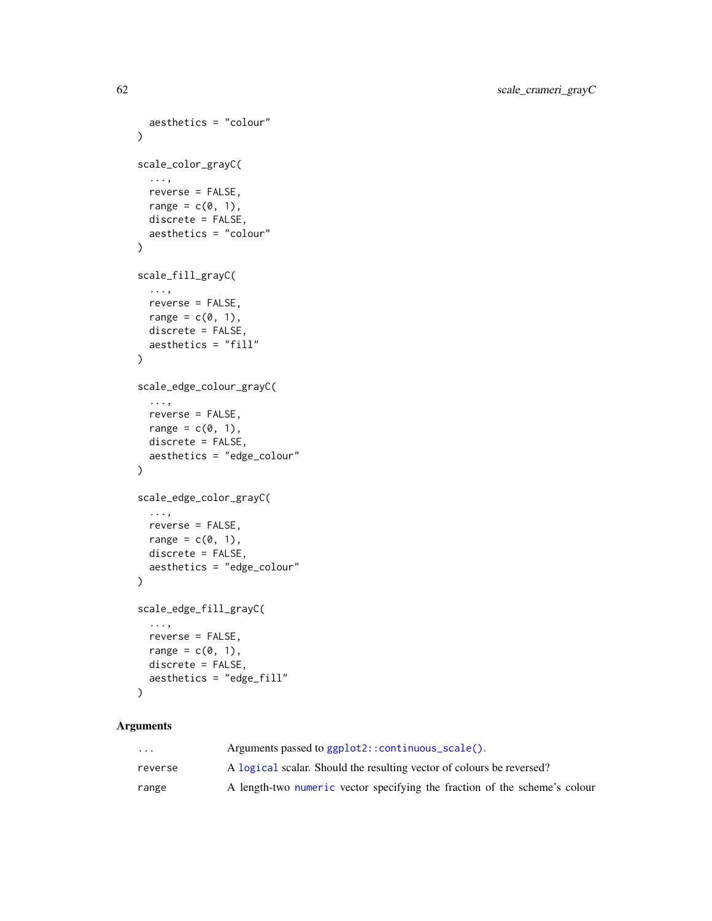```
aesthetics = "colour"
\mathcal{L}scale_color_grayC(
  ...,
  reverse = FALSE,
 range = c(\emptyset, 1),
  discrete = FALSE,
  aesthetics = "colour"
)
scale_fill_grayC(
  ...,
  reverse = FALSE,
  range = c(\emptyset, 1),
  discrete = FALSE,
  aesthetics = "fill"
)
scale_edge_colour_grayC(
  ...,
  reverse = FALSE,
  range = c(\emptyset, 1),
  discrete = FALSE,
  aesthetics = "edge_colour"
\lambdascale_edge_color_grayC(
  ...,
  reverse = FALSE,
  range = c(\emptyset, 1),
  discrete = FALSE,
  aesthetics = "edge_colour"
\lambdascale_edge_fill_grayC(
  ...,
  reverse = FALSE,
  range = c(\emptyset, 1),
  discrete = FALSE,
  aesthetics = "edge_fill"
```

```
\mathcal{L}
```

| $\cdot$ $\cdot$ $\cdot$ | Arguments passed to $ggplot2$ : : continuous_scale().                      |
|-------------------------|----------------------------------------------------------------------------|
| reverse                 | A logical scalar. Should the resulting vector of colours be reversed?      |
| range                   | A length-two numeric vector specifying the fraction of the scheme's colour |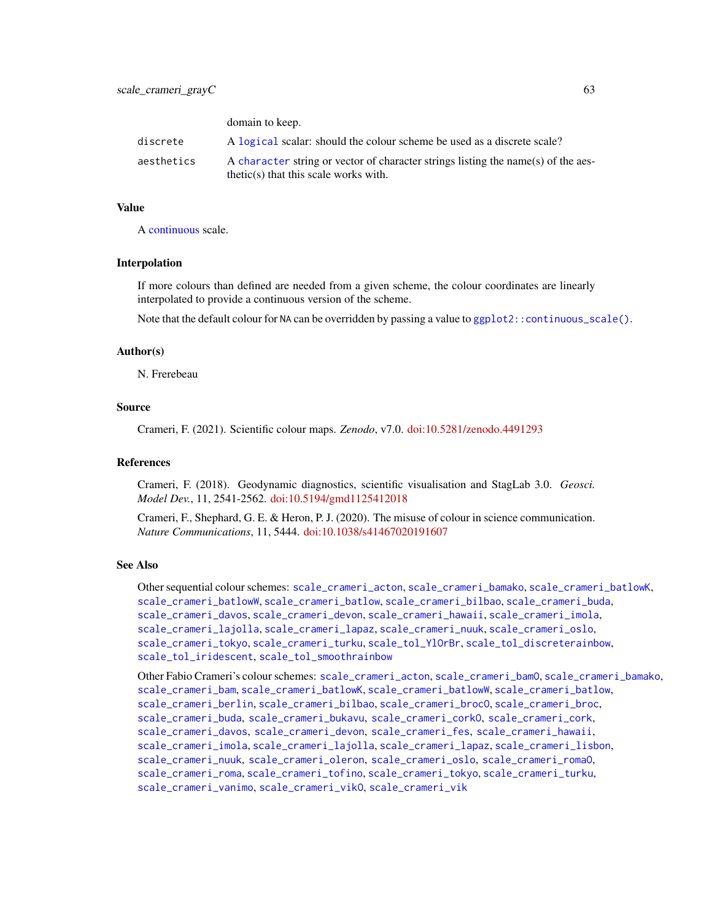domain to keep

|            | GUILLALLE TO ACCE.                                                                                                           |
|------------|------------------------------------------------------------------------------------------------------------------------------|
| discrete   | A logical scalar: should the colour scheme be used as a discrete scale?                                                      |
| aesthetics | A character string or vector of character strings listing the name(s) of the aes-<br>$thetic(s)$ that this scale works with. |

## Value

A [continuous](#page-0-0) scale.

## Interpolation

If more colours than defined are needed from a given scheme, the colour coordinates are linearly interpolated to provide a continuous version of the scheme.

Note that the default colour for NA can be overridden by passing a value to  $ggplot2::continuous\_scale()$ .

#### Author(s)

N. Frerebeau

## Source

Crameri, F. (2021). Scientific colour maps. *Zenodo*, v7.0. [doi:10.5281/zenodo.4491293](https://doi.org/10.5281/zenodo.4491293)

#### References

Crameri, F. (2018). Geodynamic diagnostics, scientific visualisation and StagLab 3.0. *Geosci. Model Dev.*, 11, 2541-2562. [doi:10.5194/gmd1125412018](https://doi.org/10.5194/gmd-11-2541-2018)

Crameri, F., Shephard, G. E. & Heron, P. J. (2020). The misuse of colour in science communication. *Nature Communications*, 11, 5444. [doi:10.1038/s41467020191607](https://doi.org/10.1038/s41467-020-19160-7)

#### See Also

Other sequential colour schemes: [scale\\_crameri\\_acton](#page-16-0), [scale\\_crameri\\_bamako](#page-21-0), [scale\\_crameri\\_batlowK](#page-29-0), [scale\\_crameri\\_batlowW](#page-31-0), [scale\\_crameri\\_batlow](#page-26-0), [scale\\_crameri\\_bilbao](#page-37-0), [scale\\_crameri\\_buda](#page-44-0), [scale\\_crameri\\_davos](#page-53-0), [scale\\_crameri\\_devon](#page-56-0), [scale\\_crameri\\_hawaii](#page-63-0), [scale\\_crameri\\_imola](#page-66-0), [scale\\_crameri\\_lajolla](#page-68-0), [scale\\_crameri\\_lapaz](#page-71-0), [scale\\_crameri\\_nuuk](#page-76-0), [scale\\_crameri\\_oslo](#page-81-0), [scale\\_crameri\\_tokyo](#page-91-0), [scale\\_crameri\\_turku](#page-94-0), [scale\\_tol\\_YlOrBr](#page-137-0), [scale\\_tol\\_discreterainbow](#page-113-0), [scale\\_tol\\_iridescent](#page-117-0), [scale\\_tol\\_smoothrainbow](#page-130-0)

Other Fabio Crameri's colour schemes: [scale\\_crameri\\_acton](#page-16-0), [scale\\_crameri\\_bamO](#page-24-0), [scale\\_crameri\\_bamako](#page-21-0), [scale\\_crameri\\_bam](#page-19-0), [scale\\_crameri\\_batlowK](#page-29-0), [scale\\_crameri\\_batlowW](#page-31-0), [scale\\_crameri\\_batlow](#page-26-0), [scale\\_crameri\\_berlin](#page-34-0), [scale\\_crameri\\_bilbao](#page-37-0), [scale\\_crameri\\_broc](#page-39-0)0, scale\_crameri\_broc, [scale\\_crameri\\_buda](#page-44-0), [scale\\_crameri\\_bukavu](#page-46-0), [scale\\_crameri\\_corkO](#page-51-0), [scale\\_crameri\\_cork](#page-48-0), [scale\\_crameri\\_davos](#page-53-0), [scale\\_crameri\\_devon](#page-56-0), [scale\\_crameri\\_fes](#page-58-0), [scale\\_crameri\\_hawaii](#page-63-0), [scale\\_crameri\\_imola](#page-66-0), [scale\\_crameri\\_lajolla](#page-68-0), [scale\\_crameri\\_lapaz](#page-71-0), [scale\\_crameri\\_lisbon](#page-74-0), [scale\\_crameri\\_nuuk](#page-76-0), [scale\\_crameri\\_oleron](#page-79-0), [scale\\_crameri\\_oslo](#page-81-0), [scale\\_crameri\\_romaO](#page-86-0), [scale\\_crameri\\_roma](#page-84-0), [scale\\_crameri\\_tofino](#page-88-0), [scale\\_crameri\\_tokyo](#page-91-0), [scale\\_crameri\\_turku](#page-94-0), [scale\\_crameri\\_vanimo](#page-96-0), [scale\\_crameri\\_vikO](#page-102-0), [scale\\_crameri\\_vik](#page-99-0)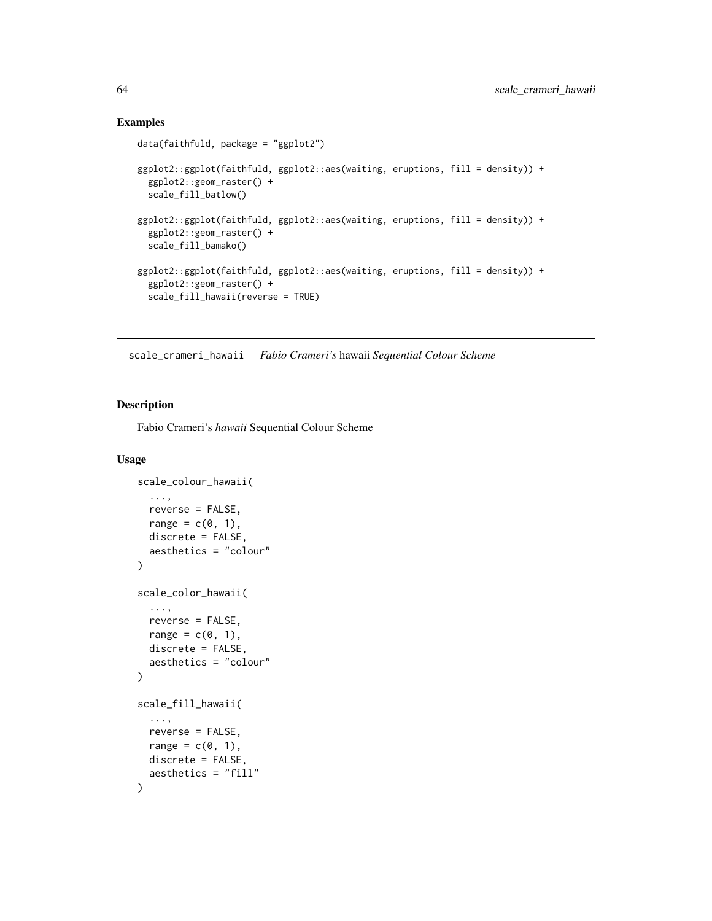## Examples

```
data(faithfuld, package = "ggplot2")
ggplot2::ggplot(faithfuld, ggplot2::aes(waiting, eruptions, fill = density)) +
 ggplot2::geom_raster() +
 scale_fill_batlow()
ggplot2::ggplot(faithfuld, ggplot2::aes(waiting, eruptions, fill = density)) +
 ggplot2::geom_raster() +
 scale_fill_bamako()
ggplot2::ggplot(faithfuld, ggplot2::aes(waiting, eruptions, fill = density)) +
 ggplot2::geom_raster() +
 scale_fill_hawaii(reverse = TRUE)
```
<span id="page-63-0"></span>scale\_crameri\_hawaii *Fabio Crameri's* hawaii *Sequential Colour Scheme*

## Description

Fabio Crameri's *hawaii* Sequential Colour Scheme

```
scale_colour_hawaii(
  ...,
  reverse = FALSE,
  range = c(\emptyset, 1),
  discrete = FALSE,
  aesthetics = "colour"
\lambdascale_color_hawaii(
  ...,
  reverse = FALSE,
  range = c(\emptyset, 1),
  discrete = FALSE,
  aesthetics = "colour"
)
scale_fill_hawaii(
  ...,
  reverse = FALSE,
  range = c(\emptyset, 1),
  discrete = FALSE,
  aesthetics = "fill"
)
```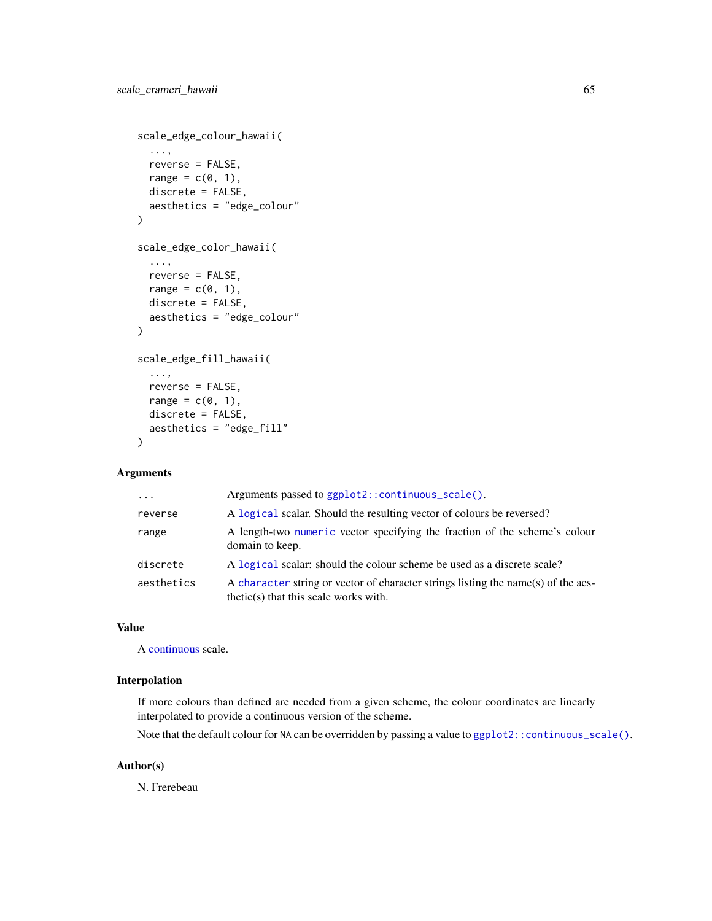```
scale_edge_colour_hawaii(
  ...,
 reverse = FALSE,
 range = c(\emptyset, 1),
 discrete = FALSE,
  aesthetics = "edge_colour"
\mathcal{L}scale_edge_color_hawaii(
  ...,
 reverse = FALSE,
 range = c(\emptyset, 1),
 discrete = FALSE,
  aesthetics = "edge_colour"
)
scale_edge_fill_hawaii(
  ...,
  reverse = FALSE,
 range = c(0, 1),
 discrete = FALSE,
 aesthetics = "edge_fill"
)
```

| $\cdot$    | Arguments passed to ggplot2::continuous_scale().                                                                             |
|------------|------------------------------------------------------------------------------------------------------------------------------|
| reverse    | A logical scalar. Should the resulting vector of colours be reversed?                                                        |
| range      | A length-two numeric vector specifying the fraction of the scheme's colour<br>domain to keep.                                |
| discrete   | A logical scalar: should the colour scheme be used as a discrete scale?                                                      |
| aesthetics | A character string or vector of character strings listing the name(s) of the aes-<br>$thetic(s)$ that this scale works with. |

## Value

A [continuous](#page-0-0) scale.

## Interpolation

If more colours than defined are needed from a given scheme, the colour coordinates are linearly interpolated to provide a continuous version of the scheme.

Note that the default colour for NA can be overridden by passing a value to ggplot2:: continuous\_scale().

## Author(s)

N. Frerebeau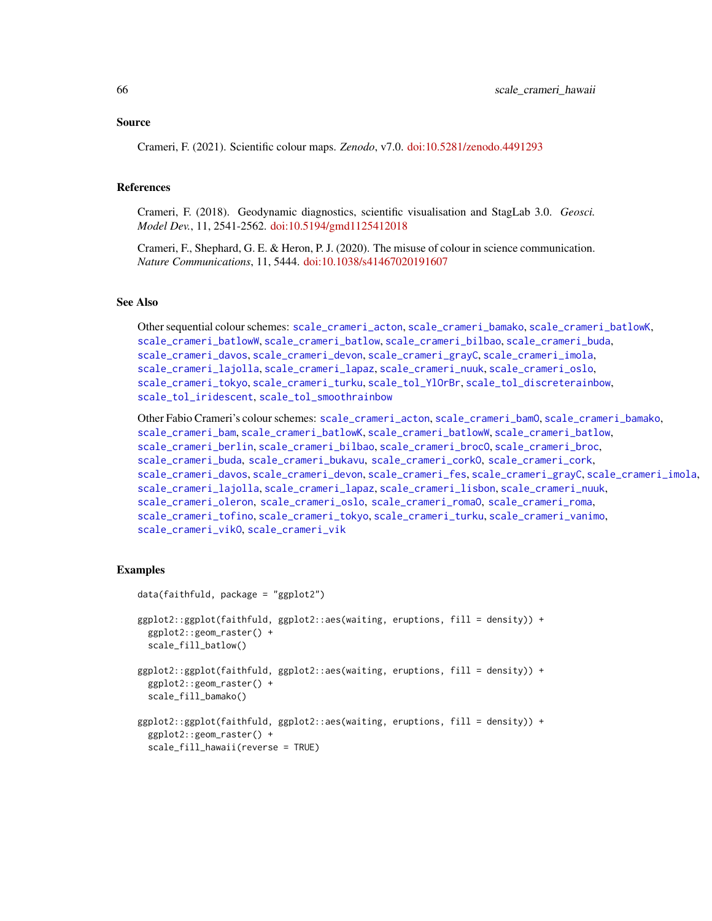#### Source

Crameri, F. (2021). Scientific colour maps. *Zenodo*, v7.0. [doi:10.5281/zenodo.4491293](https://doi.org/10.5281/zenodo.4491293)

#### References

Crameri, F. (2018). Geodynamic diagnostics, scientific visualisation and StagLab 3.0. *Geosci. Model Dev.*, 11, 2541-2562. [doi:10.5194/gmd1125412018](https://doi.org/10.5194/gmd-11-2541-2018)

Crameri, F., Shephard, G. E. & Heron, P. J. (2020). The misuse of colour in science communication. *Nature Communications*, 11, 5444. [doi:10.1038/s41467020191607](https://doi.org/10.1038/s41467-020-19160-7)

## See Also

Other sequential colour schemes: [scale\\_crameri\\_acton](#page-16-0), [scale\\_crameri\\_bamako](#page-21-0), [scale\\_crameri\\_batlowK](#page-29-0), [scale\\_crameri\\_batlowW](#page-31-0), [scale\\_crameri\\_batlow](#page-26-0), [scale\\_crameri\\_bilbao](#page-37-0), [scale\\_crameri\\_buda](#page-44-0), [scale\\_crameri\\_davos](#page-53-0), [scale\\_crameri\\_devon](#page-56-0), [scale\\_crameri\\_grayC](#page-60-0), [scale\\_crameri\\_imola](#page-66-0), [scale\\_crameri\\_lajolla](#page-68-0), [scale\\_crameri\\_lapaz](#page-71-0), [scale\\_crameri\\_nuuk](#page-76-0), [scale\\_crameri\\_oslo](#page-81-0), [scale\\_crameri\\_tokyo](#page-91-0), [scale\\_crameri\\_turku](#page-94-0), [scale\\_tol\\_YlOrBr](#page-137-0), [scale\\_tol\\_discreterainbow](#page-113-0), [scale\\_tol\\_iridescent](#page-117-0), [scale\\_tol\\_smoothrainbow](#page-130-0)

Other Fabio Crameri's colour schemes: [scale\\_crameri\\_acton](#page-16-0), [scale\\_crameri\\_bamO](#page-24-0), [scale\\_crameri\\_bamako](#page-21-0), [scale\\_crameri\\_bam](#page-19-0), [scale\\_crameri\\_batlowK](#page-29-0), [scale\\_crameri\\_batlowW](#page-31-0), [scale\\_crameri\\_batlow](#page-26-0), [scale\\_crameri\\_berlin](#page-34-0), [scale\\_crameri\\_bilbao](#page-37-0), [scale\\_crameri\\_broc](#page-39-0)0, scale\_crameri\_broc, [scale\\_crameri\\_buda](#page-44-0), [scale\\_crameri\\_bukavu](#page-46-0), [scale\\_crameri\\_corkO](#page-51-0), [scale\\_crameri\\_cork](#page-48-0), [scale\\_crameri\\_davos](#page-53-0), [scale\\_crameri\\_devon](#page-56-0), [scale\\_crameri\\_fes](#page-58-0), [scale\\_crameri\\_grayC](#page-60-0), [scale\\_crameri\\_imola](#page-66-0), [scale\\_crameri\\_lajolla](#page-68-0), [scale\\_crameri\\_lapaz](#page-71-0), [scale\\_crameri\\_lisbon](#page-74-0), [scale\\_crameri\\_nuuk](#page-76-0), [scale\\_crameri\\_oleron](#page-79-0), [scale\\_crameri\\_oslo](#page-81-0), [scale\\_crameri\\_romaO](#page-86-0), [scale\\_crameri\\_roma](#page-84-0), [scale\\_crameri\\_tofino](#page-88-0), [scale\\_crameri\\_tokyo](#page-91-0), [scale\\_crameri\\_turku](#page-94-0), [scale\\_crameri\\_vanimo](#page-96-0), [scale\\_crameri\\_vikO](#page-102-0), [scale\\_crameri\\_vik](#page-99-0)

## Examples

```
data(faithfuld, package = "ggplot2")
ggplot2::ggplot(faithfuld, ggplot2::aes(waiting, eruptions, fill = density)) +
 ggplot2::geom_raster() +
 scale_fill_batlow()
ggplot2::ggplot(faithfuld, ggplot2::aes(waiting, eruptions, fill = density)) +
 ggplot2::geom_raster() +
 scale_fill_bamako()
ggplot2::ggplot(faithfuld, ggplot2::aes(waiting, eruptions, fill = density)) +
 ggplot2::geom_raster() +
 scale_fill_hawaii(reverse = TRUE)
```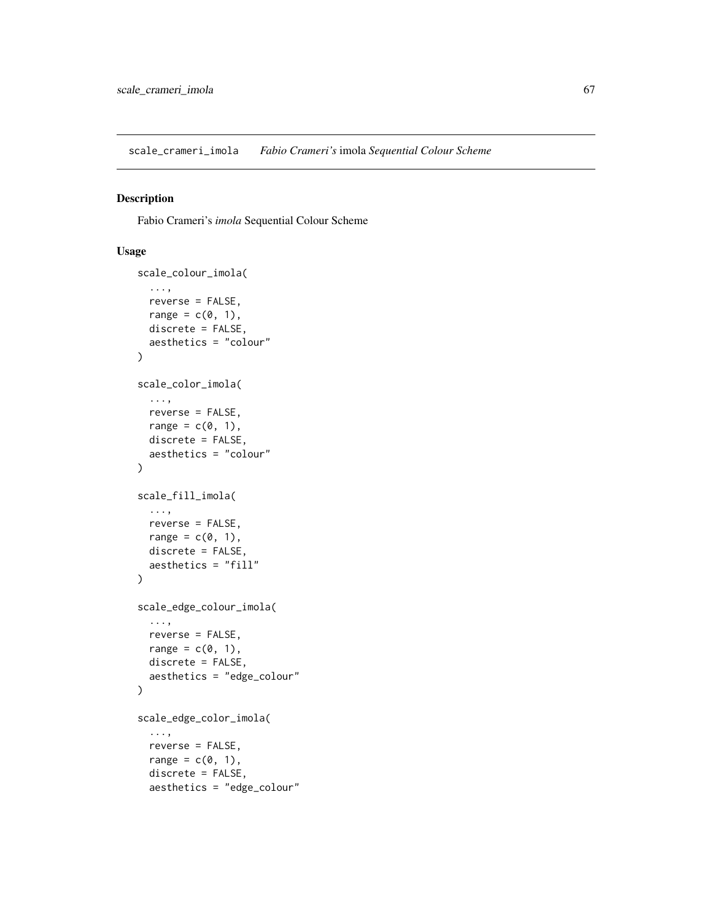<span id="page-66-0"></span>scale\_crameri\_imola *Fabio Crameri's* imola *Sequential Colour Scheme*

## Description

Fabio Crameri's *imola* Sequential Colour Scheme

```
scale_colour_imola(
  ...,
 reverse = FALSE,
 range = c(\emptyset, 1),
 discrete = FALSE,
 aesthetics = "colour"
)
scale_color_imola(
  ...,
 reverse = FALSE,
 range = c(\emptyset, 1),
 discrete = FALSE,
  aesthetics = "colour"
\mathcal{L}scale_fill_imola(
  ...,
 reverse = FALSE,
 range = c(0, 1),
 discrete = FALSE,
  aesthetics = "fill"
)
scale_edge_colour_imola(
  ...,
 reverse = FALSE,
 range = c(\emptyset, 1),
 discrete = FALSE,
 aesthetics = "edge_colour"
)
scale_edge_color_imola(
  ...,
 reverse = FALSE,
 range = c(0, 1),
 discrete = FALSE,
 aesthetics = "edge_colour"
```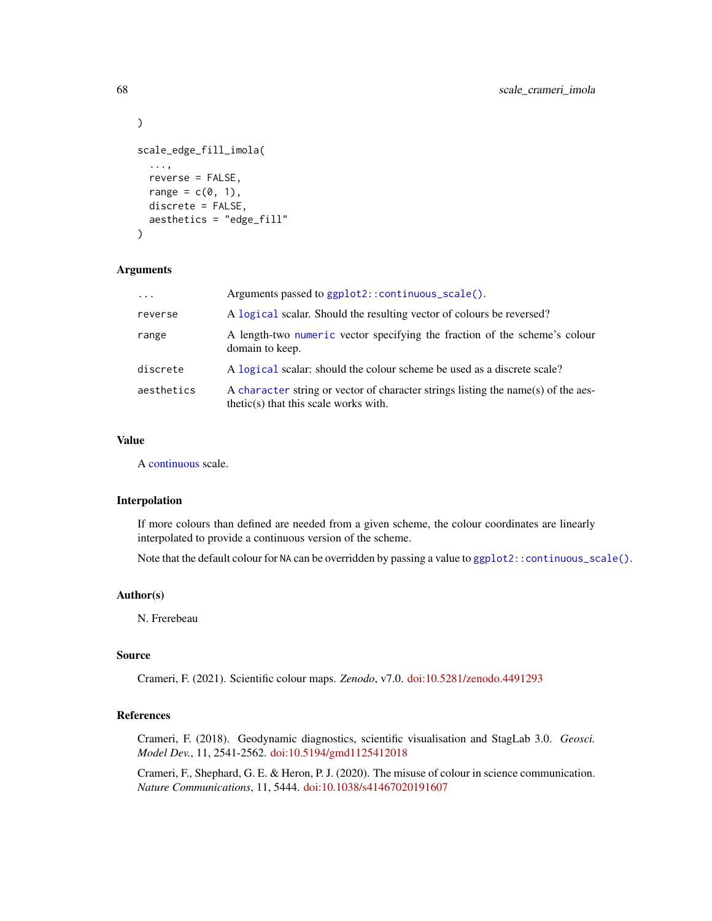```
)
scale_edge_fill_imola(
  ...,
  reverse = FALSE,
 range = c(0, 1),
  discrete = FALSE,
  aesthetics = "edge_fill"
\lambda
```

| $\ddotsc$  | Arguments passed to ggplot2::continuous_scale().                                                                             |
|------------|------------------------------------------------------------------------------------------------------------------------------|
| reverse    | A logical scalar. Should the resulting vector of colours be reversed?                                                        |
| range      | A length-two numeric vector specifying the fraction of the scheme's colour<br>domain to keep.                                |
| discrete   | A logical scalar: should the colour scheme be used as a discrete scale?                                                      |
| aesthetics | A character string or vector of character strings listing the name(s) of the aes-<br>$thetic(s)$ that this scale works with. |

## Value

A [continuous](#page-0-0) scale.

## Interpolation

If more colours than defined are needed from a given scheme, the colour coordinates are linearly interpolated to provide a continuous version of the scheme.

Note that the default colour for NA can be overridden by passing a value to [ggplot2::continuous\\_scale\(\)](#page-0-0).

## Author(s)

N. Frerebeau

#### Source

Crameri, F. (2021). Scientific colour maps. *Zenodo*, v7.0. [doi:10.5281/zenodo.4491293](https://doi.org/10.5281/zenodo.4491293)

## References

Crameri, F. (2018). Geodynamic diagnostics, scientific visualisation and StagLab 3.0. *Geosci. Model Dev.*, 11, 2541-2562. [doi:10.5194/gmd1125412018](https://doi.org/10.5194/gmd-11-2541-2018)

Crameri, F., Shephard, G. E. & Heron, P. J. (2020). The misuse of colour in science communication. *Nature Communications*, 11, 5444. [doi:10.1038/s41467020191607](https://doi.org/10.1038/s41467-020-19160-7)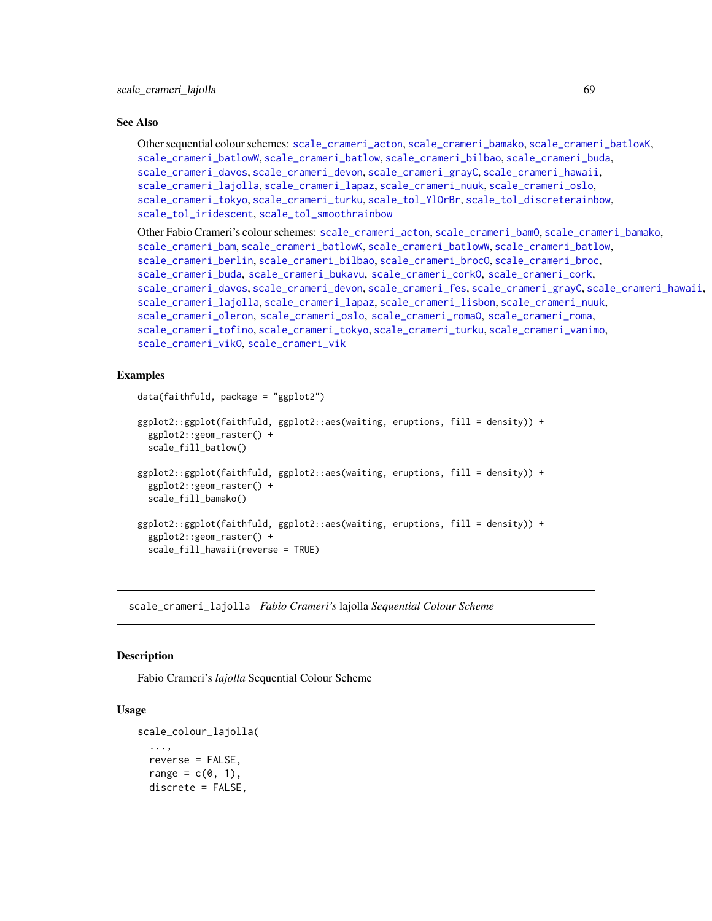## See Also

```
Other sequential colour schemes: scale_crameri_acton, scale_crameri_bamako, scale_crameri_batlowK,
scale_crameri_batlowW, scale_crameri_batlow, scale_crameri_bilbao, scale_crameri_buda,
scale_crameri_davos, scale_crameri_devon, scale_crameri_grayC, scale_crameri_hawaii,
scale_crameri_lajolla, scale_crameri_lapaz, scale_crameri_nuuk, scale_crameri_oslo,
scale_crameri_tokyo, scale_crameri_turku, scale_tol_YlOrBr, scale_tol_discreterainbow,
scale_tol_iridescent, scale_tol_smoothrainbow
```
Other Fabio Crameri's colour schemes: [scale\\_crameri\\_acton](#page-16-0), [scale\\_crameri\\_bamO](#page-24-0), [scale\\_crameri\\_bamako](#page-21-0), [scale\\_crameri\\_bam](#page-19-0), [scale\\_crameri\\_batlowK](#page-29-0), [scale\\_crameri\\_batlowW](#page-31-0), [scale\\_crameri\\_batlow](#page-26-0), [scale\\_crameri\\_berlin](#page-34-0), [scale\\_crameri\\_bilbao](#page-37-0), [scale\\_crameri\\_brocO](#page-42-0), [scale\\_crameri\\_broc](#page-39-0), [scale\\_crameri\\_buda](#page-44-0), [scale\\_crameri\\_bukavu](#page-46-0), [scale\\_crameri\\_corkO](#page-51-0), [scale\\_crameri\\_cork](#page-48-0), [scale\\_crameri\\_davos](#page-53-0), [scale\\_crameri\\_devon](#page-56-0), [scale\\_crameri\\_fes](#page-58-0), [scale\\_crameri\\_grayC](#page-60-0), [scale\\_crameri\\_hawaii](#page-63-0), [scale\\_crameri\\_lajolla](#page-68-0), [scale\\_crameri\\_lapaz](#page-71-0), [scale\\_crameri\\_lisbon](#page-74-0), [scale\\_crameri\\_nuuk](#page-76-0), [scale\\_crameri\\_oleron](#page-79-0), [scale\\_crameri\\_oslo](#page-81-0), [scale\\_crameri\\_romaO](#page-86-0), [scale\\_crameri\\_roma](#page-84-0), [scale\\_crameri\\_tofino](#page-88-0), [scale\\_crameri\\_tokyo](#page-91-0), [scale\\_crameri\\_turku](#page-94-0), [scale\\_crameri\\_vanimo](#page-96-0), [scale\\_crameri\\_vikO](#page-102-0), [scale\\_crameri\\_vik](#page-99-0)

## Examples

```
data(faithfuld, package = "ggplot2")
ggplot2::ggplot(faithfuld, ggplot2::aes(waiting, eruptions, fill = density)) +
 ggplot2::geom_raster() +
  scale_fill_batlow()
ggplot2::ggplot(faithfuld, ggplot2::aes(waiting, eruptions, fill = density)) +
 ggplot2::geom_raster() +
 scale_fill_bamako()
ggplot2::ggplot(faithfuld, ggplot2::aes(waiting, eruptions, fill = density)) +
 ggplot2::geom_raster() +
 scale_fill_hawaii(reverse = TRUE)
```
<span id="page-68-0"></span>scale\_crameri\_lajolla *Fabio Crameri's* lajolla *Sequential Colour Scheme*

#### **Description**

Fabio Crameri's *lajolla* Sequential Colour Scheme

```
scale_colour_lajolla(
  ...,
  reverse = FALSE,
  range = c(\emptyset, 1),
  discrete = FALSE,
```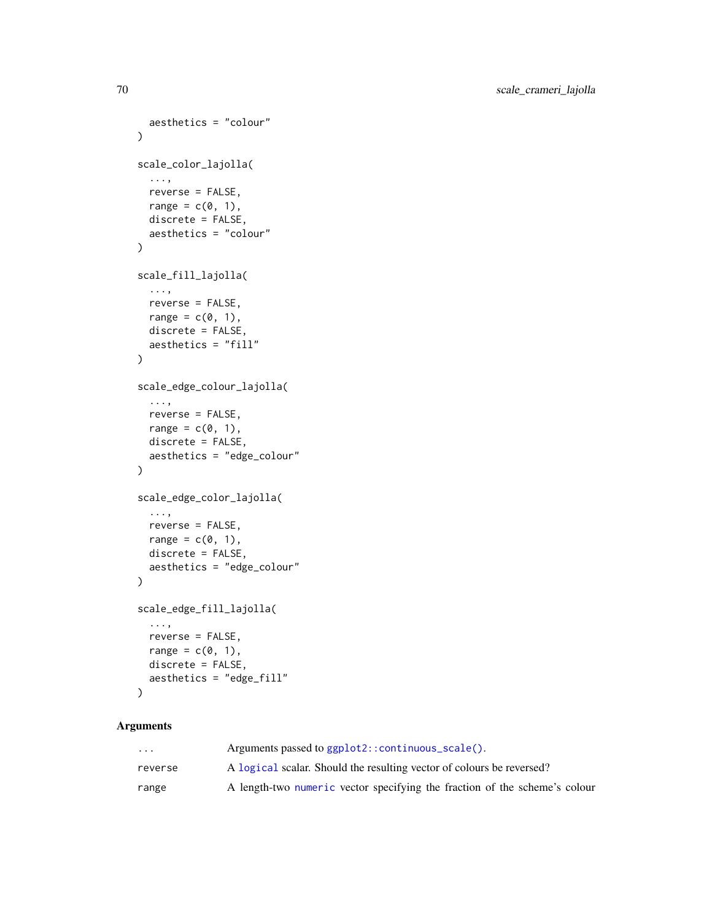```
aesthetics = "colour"
\lambdascale_color_lajolla(
  ...,
  reverse = FALSE,
  range = c(\emptyset, 1),
  discrete = FALSE,
  aesthetics = "colour"
\mathcal{L}scale_fill_lajolla(
  ...,
  reverse = FALSE,
  range = c(\emptyset, 1),
  discrete = FALSE,
  aesthetics = "fill"
\mathcal{L}scale_edge_colour_lajolla(
  ...,
  reverse = FALSE,
  range = c(0, 1),
  discrete = FALSE,
  aesthetics = "edge_colour"
\mathcal{L}scale_edge_color_lajolla(
  ...,
  reverse = FALSE,
  range = c(0, 1),
  discrete = FALSE,
  aesthetics = "edge_colour"
\lambdascale_edge_fill_lajolla(
  ...,
  reverse = FALSE,
  range = c(\emptyset, 1),
  discrete = FALSE,
  aesthetics = "edge_fill"
\lambda
```
# ... Arguments passed to [ggplot2::continuous\\_scale\(\)](#page-0-0). reverse A [logical](#page-0-0) scalar. Should the resulting vector of colours be reversed? range A length-two [numeric](#page-0-0) vector specifying the fraction of the scheme's colour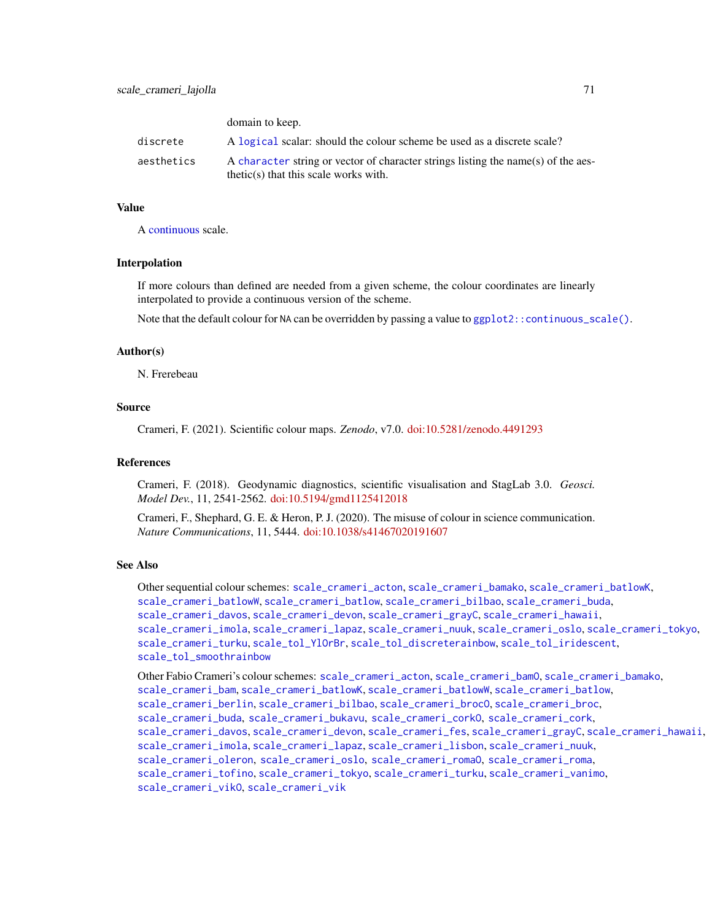domain to keep.

|            | GUILLAIN WALLEY.                                                                                                             |
|------------|------------------------------------------------------------------------------------------------------------------------------|
| discrete   | A logical scalar: should the colour scheme be used as a discrete scale?                                                      |
| aesthetics | A character string or vector of character strings listing the name(s) of the aes-<br>$thetic(s)$ that this scale works with. |

## Value

A [continuous](#page-0-0) scale.

## Interpolation

If more colours than defined are needed from a given scheme, the colour coordinates are linearly interpolated to provide a continuous version of the scheme.

Note that the default colour for NA can be overridden by passing a value to  $ggplot2::continuous\_scale()$ .

#### Author(s)

N. Frerebeau

## Source

Crameri, F. (2021). Scientific colour maps. *Zenodo*, v7.0. [doi:10.5281/zenodo.4491293](https://doi.org/10.5281/zenodo.4491293)

## References

Crameri, F. (2018). Geodynamic diagnostics, scientific visualisation and StagLab 3.0. *Geosci. Model Dev.*, 11, 2541-2562. [doi:10.5194/gmd1125412018](https://doi.org/10.5194/gmd-11-2541-2018)

Crameri, F., Shephard, G. E. & Heron, P. J. (2020). The misuse of colour in science communication. *Nature Communications*, 11, 5444. [doi:10.1038/s41467020191607](https://doi.org/10.1038/s41467-020-19160-7)

#### See Also

Other sequential colour schemes: [scale\\_crameri\\_acton](#page-16-0), [scale\\_crameri\\_bamako](#page-21-0), [scale\\_crameri\\_batlowK](#page-29-0), [scale\\_crameri\\_batlowW](#page-31-0), [scale\\_crameri\\_batlow](#page-26-0), [scale\\_crameri\\_bilbao](#page-37-0), [scale\\_crameri\\_buda](#page-44-0), [scale\\_crameri\\_davos](#page-53-0), [scale\\_crameri\\_devon](#page-56-0), [scale\\_crameri\\_grayC](#page-60-0), [scale\\_crameri\\_hawaii](#page-63-0), [scale\\_crameri\\_imola](#page-66-0), [scale\\_crameri\\_lapaz](#page-71-0), [scale\\_crameri\\_nuuk](#page-76-0), [scale\\_crameri\\_oslo](#page-81-0), [scale\\_crameri\\_tokyo](#page-91-0), [scale\\_crameri\\_turku](#page-94-0), [scale\\_tol\\_YlOrBr](#page-137-0), [scale\\_tol\\_discreterainbow](#page-113-0), [scale\\_tol\\_iridescent](#page-117-0), [scale\\_tol\\_smoothrainbow](#page-130-0)

Other Fabio Crameri's colour schemes: [scale\\_crameri\\_acton](#page-16-0), [scale\\_crameri\\_bamO](#page-24-0), [scale\\_crameri\\_bamako](#page-21-0), [scale\\_crameri\\_bam](#page-19-0), [scale\\_crameri\\_batlowK](#page-29-0), [scale\\_crameri\\_batlowW](#page-31-0), [scale\\_crameri\\_batlow](#page-26-0), [scale\\_crameri\\_berlin](#page-34-0), [scale\\_crameri\\_bilbao](#page-37-0), [scale\\_crameri\\_broc](#page-39-0)0, scale\_crameri\_broc, [scale\\_crameri\\_buda](#page-44-0), [scale\\_crameri\\_bukavu](#page-46-0), [scale\\_crameri\\_corkO](#page-51-0), [scale\\_crameri\\_cork](#page-48-0), [scale\\_crameri\\_davos](#page-53-0), [scale\\_crameri\\_devon](#page-56-0), [scale\\_crameri\\_fes](#page-58-0), [scale\\_crameri\\_grayC](#page-60-0), [scale\\_crameri\\_hawaii](#page-63-0), [scale\\_crameri\\_imola](#page-66-0), [scale\\_crameri\\_lapaz](#page-71-0), [scale\\_crameri\\_lisbon](#page-74-0), [scale\\_crameri\\_nuuk](#page-76-0), [scale\\_crameri\\_oleron](#page-79-0), [scale\\_crameri\\_oslo](#page-81-0), [scale\\_crameri\\_romaO](#page-86-0), [scale\\_crameri\\_roma](#page-84-0), [scale\\_crameri\\_tofino](#page-88-0), [scale\\_crameri\\_tokyo](#page-91-0), [scale\\_crameri\\_turku](#page-94-0), [scale\\_crameri\\_vanimo](#page-96-0), [scale\\_crameri\\_vikO](#page-102-0), [scale\\_crameri\\_vik](#page-99-0)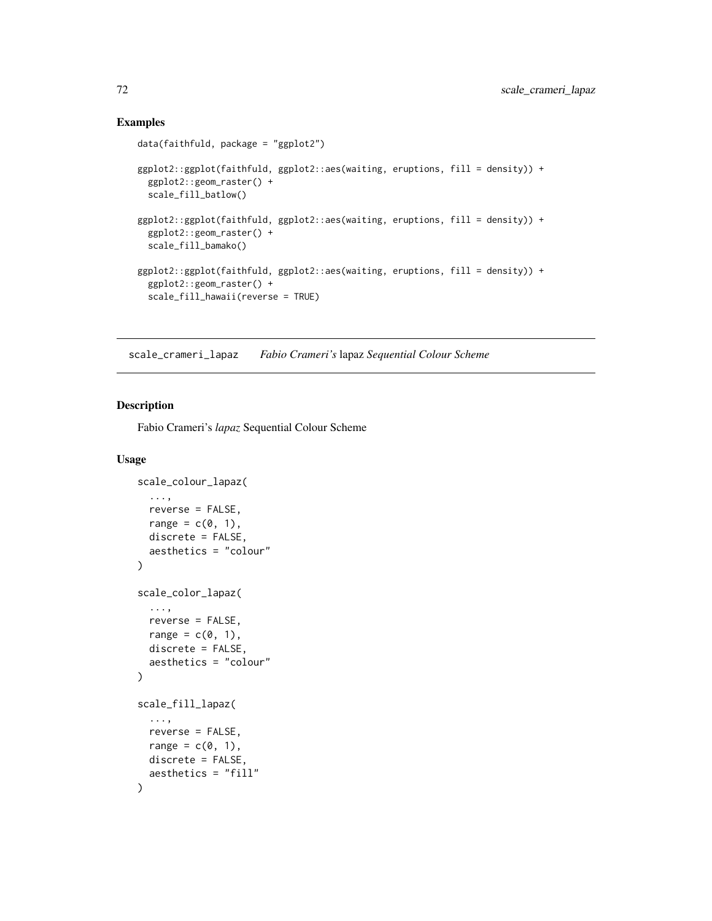## Examples

```
data(faithfuld, package = "ggplot2")
ggplot2::ggplot(faithfuld, ggplot2::aes(waiting, eruptions, fill = density)) +
 ggplot2::geom_raster() +
 scale_fill_batlow()
ggplot2::ggplot(faithfuld, ggplot2::aes(waiting, eruptions, fill = density)) +
 ggplot2::geom_raster() +
 scale_fill_bamako()
ggplot2::ggplot(faithfuld, ggplot2::aes(waiting, eruptions, fill = density)) +
 ggplot2::geom_raster() +
 scale_fill_hawaii(reverse = TRUE)
```
<span id="page-71-0"></span>scale\_crameri\_lapaz *Fabio Crameri's* lapaz *Sequential Colour Scheme*

## Description

Fabio Crameri's *lapaz* Sequential Colour Scheme

```
scale_colour_lapaz(
  ...,
  reverse = FALSE,
  range = c(0, 1),
  discrete = FALSE,
  aesthetics = "colour"
\lambdascale_color_lapaz(
  ...,
  reverse = FALSE,
  range = c(\emptyset, 1),
  discrete = FALSE,
  aesthetics = "colour"
)
scale_fill_lapaz(
  ...,
  reverse = FALSE,
  range = c(\emptyset, 1),
  discrete = FALSE,
  aesthetics = "fill"
)
```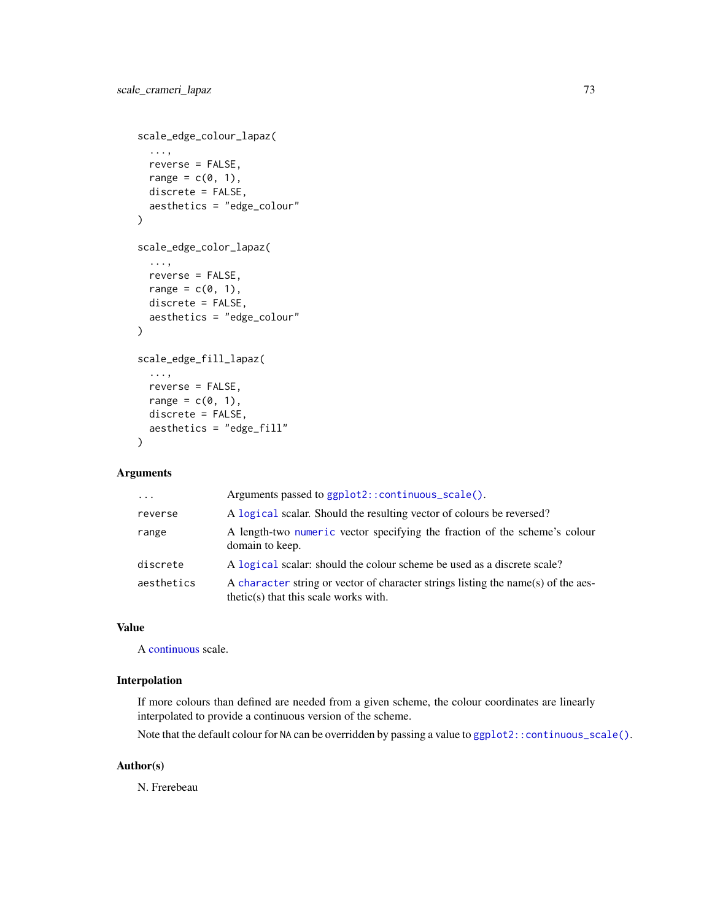```
scale_edge_colour_lapaz(
  ...,
 reverse = FALSE,
 range = c(\emptyset, 1),
 discrete = FALSE,
 aesthetics = "edge_colour"
\mathcal{L}scale_edge_color_lapaz(
  ...,
 reverse = FALSE,
 range = c(\emptyset, 1),
 discrete = FALSE,
  aesthetics = "edge_colour"
)
scale_edge_fill_lapaz(
  ...,
 reverse = FALSE,
 range = c(0, 1),
 discrete = FALSE,
 aesthetics = "edge_fill"
)
```

| $\cdot$    | Arguments passed to ggplot2::continuous_scale().                                                                             |
|------------|------------------------------------------------------------------------------------------------------------------------------|
| reverse    | A logical scalar. Should the resulting vector of colours be reversed?                                                        |
| range      | A length-two numeric vector specifying the fraction of the scheme's colour<br>domain to keep.                                |
| discrete   | A logical scalar: should the colour scheme be used as a discrete scale?                                                      |
| aesthetics | A character string or vector of character strings listing the name(s) of the aes-<br>$thetic(s)$ that this scale works with. |

# Value

A [continuous](#page-0-0) scale.

# Interpolation

If more colours than defined are needed from a given scheme, the colour coordinates are linearly interpolated to provide a continuous version of the scheme.

Note that the default colour for NA can be overridden by passing a value to ggplot2:: continuous\_scale().

# Author(s)

N. Frerebeau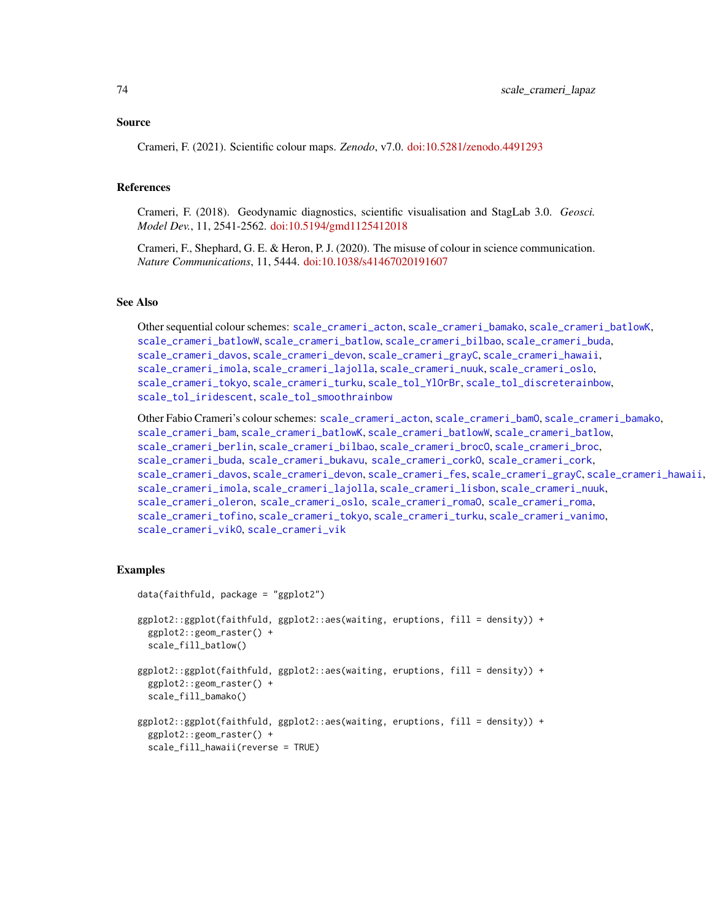#### Source

Crameri, F. (2021). Scientific colour maps. *Zenodo*, v7.0. [doi:10.5281/zenodo.4491293](https://doi.org/10.5281/zenodo.4491293)

### References

Crameri, F. (2018). Geodynamic diagnostics, scientific visualisation and StagLab 3.0. *Geosci. Model Dev.*, 11, 2541-2562. [doi:10.5194/gmd1125412018](https://doi.org/10.5194/gmd-11-2541-2018)

Crameri, F., Shephard, G. E. & Heron, P. J. (2020). The misuse of colour in science communication. *Nature Communications*, 11, 5444. [doi:10.1038/s41467020191607](https://doi.org/10.1038/s41467-020-19160-7)

# See Also

Other sequential colour schemes: [scale\\_crameri\\_acton](#page-16-0), [scale\\_crameri\\_bamako](#page-21-0), [scale\\_crameri\\_batlowK](#page-29-0), [scale\\_crameri\\_batlowW](#page-31-0), [scale\\_crameri\\_batlow](#page-26-0), [scale\\_crameri\\_bilbao](#page-37-0), [scale\\_crameri\\_buda](#page-44-0), [scale\\_crameri\\_davos](#page-53-0), [scale\\_crameri\\_devon](#page-56-0), [scale\\_crameri\\_grayC](#page-60-0), [scale\\_crameri\\_hawaii](#page-63-0), [scale\\_crameri\\_imola](#page-66-0), [scale\\_crameri\\_lajolla](#page-68-0), [scale\\_crameri\\_nuuk](#page-76-0), [scale\\_crameri\\_oslo](#page-81-0), [scale\\_crameri\\_tokyo](#page-91-0), [scale\\_crameri\\_turku](#page-94-0), [scale\\_tol\\_YlOrBr](#page-137-0), [scale\\_tol\\_discreterainbow](#page-113-0), [scale\\_tol\\_iridescent](#page-117-0), [scale\\_tol\\_smoothrainbow](#page-130-0)

Other Fabio Crameri's colour schemes: [scale\\_crameri\\_acton](#page-16-0), [scale\\_crameri\\_bamO](#page-24-0), [scale\\_crameri\\_bamako](#page-21-0), [scale\\_crameri\\_bam](#page-19-0), [scale\\_crameri\\_batlowK](#page-29-0), [scale\\_crameri\\_batlowW](#page-31-0), [scale\\_crameri\\_batlow](#page-26-0), [scale\\_crameri\\_berlin](#page-34-0), [scale\\_crameri\\_bilbao](#page-37-0), [scale\\_crameri\\_broc](#page-39-0)0, scale\_crameri\_broc, [scale\\_crameri\\_buda](#page-44-0), [scale\\_crameri\\_bukavu](#page-46-0), [scale\\_crameri\\_corkO](#page-51-0), [scale\\_crameri\\_cork](#page-48-0), [scale\\_crameri\\_davos](#page-53-0), [scale\\_crameri\\_devon](#page-56-0), [scale\\_crameri\\_fes](#page-58-0), [scale\\_crameri\\_grayC](#page-60-0), [scale\\_crameri\\_hawaii](#page-63-0), [scale\\_crameri\\_imola](#page-66-0), [scale\\_crameri\\_lajolla](#page-68-0), [scale\\_crameri\\_lisbon](#page-74-0), [scale\\_crameri\\_nuuk](#page-76-0), [scale\\_crameri\\_oleron](#page-79-0), [scale\\_crameri\\_oslo](#page-81-0), [scale\\_crameri\\_romaO](#page-86-0), [scale\\_crameri\\_roma](#page-84-0), [scale\\_crameri\\_tofino](#page-88-0), [scale\\_crameri\\_tokyo](#page-91-0), [scale\\_crameri\\_turku](#page-94-0), [scale\\_crameri\\_vanimo](#page-96-0), [scale\\_crameri\\_vikO](#page-102-0), [scale\\_crameri\\_vik](#page-99-0)

## Examples

```
data(faithfuld, package = "ggplot2")
ggplot2::ggplot(faithfuld, ggplot2::aes(waiting, eruptions, fill = density)) +
 ggplot2::geom_raster() +
 scale_fill_batlow()
ggplot2::ggplot(faithfuld, ggplot2::aes(waiting, eruptions, fill = density)) +
 ggplot2::geom_raster() +
 scale_fill_bamako()
ggplot2::ggplot(faithfuld, ggplot2::aes(waiting, eruptions, fill = density)) +
 ggplot2::geom_raster() +
 scale_fill_hawaii(reverse = TRUE)
```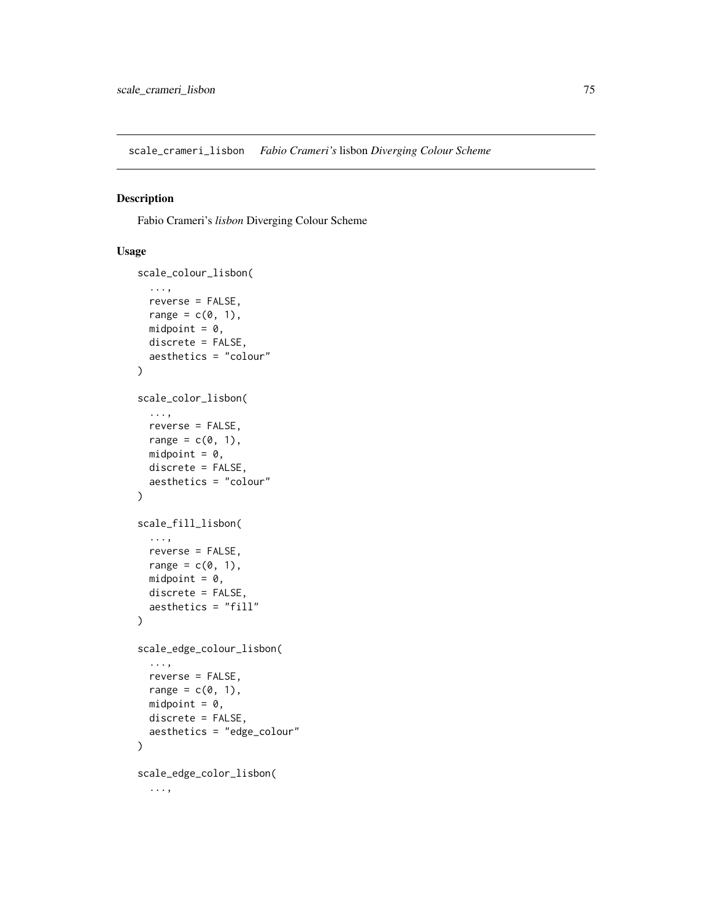<span id="page-74-0"></span>scale\_crameri\_lisbon *Fabio Crameri's* lisbon *Diverging Colour Scheme*

# Description

Fabio Crameri's *lisbon* Diverging Colour Scheme

```
scale_colour_lisbon(
  ...,
  reverse = FALSE,
  range = c(\emptyset, 1),
  midpoint = 0,
  discrete = FALSE,
  aesthetics = "colour"
)
scale_color_lisbon(
  ...,
  reverse = FALSE,
  range = c(\emptyset, 1),
  midpoint = 0,
  discrete = FALSE,
  aesthetics = "colour"
\mathcal{L}scale_fill_lisbon(
  ...,
  reverse = FALSE,
  range = c(0, 1),
  midpoint = 0,
  discrete = FALSE,
  aesthetics = "fill"
\mathcal{L}scale_edge_colour_lisbon(
  ...,
  reverse = FALSE,
  range = c(\emptyset, 1),
  midpoint = 0,
  discrete = FALSE,
  aesthetics = "edge_colour"
)
scale_edge_color_lisbon(
  ...,
```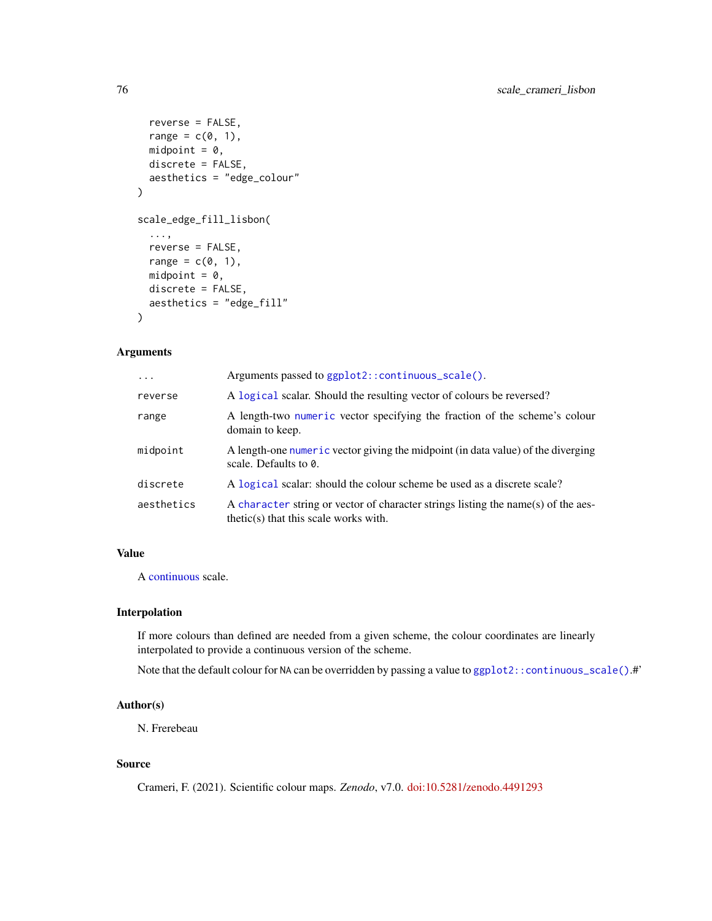```
reverse = FALSE,
 range = c(0, 1),
 midpoint = 0,
 discrete = FALSE,
  aesthetics = "edge_colour"
\mathcal{L}scale_edge_fill_lisbon(
  ...,
 reverse = FALSE,
 range = c(0, 1),
 midpoint = 0,
 discrete = FALSE,
 aesthetics = "edge_fill"
)
```

| $\ddots$ . | Arguments passed to ggplot2:: continuous_scale().                                                                            |
|------------|------------------------------------------------------------------------------------------------------------------------------|
| reverse    | A logical scalar. Should the resulting vector of colours be reversed?                                                        |
| range      | A length-two numeric vector specifying the fraction of the scheme's colour<br>domain to keep.                                |
| midpoint   | A length-one numeric vector giving the midpoint (in data value) of the diverging<br>scale. Defaults to $\theta$ .            |
| discrete   | A logical scalar: should the colour scheme be used as a discrete scale?                                                      |
| aesthetics | A character string or vector of character strings listing the name(s) of the aes-<br>$thetic(s)$ that this scale works with. |

# Value

A [continuous](#page-0-0) scale.

# Interpolation

If more colours than defined are needed from a given scheme, the colour coordinates are linearly interpolated to provide a continuous version of the scheme.

Note that the default colour for NA can be overridden by passing a value to [ggplot2::continuous\\_scale\(\)](#page-0-0).#'

## Author(s)

N. Frerebeau

## Source

Crameri, F. (2021). Scientific colour maps. *Zenodo*, v7.0. [doi:10.5281/zenodo.4491293](https://doi.org/10.5281/zenodo.4491293)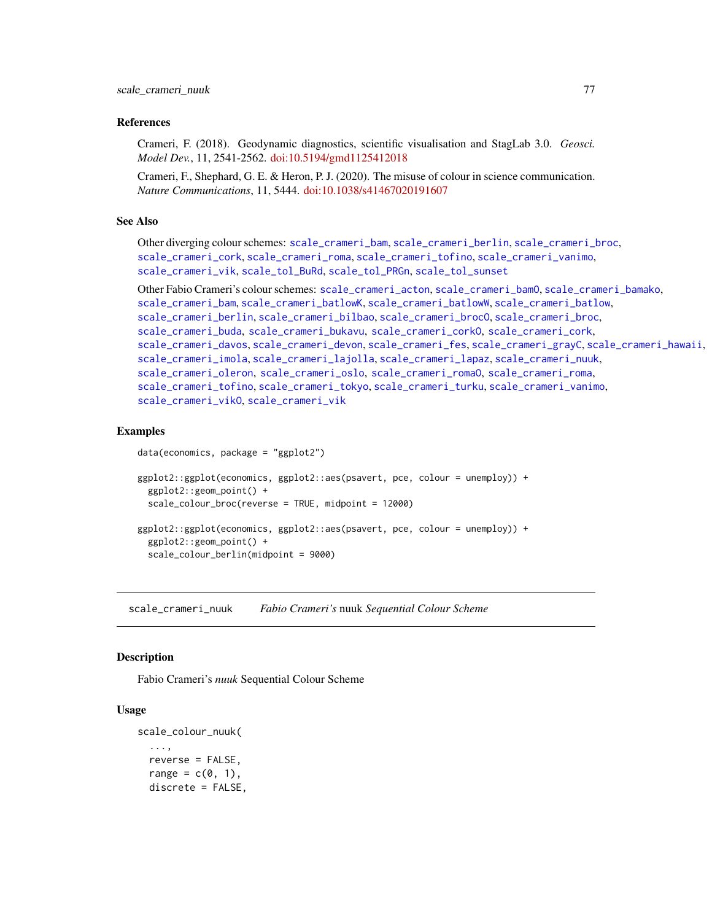## References

Crameri, F. (2018). Geodynamic diagnostics, scientific visualisation and StagLab 3.0. *Geosci. Model Dev.*, 11, 2541-2562. [doi:10.5194/gmd1125412018](https://doi.org/10.5194/gmd-11-2541-2018)

Crameri, F., Shephard, G. E. & Heron, P. J. (2020). The misuse of colour in science communication. *Nature Communications*, 11, 5444. [doi:10.1038/s41467020191607](https://doi.org/10.1038/s41467-020-19160-7)

### See Also

Other diverging colour schemes: [scale\\_crameri\\_bam](#page-19-0), [scale\\_crameri\\_berlin](#page-34-0), [scale\\_crameri\\_broc](#page-39-0), [scale\\_crameri\\_cork](#page-48-0), [scale\\_crameri\\_roma](#page-84-0), [scale\\_crameri\\_tofino](#page-88-0), [scale\\_crameri\\_vanimo](#page-96-0), [scale\\_crameri\\_vik](#page-99-0), [scale\\_tol\\_BuRd](#page-109-0), [scale\\_tol\\_PRGn](#page-127-0), [scale\\_tol\\_sunset](#page-133-0)

Other Fabio Crameri's colour schemes: [scale\\_crameri\\_acton](#page-16-0), [scale\\_crameri\\_bamO](#page-24-0), [scale\\_crameri\\_bamako](#page-21-0), [scale\\_crameri\\_bam](#page-19-0), [scale\\_crameri\\_batlowK](#page-29-0), [scale\\_crameri\\_batlowW](#page-31-0), [scale\\_crameri\\_batlow](#page-26-0), [scale\\_crameri\\_berlin](#page-34-0), [scale\\_crameri\\_bilbao](#page-37-0), [scale\\_crameri\\_broc](#page-39-0)0, scale\_crameri\_broc, [scale\\_crameri\\_buda](#page-44-0), [scale\\_crameri\\_bukavu](#page-46-0), [scale\\_crameri\\_corkO](#page-51-0), [scale\\_crameri\\_cork](#page-48-0), [scale\\_crameri\\_davos](#page-53-0), [scale\\_crameri\\_devon](#page-56-0), [scale\\_crameri\\_fes](#page-58-0), [scale\\_crameri\\_grayC](#page-60-0), [scale\\_crameri\\_hawaii](#page-63-0), [scale\\_crameri\\_imola](#page-66-0), [scale\\_crameri\\_lajolla](#page-68-0), [scale\\_crameri\\_lapaz](#page-71-0), [scale\\_crameri\\_nuuk](#page-76-0), [scale\\_crameri\\_oleron](#page-79-0), [scale\\_crameri\\_oslo](#page-81-0), [scale\\_crameri\\_romaO](#page-86-0), [scale\\_crameri\\_roma](#page-84-0), [scale\\_crameri\\_tofino](#page-88-0), [scale\\_crameri\\_tokyo](#page-91-0), [scale\\_crameri\\_turku](#page-94-0), [scale\\_crameri\\_vanimo](#page-96-0), [scale\\_crameri\\_vikO](#page-102-0), [scale\\_crameri\\_vik](#page-99-0)

#### Examples

data(economics, package = "ggplot2")

```
ggplot2::ggplot(economics, ggplot2::aes(psavert, pce, colour = unemploy)) +
 ggplot2::geom_point() +
 scale_colour_broc(reverse = TRUE, midpoint = 12000)
ggplot2::ggplot(economics, ggplot2::aes(psavert, pce, colour = unemploy)) +
 ggplot2::geom_point() +
```

```
scale_colour_berlin(midpoint = 9000)
```
<span id="page-76-0"></span>scale\_crameri\_nuuk *Fabio Crameri's* nuuk *Sequential Colour Scheme*

## **Description**

Fabio Crameri's *nuuk* Sequential Colour Scheme

```
scale_colour_nuuk(
  ...,
  reverse = FALSE,
  range = c(0, 1),
  discrete = FALSE,
```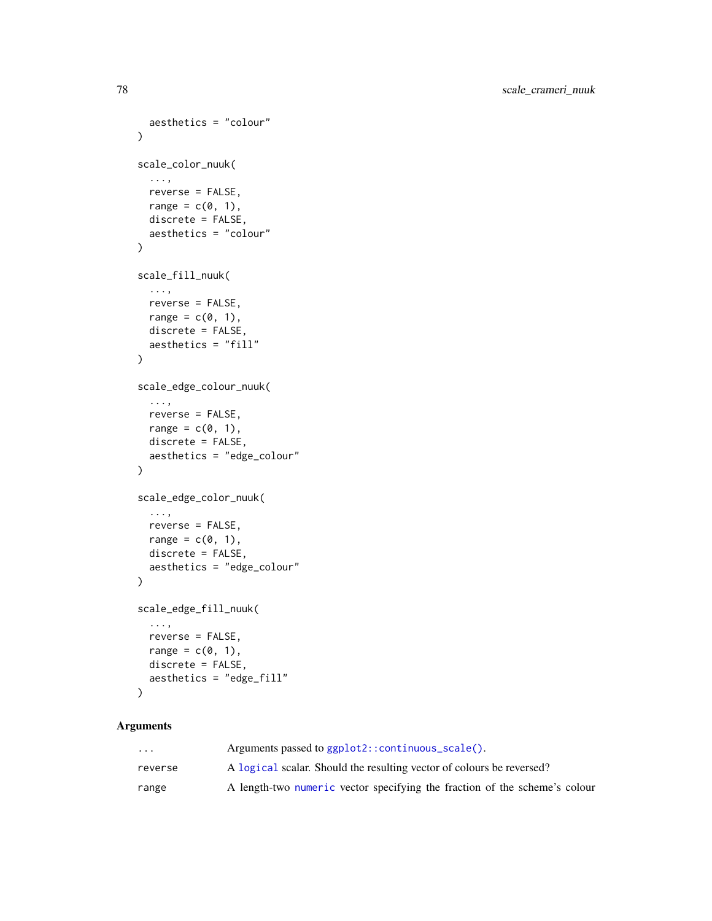```
aesthetics = "colour"
\mathcal{L}scale_color_nuuk(
  ...,
  reverse = FALSE,
 range = c(\emptyset, 1),
  discrete = FALSE,
  aesthetics = "colour"
)
scale_fill_nuuk(
  ...,
 reverse = FALSE,
  range = c(\emptyset, 1),
  discrete = FALSE,
  aesthetics = "fill"
)
scale_edge_colour_nuuk(
  ...,
 reverse = FALSE,
 range = c(\emptyset, 1),
  discrete = FALSE,
  aesthetics = "edge_colour"
\lambdascale_edge_color_nuuk(
  ...,
 reverse = FALSE,
  range = c(\emptyset, 1),
  discrete = FALSE,
  aesthetics = "edge_colour"
\lambdascale_edge_fill_nuuk(
  ...,
 reverse = FALSE,
  range = c(\emptyset, 1),
  discrete = FALSE,
  aesthetics = "edge_fill"
```

```
\mathcal{L}
```

| $\cdot$ $\cdot$ $\cdot$ | Arguments passed to ggplot2::continuous_scale().                           |
|-------------------------|----------------------------------------------------------------------------|
| reverse                 | A logical scalar. Should the resulting vector of colours be reversed?      |
| range                   | A length-two numeric vector specifying the fraction of the scheme's colour |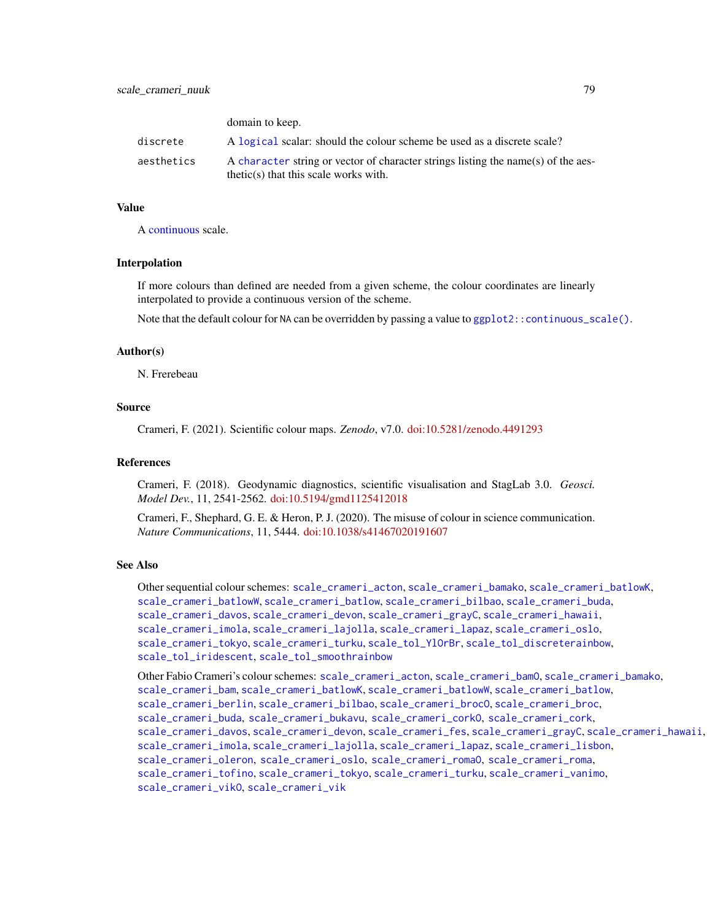|            | domain to keep.                                                                                                              |
|------------|------------------------------------------------------------------------------------------------------------------------------|
| discrete   | A logical scalar: should the colour scheme be used as a discrete scale?                                                      |
| aesthetics | A character string or vector of character strings listing the name(s) of the aes-<br>$thetic(s)$ that this scale works with. |

## Value

A [continuous](#page-0-0) scale.

domain to keep.

## Interpolation

If more colours than defined are needed from a given scheme, the colour coordinates are linearly interpolated to provide a continuous version of the scheme.

Note that the default colour for NA can be overridden by passing a value to  $ggplot2::continuous\_scale()$ .

### Author(s)

N. Frerebeau

## Source

Crameri, F. (2021). Scientific colour maps. *Zenodo*, v7.0. [doi:10.5281/zenodo.4491293](https://doi.org/10.5281/zenodo.4491293)

## References

Crameri, F. (2018). Geodynamic diagnostics, scientific visualisation and StagLab 3.0. *Geosci. Model Dev.*, 11, 2541-2562. [doi:10.5194/gmd1125412018](https://doi.org/10.5194/gmd-11-2541-2018)

Crameri, F., Shephard, G. E. & Heron, P. J. (2020). The misuse of colour in science communication. *Nature Communications*, 11, 5444. [doi:10.1038/s41467020191607](https://doi.org/10.1038/s41467-020-19160-7)

### See Also

Other sequential colour schemes: [scale\\_crameri\\_acton](#page-16-0), [scale\\_crameri\\_bamako](#page-21-0), [scale\\_crameri\\_batlowK](#page-29-0), [scale\\_crameri\\_batlowW](#page-31-0), [scale\\_crameri\\_batlow](#page-26-0), [scale\\_crameri\\_bilbao](#page-37-0), [scale\\_crameri\\_buda](#page-44-0), [scale\\_crameri\\_davos](#page-53-0), [scale\\_crameri\\_devon](#page-56-0), [scale\\_crameri\\_grayC](#page-60-0), [scale\\_crameri\\_hawaii](#page-63-0), [scale\\_crameri\\_imola](#page-66-0), [scale\\_crameri\\_lajolla](#page-68-0), [scale\\_crameri\\_lapaz](#page-71-0), [scale\\_crameri\\_oslo](#page-81-0), [scale\\_crameri\\_tokyo](#page-91-0), [scale\\_crameri\\_turku](#page-94-0), [scale\\_tol\\_YlOrBr](#page-137-0), [scale\\_tol\\_discreterainbow](#page-113-0), [scale\\_tol\\_iridescent](#page-117-0), [scale\\_tol\\_smoothrainbow](#page-130-0)

Other Fabio Crameri's colour schemes: [scale\\_crameri\\_acton](#page-16-0), [scale\\_crameri\\_bamO](#page-24-0), [scale\\_crameri\\_bamako](#page-21-0), [scale\\_crameri\\_bam](#page-19-0), [scale\\_crameri\\_batlowK](#page-29-0), [scale\\_crameri\\_batlowW](#page-31-0), [scale\\_crameri\\_batlow](#page-26-0), [scale\\_crameri\\_berlin](#page-34-0), [scale\\_crameri\\_bilbao](#page-37-0), [scale\\_crameri\\_brocO](#page-42-0), [scale\\_crameri\\_broc](#page-39-0), [scale\\_crameri\\_buda](#page-44-0), [scale\\_crameri\\_bukavu](#page-46-0), [scale\\_crameri\\_corkO](#page-51-0), [scale\\_crameri\\_cork](#page-48-0), [scale\\_crameri\\_davos](#page-53-0), [scale\\_crameri\\_devon](#page-56-0), [scale\\_crameri\\_fes](#page-58-0), [scale\\_crameri\\_grayC](#page-60-0), [scale\\_crameri\\_hawaii](#page-63-0), [scale\\_crameri\\_imola](#page-66-0), [scale\\_crameri\\_lajolla](#page-68-0), [scale\\_crameri\\_lapaz](#page-71-0), [scale\\_crameri\\_lisbon](#page-74-0), [scale\\_crameri\\_oleron](#page-79-0), [scale\\_crameri\\_oslo](#page-81-0), [scale\\_crameri\\_romaO](#page-86-0), [scale\\_crameri\\_roma](#page-84-0), [scale\\_crameri\\_tofino](#page-88-0), [scale\\_crameri\\_tokyo](#page-91-0), [scale\\_crameri\\_turku](#page-94-0), [scale\\_crameri\\_vanimo](#page-96-0), [scale\\_crameri\\_vikO](#page-102-0), [scale\\_crameri\\_vik](#page-99-0)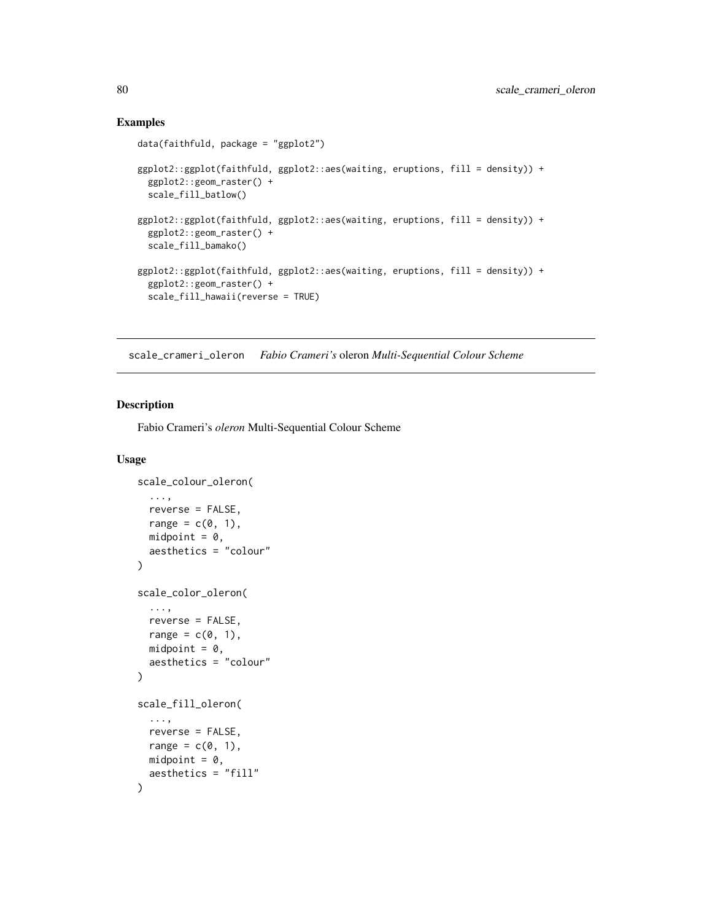## Examples

```
data(faithfuld, package = "ggplot2")
ggplot2::ggplot(faithfuld, ggplot2::aes(waiting, eruptions, fill = density)) +
 ggplot2::geom_raster() +
 scale_fill_batlow()
ggplot2::ggplot(faithfuld, ggplot2::aes(waiting, eruptions, fill = density)) +
 ggplot2::geom_raster() +
 scale_fill_bamako()
ggplot2::ggplot(faithfuld, ggplot2::aes(waiting, eruptions, fill = density)) +
 ggplot2::geom_raster() +
 scale_fill_hawaii(reverse = TRUE)
```
<span id="page-79-0"></span>scale\_crameri\_oleron *Fabio Crameri's* oleron *Multi-Sequential Colour Scheme*

## Description

Fabio Crameri's *oleron* Multi-Sequential Colour Scheme

```
scale_colour_oleron(
  ...,
  reverse = FALSE,
  range = c(0, 1),
  midpoint = 0,
  aesthetics = "colour"
\lambdascale_color_oleron(
  ...,
  reverse = FALSE,
  range = c(\emptyset, 1),
  midpoint = 0,
  aesthetics = "colour"
)
scale_fill_oleron(
  ...,
  reverse = FALSE,
  range = c(\emptyset, 1),
  midpoint = 0,
  aesthetics = "fill"
)
```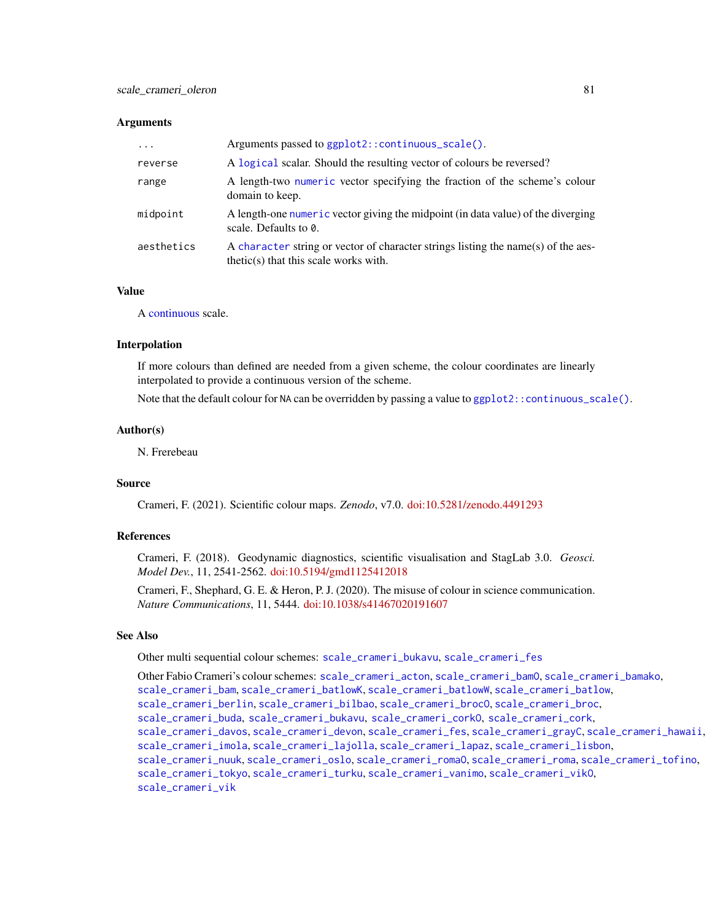| $\ddotsc$  | Arguments passed to ggplot2::continuous_scale().                                                                             |
|------------|------------------------------------------------------------------------------------------------------------------------------|
| reverse    | A logical scalar. Should the resulting vector of colours be reversed?                                                        |
| range      | A length-two numeric vector specifying the fraction of the scheme's colour<br>domain to keep.                                |
| midpoint   | A length-one numeric vector giving the midpoint (in data value) of the diverging<br>scale. Defaults to 0.                    |
| aesthetics | A character string or vector of character strings listing the name(s) of the aes-<br>$thetic(s)$ that this scale works with. |

## Value

A [continuous](#page-0-0) scale.

#### Interpolation

If more colours than defined are needed from a given scheme, the colour coordinates are linearly interpolated to provide a continuous version of the scheme.

Note that the default colour for NA can be overridden by passing a value to ggplot  $2$ : continuous\_scale().

## Author(s)

N. Frerebeau

## Source

Crameri, F. (2021). Scientific colour maps. *Zenodo*, v7.0. [doi:10.5281/zenodo.4491293](https://doi.org/10.5281/zenodo.4491293)

## References

Crameri, F. (2018). Geodynamic diagnostics, scientific visualisation and StagLab 3.0. *Geosci. Model Dev.*, 11, 2541-2562. [doi:10.5194/gmd1125412018](https://doi.org/10.5194/gmd-11-2541-2018)

Crameri, F., Shephard, G. E. & Heron, P. J. (2020). The misuse of colour in science communication. *Nature Communications*, 11, 5444. [doi:10.1038/s41467020191607](https://doi.org/10.1038/s41467-020-19160-7)

### See Also

Other multi sequential colour schemes: [scale\\_crameri\\_bukavu](#page-46-0), [scale\\_crameri\\_fes](#page-58-0)

Other Fabio Crameri's colour schemes: [scale\\_crameri\\_acton](#page-16-0), [scale\\_crameri\\_bamO](#page-24-0), [scale\\_crameri\\_bamako](#page-21-0), [scale\\_crameri\\_bam](#page-19-0), [scale\\_crameri\\_batlowK](#page-29-0), [scale\\_crameri\\_batlowW](#page-31-0), [scale\\_crameri\\_batlow](#page-26-0), [scale\\_crameri\\_berlin](#page-34-0), [scale\\_crameri\\_bilbao](#page-37-0), [scale\\_crameri\\_brocO](#page-42-0), [scale\\_crameri\\_broc](#page-39-0), [scale\\_crameri\\_buda](#page-44-0), [scale\\_crameri\\_bukavu](#page-46-0), [scale\\_crameri\\_corkO](#page-51-0), [scale\\_crameri\\_cork](#page-48-0), [scale\\_crameri\\_davos](#page-53-0), [scale\\_crameri\\_devon](#page-56-0), [scale\\_crameri\\_fes](#page-58-0), [scale\\_crameri\\_grayC](#page-60-0), [scale\\_crameri\\_hawaii](#page-63-0), [scale\\_crameri\\_imola](#page-66-0), [scale\\_crameri\\_lajolla](#page-68-0), [scale\\_crameri\\_lapaz](#page-71-0), [scale\\_crameri\\_lisbon](#page-74-0), [scale\\_crameri\\_nuuk](#page-76-0), [scale\\_crameri\\_oslo](#page-81-0), [scale\\_crameri\\_romaO](#page-86-0), [scale\\_crameri\\_roma](#page-84-0), [scale\\_crameri\\_tofino](#page-88-0), [scale\\_crameri\\_tokyo](#page-91-0), [scale\\_crameri\\_turku](#page-94-0), [scale\\_crameri\\_vanimo](#page-96-0), [scale\\_crameri\\_vikO](#page-102-0), [scale\\_crameri\\_vik](#page-99-0)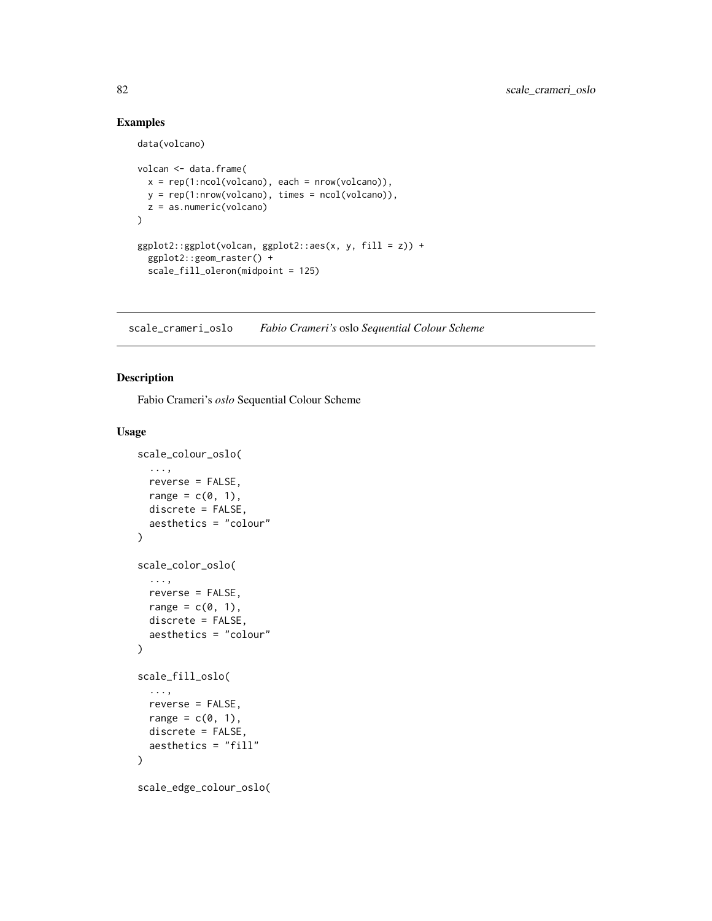# Examples

data(volcano)

```
volcan <- data.frame(
  x = rep(1:ncol(volcano), each = nrow(volcano)),y = rep(1:nrow(volcano), times = ncol(volcano)),
  z = as.numeric(volcano)
\mathcal{L}ggplot2::ggplot(volcan, ggplot2::aes(x, y, fill = z)) +ggplot2::geom_raster() +
  scale_fill_oleron(midpoint = 125)
```
<span id="page-81-0"></span>scale\_crameri\_oslo *Fabio Crameri's* oslo *Sequential Colour Scheme*

# Description

Fabio Crameri's *oslo* Sequential Colour Scheme

```
scale_colour_oslo(
  ...,
  reverse = FALSE,
 range = c(\emptyset, 1),
 discrete = FALSE,
  aesthetics = "colour"
\mathcal{L}scale_color_oslo(
  ...,
 reverse = FALSE,
  range = c(\theta, 1),
 discrete = FALSE,
  aesthetics = "colour"
)
scale_fill_oslo(
  ...,
  reverse = FALSE,
  range = c(0, 1),
 discrete = FALSE,
  aesthetics = "fill"
)
scale_edge_colour_oslo(
```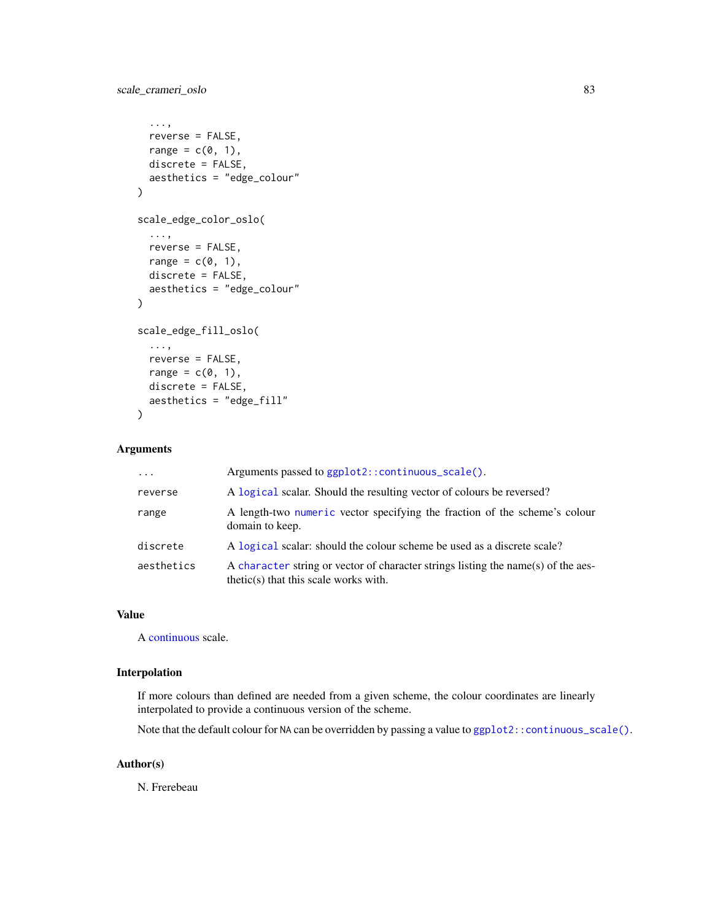# scale\_crameri\_oslo 83

```
...,
  reverse = FALSE,
  range = c(\theta, 1),
  discrete = FALSE,
  aesthetics = "edge_colour"
\mathcal{L}scale_edge_color_oslo(
  ...,
  reverse = FALSE,
  range = c(0, 1),
  discrete = FALSE,
  aesthetics = "edge_colour"
)
scale_edge_fill_oslo(
  ...,
  reverse = FALSE,
  range = c(\emptyset, 1),
  discrete = FALSE,
  aesthetics = "edge_fill"
\mathcal{L}
```
# Arguments

| $\ddots$ . | Arguments passed to ggplot2::continuous_scale().                                                                             |
|------------|------------------------------------------------------------------------------------------------------------------------------|
| reverse    | A logical scalar. Should the resulting vector of colours be reversed?                                                        |
| range      | A length-two numeric vector specifying the fraction of the scheme's colour<br>domain to keep.                                |
| discrete   | A logical scalar: should the colour scheme be used as a discrete scale?                                                      |
| aesthetics | A character string or vector of character strings listing the name(s) of the aes-<br>$thetic(s)$ that this scale works with. |

## Value

A [continuous](#page-0-0) scale.

## Interpolation

If more colours than defined are needed from a given scheme, the colour coordinates are linearly interpolated to provide a continuous version of the scheme.

Note that the default colour for NA can be overridden by passing a value to [ggplot2::continuous\\_scale\(\)](#page-0-0).

# Author(s)

N. Frerebeau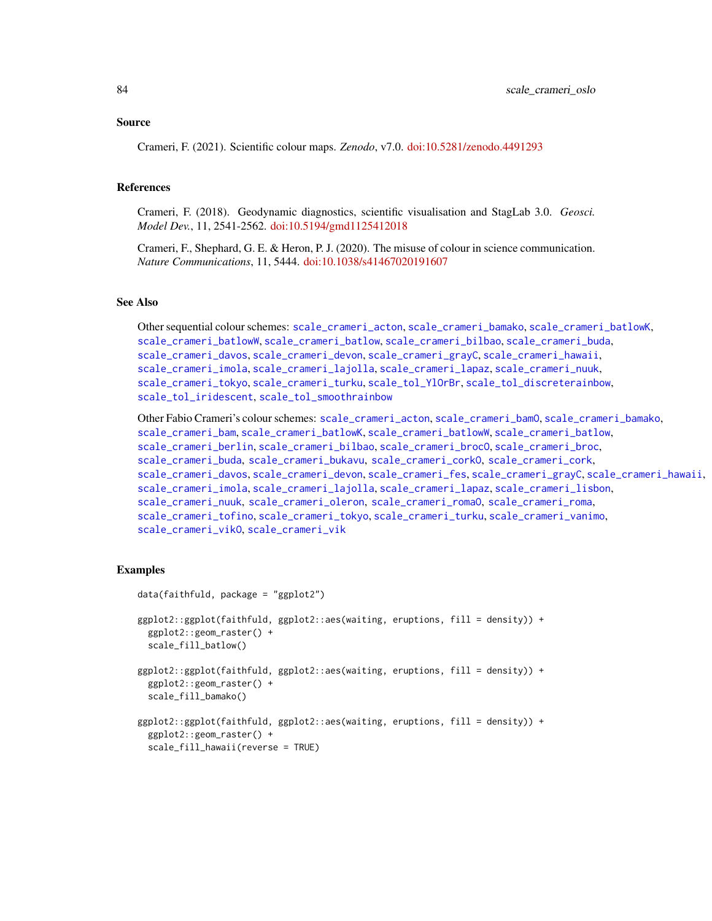#### Source

Crameri, F. (2021). Scientific colour maps. *Zenodo*, v7.0. [doi:10.5281/zenodo.4491293](https://doi.org/10.5281/zenodo.4491293)

### References

Crameri, F. (2018). Geodynamic diagnostics, scientific visualisation and StagLab 3.0. *Geosci. Model Dev.*, 11, 2541-2562. [doi:10.5194/gmd1125412018](https://doi.org/10.5194/gmd-11-2541-2018)

Crameri, F., Shephard, G. E. & Heron, P. J. (2020). The misuse of colour in science communication. *Nature Communications*, 11, 5444. [doi:10.1038/s41467020191607](https://doi.org/10.1038/s41467-020-19160-7)

# See Also

Other sequential colour schemes: [scale\\_crameri\\_acton](#page-16-0), [scale\\_crameri\\_bamako](#page-21-0), [scale\\_crameri\\_batlowK](#page-29-0), [scale\\_crameri\\_batlowW](#page-31-0), [scale\\_crameri\\_batlow](#page-26-0), [scale\\_crameri\\_bilbao](#page-37-0), [scale\\_crameri\\_buda](#page-44-0), [scale\\_crameri\\_davos](#page-53-0), [scale\\_crameri\\_devon](#page-56-0), [scale\\_crameri\\_grayC](#page-60-0), [scale\\_crameri\\_hawaii](#page-63-0), [scale\\_crameri\\_imola](#page-66-0), [scale\\_crameri\\_lajolla](#page-68-0), [scale\\_crameri\\_lapaz](#page-71-0), [scale\\_crameri\\_nuuk](#page-76-0), [scale\\_crameri\\_tokyo](#page-91-0), [scale\\_crameri\\_turku](#page-94-0), [scale\\_tol\\_YlOrBr](#page-137-0), [scale\\_tol\\_discreterainbow](#page-113-0), [scale\\_tol\\_iridescent](#page-117-0), [scale\\_tol\\_smoothrainbow](#page-130-0)

Other Fabio Crameri's colour schemes: [scale\\_crameri\\_acton](#page-16-0), [scale\\_crameri\\_bamO](#page-24-0), [scale\\_crameri\\_bamako](#page-21-0), [scale\\_crameri\\_bam](#page-19-0), [scale\\_crameri\\_batlowK](#page-29-0), [scale\\_crameri\\_batlowW](#page-31-0), [scale\\_crameri\\_batlow](#page-26-0), [scale\\_crameri\\_berlin](#page-34-0), [scale\\_crameri\\_bilbao](#page-37-0), [scale\\_crameri\\_broc](#page-39-0)0, scale\_crameri\_broc, [scale\\_crameri\\_buda](#page-44-0), [scale\\_crameri\\_bukavu](#page-46-0), [scale\\_crameri\\_corkO](#page-51-0), [scale\\_crameri\\_cork](#page-48-0), [scale\\_crameri\\_davos](#page-53-0), [scale\\_crameri\\_devon](#page-56-0), [scale\\_crameri\\_fes](#page-58-0), [scale\\_crameri\\_grayC](#page-60-0), [scale\\_crameri\\_hawaii](#page-63-0), [scale\\_crameri\\_imola](#page-66-0), [scale\\_crameri\\_lajolla](#page-68-0), [scale\\_crameri\\_lapaz](#page-71-0), [scale\\_crameri\\_lisbon](#page-74-0), [scale\\_crameri\\_nuuk](#page-76-0), [scale\\_crameri\\_oleron](#page-79-0), [scale\\_crameri\\_romaO](#page-86-0), [scale\\_crameri\\_roma](#page-84-0), [scale\\_crameri\\_tofino](#page-88-0), [scale\\_crameri\\_tokyo](#page-91-0), [scale\\_crameri\\_turku](#page-94-0), [scale\\_crameri\\_vanimo](#page-96-0), [scale\\_crameri\\_vikO](#page-102-0), [scale\\_crameri\\_vik](#page-99-0)

## Examples

```
data(faithfuld, package = "ggplot2")
ggplot2::ggplot(faithfuld, ggplot2::aes(waiting, eruptions, fill = density)) +
 ggplot2::geom_raster() +
 scale_fill_batlow()
ggplot2::ggplot(faithfuld, ggplot2::aes(waiting, eruptions, fill = density)) +
 ggplot2::geom_raster() +
 scale_fill_bamako()
ggplot2::ggplot(faithfuld, ggplot2::aes(waiting, eruptions, fill = density)) +
 ggplot2::geom_raster() +
 scale_fill_hawaii(reverse = TRUE)
```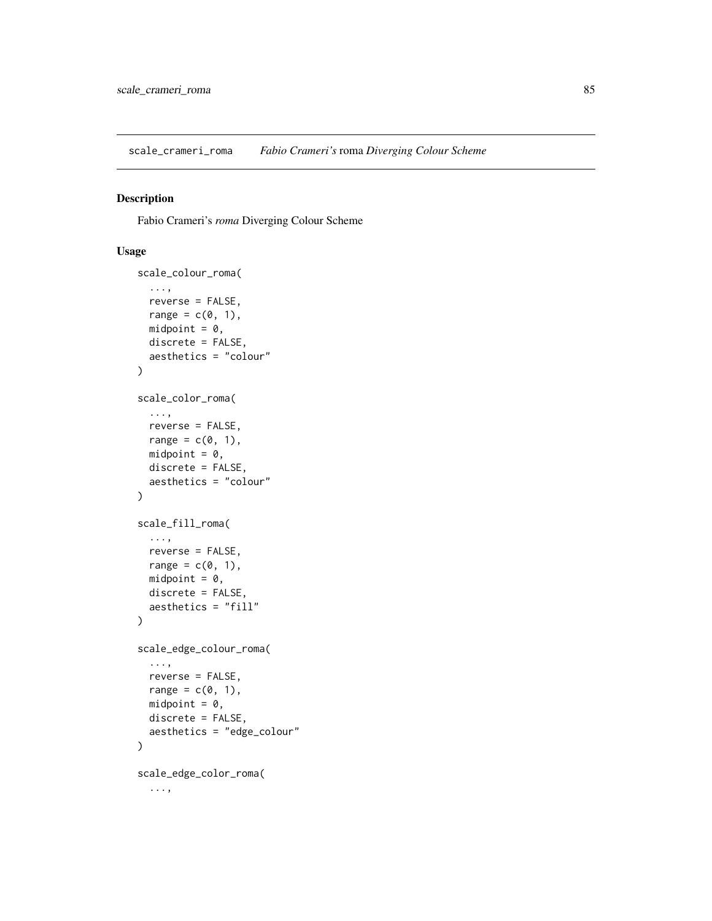<span id="page-84-0"></span>scale\_crameri\_roma *Fabio Crameri's* roma *Diverging Colour Scheme*

# Description

Fabio Crameri's *roma* Diverging Colour Scheme

```
scale_colour_roma(
  ...,
  reverse = FALSE,
  range = c(\emptyset, 1),
  midpoint = 0,
  discrete = FALSE,
  aesthetics = "colour"
)
scale_color_roma(
  ...,
  reverse = FALSE,
  range = c(\emptyset, 1),
  midpoint = 0,
  discrete = FALSE,
  aesthetics = "colour"
\mathcal{L}scale_fill_roma(
  ...,
  reverse = FALSE,
  range = c(0, 1),
  midpoint = 0,
  discrete = FALSE,
  aesthetics = "fill"
\mathcal{L}scale_edge_colour_roma(
  ...,
  reverse = FALSE,
  range = c(\emptyset, 1),
  midpoint = 0,
  discrete = FALSE,
  aesthetics = "edge_colour"
)
scale_edge_color_roma(
  ...,
```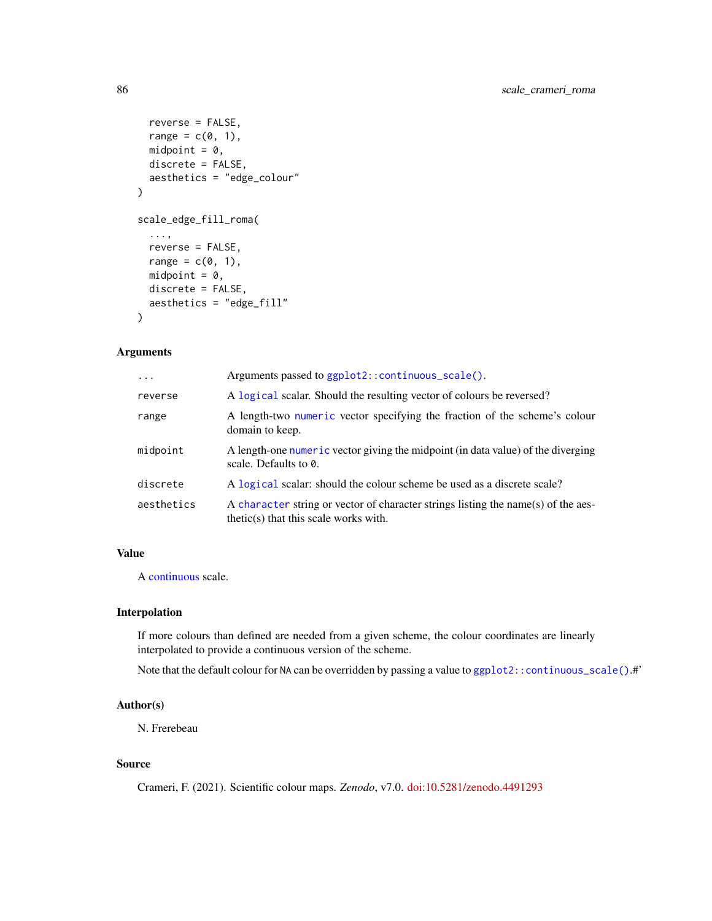```
reverse = FALSE,
 range = c(0, 1),
 midpoint = 0,
 discrete = FALSE,
  aesthetics = "edge_colour"
\mathcal{L}scale_edge_fill_roma(
  ...,
 reverse = FALSE,
 range = c(0, 1),
 midpoint = 0,
 discrete = FALSE,
 aesthetics = "edge_fill"
)
```

| $\ddots$ . | Arguments passed to ggplot2:: continuous_scale().                                                                            |
|------------|------------------------------------------------------------------------------------------------------------------------------|
| reverse    | A logical scalar. Should the resulting vector of colours be reversed?                                                        |
| range      | A length-two numeric vector specifying the fraction of the scheme's colour<br>domain to keep.                                |
| midpoint   | A length-one numeric vector giving the midpoint (in data value) of the diverging<br>scale. Defaults to $\theta$ .            |
| discrete   | A logical scalar: should the colour scheme be used as a discrete scale?                                                      |
| aesthetics | A character string or vector of character strings listing the name(s) of the aes-<br>$thetic(s)$ that this scale works with. |

# Value

A [continuous](#page-0-0) scale.

# Interpolation

If more colours than defined are needed from a given scheme, the colour coordinates are linearly interpolated to provide a continuous version of the scheme.

Note that the default colour for NA can be overridden by passing a value to [ggplot2::continuous\\_scale\(\)](#page-0-0).#'

## Author(s)

N. Frerebeau

## Source

Crameri, F. (2021). Scientific colour maps. *Zenodo*, v7.0. [doi:10.5281/zenodo.4491293](https://doi.org/10.5281/zenodo.4491293)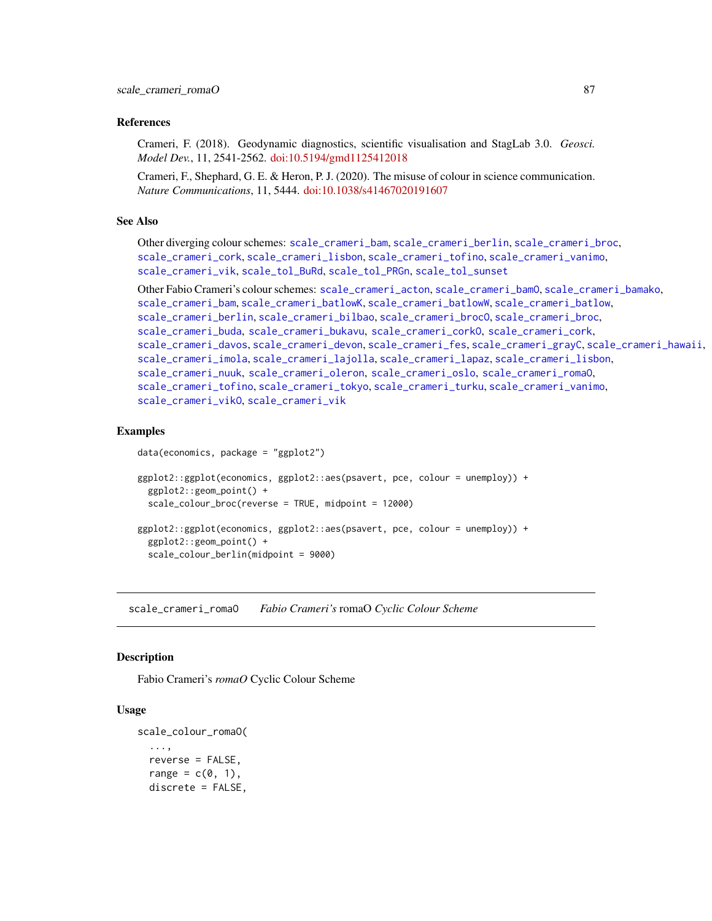## References

Crameri, F. (2018). Geodynamic diagnostics, scientific visualisation and StagLab 3.0. *Geosci. Model Dev.*, 11, 2541-2562. [doi:10.5194/gmd1125412018](https://doi.org/10.5194/gmd-11-2541-2018)

Crameri, F., Shephard, G. E. & Heron, P. J. (2020). The misuse of colour in science communication. *Nature Communications*, 11, 5444. [doi:10.1038/s41467020191607](https://doi.org/10.1038/s41467-020-19160-7)

### See Also

Other diverging colour schemes: [scale\\_crameri\\_bam](#page-19-0), [scale\\_crameri\\_berlin](#page-34-0), [scale\\_crameri\\_broc](#page-39-0), [scale\\_crameri\\_cork](#page-48-0), [scale\\_crameri\\_lisbon](#page-74-0), [scale\\_crameri\\_tofino](#page-88-0), [scale\\_crameri\\_vanimo](#page-96-0), [scale\\_crameri\\_vik](#page-99-0), [scale\\_tol\\_BuRd](#page-109-0), [scale\\_tol\\_PRGn](#page-127-0), [scale\\_tol\\_sunset](#page-133-0)

Other Fabio Crameri's colour schemes: [scale\\_crameri\\_acton](#page-16-0), [scale\\_crameri\\_bamO](#page-24-0), [scale\\_crameri\\_bamako](#page-21-0), [scale\\_crameri\\_bam](#page-19-0), [scale\\_crameri\\_batlowK](#page-29-0), [scale\\_crameri\\_batlowW](#page-31-0), [scale\\_crameri\\_batlow](#page-26-0), [scale\\_crameri\\_berlin](#page-34-0), [scale\\_crameri\\_bilbao](#page-37-0), [scale\\_crameri\\_broc](#page-39-0)0, scale\_crameri\_broc, [scale\\_crameri\\_buda](#page-44-0), [scale\\_crameri\\_bukavu](#page-46-0), [scale\\_crameri\\_corkO](#page-51-0), [scale\\_crameri\\_cork](#page-48-0), [scale\\_crameri\\_davos](#page-53-0), [scale\\_crameri\\_devon](#page-56-0), [scale\\_crameri\\_fes](#page-58-0), [scale\\_crameri\\_grayC](#page-60-0), [scale\\_crameri\\_hawaii](#page-63-0), [scale\\_crameri\\_imola](#page-66-0), [scale\\_crameri\\_lajolla](#page-68-0), [scale\\_crameri\\_lapaz](#page-71-0), [scale\\_crameri\\_lisbon](#page-74-0), [scale\\_crameri\\_nuuk](#page-76-0), [scale\\_crameri\\_oleron](#page-79-0), [scale\\_crameri\\_oslo](#page-81-0), [scale\\_crameri\\_romaO](#page-86-0), [scale\\_crameri\\_tofino](#page-88-0), [scale\\_crameri\\_tokyo](#page-91-0), [scale\\_crameri\\_turku](#page-94-0), [scale\\_crameri\\_vanimo](#page-96-0), [scale\\_crameri\\_vikO](#page-102-0), [scale\\_crameri\\_vik](#page-99-0)

#### Examples

data(economics, package = "ggplot2")

```
ggplot2::ggplot(economics, ggplot2::aes(psavert, pce, colour = unemploy)) +
 ggplot2::geom_point() +
 scale_colour_broc(reverse = TRUE, midpoint = 12000)
ggplot2::ggplot(economics, ggplot2::aes(psavert, pce, colour = unemploy)) +
 ggplot2::geom_point() +
 scale_colour_berlin(midpoint = 9000)
```
<span id="page-86-0"></span>scale\_crameri\_romaO *Fabio Crameri's* romaO *Cyclic Colour Scheme*

### **Description**

Fabio Crameri's *romaO* Cyclic Colour Scheme

```
scale_colour_romaO(
  ...,
  reverse = FALSE,
  range = c(0, 1),
  discrete = FALSE,
```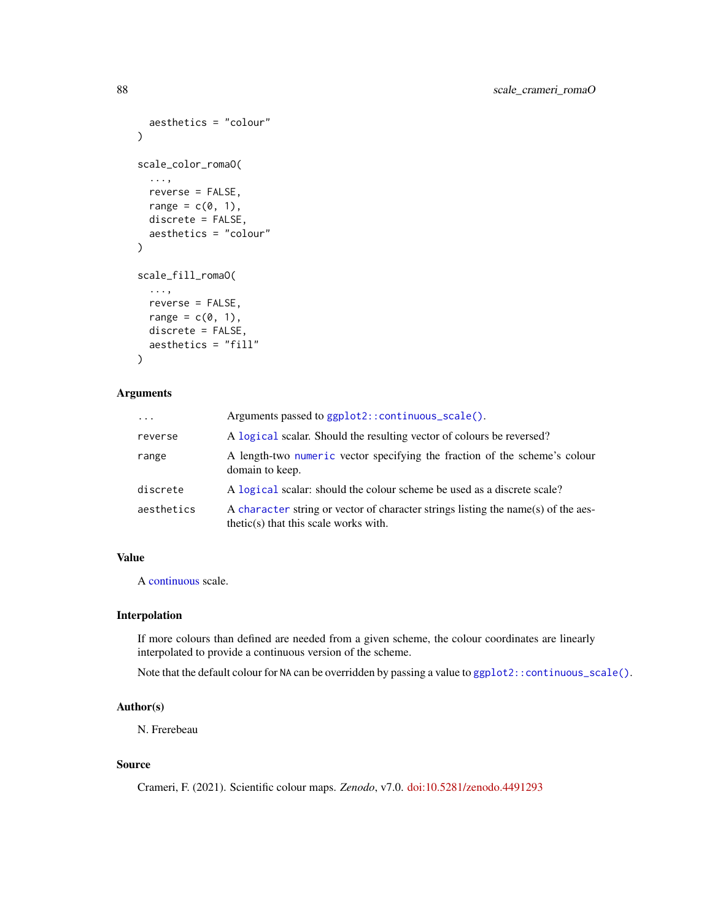```
aesthetics = "colour"
\lambdascale_color_romaO(
  ...,
 reverse = FALSE,
 range = c(0, 1),
 discrete = FALSE,
  aesthetics = "colour"
)
scale_fill_romaO(
  ...,
 reverse = FALSE,
 range = c(\emptyset, 1),
 discrete = FALSE,
  aesthetics = "fill"
)
```

| $\ddots$ . | Arguments passed to ggplot2::continuous_scale().                                                                           |
|------------|----------------------------------------------------------------------------------------------------------------------------|
| reverse    | A logical scalar. Should the resulting vector of colours be reversed?                                                      |
| range      | A length-two numeric vector specifying the fraction of the scheme's colour<br>domain to keep.                              |
| discrete   | A logical scalar: should the colour scheme be used as a discrete scale?                                                    |
| aesthetics | A character string or vector of character strings listing the name(s) of the aes-<br>thetic(s) that this scale works with. |

## Value

A [continuous](#page-0-0) scale.

## Interpolation

If more colours than defined are needed from a given scheme, the colour coordinates are linearly interpolated to provide a continuous version of the scheme.

Note that the default colour for NA can be overridden by passing a value to ggplot2:: continuous\_scale().

# Author(s)

N. Frerebeau

## Source

Crameri, F. (2021). Scientific colour maps. *Zenodo*, v7.0. [doi:10.5281/zenodo.4491293](https://doi.org/10.5281/zenodo.4491293)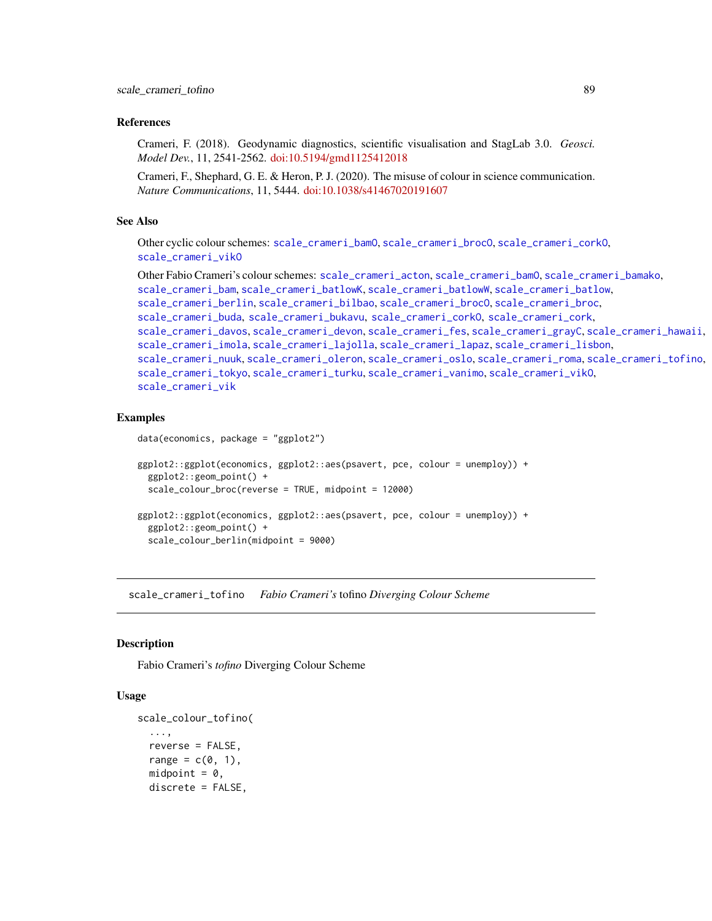## References

Crameri, F. (2018). Geodynamic diagnostics, scientific visualisation and StagLab 3.0. *Geosci. Model Dev.*, 11, 2541-2562. [doi:10.5194/gmd1125412018](https://doi.org/10.5194/gmd-11-2541-2018)

Crameri, F., Shephard, G. E. & Heron, P. J. (2020). The misuse of colour in science communication. *Nature Communications*, 11, 5444. [doi:10.1038/s41467020191607](https://doi.org/10.1038/s41467-020-19160-7)

#### See Also

Other cyclic colour schemes: [scale\\_crameri\\_bamO](#page-24-0), [scale\\_crameri\\_brocO](#page-42-0), [scale\\_crameri\\_corkO](#page-51-0), [scale\\_crameri\\_vikO](#page-102-0)

Other Fabio Crameri's colour schemes: [scale\\_crameri\\_acton](#page-16-0), [scale\\_crameri\\_bamO](#page-24-0), [scale\\_crameri\\_bamako](#page-21-0), [scale\\_crameri\\_bam](#page-19-0), [scale\\_crameri\\_batlowK](#page-29-0), [scale\\_crameri\\_batlowW](#page-31-0), [scale\\_crameri\\_batlow](#page-26-0), [scale\\_crameri\\_berlin](#page-34-0), [scale\\_crameri\\_bilbao](#page-37-0), [scale\\_crameri\\_brocO](#page-42-0), [scale\\_crameri\\_broc](#page-39-0), [scale\\_crameri\\_buda](#page-44-0), [scale\\_crameri\\_bukavu](#page-46-0), [scale\\_crameri\\_corkO](#page-51-0), [scale\\_crameri\\_cork](#page-48-0), [scale\\_crameri\\_davos](#page-53-0), [scale\\_crameri\\_devon](#page-56-0), [scale\\_crameri\\_fes](#page-58-0), [scale\\_crameri\\_grayC](#page-60-0), [scale\\_crameri\\_hawaii](#page-63-0), [scale\\_crameri\\_imola](#page-66-0), [scale\\_crameri\\_lajolla](#page-68-0), [scale\\_crameri\\_lapaz](#page-71-0), [scale\\_crameri\\_lisbon](#page-74-0), [scale\\_crameri\\_nuuk](#page-76-0), [scale\\_crameri\\_oleron](#page-79-0), [scale\\_crameri\\_oslo](#page-81-0), [scale\\_crameri\\_roma](#page-84-0), [scale\\_crameri\\_tofino](#page-88-0), [scale\\_crameri\\_tokyo](#page-91-0), [scale\\_crameri\\_turku](#page-94-0), [scale\\_crameri\\_vanimo](#page-96-0), [scale\\_crameri\\_vikO](#page-102-0), [scale\\_crameri\\_vik](#page-99-0)

## Examples

```
data(economics, package = "ggplot2")
ggplot2::ggplot(economics, ggplot2::aes(psavert, pce, colour = unemploy)) +
 ggplot2::geom_point() +
 scale_colour_broc(reverse = TRUE, midpoint = 12000)
```

```
ggplot2::ggplot(economics, ggplot2::aes(psavert, pce, colour = unemploy)) +
 ggplot2::geom_point() +
 scale_colour_berlin(midpoint = 9000)
```
<span id="page-88-0"></span>scale\_crameri\_tofino *Fabio Crameri's* tofino *Diverging Colour Scheme*

### Description

Fabio Crameri's *tofino* Diverging Colour Scheme

```
scale_colour_tofino(
  ...,
  reverse = FALSE,
  range = c(\emptyset, 1),
  midpoint = 0,
  discrete = FALSE,
```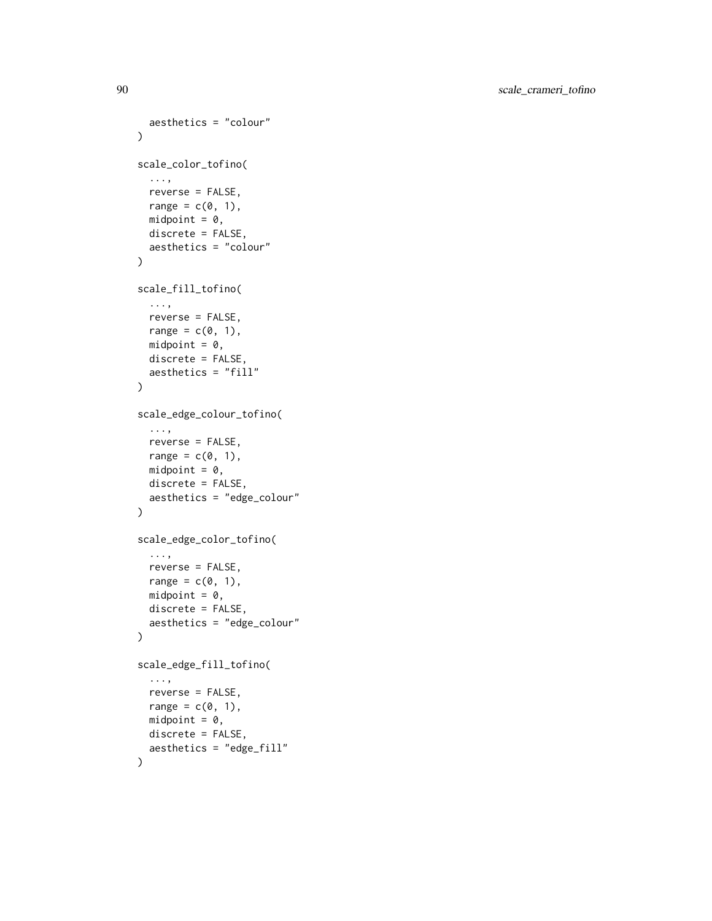```
aesthetics = "colour"
\lambdascale_color_tofino(
  ...,
 reverse = FALSE,
 range = c(0, 1),
 midpoint = 0,
 discrete = FALSE,
 aesthetics = "colour"
)
scale_fill_tofino(
 ...,
 reverse = FALSE,
 range = c(\emptyset, 1),
 midpoint = 0,
 discrete = FALSE,
  aesthetics = "fill"
\lambdascale_edge_colour_tofino(
  ...,
 reverse = FALSE,
 range = c(\emptyset, 1),
 midpoint = 0,
 discrete = FALSE,
  aesthetics = "edge_colour"
)
scale_edge_color_tofino(
  ...,
 reverse = FALSE,
 range = c(\emptyset, 1),
 midpoint = 0,
 discrete = FALSE,
 aesthetics = "edge_colour"
)
scale_edge_fill_tofino(
  ...,
 reverse = FALSE,
 range = c(0, 1),
 midpoint = 0,
 discrete = FALSE,
  aesthetics = "edge_fill"
)
```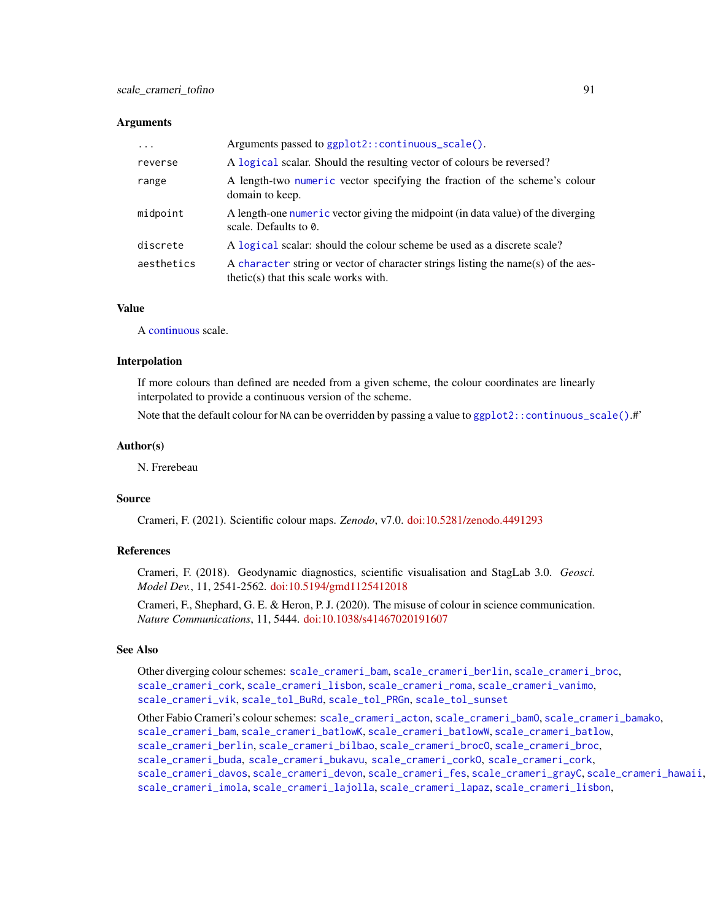| $\cdot$    | Arguments passed to ggplot2::continuous_scale().                                                                             |
|------------|------------------------------------------------------------------------------------------------------------------------------|
| reverse    | A logical scalar. Should the resulting vector of colours be reversed?                                                        |
| range      | A length-two numeric vector specifying the fraction of the scheme's colour<br>domain to keep.                                |
| midpoint   | A length-one numeric vector giving the midpoint (in data value) of the diverging<br>scale. Defaults to $\theta$ .            |
| discrete   | A logical scalar: should the colour scheme be used as a discrete scale?                                                      |
| aesthetics | A character string or vector of character strings listing the name(s) of the aes-<br>$thetic(s)$ that this scale works with. |

## Value

A [continuous](#page-0-0) scale.

### Interpolation

If more colours than defined are needed from a given scheme, the colour coordinates are linearly interpolated to provide a continuous version of the scheme.

Note that the default colour for NA can be overridden by passing a value to ggplot2:: continuous\_scale().#'

## Author(s)

N. Frerebeau

## Source

Crameri, F. (2021). Scientific colour maps. *Zenodo*, v7.0. [doi:10.5281/zenodo.4491293](https://doi.org/10.5281/zenodo.4491293)

# References

Crameri, F. (2018). Geodynamic diagnostics, scientific visualisation and StagLab 3.0. *Geosci. Model Dev.*, 11, 2541-2562. [doi:10.5194/gmd1125412018](https://doi.org/10.5194/gmd-11-2541-2018)

Crameri, F., Shephard, G. E. & Heron, P. J. (2020). The misuse of colour in science communication. *Nature Communications*, 11, 5444. [doi:10.1038/s41467020191607](https://doi.org/10.1038/s41467-020-19160-7)

## See Also

Other diverging colour schemes: [scale\\_crameri\\_bam](#page-19-0), [scale\\_crameri\\_berlin](#page-34-0), [scale\\_crameri\\_broc](#page-39-0), [scale\\_crameri\\_cork](#page-48-0), [scale\\_crameri\\_lisbon](#page-74-0), [scale\\_crameri\\_roma](#page-84-0), [scale\\_crameri\\_vanimo](#page-96-0), [scale\\_crameri\\_vik](#page-99-0), [scale\\_tol\\_BuRd](#page-109-0), [scale\\_tol\\_PRGn](#page-127-0), [scale\\_tol\\_sunset](#page-133-0)

Other Fabio Crameri's colour schemes: [scale\\_crameri\\_acton](#page-16-0), [scale\\_crameri\\_bamO](#page-24-0), [scale\\_crameri\\_bamako](#page-21-0), [scale\\_crameri\\_bam](#page-19-0), [scale\\_crameri\\_batlowK](#page-29-0), [scale\\_crameri\\_batlowW](#page-31-0), [scale\\_crameri\\_batlow](#page-26-0), [scale\\_crameri\\_berlin](#page-34-0), [scale\\_crameri\\_bilbao](#page-37-0), [scale\\_crameri\\_brocO](#page-42-0), [scale\\_crameri\\_broc](#page-39-0), [scale\\_crameri\\_buda](#page-44-0), [scale\\_crameri\\_bukavu](#page-46-0), [scale\\_crameri\\_corkO](#page-51-0), [scale\\_crameri\\_cork](#page-48-0), [scale\\_crameri\\_davos](#page-53-0), [scale\\_crameri\\_devon](#page-56-0), [scale\\_crameri\\_fes](#page-58-0), [scale\\_crameri\\_grayC](#page-60-0), [scale\\_crameri\\_hawaii](#page-63-0), [scale\\_crameri\\_imola](#page-66-0), [scale\\_crameri\\_lajolla](#page-68-0), [scale\\_crameri\\_lapaz](#page-71-0), [scale\\_crameri\\_lisbon](#page-74-0),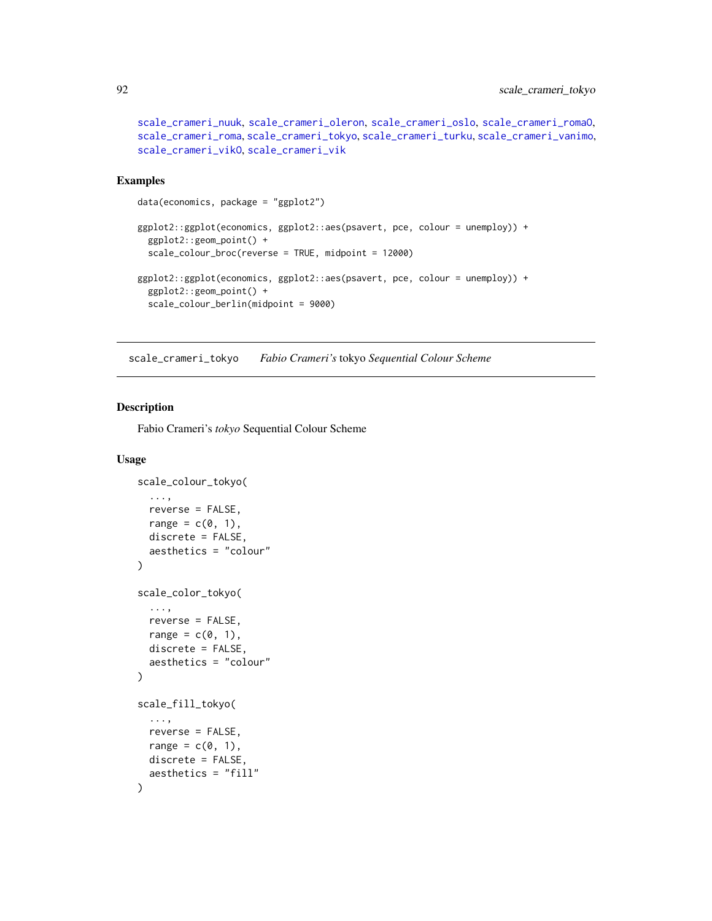```
scale_crameri_nuuk, scale_crameri_oleron, scale_crameri_oslo, scale_crameri_romaO,
scale_crameri_roma, scale_crameri_tokyo, scale_crameri_turku, scale_crameri_vanimo,
scale_crameri_vikO, scale_crameri_vik
```
## Examples

```
data(economics, package = "ggplot2")
ggplot2::ggplot(economics, ggplot2::aes(psavert, pce, colour = unemploy)) +
 ggplot2::geom_point() +
 scale_colour_broc(reverse = TRUE, midpoint = 12000)
ggplot2::ggplot(economics, ggplot2::aes(psavert, pce, colour = unemploy)) +
 ggplot2::geom_point() +
 scale_colour_berlin(midpoint = 9000)
```
<span id="page-91-0"></span>scale\_crameri\_tokyo *Fabio Crameri's* tokyo *Sequential Colour Scheme*

## Description

Fabio Crameri's *tokyo* Sequential Colour Scheme

```
scale_colour_tokyo(
  ...,
  reverse = FALSE,
  range = c(0, 1),
  discrete = FALSE,
  aesthetics = "colour"
\lambdascale_color_tokyo(
  ...,
  reverse = FALSE,
  range = c(\emptyset, 1),
  discrete = FALSE,
  aesthetics = "colour"
)
scale_fill_tokyo(
  ...,
  reverse = FALSE,
  range = c(\emptyset, 1),
  discrete = FALSE,
  aesthetics = "fill"
)
```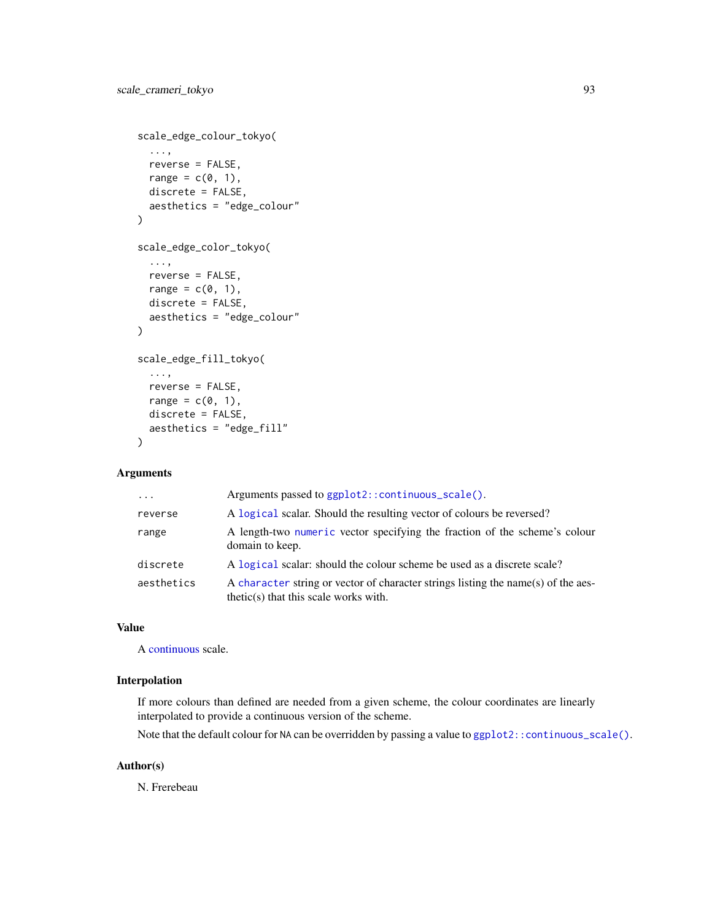```
scale_edge_colour_tokyo(
  ...,
 reverse = FALSE,
 range = c(\emptyset, 1),
 discrete = FALSE,
 aesthetics = "edge_colour"
\lambdascale_edge_color_tokyo(
  ...,
 reverse = FALSE,
 range = c(\emptyset, 1),
 discrete = FALSE,
  aesthetics = "edge_colour"
)
scale_edge_fill_tokyo(
  ...,
 reverse = FALSE,
 range = c(0, 1),
 discrete = FALSE,
 aesthetics = "edge_fill"
)
```

| $\cdot$    | Arguments passed to ggplot2::continuous_scale().                                                                             |
|------------|------------------------------------------------------------------------------------------------------------------------------|
| reverse    | A logical scalar. Should the resulting vector of colours be reversed?                                                        |
| range      | A length-two numeric vector specifying the fraction of the scheme's colour<br>domain to keep.                                |
| discrete   | A logical scalar: should the colour scheme be used as a discrete scale?                                                      |
| aesthetics | A character string or vector of character strings listing the name(s) of the aes-<br>$thetic(s)$ that this scale works with. |

# Value

A [continuous](#page-0-0) scale.

# Interpolation

If more colours than defined are needed from a given scheme, the colour coordinates are linearly interpolated to provide a continuous version of the scheme.

Note that the default colour for NA can be overridden by passing a value to ggplot2:: continuous\_scale().

# Author(s)

N. Frerebeau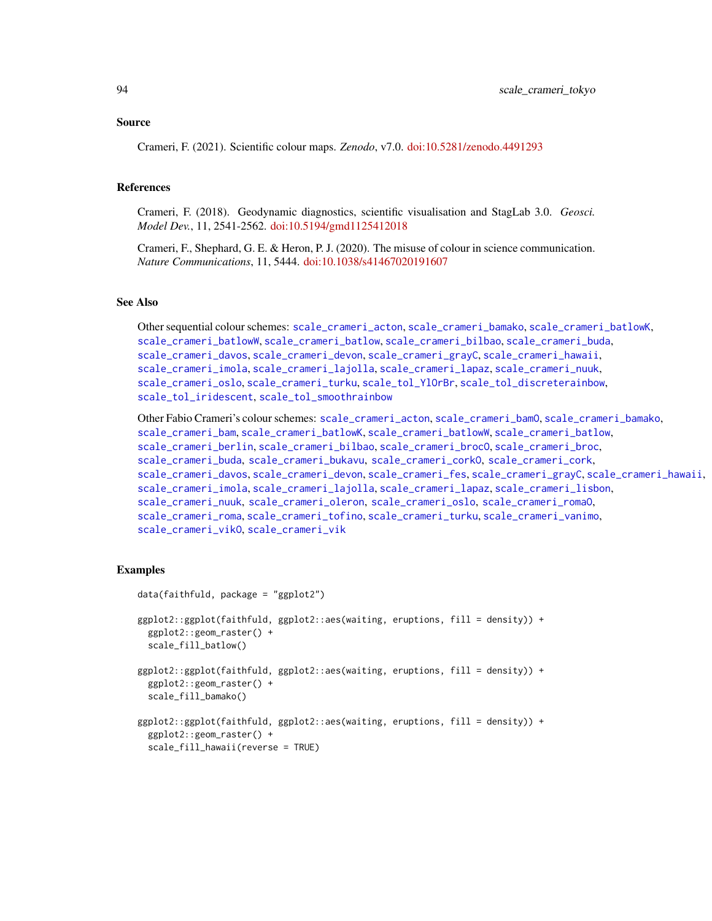#### Source

Crameri, F. (2021). Scientific colour maps. *Zenodo*, v7.0. [doi:10.5281/zenodo.4491293](https://doi.org/10.5281/zenodo.4491293)

### References

Crameri, F. (2018). Geodynamic diagnostics, scientific visualisation and StagLab 3.0. *Geosci. Model Dev.*, 11, 2541-2562. [doi:10.5194/gmd1125412018](https://doi.org/10.5194/gmd-11-2541-2018)

Crameri, F., Shephard, G. E. & Heron, P. J. (2020). The misuse of colour in science communication. *Nature Communications*, 11, 5444. [doi:10.1038/s41467020191607](https://doi.org/10.1038/s41467-020-19160-7)

# See Also

Other sequential colour schemes: [scale\\_crameri\\_acton](#page-16-0), [scale\\_crameri\\_bamako](#page-21-0), [scale\\_crameri\\_batlowK](#page-29-0), [scale\\_crameri\\_batlowW](#page-31-0), [scale\\_crameri\\_batlow](#page-26-0), [scale\\_crameri\\_bilbao](#page-37-0), [scale\\_crameri\\_buda](#page-44-0), [scale\\_crameri\\_davos](#page-53-0), [scale\\_crameri\\_devon](#page-56-0), [scale\\_crameri\\_grayC](#page-60-0), [scale\\_crameri\\_hawaii](#page-63-0), [scale\\_crameri\\_imola](#page-66-0), [scale\\_crameri\\_lajolla](#page-68-0), [scale\\_crameri\\_lapaz](#page-71-0), [scale\\_crameri\\_nuuk](#page-76-0), [scale\\_crameri\\_oslo](#page-81-0), [scale\\_crameri\\_turku](#page-94-0), [scale\\_tol\\_YlOrBr](#page-137-0), [scale\\_tol\\_discreterainbow](#page-113-0), [scale\\_tol\\_iridescent](#page-117-0), [scale\\_tol\\_smoothrainbow](#page-130-0)

Other Fabio Crameri's colour schemes: [scale\\_crameri\\_acton](#page-16-0), [scale\\_crameri\\_bamO](#page-24-0), [scale\\_crameri\\_bamako](#page-21-0), [scale\\_crameri\\_bam](#page-19-0), [scale\\_crameri\\_batlowK](#page-29-0), [scale\\_crameri\\_batlowW](#page-31-0), [scale\\_crameri\\_batlow](#page-26-0), [scale\\_crameri\\_berlin](#page-34-0), [scale\\_crameri\\_bilbao](#page-37-0), [scale\\_crameri\\_broc](#page-39-0)0, scale\_crameri\_broc, [scale\\_crameri\\_buda](#page-44-0), [scale\\_crameri\\_bukavu](#page-46-0), [scale\\_crameri\\_corkO](#page-51-0), [scale\\_crameri\\_cork](#page-48-0), [scale\\_crameri\\_davos](#page-53-0), [scale\\_crameri\\_devon](#page-56-0), [scale\\_crameri\\_fes](#page-58-0), [scale\\_crameri\\_grayC](#page-60-0), [scale\\_crameri\\_hawaii](#page-63-0), [scale\\_crameri\\_imola](#page-66-0), [scale\\_crameri\\_lajolla](#page-68-0), [scale\\_crameri\\_lapaz](#page-71-0), [scale\\_crameri\\_lisbon](#page-74-0), [scale\\_crameri\\_nuuk](#page-76-0), [scale\\_crameri\\_oleron](#page-79-0), [scale\\_crameri\\_oslo](#page-81-0), [scale\\_crameri\\_romaO](#page-86-0), [scale\\_crameri\\_roma](#page-84-0), [scale\\_crameri\\_tofino](#page-88-0), [scale\\_crameri\\_turku](#page-94-0), [scale\\_crameri\\_vanimo](#page-96-0), [scale\\_crameri\\_vikO](#page-102-0), [scale\\_crameri\\_vik](#page-99-0)

## Examples

```
data(faithfuld, package = "ggplot2")
ggplot2::ggplot(faithfuld, ggplot2::aes(waiting, eruptions, fill = density)) +
 ggplot2::geom_raster() +
 scale_fill_batlow()
ggplot2::ggplot(faithfuld, ggplot2::aes(waiting, eruptions, fill = density)) +
 ggplot2::geom_raster() +
 scale_fill_bamako()
ggplot2::ggplot(faithfuld, ggplot2::aes(waiting, eruptions, fill = density)) +
 ggplot2::geom_raster() +
 scale_fill_hawaii(reverse = TRUE)
```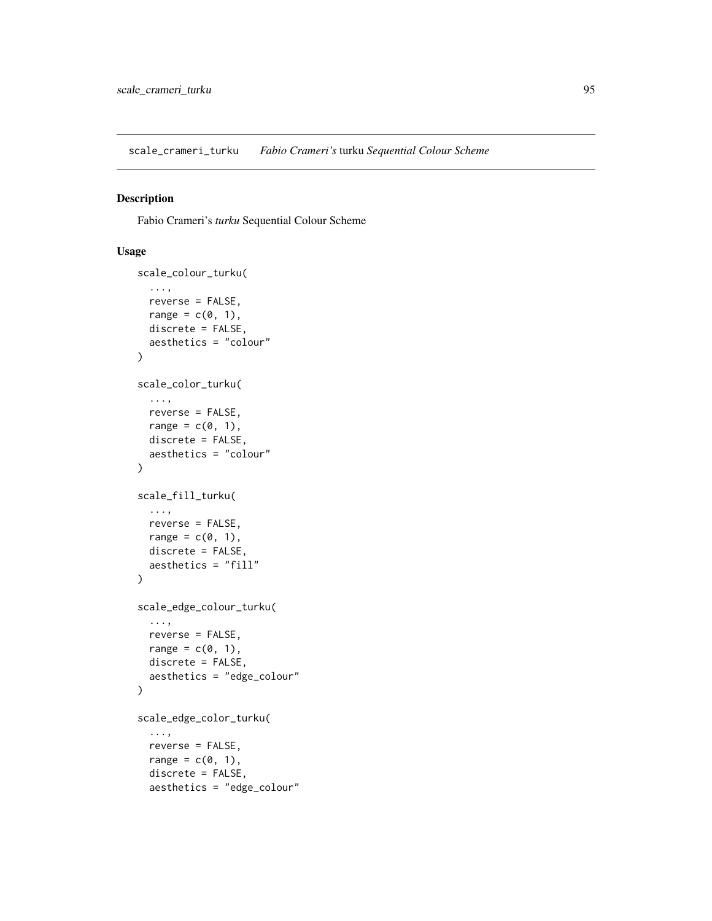<span id="page-94-0"></span>scale\_crameri\_turku *Fabio Crameri's* turku *Sequential Colour Scheme*

# Description

Fabio Crameri's *turku* Sequential Colour Scheme

```
scale_colour_turku(
  ...,
 reverse = FALSE,
 range = c(\emptyset, 1),
 discrete = FALSE,
 aesthetics = "colour"
)
scale_color_turku(
  ...,
 reverse = FALSE,
 range = c(\emptyset, 1),
 discrete = FALSE,
  aesthetics = "colour"
\mathcal{L}scale_fill_turku(
  ...,
 reverse = FALSE,
 range = c(0, 1),
 discrete = FALSE,
  aesthetics = "fill"
)
scale_edge_colour_turku(
  ...,
 reverse = FALSE,
 range = c(\emptyset, 1),
 discrete = FALSE,
 aesthetics = "edge_colour"
)
scale_edge_color_turku(
  ...,
 reverse = FALSE,
 range = c(0, 1),
 discrete = FALSE,
 aesthetics = "edge_colour"
```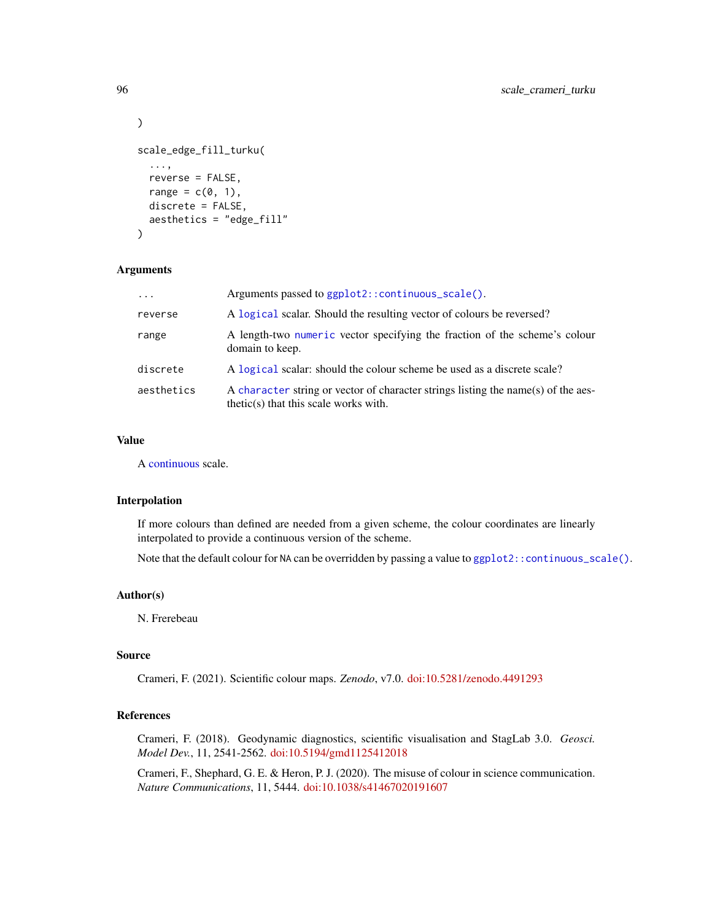```
)
scale_edge_fill_turku(
  ...,
  reverse = FALSE,
 range = c(0, 1),
 discrete = FALSE,
  aesthetics = "edge_fill"
\lambda
```

| $\cdot$ $\cdot$ $\cdot$ | Arguments passed to ggplot2::continuous_scale().                                                                             |
|-------------------------|------------------------------------------------------------------------------------------------------------------------------|
| reverse                 | A logical scalar. Should the resulting vector of colours be reversed?                                                        |
| range                   | A length-two numeric vector specifying the fraction of the scheme's colour<br>domain to keep.                                |
| discrete                | A logical scalar: should the colour scheme be used as a discrete scale?                                                      |
| aesthetics              | A character string or vector of character strings listing the name(s) of the aes-<br>$thetic(s)$ that this scale works with. |

## Value

A [continuous](#page-0-0) scale.

## Interpolation

If more colours than defined are needed from a given scheme, the colour coordinates are linearly interpolated to provide a continuous version of the scheme.

Note that the default colour for NA can be overridden by passing a value to [ggplot2::continuous\\_scale\(\)](#page-0-0).

## Author(s)

N. Frerebeau

### Source

Crameri, F. (2021). Scientific colour maps. *Zenodo*, v7.0. [doi:10.5281/zenodo.4491293](https://doi.org/10.5281/zenodo.4491293)

## References

Crameri, F. (2018). Geodynamic diagnostics, scientific visualisation and StagLab 3.0. *Geosci. Model Dev.*, 11, 2541-2562. [doi:10.5194/gmd1125412018](https://doi.org/10.5194/gmd-11-2541-2018)

Crameri, F., Shephard, G. E. & Heron, P. J. (2020). The misuse of colour in science communication. *Nature Communications*, 11, 5444. [doi:10.1038/s41467020191607](https://doi.org/10.1038/s41467-020-19160-7)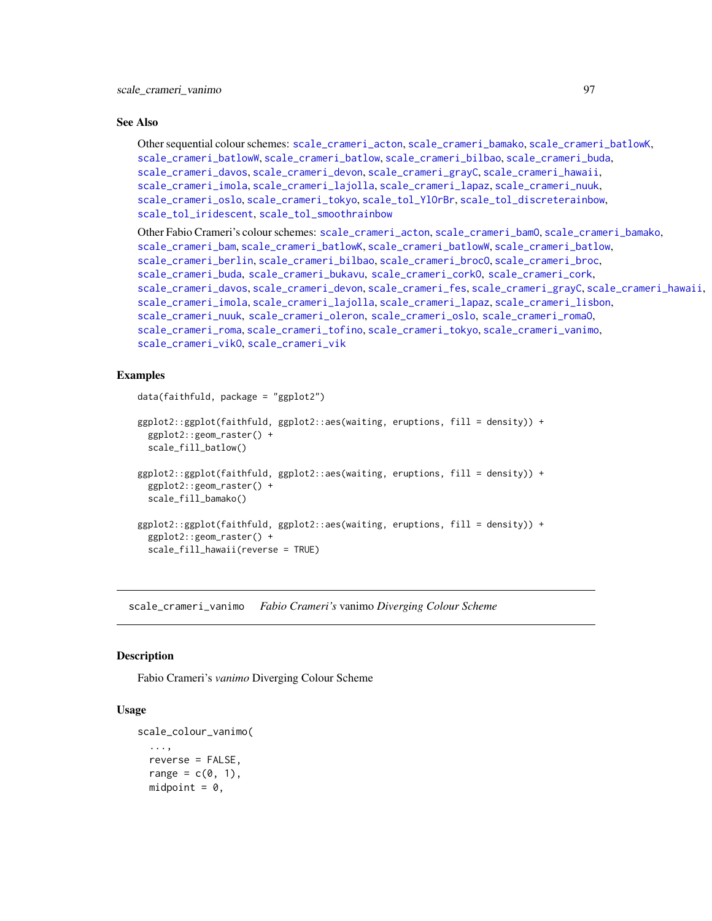## See Also

Other sequential colour schemes: [scale\\_crameri\\_acton](#page-16-0), [scale\\_crameri\\_bamako](#page-21-0), [scale\\_crameri\\_batlowK](#page-29-0), [scale\\_crameri\\_batlowW](#page-31-0), [scale\\_crameri\\_batlow](#page-26-0), [scale\\_crameri\\_bilbao](#page-37-0), [scale\\_crameri\\_buda](#page-44-0), [scale\\_crameri\\_davos](#page-53-0), [scale\\_crameri\\_devon](#page-56-0), [scale\\_crameri\\_grayC](#page-60-0), [scale\\_crameri\\_hawaii](#page-63-0), [scale\\_crameri\\_imola](#page-66-0), [scale\\_crameri\\_lajolla](#page-68-0), [scale\\_crameri\\_lapaz](#page-71-0), [scale\\_crameri\\_nuuk](#page-76-0), [scale\\_crameri\\_oslo](#page-81-0), [scale\\_crameri\\_tokyo](#page-91-0), [scale\\_tol\\_YlOrBr](#page-137-0), [scale\\_tol\\_discreterainbow](#page-113-0), [scale\\_tol\\_iridescent](#page-117-0), [scale\\_tol\\_smoothrainbow](#page-130-0)

Other Fabio Crameri's colour schemes: [scale\\_crameri\\_acton](#page-16-0), [scale\\_crameri\\_bamO](#page-24-0), [scale\\_crameri\\_bamako](#page-21-0), [scale\\_crameri\\_bam](#page-19-0), [scale\\_crameri\\_batlowK](#page-29-0), [scale\\_crameri\\_batlowW](#page-31-0), [scale\\_crameri\\_batlow](#page-26-0), [scale\\_crameri\\_berlin](#page-34-0), [scale\\_crameri\\_bilbao](#page-37-0), [scale\\_crameri\\_brocO](#page-42-0), [scale\\_crameri\\_broc](#page-39-0), [scale\\_crameri\\_buda](#page-44-0), [scale\\_crameri\\_bukavu](#page-46-0), [scale\\_crameri\\_corkO](#page-51-0), [scale\\_crameri\\_cork](#page-48-0), [scale\\_crameri\\_davos](#page-53-0), [scale\\_crameri\\_devon](#page-56-0), [scale\\_crameri\\_fes](#page-58-0), [scale\\_crameri\\_grayC](#page-60-0), [scale\\_crameri\\_hawaii](#page-63-0), [scale\\_crameri\\_imola](#page-66-0), [scale\\_crameri\\_lajolla](#page-68-0), [scale\\_crameri\\_lapaz](#page-71-0), [scale\\_crameri\\_lisbon](#page-74-0), [scale\\_crameri\\_nuuk](#page-76-0), [scale\\_crameri\\_oleron](#page-79-0), [scale\\_crameri\\_oslo](#page-81-0), [scale\\_crameri\\_romaO](#page-86-0), [scale\\_crameri\\_roma](#page-84-0), [scale\\_crameri\\_tofino](#page-88-0), [scale\\_crameri\\_tokyo](#page-91-0), [scale\\_crameri\\_vanimo](#page-96-0), [scale\\_crameri\\_vikO](#page-102-0), [scale\\_crameri\\_vik](#page-99-0)

## Examples

```
data(faithfuld, package = "ggplot2")
ggplot2::ggplot(faithfuld, ggplot2::aes(waiting, eruptions, fill = density)) +
 ggplot2::geom_raster() +
  scale_fill_batlow()
ggplot2::ggplot(faithfuld, ggplot2::aes(waiting, eruptions, fill = density)) +
 ggplot2::geom_raster() +
 scale_fill_bamako()
ggplot2::ggplot(faithfuld, ggplot2::aes(waiting, eruptions, fill = density)) +
 ggplot2::geom_raster() +
 scale_fill_hawaii(reverse = TRUE)
```
<span id="page-96-0"></span>scale\_crameri\_vanimo *Fabio Crameri's* vanimo *Diverging Colour Scheme*

### **Description**

Fabio Crameri's *vanimo* Diverging Colour Scheme

```
scale_colour_vanimo(
  ...,
  reverse = FALSE,
  range = c(0, 1),
  midpoint = 0,
```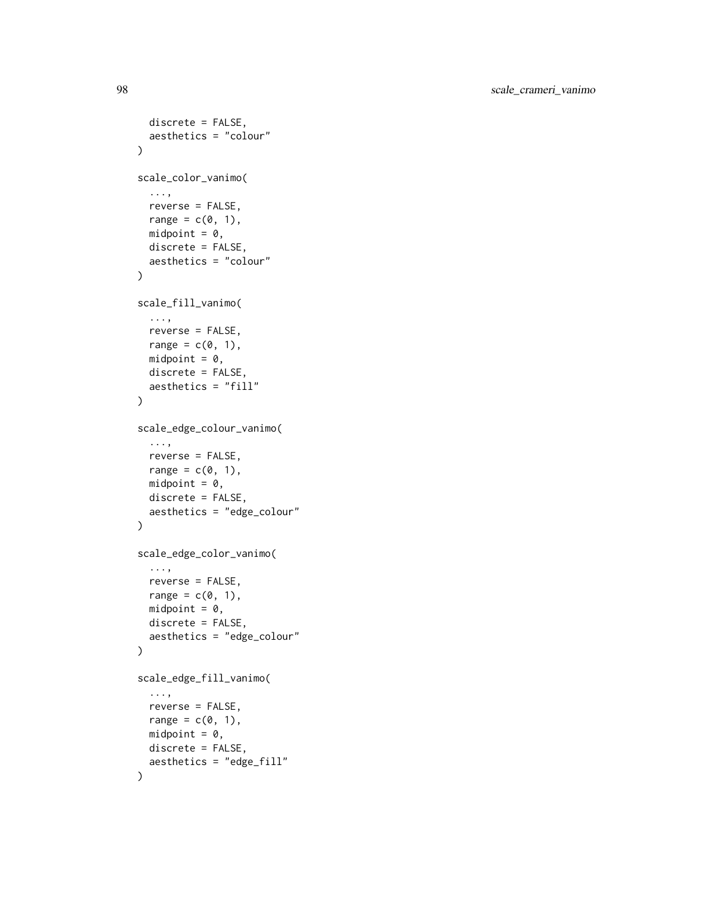```
discrete = FALSE,
  aesthetics = "colour"
\lambdascale_color_vanimo(
  ...,
  reverse = FALSE,
  range = c(\emptyset, 1),
  midpoint = 0,
  discrete = FALSE,
  aesthetics = "colour"
\mathcal{L}scale_fill_vanimo(
  ...,
  reverse = FALSE,
  range = c(\emptyset, 1),
  midpoint = 0,
  discrete = FALSE,
  aesthetics = "fill"
\mathcal{L}scale_edge_colour_vanimo(
  ...,
  reverse = FALSE,
  range = c(0, 1),
  midpoint = \theta,
  discrete = FALSE,
  aesthetics = "edge_colour"
)
scale_edge_color_vanimo(
  ...,
  reverse = FALSE,
  range = c(\emptyset, 1),
  midpoint = 0,
  discrete = FALSE,
  aesthetics = "edge_colour"
\mathcal{L}scale_edge_fill_vanimo(
  ...,
  reverse = FALSE,
  range = c(\emptyset, 1),
  midpoint = 0,
  discrete = FALSE,
  aesthetics = "edge_fill"
\mathcal{L}
```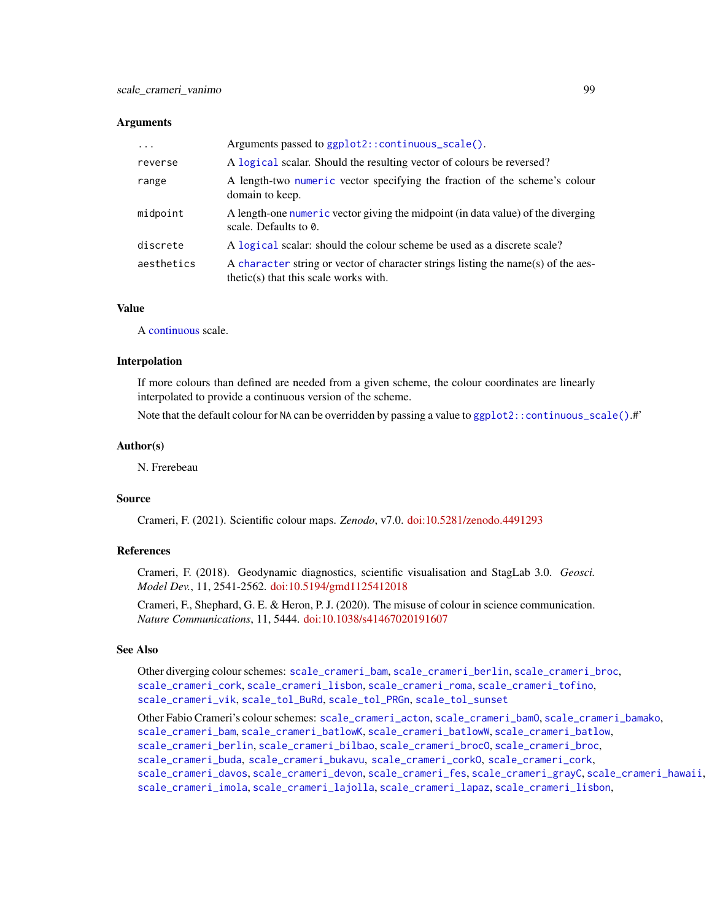| $\cdot$    | Arguments passed to ggplot2::continuous_scale().                                                                             |
|------------|------------------------------------------------------------------------------------------------------------------------------|
| reverse    | A logical scalar. Should the resulting vector of colours be reversed?                                                        |
| range      | A length-two numeric vector specifying the fraction of the scheme's colour<br>domain to keep.                                |
| midpoint   | A length-one numeric vector giving the midpoint (in data value) of the diverging<br>scale. Defaults to $\theta$ .            |
| discrete   | A logical scalar: should the colour scheme be used as a discrete scale?                                                      |
| aesthetics | A character string or vector of character strings listing the name(s) of the aes-<br>$thetic(s)$ that this scale works with. |

## Value

A [continuous](#page-0-0) scale.

### Interpolation

If more colours than defined are needed from a given scheme, the colour coordinates are linearly interpolated to provide a continuous version of the scheme.

Note that the default colour for NA can be overridden by passing a value to ggplot2:: continuous\_scale().#'

## Author(s)

N. Frerebeau

## Source

Crameri, F. (2021). Scientific colour maps. *Zenodo*, v7.0. [doi:10.5281/zenodo.4491293](https://doi.org/10.5281/zenodo.4491293)

# References

Crameri, F. (2018). Geodynamic diagnostics, scientific visualisation and StagLab 3.0. *Geosci. Model Dev.*, 11, 2541-2562. [doi:10.5194/gmd1125412018](https://doi.org/10.5194/gmd-11-2541-2018)

Crameri, F., Shephard, G. E. & Heron, P. J. (2020). The misuse of colour in science communication. *Nature Communications*, 11, 5444. [doi:10.1038/s41467020191607](https://doi.org/10.1038/s41467-020-19160-7)

## See Also

Other diverging colour schemes: [scale\\_crameri\\_bam](#page-19-0), [scale\\_crameri\\_berlin](#page-34-0), [scale\\_crameri\\_broc](#page-39-0), [scale\\_crameri\\_cork](#page-48-0), [scale\\_crameri\\_lisbon](#page-74-0), [scale\\_crameri\\_roma](#page-84-0), [scale\\_crameri\\_tofino](#page-88-0), [scale\\_crameri\\_vik](#page-99-0), [scale\\_tol\\_BuRd](#page-109-0), [scale\\_tol\\_PRGn](#page-127-0), [scale\\_tol\\_sunset](#page-133-0)

Other Fabio Crameri's colour schemes: [scale\\_crameri\\_acton](#page-16-0), [scale\\_crameri\\_bamO](#page-24-0), [scale\\_crameri\\_bamako](#page-21-0), [scale\\_crameri\\_bam](#page-19-0), [scale\\_crameri\\_batlowK](#page-29-0), [scale\\_crameri\\_batlowW](#page-31-0), [scale\\_crameri\\_batlow](#page-26-0), [scale\\_crameri\\_berlin](#page-34-0), [scale\\_crameri\\_bilbao](#page-37-0), [scale\\_crameri\\_brocO](#page-42-0), [scale\\_crameri\\_broc](#page-39-0), [scale\\_crameri\\_buda](#page-44-0), [scale\\_crameri\\_bukavu](#page-46-0), [scale\\_crameri\\_corkO](#page-51-0), [scale\\_crameri\\_cork](#page-48-0), [scale\\_crameri\\_davos](#page-53-0), [scale\\_crameri\\_devon](#page-56-0), [scale\\_crameri\\_fes](#page-58-0), [scale\\_crameri\\_grayC](#page-60-0), [scale\\_crameri\\_hawaii](#page-63-0), [scale\\_crameri\\_imola](#page-66-0), [scale\\_crameri\\_lajolla](#page-68-0), [scale\\_crameri\\_lapaz](#page-71-0), [scale\\_crameri\\_lisbon](#page-74-0),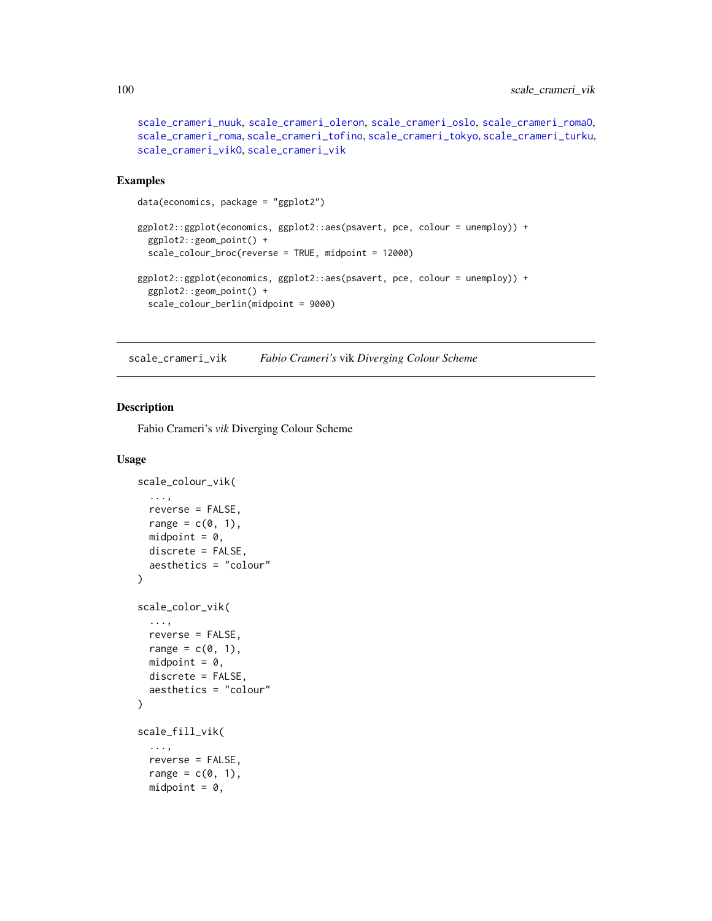```
scale_crameri_nuuk, scale_crameri_oleron, scale_crameri_oslo, scale_crameri_romaO,
scale_crameri_roma, scale_crameri_tofino, scale_crameri_tokyo, scale_crameri_turku,
scale_crameri_vikO, scale_crameri_vik
```
## Examples

```
data(economics, package = "ggplot2")
ggplot2::ggplot(economics, ggplot2::aes(psavert, pce, colour = unemploy)) +
 ggplot2::geom_point() +
 scale_colour_broc(reverse = TRUE, midpoint = 12000)
ggplot2::ggplot(economics, ggplot2::aes(psavert, pce, colour = unemploy)) +
 ggplot2::geom_point() +
 scale_colour_berlin(midpoint = 9000)
```
<span id="page-99-0"></span>scale\_crameri\_vik *Fabio Crameri's* vik *Diverging Colour Scheme*

## Description

Fabio Crameri's *vik* Diverging Colour Scheme

```
scale_colour_vik(
  ...,
  reverse = FALSE,
  range = c(0, 1),
  midpoint = 0,
  discrete = FALSE,
  aesthetics = "colour"
)
scale_color_vik(
  ...,
  reverse = FALSE,
  range = c(\emptyset, 1),
  midpoint = 0,
  discrete = FALSE,
  aesthetics = "colour"
\lambdascale_fill_vik(
  ...,
  reverse = FALSE,
  range = c(\emptyset, 1),
  midpoint = 0,
```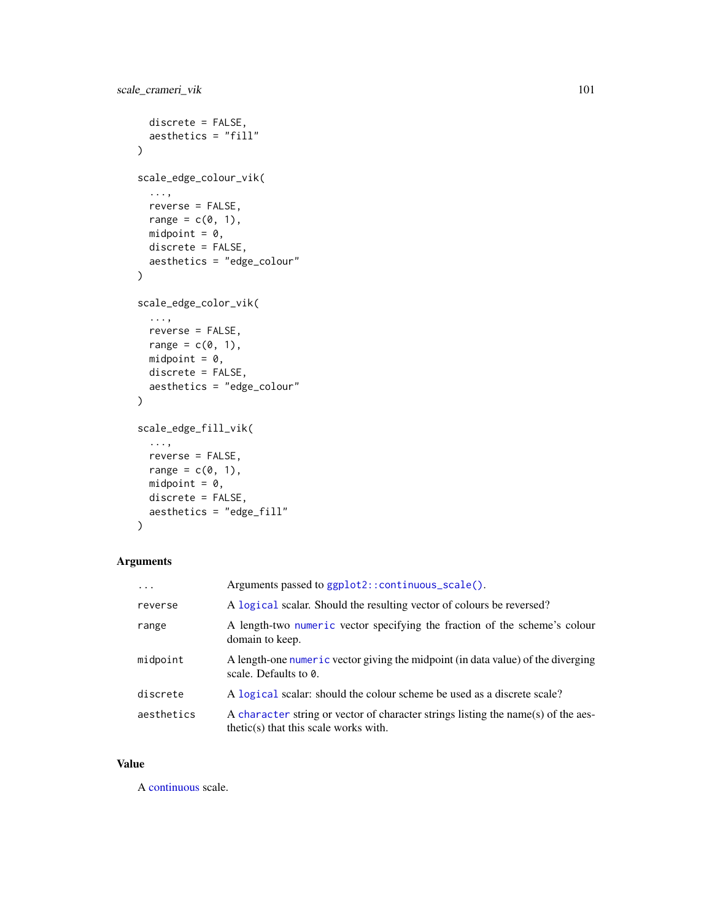```
discrete = FALSE,
  aesthetics = "fill"
\lambdascale_edge_colour_vik(
  ...,
  reverse = FALSE,
  range = c(\emptyset, 1),
  midpoint = 0,
  discrete = FALSE,
  aesthetics = "edge_colour"
\mathcal{L}scale_edge_color_vik(
  ...,
  reverse = FALSE,
  range = c(\emptyset, 1),
  midpoint = 0,
  discrete = FALSE,
  aesthetics = "edge_colour"
\mathcal{L}scale_edge_fill_vik(
  ...,
  reverse = FALSE,
  range = c(0, 1),
  midpoint = 0,
  discrete = FALSE,
  aesthetics = "edge_fill"
\mathcal{L}
```

| $\cdots$   | Arguments passed to ggplot2::continuous_scale().                                                                             |
|------------|------------------------------------------------------------------------------------------------------------------------------|
| reverse    | A logical scalar. Should the resulting vector of colours be reversed?                                                        |
| range      | A length-two numeric vector specifying the fraction of the scheme's colour<br>domain to keep.                                |
| midpoint   | A length-one numeric vector giving the midpoint (in data value) of the diverging<br>scale. Defaults to 0.                    |
| discrete   | A logical scalar: should the colour scheme be used as a discrete scale?                                                      |
| aesthetics | A character string or vector of character strings listing the name(s) of the aes-<br>$thetic(s)$ that this scale works with. |

# Value

A [continuous](#page-0-0) scale.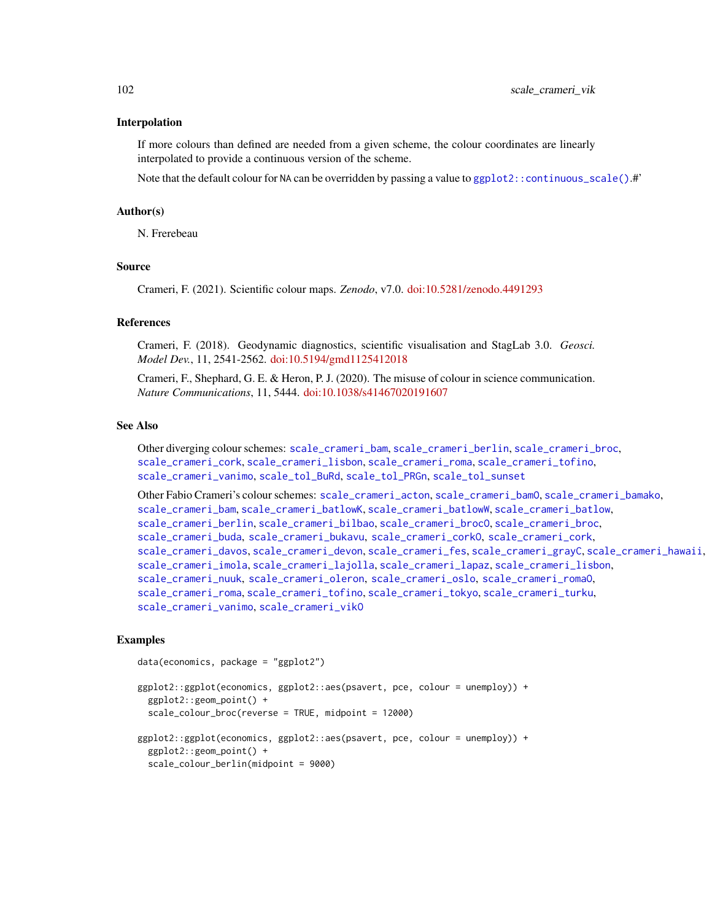#### Interpolation

If more colours than defined are needed from a given scheme, the colour coordinates are linearly interpolated to provide a continuous version of the scheme.

Note that the default colour for NA can be overridden by passing a value to ggplot2:: continuous\_scale().#'

### Author(s)

N. Frerebeau

## Source

Crameri, F. (2021). Scientific colour maps. *Zenodo*, v7.0. [doi:10.5281/zenodo.4491293](https://doi.org/10.5281/zenodo.4491293)

## References

Crameri, F. (2018). Geodynamic diagnostics, scientific visualisation and StagLab 3.0. *Geosci. Model Dev.*, 11, 2541-2562. [doi:10.5194/gmd1125412018](https://doi.org/10.5194/gmd-11-2541-2018)

Crameri, F., Shephard, G. E. & Heron, P. J. (2020). The misuse of colour in science communication. *Nature Communications*, 11, 5444. [doi:10.1038/s41467020191607](https://doi.org/10.1038/s41467-020-19160-7)

### See Also

Other diverging colour schemes: [scale\\_crameri\\_bam](#page-19-0), [scale\\_crameri\\_berlin](#page-34-0), [scale\\_crameri\\_broc](#page-39-0), [scale\\_crameri\\_cork](#page-48-0), [scale\\_crameri\\_lisbon](#page-74-0), [scale\\_crameri\\_roma](#page-84-0), [scale\\_crameri\\_tofino](#page-88-0), [scale\\_crameri\\_vanimo](#page-96-0), [scale\\_tol\\_BuRd](#page-109-0), [scale\\_tol\\_PRGn](#page-127-0), [scale\\_tol\\_sunset](#page-133-0)

Other Fabio Crameri's colour schemes: [scale\\_crameri\\_acton](#page-16-0), [scale\\_crameri\\_bamO](#page-24-0), [scale\\_crameri\\_bamako](#page-21-0), [scale\\_crameri\\_bam](#page-19-0), [scale\\_crameri\\_batlowK](#page-29-0), [scale\\_crameri\\_batlowW](#page-31-0), [scale\\_crameri\\_batlow](#page-26-0), [scale\\_crameri\\_berlin](#page-34-0), [scale\\_crameri\\_bilbao](#page-37-0), [scale\\_crameri\\_broc](#page-39-0)0, scale\_crameri\_broc, [scale\\_crameri\\_buda](#page-44-0), [scale\\_crameri\\_bukavu](#page-46-0), [scale\\_crameri\\_corkO](#page-51-0), [scale\\_crameri\\_cork](#page-48-0), [scale\\_crameri\\_davos](#page-53-0), [scale\\_crameri\\_devon](#page-56-0), [scale\\_crameri\\_fes](#page-58-0), [scale\\_crameri\\_grayC](#page-60-0), [scale\\_crameri\\_hawaii](#page-63-0), [scale\\_crameri\\_imola](#page-66-0), [scale\\_crameri\\_lajolla](#page-68-0), [scale\\_crameri\\_lapaz](#page-71-0), [scale\\_crameri\\_lisbon](#page-74-0), [scale\\_crameri\\_nuuk](#page-76-0), [scale\\_crameri\\_oleron](#page-79-0), [scale\\_crameri\\_oslo](#page-81-0), [scale\\_crameri\\_romaO](#page-86-0), [scale\\_crameri\\_roma](#page-84-0), [scale\\_crameri\\_tofino](#page-88-0), [scale\\_crameri\\_tokyo](#page-91-0), [scale\\_crameri\\_turku](#page-94-0), [scale\\_crameri\\_vanimo](#page-96-0), [scale\\_crameri\\_vikO](#page-102-0)

## Examples

```
data(economics, package = "ggplot2")
```

```
ggplot2::ggplot(economics, ggplot2::aes(psavert, pce, colour = unemploy)) +
 ggplot2::geom_point() +
 scale_colour_broc(reverse = TRUE, midpoint = 12000)
ggplot2::ggplot(economics, ggplot2::aes(psavert, pce, colour = unemploy)) +
 ggplot2::geom_point() +
 scale_colour_berlin(midpoint = 9000)
```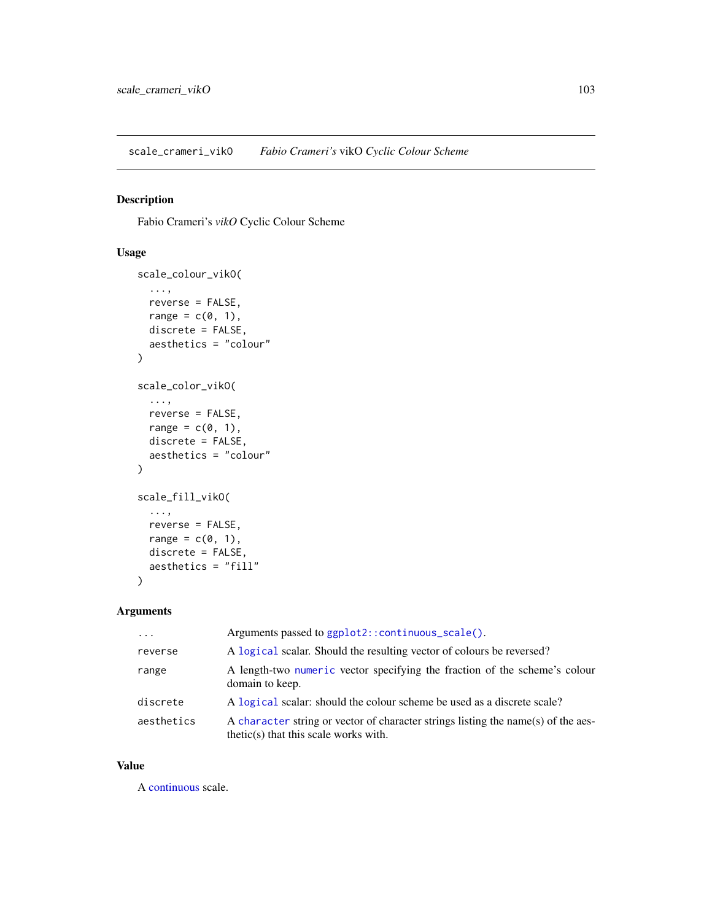<span id="page-102-0"></span>scale\_crameri\_vikO *Fabio Crameri's* vikO *Cyclic Colour Scheme*

# Description

Fabio Crameri's *vikO* Cyclic Colour Scheme

# Usage

```
scale_colour_vikO(
  ...,
  reverse = FALSE,
  range = c(\emptyset, 1),
  discrete = FALSE,
  aesthetics = "colour"
)
scale_color_vikO(
  ...,
  reverse = FALSE,
  range = c(\emptyset, 1),
  discrete = FALSE,
  aesthetics = "colour"
)
scale_fill_vikO(
  ...,
  reverse = FALSE,
  range = c(\emptyset, 1),
  discrete = FALSE,
  aesthetics = "fill"
\mathcal{L}
```
# Arguments

| $\cdots$   | Arguments passed to ggplot2::continuous_scale().                                                                             |
|------------|------------------------------------------------------------------------------------------------------------------------------|
| reverse    | A logical scalar. Should the resulting vector of colours be reversed?                                                        |
| range      | A length-two numeric vector specifying the fraction of the scheme's colour<br>domain to keep.                                |
| discrete   | A logical scalar: should the colour scheme be used as a discrete scale?                                                      |
| aesthetics | A character string or vector of character strings listing the name(s) of the aes-<br>$thetic(s)$ that this scale works with. |

## Value

A [continuous](#page-0-0) scale.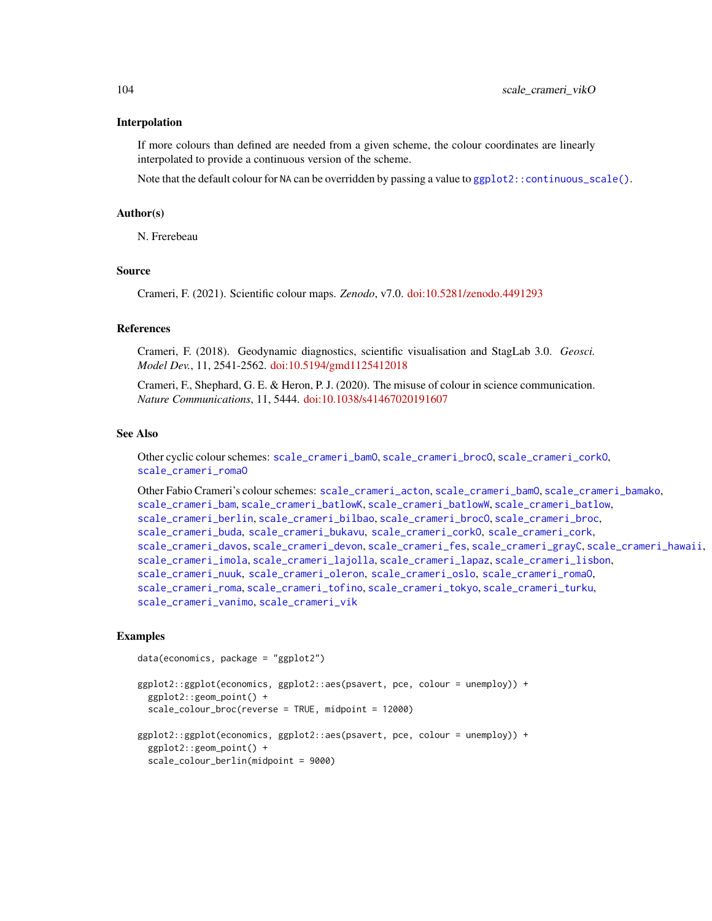### Interpolation

If more colours than defined are needed from a given scheme, the colour coordinates are linearly interpolated to provide a continuous version of the scheme.

Note that the default colour for NA can be overridden by passing a value to  $ggplot2::continuous\_scale()$ .

#### Author(s)

N. Frerebeau

### Source

Crameri, F. (2021). Scientific colour maps. *Zenodo*, v7.0. [doi:10.5281/zenodo.4491293](https://doi.org/10.5281/zenodo.4491293)

### References

Crameri, F. (2018). Geodynamic diagnostics, scientific visualisation and StagLab 3.0. *Geosci. Model Dev.*, 11, 2541-2562. [doi:10.5194/gmd1125412018](https://doi.org/10.5194/gmd-11-2541-2018)

Crameri, F., Shephard, G. E. & Heron, P. J. (2020). The misuse of colour in science communication. *Nature Communications*, 11, 5444. [doi:10.1038/s41467020191607](https://doi.org/10.1038/s41467-020-19160-7)

## See Also

Other cyclic colour schemes: [scale\\_crameri\\_bamO](#page-24-0), [scale\\_crameri\\_brocO](#page-42-0), [scale\\_crameri\\_corkO](#page-51-0), [scale\\_crameri\\_romaO](#page-86-0)

Other Fabio Crameri's colour schemes: [scale\\_crameri\\_acton](#page-16-0), [scale\\_crameri\\_bamO](#page-24-0), [scale\\_crameri\\_bamako](#page-21-0), [scale\\_crameri\\_bam](#page-19-0), [scale\\_crameri\\_batlowK](#page-29-0), [scale\\_crameri\\_batlowW](#page-31-0), [scale\\_crameri\\_batlow](#page-26-0), [scale\\_crameri\\_berlin](#page-34-0), [scale\\_crameri\\_bilbao](#page-37-0), [scale\\_crameri\\_brocO](#page-42-0), [scale\\_crameri\\_broc](#page-39-0), [scale\\_crameri\\_buda](#page-44-0), [scale\\_crameri\\_bukavu](#page-46-0), [scale\\_crameri\\_corkO](#page-51-0), [scale\\_crameri\\_cork](#page-48-0), [scale\\_crameri\\_davos](#page-53-0), [scale\\_crameri\\_devon](#page-56-0), [scale\\_crameri\\_fes](#page-58-0), [scale\\_crameri\\_grayC](#page-60-0), [scale\\_crameri\\_hawaii](#page-63-0), [scale\\_crameri\\_imola](#page-66-0), [scale\\_crameri\\_lajolla](#page-68-0), [scale\\_crameri\\_lapaz](#page-71-0), [scale\\_crameri\\_lisbon](#page-74-0), [scale\\_crameri\\_nuuk](#page-76-0), [scale\\_crameri\\_oleron](#page-79-0), [scale\\_crameri\\_oslo](#page-81-0), [scale\\_crameri\\_romaO](#page-86-0), [scale\\_crameri\\_roma](#page-84-0), [scale\\_crameri\\_tofino](#page-88-0), [scale\\_crameri\\_tokyo](#page-91-0), [scale\\_crameri\\_turku](#page-94-0), [scale\\_crameri\\_vanimo](#page-96-0), [scale\\_crameri\\_vik](#page-99-0)

## Examples

```
data(economics, package = "ggplot2")
```

```
ggplot2::ggplot(economics, ggplot2::aes(psavert, pce, colour = unemploy)) +
 ggplot2::geom_point() +
 scale_colour_broc(reverse = TRUE, midpoint = 12000)
ggplot2::ggplot(economics, ggplot2::aes(psavert, pce, colour = unemploy)) +
 ggplot2::geom_point() +
 scale_colour_berlin(midpoint = 9000)
```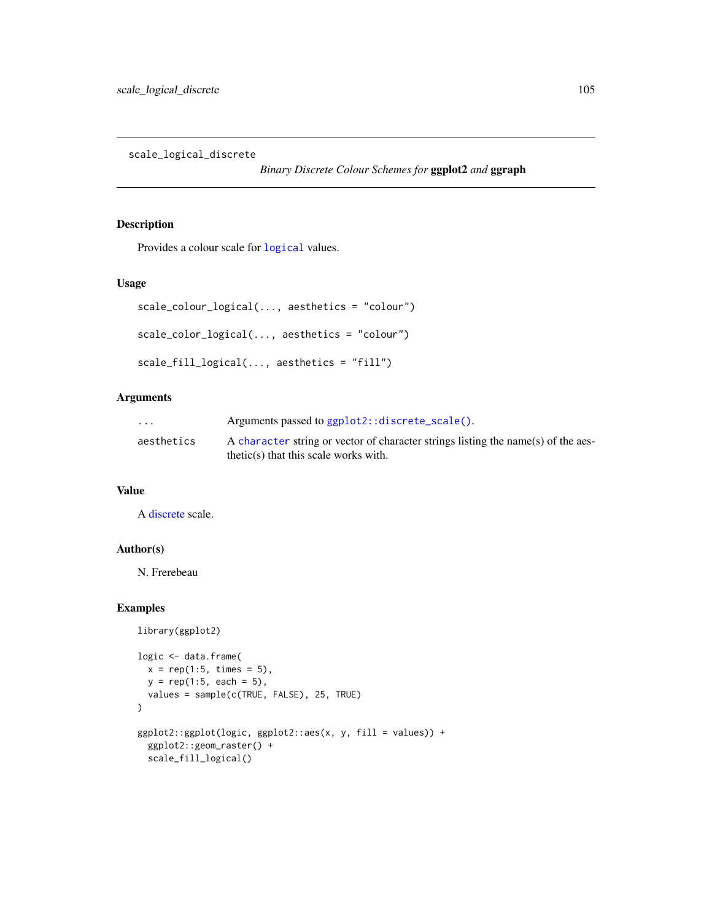scale\_logical\_discrete

*Binary Discrete Colour Schemes for* ggplot2 *and* ggraph

# Description

Provides a colour scale for [logical](#page-0-0) values.

# Usage

```
scale_colour_logical(..., aesthetics = "colour")
scale_color_logical(..., aesthetics = "colour")
scale_fill_logical(..., aesthetics = "fill")
```
# Arguments

| $\cdot$ $\cdot$ $\cdot$ | Arguments passed to ggplot2::discrete_scale().                                    |
|-------------------------|-----------------------------------------------------------------------------------|
| aesthetics              | A character string or vector of character strings listing the name(s) of the aes- |
|                         | $thetic(s)$ that this scale works with.                                           |

## Value

A [discrete](#page-0-0) scale.

# Author(s)

N. Frerebeau

## Examples

```
library(ggplot2)
logic <- data.frame(
  x = rep(1:5, times = 5),y = rep(1:5, each = 5),
  values = sample(c(TRUE, FALSE), 25, TRUE)
)
ggplot2::ggplot(logic, ggplot2::aes(x, y, fill = values)) +
  ggplot2::geom_raster() +
  scale_fill_logical()
```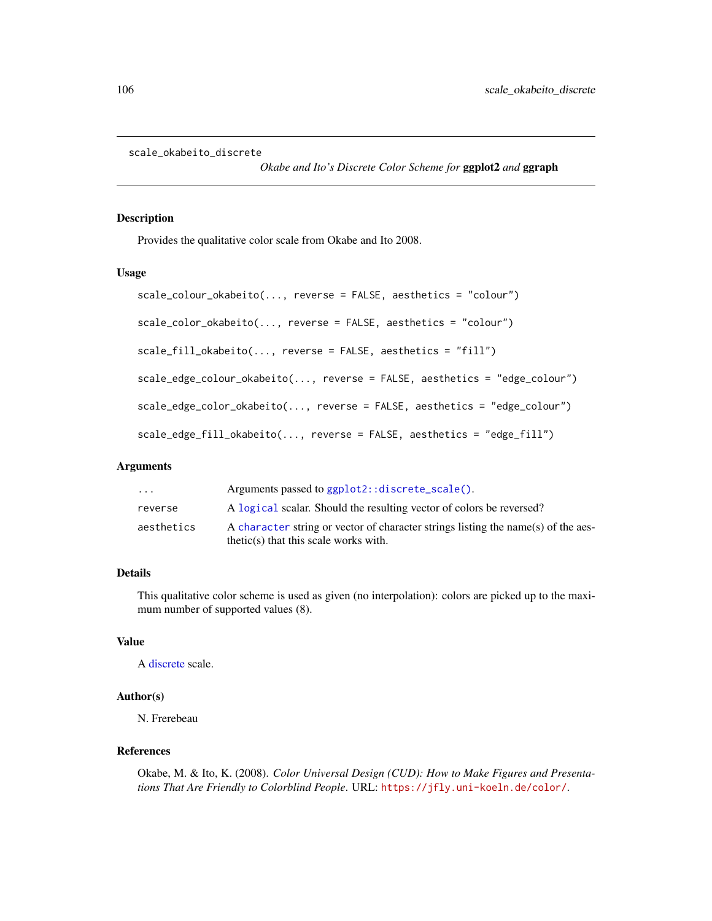```
scale_okabeito_discrete
```
*Okabe and Ito's Discrete Color Scheme for* ggplot2 *and* ggraph

## Description

Provides the qualitative color scale from Okabe and Ito 2008.

### Usage

```
scale_colour_okabeito(..., reverse = FALSE, aesthetics = "colour")
scale_color_okabeito(..., reverse = FALSE, aesthetics = "colour")
scale_fill_okabeito(..., reverse = FALSE, aesthetics = "fill")
scale_edge_colour_okabeito(..., reverse = FALSE, aesthetics = "edge_colour")
scale_edge_color_okabeito(..., reverse = FALSE, aesthetics = "edge_colour")
scale_edge_fill_okabeito(..., reverse = FALSE, aesthetics = "edge_fill")
```
## Arguments

| $\ddotsc$  | Arguments passed to ggplot2::discrete_scale().                                                                               |
|------------|------------------------------------------------------------------------------------------------------------------------------|
| reverse    | A logical scalar. Should the resulting vector of colors be reversed?                                                         |
| aesthetics | A character string or vector of character strings listing the name(s) of the aes-<br>$thetic(s)$ that this scale works with. |

## Details

This qualitative color scheme is used as given (no interpolation): colors are picked up to the maximum number of supported values (8).

### Value

A [discrete](#page-0-0) scale.

## Author(s)

N. Frerebeau

## References

Okabe, M. & Ito, K. (2008). *Color Universal Design (CUD): How to Make Figures and Presentations That Are Friendly to Colorblind People*. URL: <https://jfly.uni-koeln.de/color/>.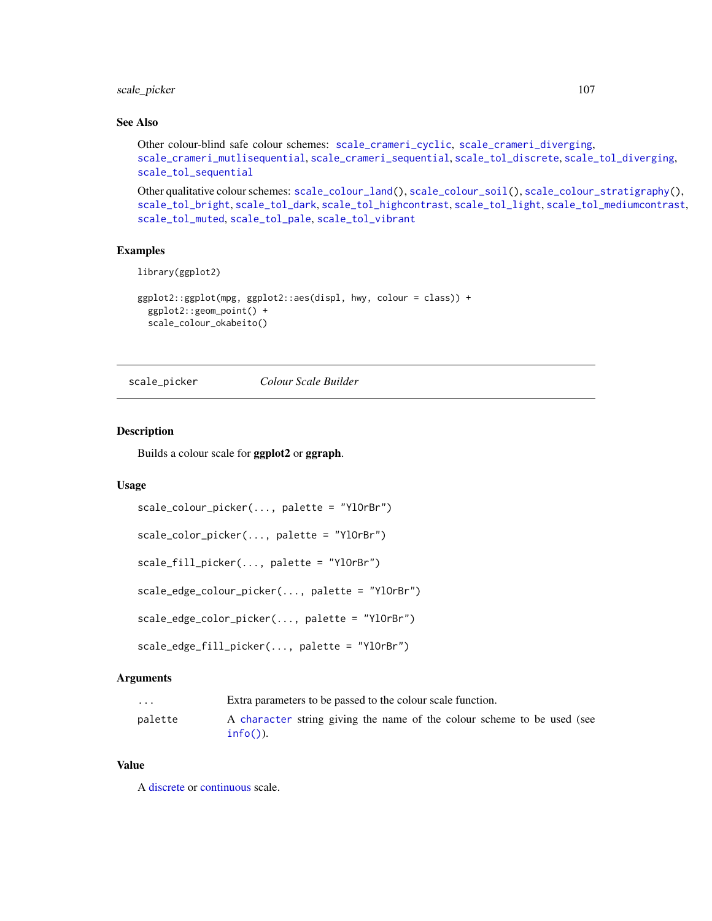# scale\_picker 107

# See Also

```
Other colour-blind safe colour schemes: scale_crameri_cyclic, scale_crameri_diverging,
scale_crameri_mutlisequential, scale_crameri_sequential, scale_tol_discrete, scale_tol_diverging,
scale_tol_sequential
```
Other qualitative colour schemes: [scale\\_colour\\_land\(](#page-11-0)), [scale\\_colour\\_soil\(](#page-13-0)), [scale\\_colour\\_stratigraphy\(](#page-14-0)), [scale\\_tol\\_bright](#page-107-0), [scale\\_tol\\_dark](#page-111-0), [scale\\_tol\\_highcontrast](#page-115-0), [scale\\_tol\\_light](#page-120-0), [scale\\_tol\\_mediumcontrast](#page-122-0), [scale\\_tol\\_muted](#page-124-0), [scale\\_tol\\_pale](#page-125-0), [scale\\_tol\\_vibrant](#page-135-0)

## Examples

```
library(ggplot2)
```

```
ggplot2::ggplot(mpg, ggplot2::aes(displ, hwy, colour = class)) +
 ggplot2::geom_point() +
 scale_colour_okabeito()
```
scale\_picker *Colour Scale Builder*

### Description

Builds a colour scale for ggplot2 or ggraph.

# Usage

```
scale_colour_picker(..., palette = "YlOrBr")
scale_color_picker(..., palette = "YlOrBr")
scale_fill_picker(..., palette = "YlOrBr")
scale_edge_colour_picker(..., palette = "YlOrBr")
scale_edge_color_picker(..., palette = "YlOrBr")
scale_edge_fill_picker(..., palette = "YlOrBr")
```
## Arguments

| .       | Extra parameters to be passed to the colour scale function.                            |
|---------|----------------------------------------------------------------------------------------|
| palette | A character string giving the name of the colour scheme to be used (see<br>$info()$ ). |

## Value

A [discrete](#page-0-0) or [continuous](#page-0-0) scale.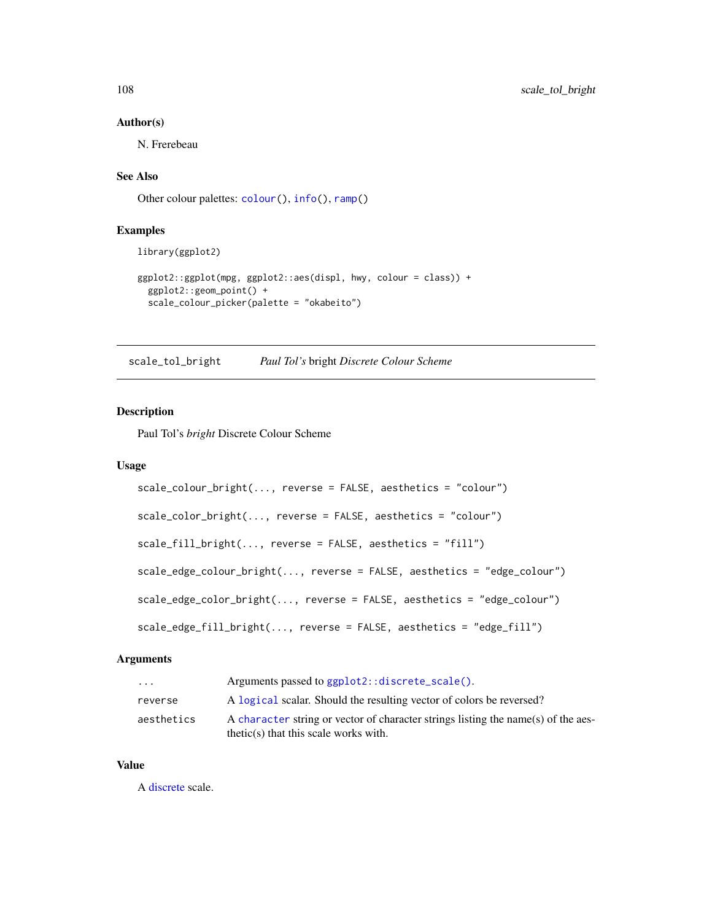### Author(s)

N. Frerebeau

# See Also

Other colour palettes: [colour\(](#page-2-0)), [info\(](#page-8-0)), [ramp\(](#page-10-0))

# Examples

library(ggplot2)

```
ggplot2::ggplot(mpg, ggplot2::aes(displ, hwy, colour = class)) +
  ggplot2::geom_point() +
  scale_colour_picker(palette = "okabeito")
```
<span id="page-107-0"></span>scale\_tol\_bright *Paul Tol's* bright *Discrete Colour Scheme*

# Description

Paul Tol's *bright* Discrete Colour Scheme

## Usage

```
scale_colour_bright(..., reverse = FALSE, aesthetics = "colour")
scale_color_bright(..., reverse = FALSE, aesthetics = "colour")
scale_fill_bright(..., reverse = FALSE, aesthetics = "fill")
scale_edge_colour_bright(..., reverse = FALSE, aesthetics = "edge_colour")
scale_edge_color_bright(..., reverse = FALSE, aesthetics = "edge_colour")
scale_edge_fill_bright(..., reverse = FALSE, aesthetics = "edge_fill")
```
# Arguments

| $\cdot$ $\cdot$ $\cdot$ | Arguments passed to ggplot2::discrete_scale().                                                                               |
|-------------------------|------------------------------------------------------------------------------------------------------------------------------|
| reverse                 | A logical scalar. Should the resulting vector of colors be reversed?                                                         |
| aesthetics              | A character string or vector of character strings listing the name(s) of the aes-<br>$thetic(s)$ that this scale works with. |

# Value

A [discrete](#page-0-0) scale.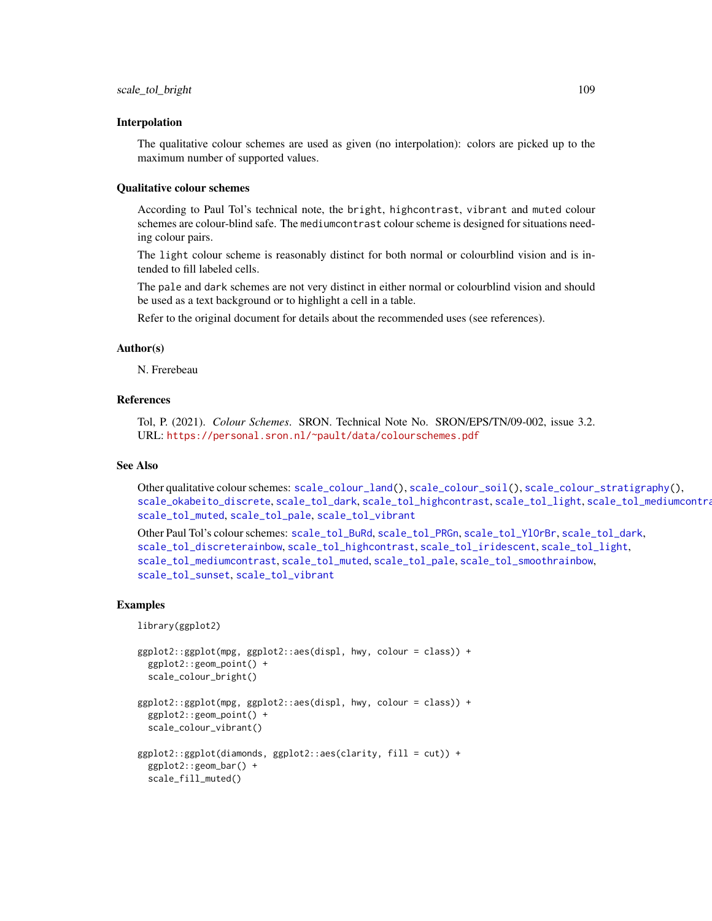#### Interpolation

The qualitative colour schemes are used as given (no interpolation): colors are picked up to the maximum number of supported values.

#### Qualitative colour schemes

According to Paul Tol's technical note, the bright, highcontrast, vibrant and muted colour schemes are colour-blind safe. The mediumcontrast colour scheme is designed for situations needing colour pairs.

The light colour scheme is reasonably distinct for both normal or colourblind vision and is intended to fill labeled cells.

The pale and dark schemes are not very distinct in either normal or colourblind vision and should be used as a text background or to highlight a cell in a table.

Refer to the original document for details about the recommended uses (see references).

#### Author(s)

N. Frerebeau

## References

Tol, P. (2021). *Colour Schemes*. SRON. Technical Note No. SRON/EPS/TN/09-002, issue 3.2. URL: <https://personal.sron.nl/~pault/data/colourschemes.pdf>

## See Also

Other qualitative colour schemes:  $scale_{colour}$  and(),  $scale_{colour}$  soil(),  $scale_{colour}$  stratigraphy(), [scale\\_okabeito\\_discrete](#page-105-0), [scale\\_tol\\_dark](#page-111-0), [scale\\_tol\\_highcontrast](#page-115-0), [scale\\_tol\\_light](#page-120-0), [scale\\_tol\\_mediumcontrast](#page-122-0), [scale\\_tol\\_muted](#page-124-0), [scale\\_tol\\_pale](#page-125-0), [scale\\_tol\\_vibrant](#page-135-0)

Other Paul Tol's colour schemes: [scale\\_tol\\_BuRd](#page-109-0), [scale\\_tol\\_PRGn](#page-127-0), [scale\\_tol\\_YlOrBr](#page-137-0), [scale\\_tol\\_dark](#page-111-0), [scale\\_tol\\_discreterainbow](#page-113-0), [scale\\_tol\\_highcontrast](#page-115-0), [scale\\_tol\\_iridescent](#page-117-0), [scale\\_tol\\_light](#page-120-0), [scale\\_tol\\_mediumcontrast](#page-122-0), [scale\\_tol\\_muted](#page-124-0), [scale\\_tol\\_pale](#page-125-0), [scale\\_tol\\_smoothrainbow](#page-130-0), [scale\\_tol\\_sunset](#page-133-0), [scale\\_tol\\_vibrant](#page-135-0)

#### Examples

```
library(ggplot2)
```

```
ggplot2::ggplot(mpg, ggplot2::aes(displ, hwy, colour = class)) +
 ggplot2::geom_point() +
 scale_colour_bright()
ggplot2::ggplot(mpg, ggplot2::aes(displ, hwy, colour = class)) +
 ggplot2::geom_point() +
 scale_colour_vibrant()
ggplot2::ggplot(diamonds, ggplot2::aes(clarity, fill = cut)) +
 ggplot2::geom_bar() +
```

```
scale_fill_muted()
```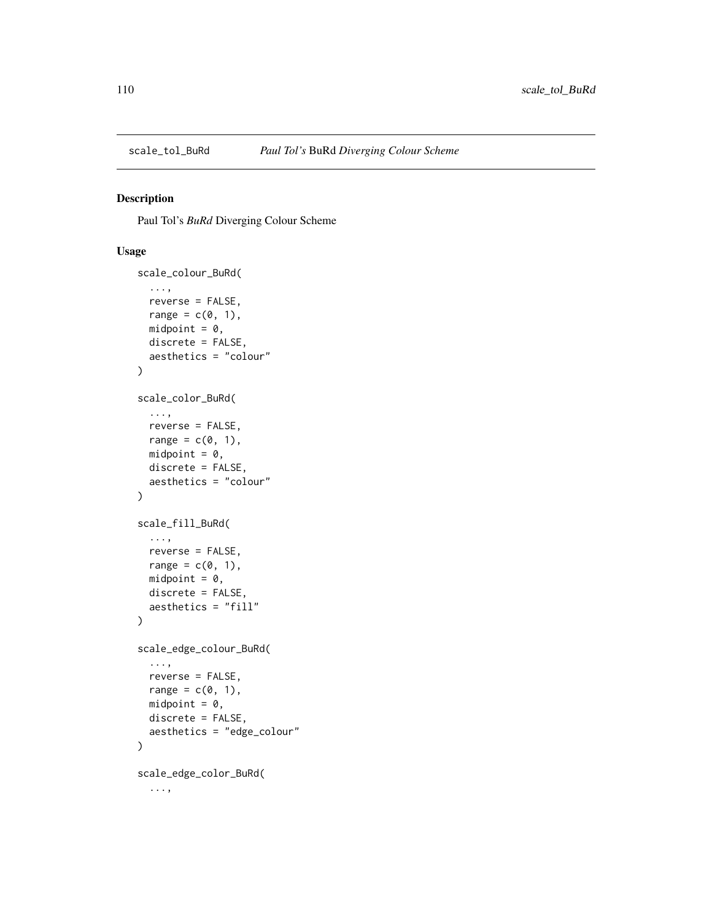<span id="page-109-1"></span><span id="page-109-0"></span>

# Description

Paul Tol's *BuRd* Diverging Colour Scheme

```
scale_colour_BuRd(
  ...,
 reverse = FALSE,
 range = c(\emptyset, 1),
 midpoint = 0,
 discrete = FALSE,
  aesthetics = "colour"
)
scale_color_BuRd(
  ...,
 reverse = FALSE,
 range = c(\emptyset, 1),
 midpoint = 0,
 discrete = FALSE,
  aesthetics = "colour"
\mathcal{L}scale_fill_BuRd(
  ...,
 reverse = FALSE,
 range = c(0, 1),
 midpoint = 0,
 discrete = FALSE,
  aesthetics = "fill"
)
scale_edge_colour_BuRd(
  ...,
 reverse = FALSE,
 range = c(\emptyset, 1),
 midpoint = 0,
 discrete = FALSE,
  aesthetics = "edge_colour"
)
scale_edge_color_BuRd(
  ...,
```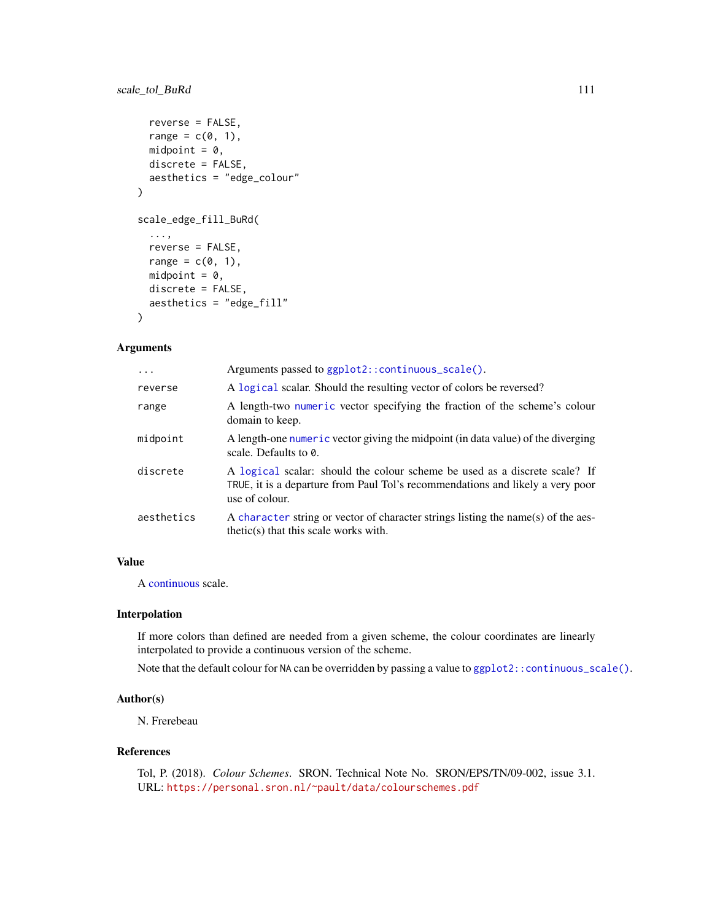# <span id="page-110-0"></span>scale\_tol\_BuRd 111

```
reverse = FALSE,
  range = c(\emptyset, 1),
  midpoint = 0,
  discrete = FALSE,
  aesthetics = "edge_colour"
\mathcal{L}scale_edge_fill_BuRd(
  ...,
  reverse = FALSE,
  range = c(0, 1),
  midpoint = 0,
  discrete = FALSE,
  aesthetics = "edge_fill"
)
```
# Arguments

| $\cdots$   | Arguments passed to ggplot2::continuous_scale().                                                                                                                               |
|------------|--------------------------------------------------------------------------------------------------------------------------------------------------------------------------------|
| reverse    | A logical scalar. Should the resulting vector of colors be reversed?                                                                                                           |
| range      | A length-two numeric vector specifying the fraction of the scheme's colour<br>domain to keep.                                                                                  |
| midpoint   | A length-one numeric vector giving the midpoint (in data value) of the diverging<br>scale. Defaults to 0.                                                                      |
| discrete   | A logical scalar: should the colour scheme be used as a discrete scale? If<br>TRUE, it is a departure from Paul Tol's recommendations and likely a very poor<br>use of colour. |
| aesthetics | A character string or vector of character strings listing the name(s) of the aes-<br>$thetic(s)$ that this scale works with.                                                   |

# Value

A [continuous](#page-0-0) scale.

# Interpolation

If more colors than defined are needed from a given scheme, the colour coordinates are linearly interpolated to provide a continuous version of the scheme.

Note that the default colour for NA can be overridden by passing a value to [ggplot2::continuous\\_scale\(\)](#page-0-0).

## Author(s)

N. Frerebeau

## References

Tol, P. (2018). *Colour Schemes*. SRON. Technical Note No. SRON/EPS/TN/09-002, issue 3.1. URL: <https://personal.sron.nl/~pault/data/colourschemes.pdf>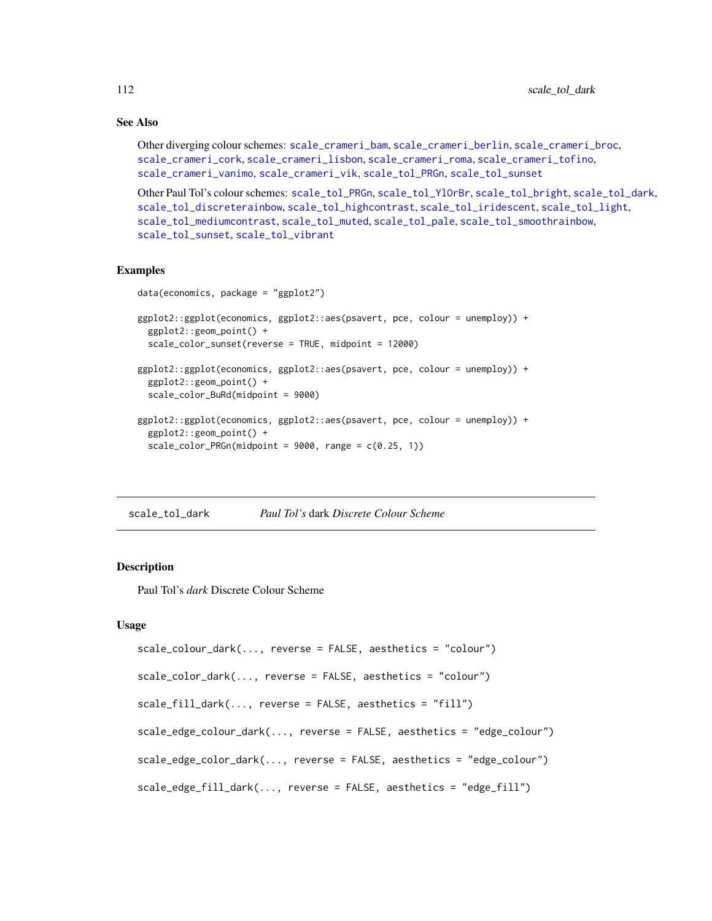# See Also

```
Other diverging colour schemes: scale_crameri_bam, scale_crameri_berlin, scale_crameri_broc,
scale_crameri_cork, scale_crameri_lisbon, scale_crameri_roma, scale_crameri_tofino,
scale_crameri_vanimo, scale_crameri_vik, scale_tol_PRGn, scale_tol_sunset
```
Other Paul Tol's colour schemes: [scale\\_tol\\_PRGn](#page-127-0), [scale\\_tol\\_YlOrBr](#page-137-0), [scale\\_tol\\_bright](#page-107-0), [scale\\_tol\\_dark](#page-111-0), [scale\\_tol\\_discreterainbow](#page-113-0), [scale\\_tol\\_highcontrast](#page-115-0), [scale\\_tol\\_iridescent](#page-117-0), [scale\\_tol\\_light](#page-120-0), [scale\\_tol\\_mediumcontrast](#page-122-0), [scale\\_tol\\_muted](#page-124-0), [scale\\_tol\\_pale](#page-125-0), [scale\\_tol\\_smoothrainbow](#page-130-0), [scale\\_tol\\_sunset](#page-133-0), [scale\\_tol\\_vibrant](#page-135-0)

# Examples

```
data(economics, package = "ggplot2")
```

```
ggplot2::ggplot(economics, ggplot2::aes(psavert, pce, colour = unemploy)) +
 ggplot2::geom_point() +
 scale_color_sunset(reverse = TRUE, midpoint = 12000)
ggplot2::ggplot(economics, ggplot2::aes(psavert, pce, colour = unemploy)) +
 ggplot2::geom_point() +
 scale_color_BuRd(midpoint = 9000)
ggplot2::ggplot(economics, ggplot2::aes(psavert, pce, colour = unemploy)) +
 ggplot2::geom_point() +
 scale\_color_PRGn(midpoint = 9000, range = c(0.25, 1))
```
<span id="page-111-0"></span>scale\_tol\_dark *Paul Tol's* dark *Discrete Colour Scheme*

## Description

Paul Tol's *dark* Discrete Colour Scheme

```
scale_colour_dark(..., reverse = FALSE, aesthetics = "colour")
scale_color_dark(..., reverse = FALSE, aesthetics = "colour")
scale_fill_dark(..., reverse = FALSE, aesthetics = "fill")
scale_edge_colour_dark(..., reverse = FALSE, aesthetics = "edge_colour")
scale_edge_color_dark(..., reverse = FALSE, aesthetics = "edge_colour")
scale_edge_fill_dark(..., reverse = FALSE, aesthetics = "edge_fill")
```
<span id="page-111-1"></span>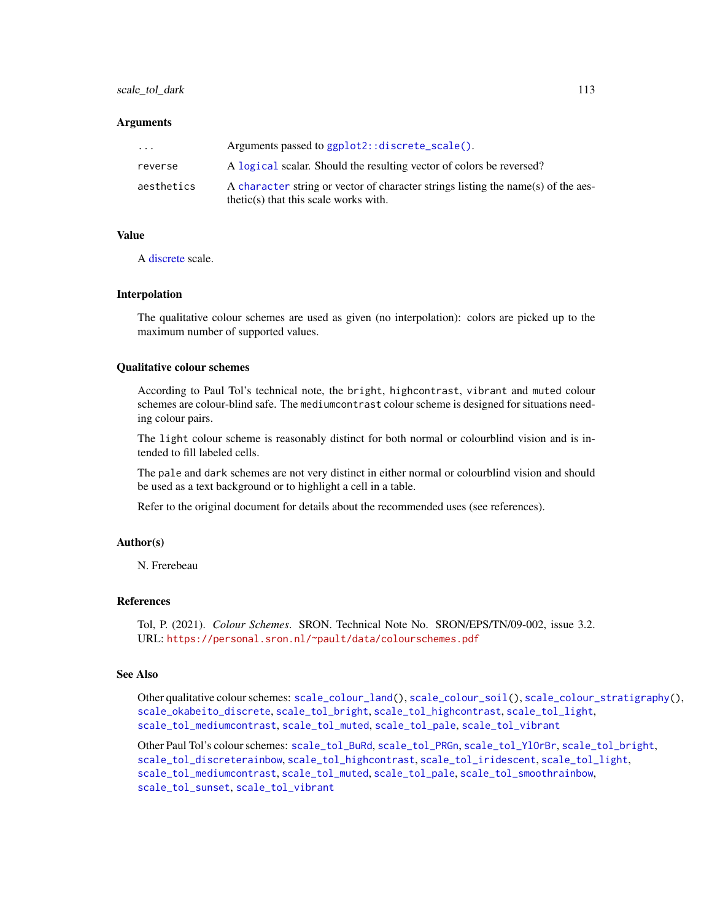# <span id="page-112-0"></span>scale\_tol\_dark 113

#### **Arguments**

| $\cdot$ $\cdot$ $\cdot$ | Arguments passed to ggplot2::discrete_scale().                                                                               |
|-------------------------|------------------------------------------------------------------------------------------------------------------------------|
| reverse                 | A logical scalar. Should the resulting vector of colors be reversed?                                                         |
| aesthetics              | A character string or vector of character strings listing the name(s) of the aes-<br>$thetic(s)$ that this scale works with. |

#### Value

A [discrete](#page-0-0) scale.

#### Interpolation

The qualitative colour schemes are used as given (no interpolation): colors are picked up to the maximum number of supported values.

# Qualitative colour schemes

According to Paul Tol's technical note, the bright, highcontrast, vibrant and muted colour schemes are colour-blind safe. The mediumcontrast colour scheme is designed for situations needing colour pairs.

The light colour scheme is reasonably distinct for both normal or colourblind vision and is intended to fill labeled cells.

The pale and dark schemes are not very distinct in either normal or colourblind vision and should be used as a text background or to highlight a cell in a table.

Refer to the original document for details about the recommended uses (see references).

#### Author(s)

N. Frerebeau

# References

Tol, P. (2021). *Colour Schemes*. SRON. Technical Note No. SRON/EPS/TN/09-002, issue 3.2. URL: <https://personal.sron.nl/~pault/data/colourschemes.pdf>

# See Also

Other qualitative colour schemes: [scale\\_colour\\_land\(](#page-11-0)), [scale\\_colour\\_soil\(](#page-13-0)), [scale\\_colour\\_stratigraphy\(](#page-14-0)), [scale\\_okabeito\\_discrete](#page-105-0), [scale\\_tol\\_bright](#page-107-0), [scale\\_tol\\_highcontrast](#page-115-0), [scale\\_tol\\_light](#page-120-0), [scale\\_tol\\_mediumcontrast](#page-122-0), [scale\\_tol\\_muted](#page-124-0), [scale\\_tol\\_pale](#page-125-0), [scale\\_tol\\_vibrant](#page-135-0)

Other Paul Tol's colour schemes: [scale\\_tol\\_BuRd](#page-109-0), [scale\\_tol\\_PRGn](#page-127-0), [scale\\_tol\\_YlOrBr](#page-137-0), [scale\\_tol\\_bright](#page-107-0), [scale\\_tol\\_discreterainbow](#page-113-0), [scale\\_tol\\_highcontrast](#page-115-0), [scale\\_tol\\_iridescent](#page-117-0), [scale\\_tol\\_light](#page-120-0), [scale\\_tol\\_mediumcontrast](#page-122-0), [scale\\_tol\\_muted](#page-124-0), [scale\\_tol\\_pale](#page-125-0), [scale\\_tol\\_smoothrainbow](#page-130-0), [scale\\_tol\\_sunset](#page-133-0), [scale\\_tol\\_vibrant](#page-135-0)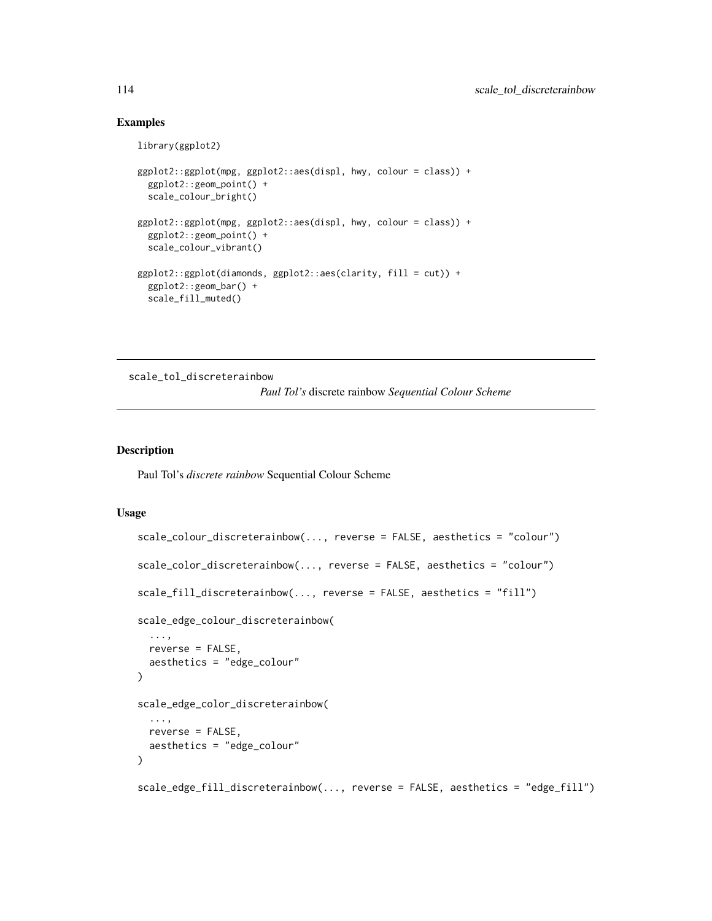# Examples

```
library(ggplot2)
ggplot2::ggplot(mpg, ggplot2::aes(displ, hwy, colour = class)) +
  ggplot2::geom_point() +
  scale_colour_bright()
ggplot2::ggplot(mpg, ggplot2::aes(displ, hwy, colour = class)) +
  ggplot2::geom_point() +
  scale_colour_vibrant()
ggplot2::ggplot(diamonds, ggplot2::aes(clarity, fill = cut)) +
  ggplot2::geom_bar() +
  scale_fill_muted()
```
<span id="page-113-0"></span>scale\_tol\_discreterainbow

*Paul Tol's* discrete rainbow *Sequential Colour Scheme*

## Description

Paul Tol's *discrete rainbow* Sequential Colour Scheme

```
scale_colour_discreterainbow(..., reverse = FALSE, aesthetics = "colour")
scale_color_discreterainbow(..., reverse = FALSE, aesthetics = "colour")
scale_fill_discreterainbow(..., reverse = FALSE, aesthetics = "fill")
scale_edge_colour_discreterainbow(
  ...,
 reverse = FALSE,
  aesthetics = "edge_colour"
\mathcal{L}scale_edge_color_discreterainbow(
  ...,
 reverse = FALSE,
 aesthetics = "edge_colour"
\lambdascale_edge_fill_discreterainbow(..., reverse = FALSE, aesthetics = "edge_fill")
```
<span id="page-113-1"></span>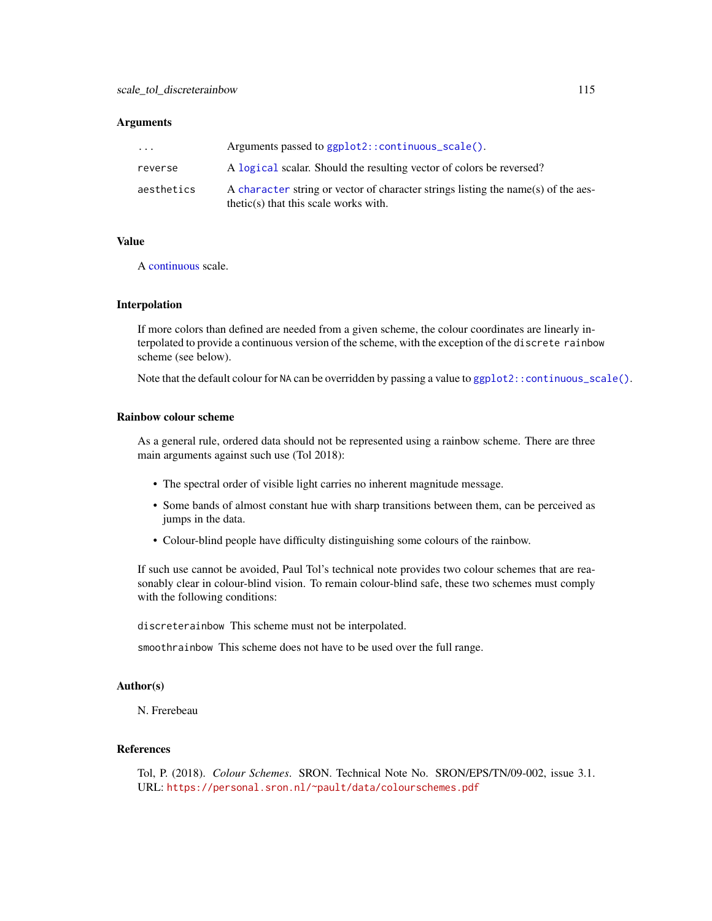<span id="page-114-0"></span>

| $\cdot$ $\cdot$ $\cdot$ | Arguments passed to $ggplot2$ : : continuous_scale().                                                                        |
|-------------------------|------------------------------------------------------------------------------------------------------------------------------|
| reverse                 | A logical scalar. Should the resulting vector of colors be reversed?                                                         |
| aesthetics              | A character string or vector of character strings listing the name(s) of the aes-<br>$thetic(s)$ that this scale works with. |

#### Value

A [continuous](#page-0-0) scale.

#### Interpolation

If more colors than defined are needed from a given scheme, the colour coordinates are linearly interpolated to provide a continuous version of the scheme, with the exception of the discrete rainbow scheme (see below).

Note that the default colour for NA can be overridden by passing a value to [ggplot2::continuous\\_scale\(\)](#page-0-0).

# Rainbow colour scheme

As a general rule, ordered data should not be represented using a rainbow scheme. There are three main arguments against such use (Tol 2018):

- The spectral order of visible light carries no inherent magnitude message.
- Some bands of almost constant hue with sharp transitions between them, can be perceived as jumps in the data.
- Colour-blind people have difficulty distinguishing some colours of the rainbow.

If such use cannot be avoided, Paul Tol's technical note provides two colour schemes that are reasonably clear in colour-blind vision. To remain colour-blind safe, these two schemes must comply with the following conditions:

discreterainbow This scheme must not be interpolated.

smoothrainbow This scheme does not have to be used over the full range.

# Author(s)

N. Frerebeau

#### References

Tol, P. (2018). *Colour Schemes*. SRON. Technical Note No. SRON/EPS/TN/09-002, issue 3.1. URL: <https://personal.sron.nl/~pault/data/colourschemes.pdf>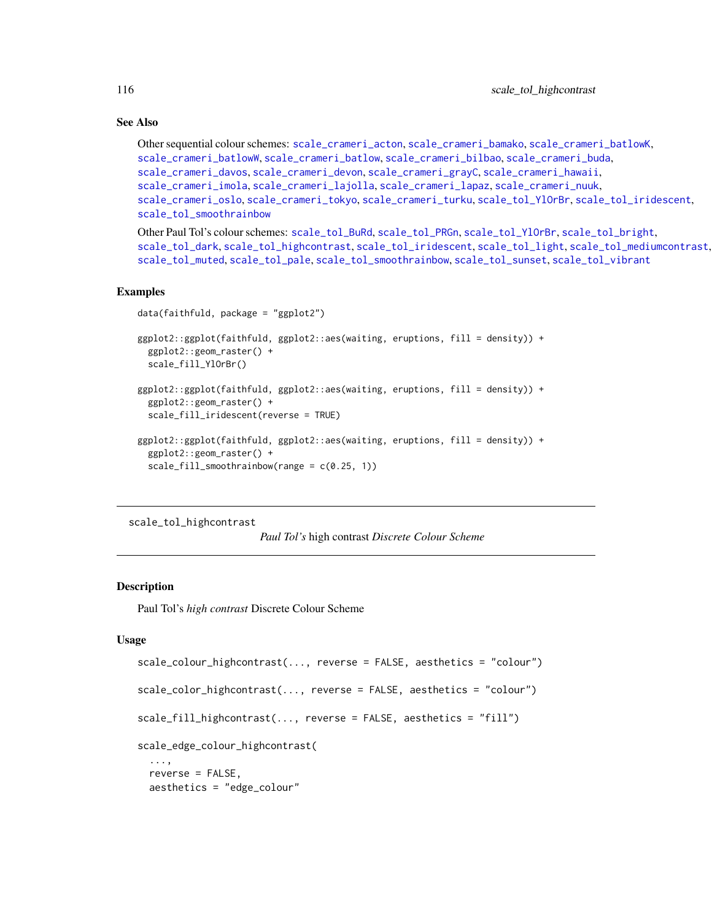# See Also

```
Other sequential colour schemes: scale_crameri_acton, scale_crameri_bamako, scale_crameri_batlowK,
scale_crameri_batlowW, scale_crameri_batlow, scale_crameri_bilbao, scale_crameri_buda,
scale_crameri_davos, scale_crameri_devon, scale_crameri_grayC, scale_crameri_hawaii,
scale_crameri_imola, scale_crameri_lajolla, scale_crameri_lapaz, scale_crameri_nuuk,
scale_crameri_oslo, scale_crameri_tokyo, scale_crameri_turku, scale_tol_YlOrBr, scale_tol_iridescent,
scale_tol_smoothrainbow
```
Other Paul Tol's colour schemes: [scale\\_tol\\_BuRd](#page-109-0), [scale\\_tol\\_PRGn](#page-127-0), [scale\\_tol\\_YlOrBr](#page-137-0), [scale\\_tol\\_bright](#page-107-0), [scale\\_tol\\_dark](#page-111-0), [scale\\_tol\\_highcontrast](#page-115-0), [scale\\_tol\\_iridescent](#page-117-0), [scale\\_tol\\_light](#page-120-0), [scale\\_tol\\_mediumcontrast](#page-122-0), [scale\\_tol\\_muted](#page-124-0), [scale\\_tol\\_pale](#page-125-0), [scale\\_tol\\_smoothrainbow](#page-130-0), [scale\\_tol\\_sunset](#page-133-0), [scale\\_tol\\_vibrant](#page-135-0)

#### Examples

```
data(faithfuld, package = "ggplot2")
ggplot2::ggplot(faithfuld, ggplot2::aes(waiting, eruptions, fill = density)) +
 ggplot2::geom_raster() +
 scale_fill_YlOrBr()
ggplot2::ggplot(faithfuld, ggplot2::aes(waiting, eruptions, fill = density)) +
 ggplot2::geom_raster() +
 scale_fill_iridescent(reverse = TRUE)
ggplot2::ggplot(faithfuld, ggplot2::aes(waiting, eruptions, fill = density)) +
 ggplot2::geom_raster() +
  scale_fill_smoothrainbow(range = c(0.25, 1))
```
<span id="page-115-0"></span>scale\_tol\_highcontrast

*Paul Tol's* high contrast *Discrete Colour Scheme*

# Description

Paul Tol's *high contrast* Discrete Colour Scheme

```
scale_colour_highcontrast(..., reverse = FALSE, aesthetics = "colour")
scale_color_highcontrast(..., reverse = FALSE, aesthetics = "colour")
scale_fill_highcontrast(..., reverse = FALSE, aesthetics = "fill")
scale_edge_colour_highcontrast(
 ...,
 reverse = FALSE,
 aesthetics = "edge_colour"
```
<span id="page-115-1"></span>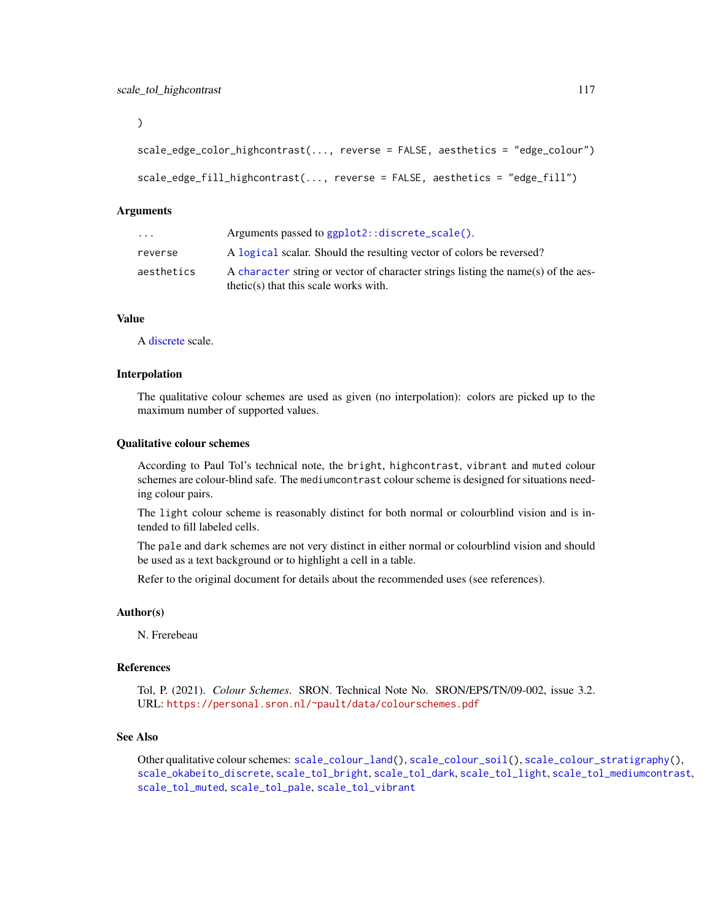<span id="page-116-0"></span>)

```
scale_edge_color_highcontrast(..., reverse = FALSE, aesthetics = "edge_colour")
scale_edge_fill_highcontrast(..., reverse = FALSE, aesthetics = "edge_fill")
```
#### Arguments

| $\cdots$   | Arguments passed to ggplot2::discrete_scale().                                                                               |
|------------|------------------------------------------------------------------------------------------------------------------------------|
| reverse    | A logical scalar. Should the resulting vector of colors be reversed?                                                         |
| aesthetics | A character string or vector of character strings listing the name(s) of the aes-<br>$thetic(s)$ that this scale works with. |

## Value

A [discrete](#page-0-0) scale.

# Interpolation

The qualitative colour schemes are used as given (no interpolation): colors are picked up to the maximum number of supported values.

#### Qualitative colour schemes

According to Paul Tol's technical note, the bright, highcontrast, vibrant and muted colour schemes are colour-blind safe. The mediumcontrast colour scheme is designed for situations needing colour pairs.

The light colour scheme is reasonably distinct for both normal or colourblind vision and is intended to fill labeled cells.

The pale and dark schemes are not very distinct in either normal or colourblind vision and should be used as a text background or to highlight a cell in a table.

Refer to the original document for details about the recommended uses (see references).

## Author(s)

N. Frerebeau

#### References

Tol, P. (2021). *Colour Schemes*. SRON. Technical Note No. SRON/EPS/TN/09-002, issue 3.2. URL: <https://personal.sron.nl/~pault/data/colourschemes.pdf>

#### See Also

Other qualitative colour schemes: [scale\\_colour\\_land\(](#page-11-0)), [scale\\_colour\\_soil\(](#page-13-0)), [scale\\_colour\\_stratigraphy\(](#page-14-0)), [scale\\_okabeito\\_discrete](#page-105-0), [scale\\_tol\\_bright](#page-107-0), [scale\\_tol\\_dark](#page-111-0), [scale\\_tol\\_light](#page-120-0), [scale\\_tol\\_mediumcontrast](#page-122-0), [scale\\_tol\\_muted](#page-124-0), [scale\\_tol\\_pale](#page-125-0), [scale\\_tol\\_vibrant](#page-135-0)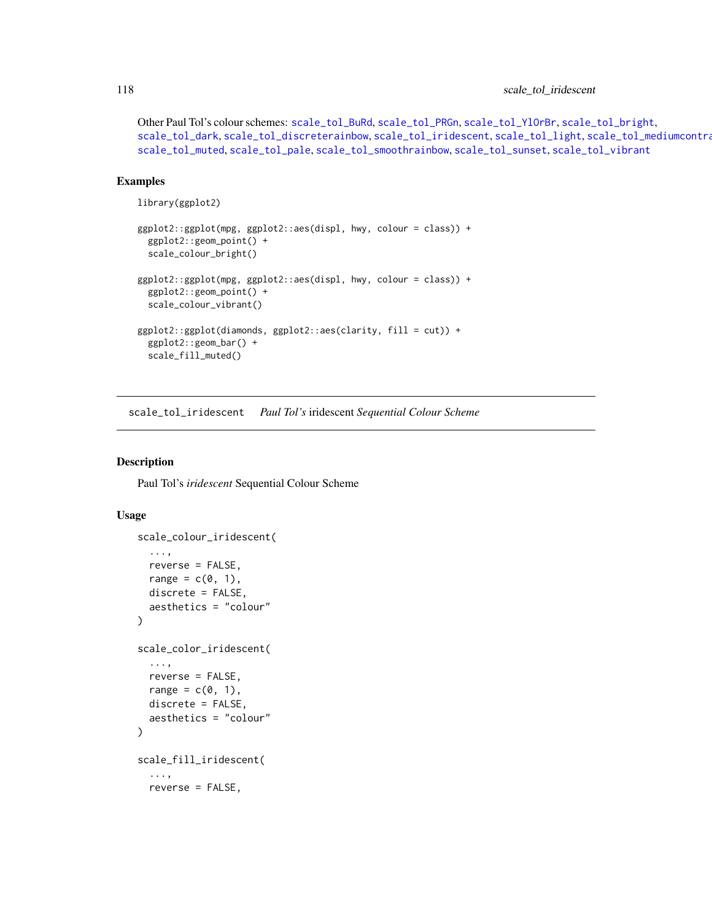Other Paul Tol's colour schemes: [scale\\_tol\\_BuRd](#page-109-0), [scale\\_tol\\_PRGn](#page-127-0), [scale\\_tol\\_YlOrBr](#page-137-0), [scale\\_tol\\_bright](#page-107-0), [scale\\_tol\\_dark](#page-111-0), [scale\\_tol\\_discreterainbow](#page-113-0), [scale\\_tol\\_iridescent](#page-117-0), [scale\\_tol\\_light](#page-120-0), [scale\\_tol\\_mediumcontrast](#page-122-0), [scale\\_tol\\_muted](#page-124-0), [scale\\_tol\\_pale](#page-125-0), [scale\\_tol\\_smoothrainbow](#page-130-0), [scale\\_tol\\_sunset](#page-133-0), [scale\\_tol\\_vibrant](#page-135-0)

# Examples

```
library(ggplot2)
```

```
ggplot2::ggplot(mpg, ggplot2::aes(displ, hwy, colour = class)) +
 ggplot2::geom_point() +
 scale_colour_bright()
ggplot2::ggplot(mpg, ggplot2::aes(displ, hwy, colour = class)) +
 ggplot2::geom_point() +
 scale_colour_vibrant()
ggplot2::ggplot(diamonds, ggplot2::aes(clarity, fill = cut)) +
 ggplot2::geom_bar() +
 scale_fill_muted()
```
<span id="page-117-0"></span>scale\_tol\_iridescent *Paul Tol's* iridescent *Sequential Colour Scheme*

#### Description

Paul Tol's *iridescent* Sequential Colour Scheme

```
scale_colour_iridescent(
  ...,
 reverse = FALSE,
  range = c(0, 1),
  discrete = FALSE,
  aesthetics = "colour"
)
scale_color_iridescent(
  ...,
  reverse = FALSE,
  range = c(\emptyset, 1),
  discrete = FALSE,
  aesthetics = "colour"
)
scale_fill_iridescent(
  ...,
  reverse = FALSE,
```
<span id="page-117-1"></span>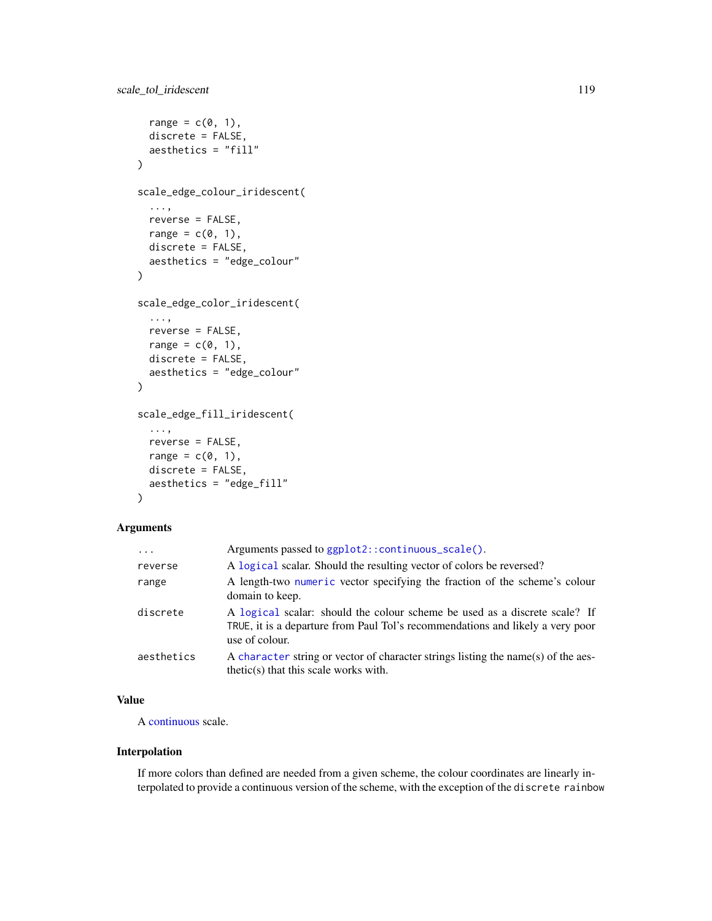```
range = c(\emptyset, 1),
  discrete = FALSE,
  aesthetics = "fill"
\lambdascale_edge_colour_iridescent(
  ...,
 reverse = FALSE,
 range = c(0, 1),
 discrete = FALSE,
  aesthetics = "edge_colour"
\mathcal{L}scale_edge_color_iridescent(
  ...,
 reverse = FALSE,
 range = c(\emptyset, 1),
 discrete = FALSE,
  aesthetics = "edge_colour"
\lambdascale_edge_fill_iridescent(
  ...,
 reverse = FALSE,
 range = c(\emptyset, 1),
 discrete = FALSE,
  aesthetics = "edge_fill"
\mathcal{L}
```

| $\ddotsc$  | Arguments passed to ggplot2::continuous_scale().                                                                                                                               |
|------------|--------------------------------------------------------------------------------------------------------------------------------------------------------------------------------|
| reverse    | A logical scalar. Should the resulting vector of colors be reversed?                                                                                                           |
| range      | A length-two numeric vector specifying the fraction of the scheme's colour<br>domain to keep.                                                                                  |
| discrete   | A logical scalar: should the colour scheme be used as a discrete scale? If<br>TRUE, it is a departure from Paul Tol's recommendations and likely a very poor<br>use of colour. |
| aesthetics | A character string or vector of character strings listing the name(s) of the aes-<br>$thetic(s)$ that this scale works with.                                                   |

# Value

A [continuous](#page-0-0) scale.

# Interpolation

If more colors than defined are needed from a given scheme, the colour coordinates are linearly interpolated to provide a continuous version of the scheme, with the exception of the discrete rainbow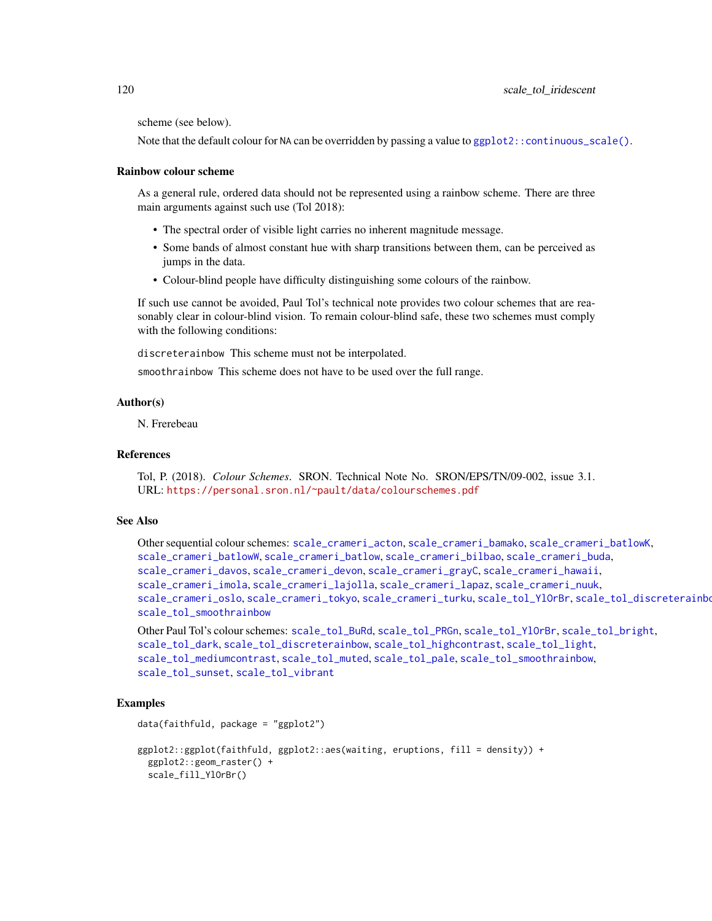<span id="page-119-0"></span>scheme (see below).

Note that the default colour for NA can be overridden by passing a value to  $ggplot2::continuous\_scale()$ .

#### Rainbow colour scheme

As a general rule, ordered data should not be represented using a rainbow scheme. There are three main arguments against such use (Tol 2018):

- The spectral order of visible light carries no inherent magnitude message.
- Some bands of almost constant hue with sharp transitions between them, can be perceived as jumps in the data.
- Colour-blind people have difficulty distinguishing some colours of the rainbow.

If such use cannot be avoided, Paul Tol's technical note provides two colour schemes that are reasonably clear in colour-blind vision. To remain colour-blind safe, these two schemes must comply with the following conditions:

discreterainbow This scheme must not be interpolated.

smoothrainbow This scheme does not have to be used over the full range.

# Author(s)

N. Frerebeau

# References

Tol, P. (2018). *Colour Schemes*. SRON. Technical Note No. SRON/EPS/TN/09-002, issue 3.1. URL: <https://personal.sron.nl/~pault/data/colourschemes.pdf>

## See Also

Other sequential colour schemes: [scale\\_crameri\\_acton](#page-16-0), [scale\\_crameri\\_bamako](#page-21-0), [scale\\_crameri\\_batlowK](#page-29-0), [scale\\_crameri\\_batlowW](#page-31-0), [scale\\_crameri\\_batlow](#page-26-0), [scale\\_crameri\\_bilbao](#page-37-0), [scale\\_crameri\\_buda](#page-44-0), [scale\\_crameri\\_davos](#page-53-0), [scale\\_crameri\\_devon](#page-56-0), [scale\\_crameri\\_grayC](#page-60-0), [scale\\_crameri\\_hawaii](#page-63-0), [scale\\_crameri\\_imola](#page-66-0), [scale\\_crameri\\_lajolla](#page-68-0), [scale\\_crameri\\_lapaz](#page-71-0), [scale\\_crameri\\_nuuk](#page-76-0), [scale\\_crameri\\_oslo](#page-81-0), [scale\\_crameri\\_tokyo](#page-91-0), [scale\\_crameri\\_turku](#page-94-0), [scale\\_tol\\_YlOrBr](#page-137-0), [scale\\_tol\\_discreterainbow](#page-113-0), [scale\\_tol\\_smoothrainbow](#page-130-0)

```
Other Paul Tol's colour schemes: scale_tol_BuRd, scale_tol_PRGn, scale_tol_YlOrBr, scale_tol_bright,
scale_tol_dark, scale_tol_discreterainbow, scale_tol_highcontrast, scale_tol_light,
scale_tol_mediumcontrast, scale_tol_muted, scale_tol_pale, scale_tol_smoothrainbow,
scale_tol_sunset, scale_tol_vibrant
```
#### Examples

```
data(faithfuld, package = "ggplot2")
ggplot2::ggplot(faithfuld, ggplot2::aes(waiting, eruptions, fill = density)) +
 ggplot2::geom_raster() +
 scale_fill_YlOrBr()
```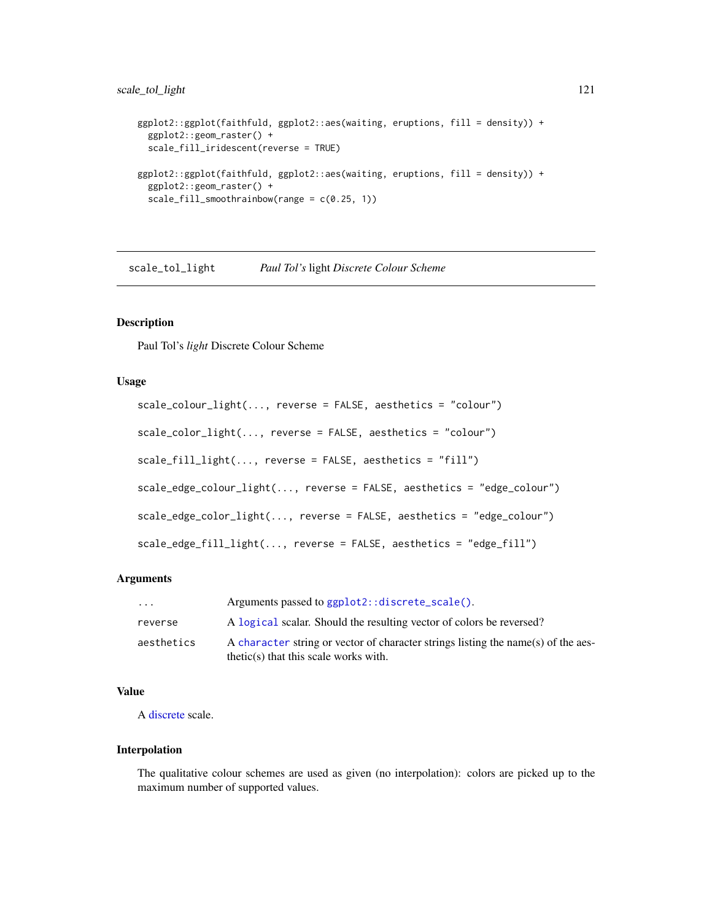# <span id="page-120-1"></span>scale\_tol\_light 121

```
ggplot2::ggplot(faithfuld, ggplot2::aes(waiting, eruptions, fill = density)) +
 ggplot2::geom_raster() +
 scale_fill_iridescent(reverse = TRUE)
ggplot2::ggplot(faithfuld, ggplot2::aes(waiting, eruptions, fill = density)) +
 ggplot2::geom_raster() +
 scale_fill_smoothrainbow(range = c(0.25, 1))
```
<span id="page-120-0"></span>scale\_tol\_light *Paul Tol's* light *Discrete Colour Scheme*

#### Description

Paul Tol's *light* Discrete Colour Scheme

## Usage

```
scale_colour_light(..., reverse = FALSE, aesthetics = "colour")
scale_color_light(..., reverse = FALSE, aesthetics = "colour")
scale_fill_light(..., reverse = FALSE, aesthetics = "fill")
scale_edge_colour_light(..., reverse = FALSE, aesthetics = "edge_colour")
scale_edge_color_light(..., reverse = FALSE, aesthetics = "edge_colour")
scale_edge_fill_light(..., reverse = FALSE, aesthetics = "edge_fill")
```
## Arguments

| $\cdot$ $\cdot$ $\cdot$ | Arguments passed to ggplot2::discrete_scale().                                                                               |
|-------------------------|------------------------------------------------------------------------------------------------------------------------------|
| reverse                 | A logical scalar. Should the resulting vector of colors be reversed?                                                         |
| aesthetics              | A character string or vector of character strings listing the name(s) of the aes-<br>$thetic(s)$ that this scale works with. |

# Value

A [discrete](#page-0-0) scale.

# Interpolation

The qualitative colour schemes are used as given (no interpolation): colors are picked up to the maximum number of supported values.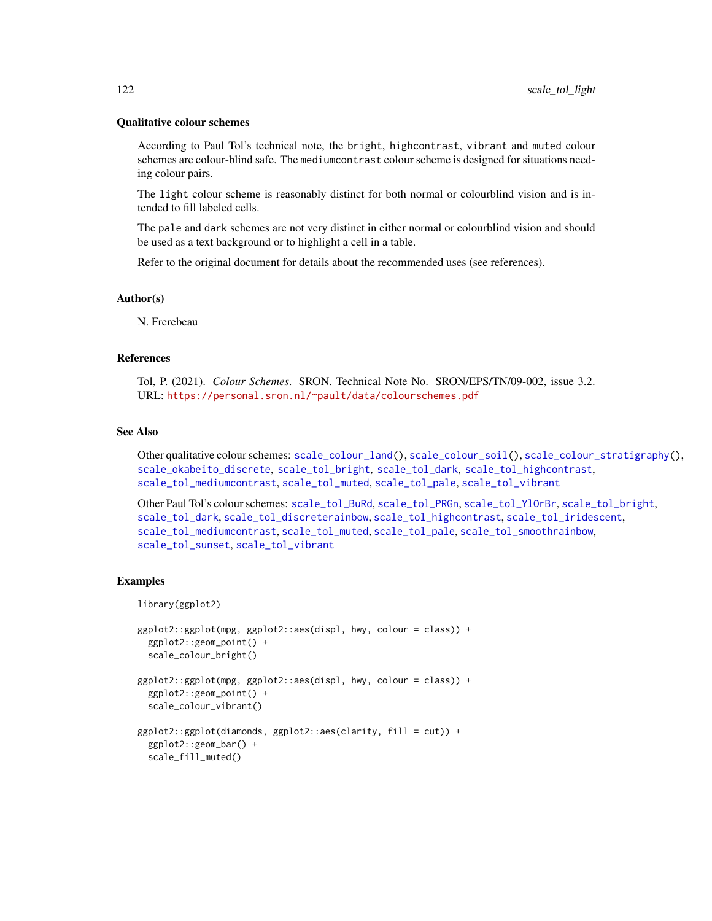#### Qualitative colour schemes

According to Paul Tol's technical note, the bright, highcontrast, vibrant and muted colour schemes are colour-blind safe. The mediumcontrast colour scheme is designed for situations needing colour pairs.

The light colour scheme is reasonably distinct for both normal or colourblind vision and is intended to fill labeled cells.

The pale and dark schemes are not very distinct in either normal or colourblind vision and should be used as a text background or to highlight a cell in a table.

Refer to the original document for details about the recommended uses (see references).

#### Author(s)

N. Frerebeau

#### References

Tol, P. (2021). *Colour Schemes*. SRON. Technical Note No. SRON/EPS/TN/09-002, issue 3.2. URL: <https://personal.sron.nl/~pault/data/colourschemes.pdf>

#### See Also

Other qualitative colour schemes: [scale\\_colour\\_land\(](#page-11-0)), [scale\\_colour\\_soil\(](#page-13-0)), [scale\\_colour\\_stratigraphy\(](#page-14-0)), [scale\\_okabeito\\_discrete](#page-105-0), [scale\\_tol\\_bright](#page-107-0), [scale\\_tol\\_dark](#page-111-0), [scale\\_tol\\_highcontrast](#page-115-0), [scale\\_tol\\_mediumcontrast](#page-122-0), [scale\\_tol\\_muted](#page-124-0), [scale\\_tol\\_pale](#page-125-0), [scale\\_tol\\_vibrant](#page-135-0)

Other Paul Tol's colour schemes: [scale\\_tol\\_BuRd](#page-109-0), [scale\\_tol\\_PRGn](#page-127-0), [scale\\_tol\\_YlOrBr](#page-137-0), [scale\\_tol\\_bright](#page-107-0), [scale\\_tol\\_dark](#page-111-0), [scale\\_tol\\_discreterainbow](#page-113-0), [scale\\_tol\\_highcontrast](#page-115-0), [scale\\_tol\\_iridescent](#page-117-0), [scale\\_tol\\_mediumcontrast](#page-122-0), [scale\\_tol\\_muted](#page-124-0), [scale\\_tol\\_pale](#page-125-0), [scale\\_tol\\_smoothrainbow](#page-130-0), [scale\\_tol\\_sunset](#page-133-0), [scale\\_tol\\_vibrant](#page-135-0)

## Examples

```
library(ggplot2)
```

```
ggplot2::ggplot(mpg, ggplot2::aes(displ, hwy, colour = class)) +
 ggplot2::geom_point() +
 scale_colour_bright()
ggplot2::ggplot(mpg, ggplot2::aes(displ, hwy, colour = class)) +
 ggplot2::geom_point() +
 scale_colour_vibrant()
ggplot2::ggplot(diamonds, ggplot2::aes(clarity, fill = cut)) +
 ggplot2::geom_bar() +
 scale_fill_muted()
```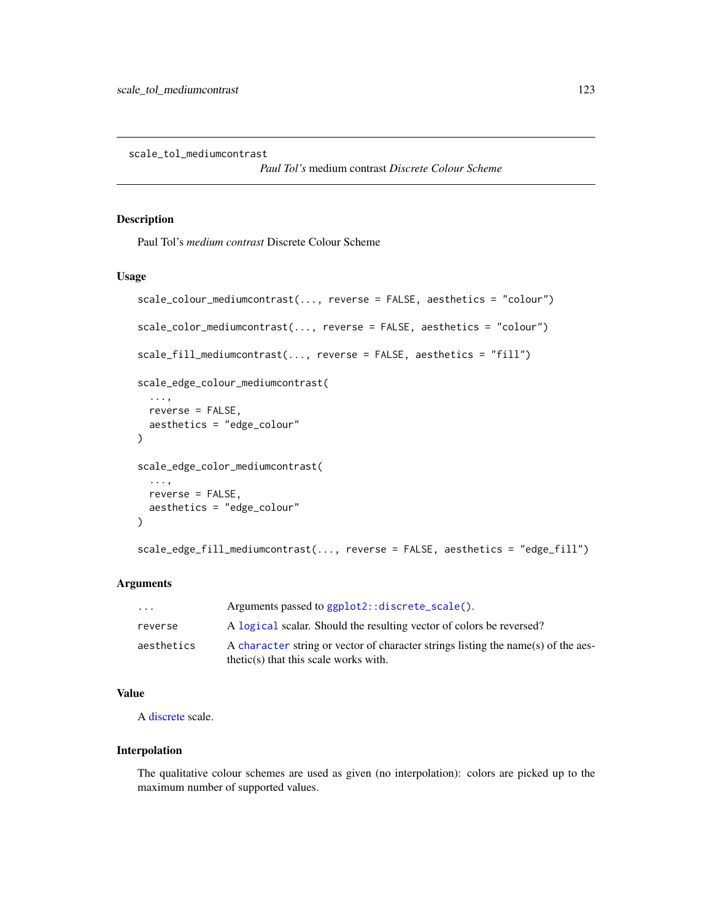<span id="page-122-1"></span><span id="page-122-0"></span>scale\_tol\_mediumcontrast

*Paul Tol's* medium contrast *Discrete Colour Scheme*

# Description

Paul Tol's *medium contrast* Discrete Colour Scheme

#### Usage

```
scale_colour_mediumcontrast(..., reverse = FALSE, aesthetics = "colour")
scale_color_mediumcontrast(..., reverse = FALSE, aesthetics = "colour")
scale_fill_mediumcontrast(..., reverse = FALSE, aesthetics = "fill")
scale_edge_colour_mediumcontrast(
  ...,
 reverse = FALSE,
 aesthetics = "edge_colour"
)
scale_edge_color_mediumcontrast(
  ...,
 reverse = FALSE,
 aesthetics = "edge_colour"
)
scale_edge_fill_mediumcontrast(..., reverse = FALSE, aesthetics = "edge_fill")
```
#### **Arguments**

| .          | Arguments passed to ggplot2::discrete_scale().                                                                               |
|------------|------------------------------------------------------------------------------------------------------------------------------|
| reverse    | A logical scalar. Should the resulting vector of colors be reversed?                                                         |
| aesthetics | A character string or vector of character strings listing the name(s) of the aes-<br>$thetic(s)$ that this scale works with. |

# Value

A [discrete](#page-0-0) scale.

# Interpolation

The qualitative colour schemes are used as given (no interpolation): colors are picked up to the maximum number of supported values.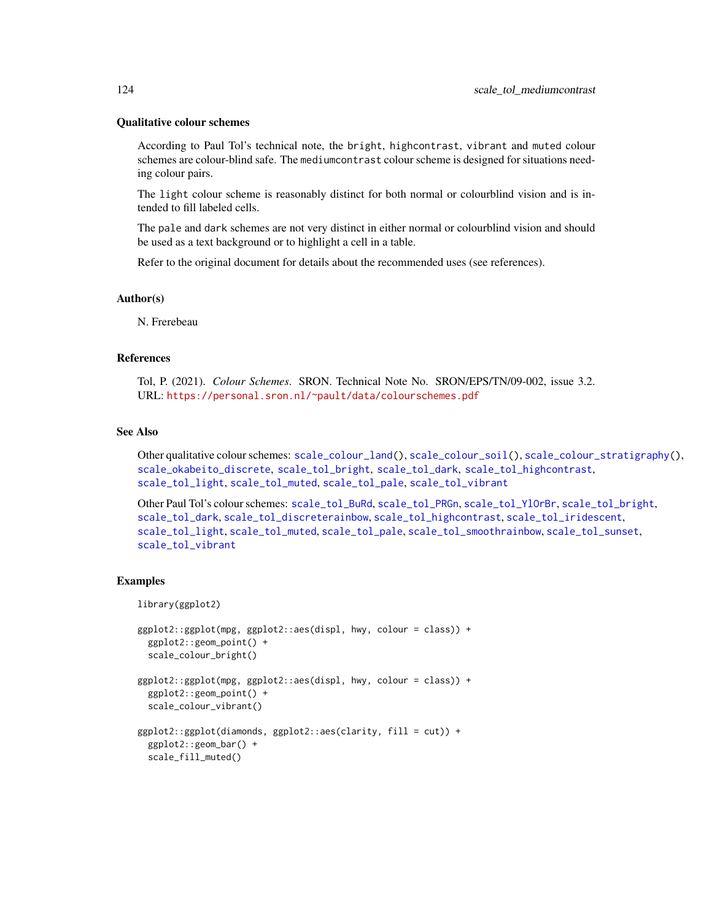#### Qualitative colour schemes

According to Paul Tol's technical note, the bright, highcontrast, vibrant and muted colour schemes are colour-blind safe. The mediumcontrast colour scheme is designed for situations needing colour pairs.

The light colour scheme is reasonably distinct for both normal or colourblind vision and is intended to fill labeled cells.

The pale and dark schemes are not very distinct in either normal or colourblind vision and should be used as a text background or to highlight a cell in a table.

Refer to the original document for details about the recommended uses (see references).

#### Author(s)

N. Frerebeau

#### References

Tol, P. (2021). *Colour Schemes*. SRON. Technical Note No. SRON/EPS/TN/09-002, issue 3.2. URL: <https://personal.sron.nl/~pault/data/colourschemes.pdf>

#### See Also

Other qualitative colour schemes: [scale\\_colour\\_land\(](#page-11-0)), [scale\\_colour\\_soil\(](#page-13-0)), [scale\\_colour\\_stratigraphy\(](#page-14-0)), [scale\\_okabeito\\_discrete](#page-105-0), [scale\\_tol\\_bright](#page-107-0), [scale\\_tol\\_dark](#page-111-0), [scale\\_tol\\_highcontrast](#page-115-0), [scale\\_tol\\_light](#page-120-0), [scale\\_tol\\_muted](#page-124-0), [scale\\_tol\\_pale](#page-125-0), [scale\\_tol\\_vibrant](#page-135-0)

Other Paul Tol's colour schemes: [scale\\_tol\\_BuRd](#page-109-0), [scale\\_tol\\_PRGn](#page-127-0), [scale\\_tol\\_YlOrBr](#page-137-0), [scale\\_tol\\_bright](#page-107-0), [scale\\_tol\\_dark](#page-111-0), [scale\\_tol\\_discreterainbow](#page-113-0), [scale\\_tol\\_highcontrast](#page-115-0), [scale\\_tol\\_iridescent](#page-117-0), [scale\\_tol\\_light](#page-120-0), [scale\\_tol\\_muted](#page-124-0), [scale\\_tol\\_pale](#page-125-0), [scale\\_tol\\_smoothrainbow](#page-130-0), [scale\\_tol\\_sunset](#page-133-0), [scale\\_tol\\_vibrant](#page-135-0)

#### Examples

library(ggplot2)

```
ggplot2::ggplot(mpg, ggplot2::aes(displ, hwy, colour = class)) +
 ggplot2::geom_point() +
 scale_colour_bright()
ggplot2::ggplot(mpg, ggplot2::aes(displ, hwy, colour = class)) +
 ggplot2::geom_point() +
 scale_colour_vibrant()
ggplot2::ggplot(diamonds, ggplot2::aes(clarity, fill = cut)) +
 ggplot2::geom_bar() +
 scale_fill_muted()
```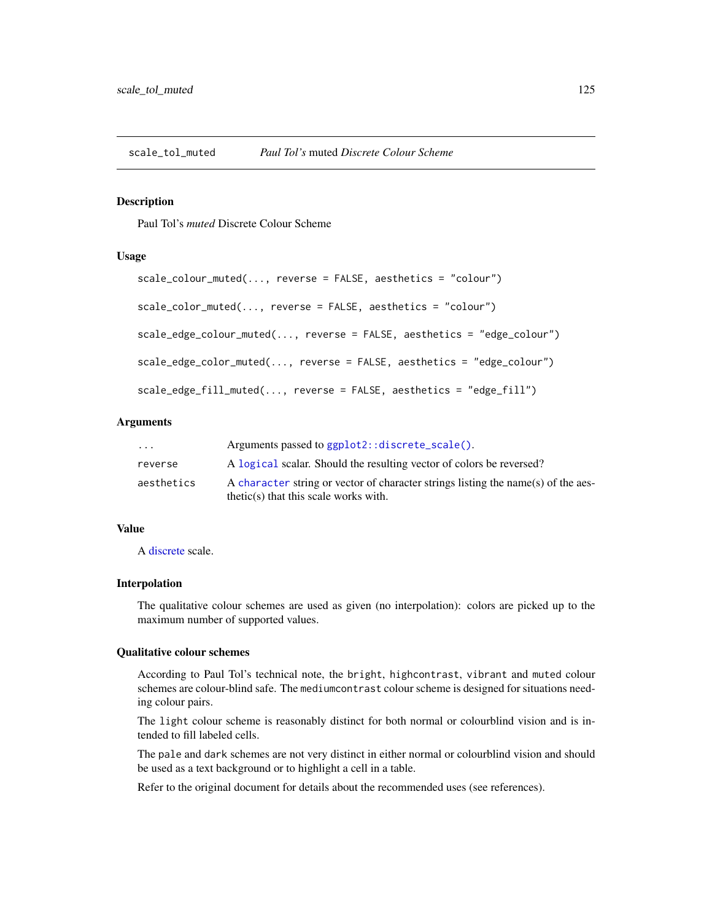<span id="page-124-1"></span><span id="page-124-0"></span>

# Description

Paul Tol's *muted* Discrete Colour Scheme

# Usage

```
scale_colour_muted(..., reverse = FALSE, aesthetics = "colour")
scale_color_muted(..., reverse = FALSE, aesthetics = "colour")
scale_edge_colour_muted(..., reverse = FALSE, aesthetics = "edge_colour")
scale_edge_color_muted(..., reverse = FALSE, aesthetics = "edge_colour")
scale_edge_fill_muted(..., reverse = FALSE, aesthetics = "edge_fill")
```
# **Arguments**

| $\cdots$   | Arguments passed to ggplot2::discrete_scale().                                                                               |
|------------|------------------------------------------------------------------------------------------------------------------------------|
| reverse    | A logical scalar. Should the resulting vector of colors be reversed?                                                         |
| aesthetics | A character string or vector of character strings listing the name(s) of the aes-<br>$thetic(s)$ that this scale works with. |

# Value

A [discrete](#page-0-0) scale.

## Interpolation

The qualitative colour schemes are used as given (no interpolation): colors are picked up to the maximum number of supported values.

# Qualitative colour schemes

According to Paul Tol's technical note, the bright, highcontrast, vibrant and muted colour schemes are colour-blind safe. The mediumcontrast colour scheme is designed for situations needing colour pairs.

The light colour scheme is reasonably distinct for both normal or colourblind vision and is intended to fill labeled cells.

The pale and dark schemes are not very distinct in either normal or colourblind vision and should be used as a text background or to highlight a cell in a table.

Refer to the original document for details about the recommended uses (see references).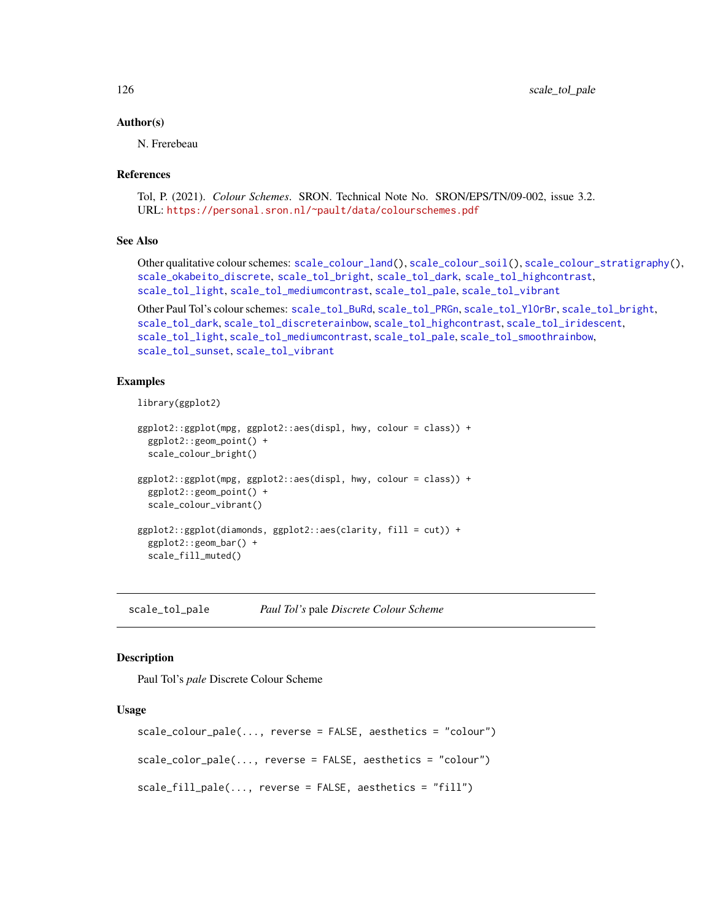#### Author(s)

N. Frerebeau

## References

```
Tol, P. (2021). Colour Schemes. SRON. Technical Note No. SRON/EPS/TN/09-002, issue 3.2.
URL: https://personal.sron.nl/~pault/data/colourschemes.pdf
```
#### See Also

Other qualitative colour schemes: [scale\\_colour\\_land\(](#page-11-0)), [scale\\_colour\\_soil\(](#page-13-0)), [scale\\_colour\\_stratigraphy\(](#page-14-0)), [scale\\_okabeito\\_discrete](#page-105-0), [scale\\_tol\\_bright](#page-107-0), [scale\\_tol\\_dark](#page-111-0), [scale\\_tol\\_highcontrast](#page-115-0), [scale\\_tol\\_light](#page-120-0), [scale\\_tol\\_mediumcontrast](#page-122-0), [scale\\_tol\\_pale](#page-125-0), [scale\\_tol\\_vibrant](#page-135-0)

Other Paul Tol's colour schemes: [scale\\_tol\\_BuRd](#page-109-0), [scale\\_tol\\_PRGn](#page-127-0), [scale\\_tol\\_YlOrBr](#page-137-0), [scale\\_tol\\_bright](#page-107-0), [scale\\_tol\\_dark](#page-111-0), [scale\\_tol\\_discreterainbow](#page-113-0), [scale\\_tol\\_highcontrast](#page-115-0), [scale\\_tol\\_iridescent](#page-117-0), [scale\\_tol\\_light](#page-120-0), [scale\\_tol\\_mediumcontrast](#page-122-0), [scale\\_tol\\_pale](#page-125-0), [scale\\_tol\\_smoothrainbow](#page-130-0), [scale\\_tol\\_sunset](#page-133-0), [scale\\_tol\\_vibrant](#page-135-0)

# Examples

```
library(ggplot2)
```

```
ggplot2::ggplot(mpg, ggplot2::aes(displ, hwy, colour = class)) +
 ggplot2::geom_point() +
 scale_colour_bright()
ggplot2::ggplot(mpg, ggplot2::aes(displ, hwy, colour = class)) +
 ggplot2::geom_point() +
 scale_colour_vibrant()
ggplot2::ggplot(diamonds, ggplot2::aes(clarity, fill = cut)) +
 ggplot2::geom_bar() +
 scale_fill_muted()
```
<span id="page-125-0"></span>scale\_tol\_pale *Paul Tol's* pale *Discrete Colour Scheme*

# **Description**

Paul Tol's *pale* Discrete Colour Scheme

```
scale_colour_pale(..., reverse = FALSE, aesthetics = "colour")
scale_color_pale(..., reverse = FALSE, aesthetics = "colour")
scale_fill_pale(..., reverse = FALSE, aesthetics = "fill")
```
<span id="page-125-1"></span>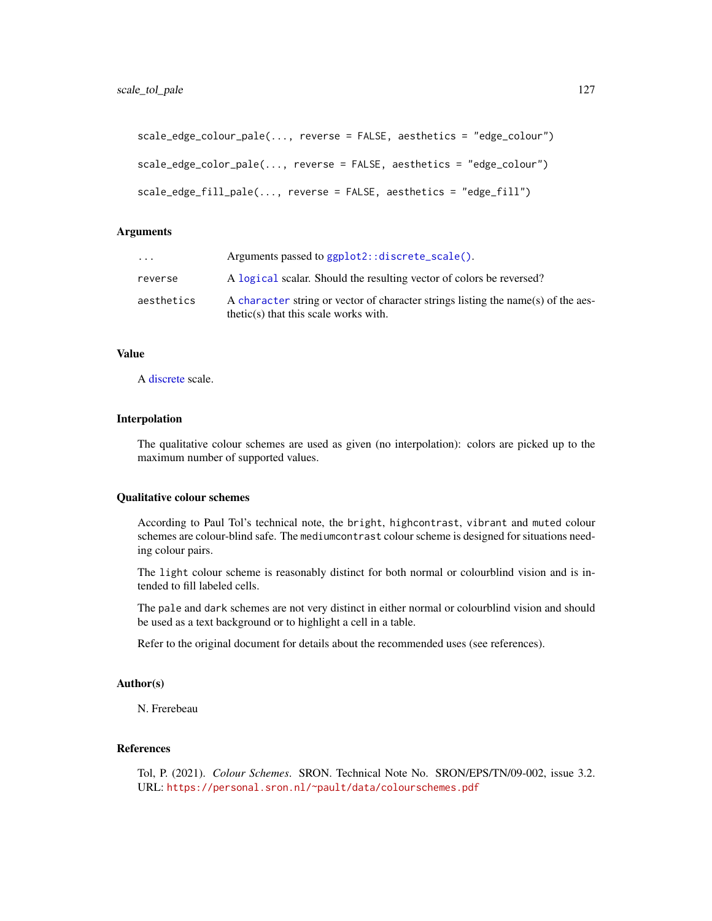```
scale_edge_colour_pale(..., reverse = FALSE, aesthetics = "edge_colour")
scale_edge_color_pale(..., reverse = FALSE, aesthetics = "edge_colour")
scale_edge_fill_pale(..., reverse = FALSE, aesthetics = "edge_fill")
```

| $\ddotsc$  | Arguments passed to ggplot2::discrete_scale().                                                                               |
|------------|------------------------------------------------------------------------------------------------------------------------------|
| reverse    | A logical scalar. Should the resulting vector of colors be reversed?                                                         |
| aesthetics | A character string or vector of character strings listing the name(s) of the aes-<br>$thetic(s)$ that this scale works with. |

# Value

A [discrete](#page-0-0) scale.

### Interpolation

The qualitative colour schemes are used as given (no interpolation): colors are picked up to the maximum number of supported values.

## Qualitative colour schemes

According to Paul Tol's technical note, the bright, highcontrast, vibrant and muted colour schemes are colour-blind safe. The mediumcontrast colour scheme is designed for situations needing colour pairs.

The light colour scheme is reasonably distinct for both normal or colourblind vision and is intended to fill labeled cells.

The pale and dark schemes are not very distinct in either normal or colourblind vision and should be used as a text background or to highlight a cell in a table.

Refer to the original document for details about the recommended uses (see references).

## Author(s)

N. Frerebeau

#### References

Tol, P. (2021). *Colour Schemes*. SRON. Technical Note No. SRON/EPS/TN/09-002, issue 3.2. URL: <https://personal.sron.nl/~pault/data/colourschemes.pdf>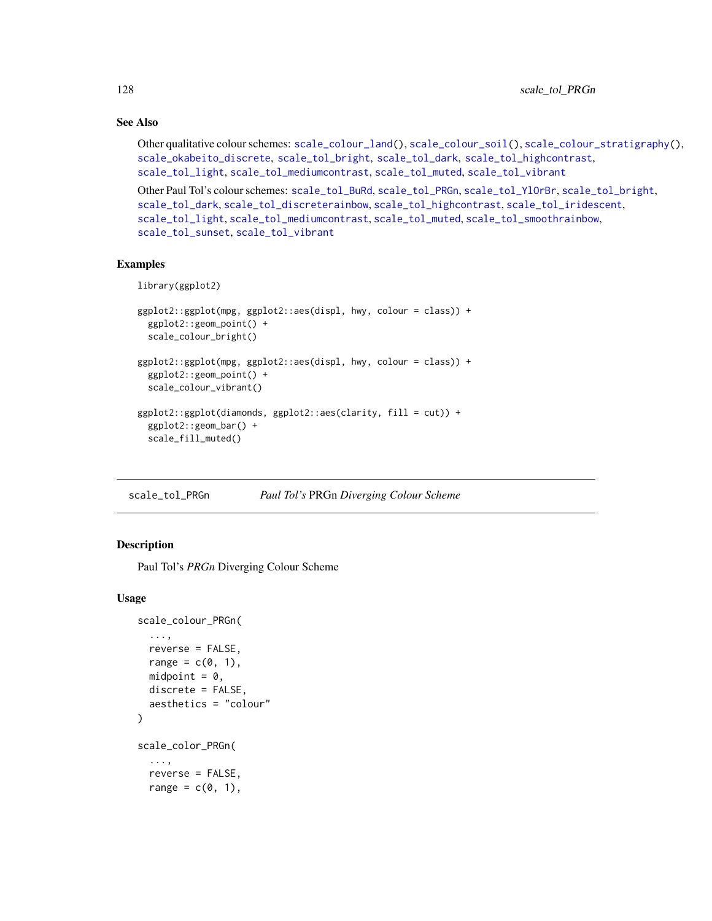# See Also

Other qualitative colour schemes: [scale\\_colour\\_land\(](#page-11-0)), [scale\\_colour\\_soil\(](#page-13-0)), [scale\\_colour\\_stratigraphy\(](#page-14-0)), [scale\\_okabeito\\_discrete](#page-105-0), [scale\\_tol\\_bright](#page-107-0), [scale\\_tol\\_dark](#page-111-0), [scale\\_tol\\_highcontrast](#page-115-0), [scale\\_tol\\_light](#page-120-0), [scale\\_tol\\_mediumcontrast](#page-122-0), [scale\\_tol\\_muted](#page-124-0), [scale\\_tol\\_vibrant](#page-135-0)

```
Other Paul Tol's colour schemes: scale_tol_BuRd, scale_tol_PRGn, scale_tol_YlOrBr, scale_tol_bright,
scale_tol_dark, scale_tol_discreterainbow, scale_tol_highcontrast, scale_tol_iridescent,
scale_tol_light, scale_tol_mediumcontrast, scale_tol_muted, scale_tol_smoothrainbow,
scale_tol_sunset, scale_tol_vibrant
```
# Examples

```
library(ggplot2)
```

```
ggplot2::ggplot(mpg, ggplot2::aes(displ, hwy, colour = class)) +
 ggplot2::geom_point() +
 scale_colour_bright()
ggplot2::ggplot(mpg, ggplot2::aes(displ, hwy, colour = class)) +
 ggplot2::geom_point() +
 scale_colour_vibrant()
ggplot2::ggplot(diamonds, ggplot2::aes(clarity, fill = cut)) +
 ggplot2::geom_bar() +
 scale_fill_muted()
```
<span id="page-127-0"></span>scale\_tol\_PRGn *Paul Tol's* PRGn *Diverging Colour Scheme*

# **Description**

Paul Tol's *PRGn* Diverging Colour Scheme

```
scale_colour_PRGn(
  ...,
  reverse = FALSE,
  range = c(0, 1),midpoint = 0,
  discrete = FALSE,
  aesthetics = "colour"
)
scale_color_PRGn(
  ...,
  reverse = FALSE,
  range = c(0, 1),
```
<span id="page-127-1"></span>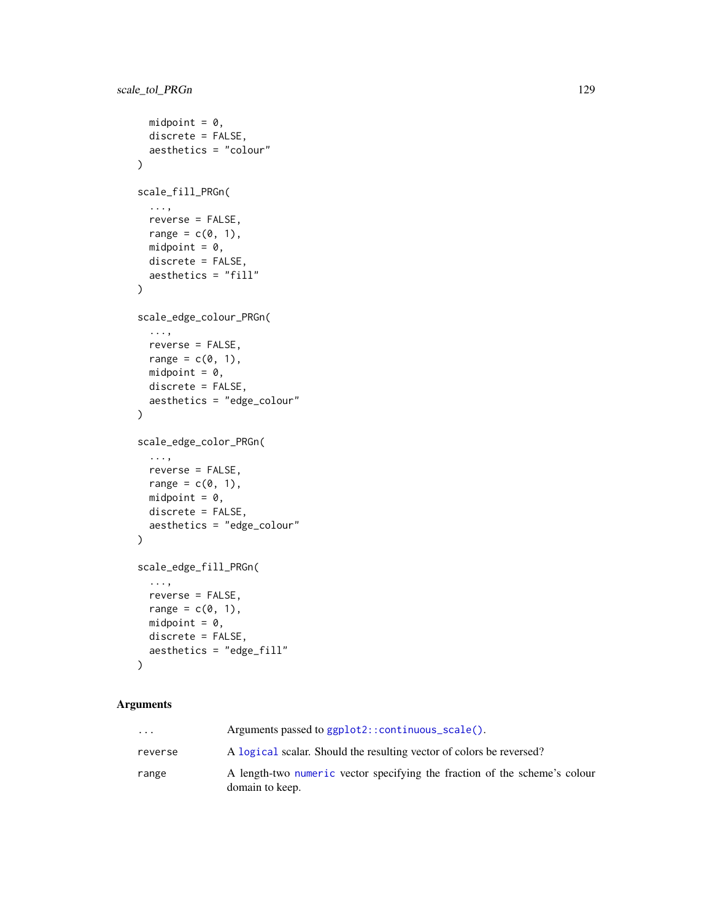```
midpoint = 0,
  discrete = FALSE,
  aesthetics = "colour"
\mathcal{L}scale_fill_PRGn(
  ...,
  reverse = FALSE,
  range = c(0, 1),
  midpoint = 0,
  discrete = FALSE,
  aesthetics = "fill"
\mathcal{L}scale_edge_colour_PRGn(
  ...,
  reverse = FALSE,
  range = c(\emptyset, 1),
  midpoint = 0,
  discrete = FALSE,
  aesthetics = "edge_colour"
\lambdascale_edge_color_PRGn(
  ...,
  reverse = FALSE,
  range = c(\theta, 1),
  midpoint = 0,
  discrete = FALSE,
  aesthetics = "edge_colour"
\lambdascale_edge_fill_PRGn(
  ...,
  reverse = FALSE,
  range = c(\emptyset, 1),
  midpoint = 0,
  discrete = FALSE,
  aesthetics = "edge_fill"
)
```

| $\ddotsc$ | Arguments passed to $ggplot2$ :: $continuous\_scale()$ .                                      |
|-----------|-----------------------------------------------------------------------------------------------|
| reverse   | A logical scalar. Should the resulting vector of colors be reversed?                          |
| range     | A length-two numeric vector specifying the fraction of the scheme's colour<br>domain to keep. |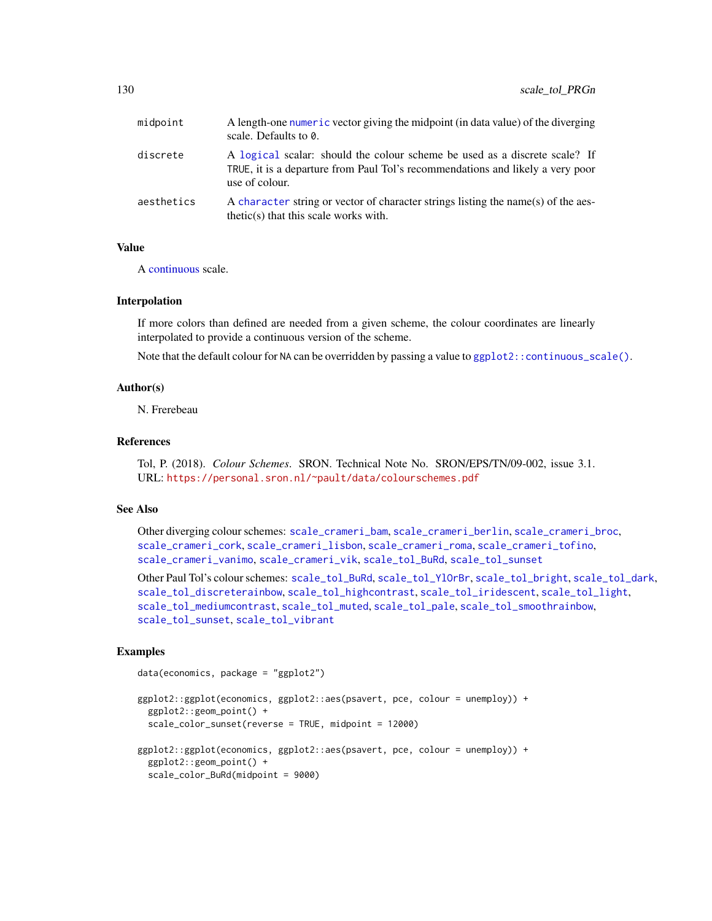<span id="page-129-0"></span>

| midpoint   | A length-one numeric vector giving the midpoint (in data value) of the diverging<br>scale. Defaults to 0.                                                                      |
|------------|--------------------------------------------------------------------------------------------------------------------------------------------------------------------------------|
| discrete   | A logical scalar: should the colour scheme be used as a discrete scale? If<br>TRUE, it is a departure from Paul Tol's recommendations and likely a very poor<br>use of colour. |
| aesthetics | A character string or vector of character strings listing the name(s) of the aes-<br>$thetic(s)$ that this scale works with.                                                   |

# Value

A [continuous](#page-0-0) scale.

# Interpolation

If more colors than defined are needed from a given scheme, the colour coordinates are linearly interpolated to provide a continuous version of the scheme.

Note that the default colour for NA can be overridden by passing a value to [ggplot2::continuous\\_scale\(\)](#page-0-0).

# Author(s)

N. Frerebeau

# References

Tol, P. (2018). *Colour Schemes*. SRON. Technical Note No. SRON/EPS/TN/09-002, issue 3.1. URL: <https://personal.sron.nl/~pault/data/colourschemes.pdf>

#### See Also

Other diverging colour schemes: [scale\\_crameri\\_bam](#page-19-0), [scale\\_crameri\\_berlin](#page-34-0), [scale\\_crameri\\_broc](#page-39-0), [scale\\_crameri\\_cork](#page-48-0), [scale\\_crameri\\_lisbon](#page-74-0), [scale\\_crameri\\_roma](#page-84-0), [scale\\_crameri\\_tofino](#page-88-0), [scale\\_crameri\\_vanimo](#page-96-0), [scale\\_crameri\\_vik](#page-99-0), [scale\\_tol\\_BuRd](#page-109-0), [scale\\_tol\\_sunset](#page-133-0)

Other Paul Tol's colour schemes: [scale\\_tol\\_BuRd](#page-109-0), [scale\\_tol\\_YlOrBr](#page-137-0), [scale\\_tol\\_bright](#page-107-0), [scale\\_tol\\_dark](#page-111-0), [scale\\_tol\\_discreterainbow](#page-113-0), [scale\\_tol\\_highcontrast](#page-115-0), [scale\\_tol\\_iridescent](#page-117-0), [scale\\_tol\\_light](#page-120-0), [scale\\_tol\\_mediumcontrast](#page-122-0), [scale\\_tol\\_muted](#page-124-0), [scale\\_tol\\_pale](#page-125-0), [scale\\_tol\\_smoothrainbow](#page-130-0), [scale\\_tol\\_sunset](#page-133-0), [scale\\_tol\\_vibrant](#page-135-0)

## Examples

```
data(economics, package = "ggplot2")
```

```
ggplot2::ggplot(economics, ggplot2::aes(psavert, pce, colour = unemploy)) +
 ggplot2::geom_point() +
 scale_color_sunset(reverse = TRUE, midpoint = 12000)
ggplot2::ggplot(economics, ggplot2::aes(psavert, pce, colour = unemploy)) +
 ggplot2::geom_point() +
 scale_color_BuRd(midpoint = 9000)
```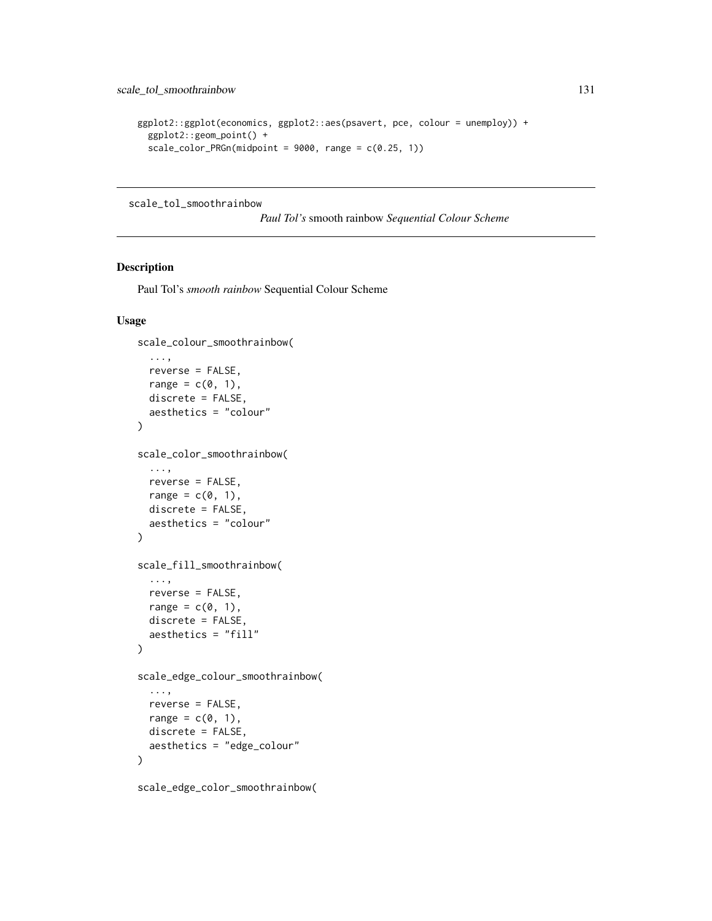```
ggplot2::ggplot(economics, ggplot2::aes(psavert, pce, colour = unemploy)) +
 ggplot2::geom_point() +
 scale\_color_PRGn(midpoint = 9000, range = c(0.25, 1))
```
<span id="page-130-0"></span>scale\_tol\_smoothrainbow

*Paul Tol's* smooth rainbow *Sequential Colour Scheme*

# Description

Paul Tol's *smooth rainbow* Sequential Colour Scheme

```
scale_colour_smoothrainbow(
  ...,
 reverse = FALSE,
 range = c(\theta, 1),
 discrete = FALSE,
  aesthetics = "colour"
)
scale_color_smoothrainbow(
  ...,
  reverse = FALSE,
 range = c(\emptyset, 1),
  discrete = FALSE,
  aesthetics = "colour"
\lambdascale_fill_smoothrainbow(
  ...,
 reverse = FALSE,
  range = c(\theta, 1),
 discrete = FALSE,
  aesthetics = "fill"
\mathcal{L}scale_edge_colour_smoothrainbow(
  ...,
  reverse = FALSE,
  range = c(0, 1),
 discrete = FALSE,
  aesthetics = "edge_colour"
)
```
scale\_edge\_color\_smoothrainbow(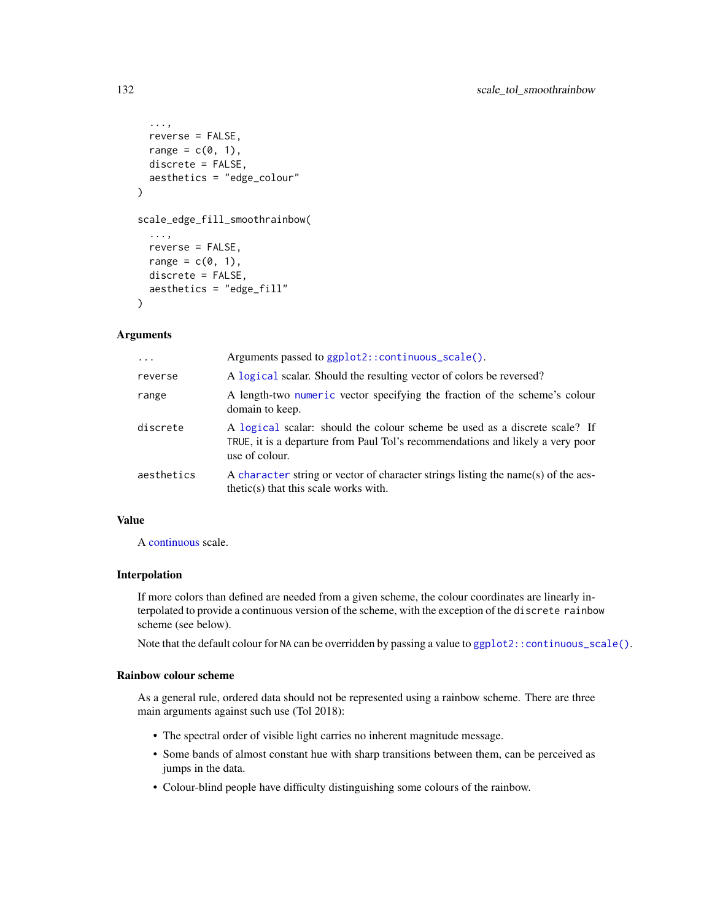```
...,
  reverse = FALSE,
  range = c(0, 1),
 discrete = FALSE,
  aesthetics = "edge_colour"
\lambdascale_edge_fill_smoothrainbow(
  ...,
  reverse = FALSE,
  range = c(\emptyset, 1),
  discrete = FALSE,
  aesthetics = "edge_fill"
)
```

| $\cdots$   | Arguments passed to ggplot2::continuous_scale().                                                                                                                               |
|------------|--------------------------------------------------------------------------------------------------------------------------------------------------------------------------------|
| reverse    | A logical scalar. Should the resulting vector of colors be reversed?                                                                                                           |
| range      | A length-two numeric vector specifying the fraction of the scheme's colour<br>domain to keep.                                                                                  |
| discrete   | A logical scalar: should the colour scheme be used as a discrete scale? If<br>TRUE, it is a departure from Paul Tol's recommendations and likely a very poor<br>use of colour. |
| aesthetics | A character string or vector of character strings listing the name(s) of the aes-<br>thetic(s) that this scale works with.                                                     |

# Value

A [continuous](#page-0-0) scale.

# Interpolation

If more colors than defined are needed from a given scheme, the colour coordinates are linearly interpolated to provide a continuous version of the scheme, with the exception of the discrete rainbow scheme (see below).

Note that the default colour for NA can be overridden by passing a value to [ggplot2::continuous\\_scale\(\)](#page-0-0).

#### Rainbow colour scheme

As a general rule, ordered data should not be represented using a rainbow scheme. There are three main arguments against such use (Tol 2018):

- The spectral order of visible light carries no inherent magnitude message.
- Some bands of almost constant hue with sharp transitions between them, can be perceived as jumps in the data.
- Colour-blind people have difficulty distinguishing some colours of the rainbow.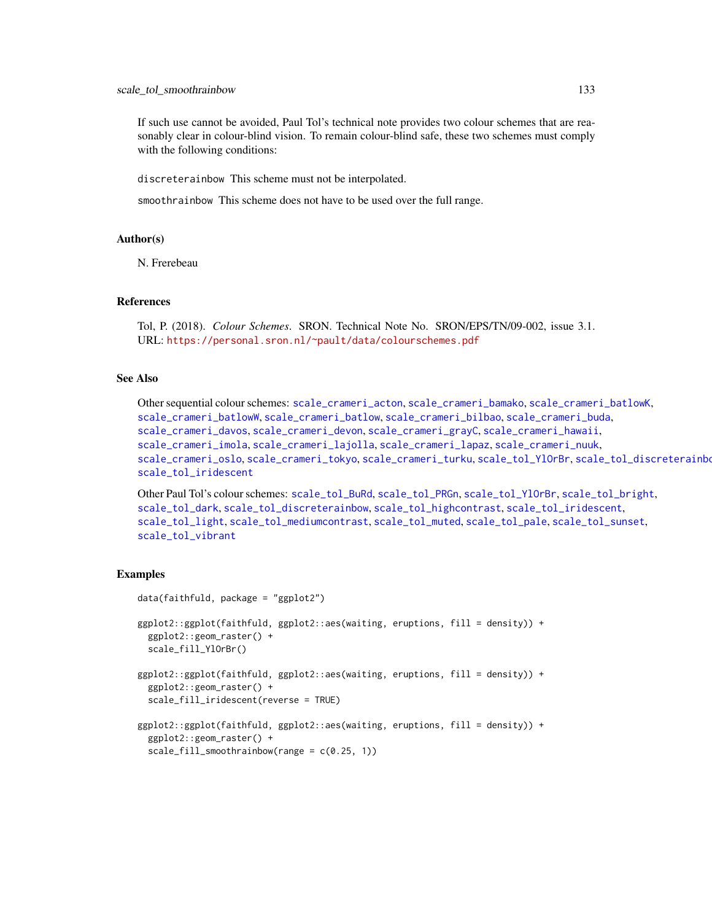If such use cannot be avoided, Paul Tol's technical note provides two colour schemes that are reasonably clear in colour-blind vision. To remain colour-blind safe, these two schemes must comply with the following conditions:

discreterainbow This scheme must not be interpolated.

smoothrainbow This scheme does not have to be used over the full range.

#### Author(s)

N. Frerebeau

# References

Tol, P. (2018). *Colour Schemes*. SRON. Technical Note No. SRON/EPS/TN/09-002, issue 3.1. URL: <https://personal.sron.nl/~pault/data/colourschemes.pdf>

# See Also

Other sequential colour schemes: [scale\\_crameri\\_acton](#page-16-0), [scale\\_crameri\\_bamako](#page-21-0), [scale\\_crameri\\_batlowK](#page-29-0), [scale\\_crameri\\_batlowW](#page-31-0), [scale\\_crameri\\_batlow](#page-26-0), [scale\\_crameri\\_bilbao](#page-37-0), [scale\\_crameri\\_buda](#page-44-0), [scale\\_crameri\\_davos](#page-53-0), [scale\\_crameri\\_devon](#page-56-0), [scale\\_crameri\\_grayC](#page-60-0), [scale\\_crameri\\_hawaii](#page-63-0), [scale\\_crameri\\_imola](#page-66-0), [scale\\_crameri\\_lajolla](#page-68-0), [scale\\_crameri\\_lapaz](#page-71-0), [scale\\_crameri\\_nuuk](#page-76-0), [scale\\_crameri\\_oslo](#page-81-0), [scale\\_crameri\\_tokyo](#page-91-0), [scale\\_crameri\\_turku](#page-94-0), [scale\\_tol\\_YlOrBr](#page-137-0), [scale\\_tol\\_discreterainbow](#page-113-0), [scale\\_tol\\_iridescent](#page-117-0)

Other Paul Tol's colour schemes: [scale\\_tol\\_BuRd](#page-109-0), [scale\\_tol\\_PRGn](#page-127-0), [scale\\_tol\\_YlOrBr](#page-137-0), [scale\\_tol\\_bright](#page-107-0), [scale\\_tol\\_dark](#page-111-0), [scale\\_tol\\_discreterainbow](#page-113-0), [scale\\_tol\\_highcontrast](#page-115-0), [scale\\_tol\\_iridescent](#page-117-0), [scale\\_tol\\_light](#page-120-0), [scale\\_tol\\_mediumcontrast](#page-122-0), [scale\\_tol\\_muted](#page-124-0), [scale\\_tol\\_pale](#page-125-0), [scale\\_tol\\_sunset](#page-133-0), [scale\\_tol\\_vibrant](#page-135-0)

#### Examples

```
data(faithfuld, package = "ggplot2")
ggplot2::ggplot(faithfuld, ggplot2::aes(waiting, eruptions, fill = density)) +
 ggplot2::geom_raster() +
 scale_fill_YlOrBr()
ggplot2::ggplot(faithfuld, ggplot2::aes(waiting, eruptions, fill = density)) +
 ggplot2::geom_raster() +
 scale_fill_iridescent(reverse = TRUE)
ggplot2::ggplot(faithfuld, ggplot2::aes(waiting, eruptions, fill = density)) +
 ggplot2::geom_raster() +
 scale_fill_smoothrainbow(range = c(0.25, 1))
```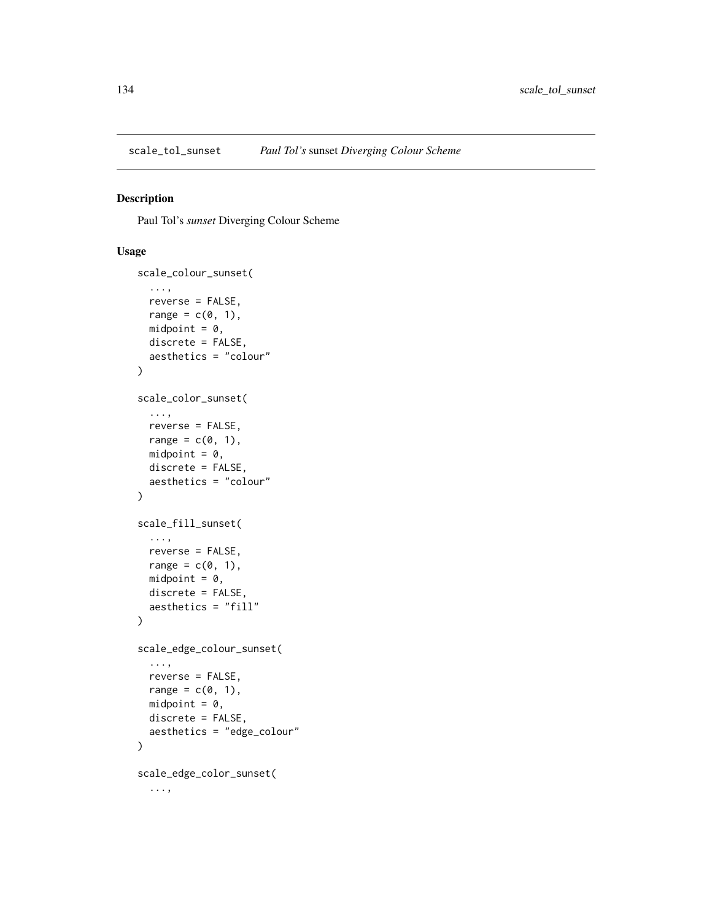<span id="page-133-1"></span><span id="page-133-0"></span>

# Description

Paul Tol's *sunset* Diverging Colour Scheme

```
scale_colour_sunset(
  ...,
  reverse = FALSE,
  range = c(\theta, 1),
  midpoint = 0,
  discrete = FALSE,
  aesthetics = "colour"
)
scale_color_sunset(
  ...,
  reverse = FALSE,
  range = c(\emptyset, 1),
  midpoint = 0,
  discrete = FALSE,
  aesthetics = "colour"
\mathcal{L}scale_fill_sunset(
  ...,
  reverse = FALSE,
  range = c(\emptyset, 1),
  midpoint = 0,
  discrete = FALSE,
  aesthetics = "fill"
\mathcal{L}scale_edge_colour_sunset(
  ...,
  reverse = FALSE,
  range = c(\emptyset, 1),
  midpoint = 0,
  discrete = FALSE,
  aesthetics = "edge_colour"
)
scale_edge_color_sunset(
  ...,
```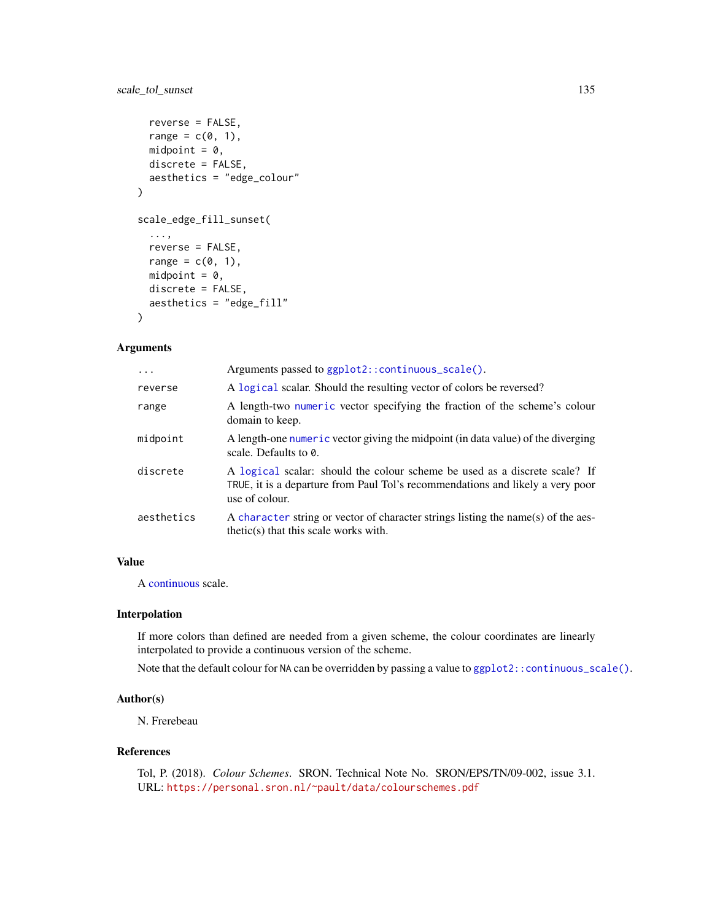# <span id="page-134-0"></span>scale\_tol\_sunset 135

```
reverse = FALSE,
  range = c(\emptyset, 1),
  midpoint = 0,
  discrete = FALSE,
  aesthetics = "edge_colour"
\mathcal{L}scale_edge_fill_sunset(
  ...,
  reverse = FALSE,
  range = c(0, 1),
  midpoint = 0,
  discrete = FALSE,
  aesthetics = "edge_fill"
)
```
# Arguments

| $\ddots$   | Arguments passed to ggplot2::continuous_scale().                                                                                                                               |
|------------|--------------------------------------------------------------------------------------------------------------------------------------------------------------------------------|
| reverse    | A logical scalar. Should the resulting vector of colors be reversed?                                                                                                           |
| range      | A length-two numeric vector specifying the fraction of the scheme's colour<br>domain to keep.                                                                                  |
| midpoint   | A length-one numeric vector giving the midpoint (in data value) of the diverging<br>scale. Defaults to $\theta$ .                                                              |
| discrete   | A logical scalar: should the colour scheme be used as a discrete scale? If<br>TRUE, it is a departure from Paul Tol's recommendations and likely a very poor<br>use of colour. |
| aesthetics | A character string or vector of character strings listing the name(s) of the aes-<br>$thetic(s)$ that this scale works with.                                                   |

# Value

A [continuous](#page-0-0) scale.

# Interpolation

If more colors than defined are needed from a given scheme, the colour coordinates are linearly interpolated to provide a continuous version of the scheme.

Note that the default colour for NA can be overridden by passing a value to [ggplot2::continuous\\_scale\(\)](#page-0-0).

## Author(s)

N. Frerebeau

## References

Tol, P. (2018). *Colour Schemes*. SRON. Technical Note No. SRON/EPS/TN/09-002, issue 3.1. URL: <https://personal.sron.nl/~pault/data/colourschemes.pdf>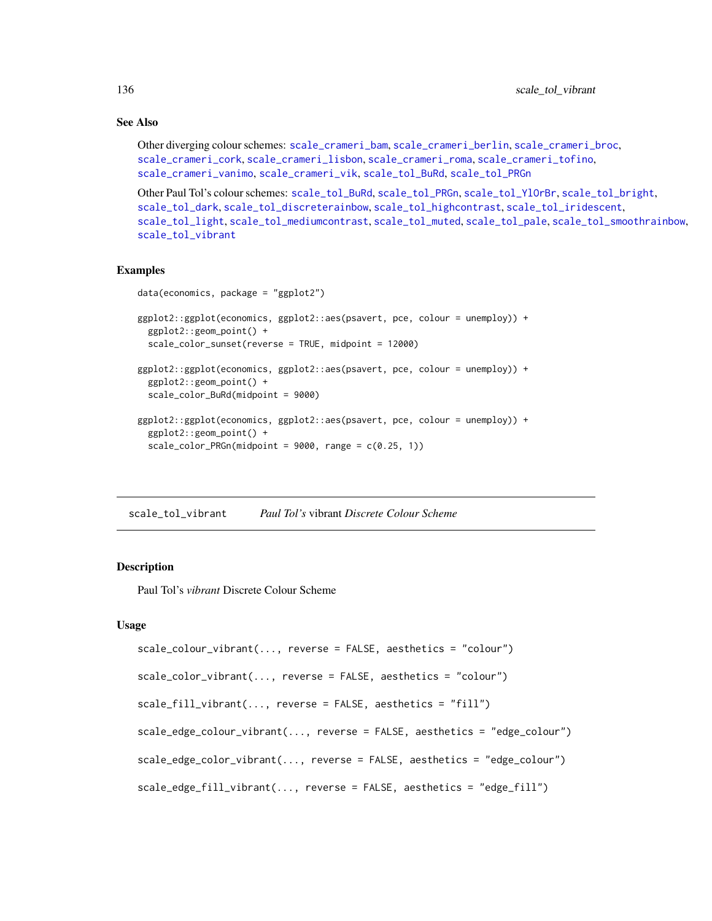# See Also

```
Other diverging colour schemes: scale_crameri_bam, scale_crameri_berlin, scale_crameri_broc,
scale_crameri_cork, scale_crameri_lisbon, scale_crameri_roma, scale_crameri_tofino,
scale_crameri_vanimo, scale_crameri_vik, scale_tol_BuRd, scale_tol_PRGn
```

```
Other Paul Tol's colour schemes: scale_tol_BuRd, scale_tol_PRGn, scale_tol_YlOrBr, scale_tol_bright,
scale_tol_dark, scale_tol_discreterainbow, scale_tol_highcontrast, scale_tol_iridescent,
scale_tol_light, scale_tol_mediumcontrast, scale_tol_muted, scale_tol_pale, scale_tol_smoothrainbow,
scale_tol_vibrant
```
#### Examples

```
data(economics, package = "ggplot2")
ggplot2::ggplot(economics, ggplot2::aes(psavert, pce, colour = unemploy)) +
 ggplot2::geom_point() +
 scale_color_sunset(reverse = TRUE, midpoint = 12000)
ggplot2::ggplot(economics, ggplot2::aes(psavert, pce, colour = unemploy)) +
 ggplot2::geom_point() +
 scale_color_BuRd(midpoint = 9000)
ggplot2::ggplot(economics, ggplot2::aes(psavert, pce, colour = unemploy)) +
 ggplot2::geom_point() +
 scale\_color_PRGn(midpoint = 9000, range = c(0.25, 1))
```
<span id="page-135-0"></span>scale\_tol\_vibrant *Paul Tol's* vibrant *Discrete Colour Scheme*

## Description

Paul Tol's *vibrant* Discrete Colour Scheme

```
scale_colour_vibrant(..., reverse = FALSE, aesthetics = "colour")
scale_color_vibrant(..., reverse = FALSE, aesthetics = "colour")
scale_fill_vibrant(..., reverse = FALSE, aesthetics = "fill")
scale_edge_colour_vibrant(..., reverse = FALSE, aesthetics = "edge_colour")
scale_edge_color_vibrant(..., reverse = FALSE, aesthetics = "edge_colour")
scale_edge_fill_vibrant(..., reverse = FALSE, aesthetics = "edge_fill")
```
<span id="page-135-1"></span>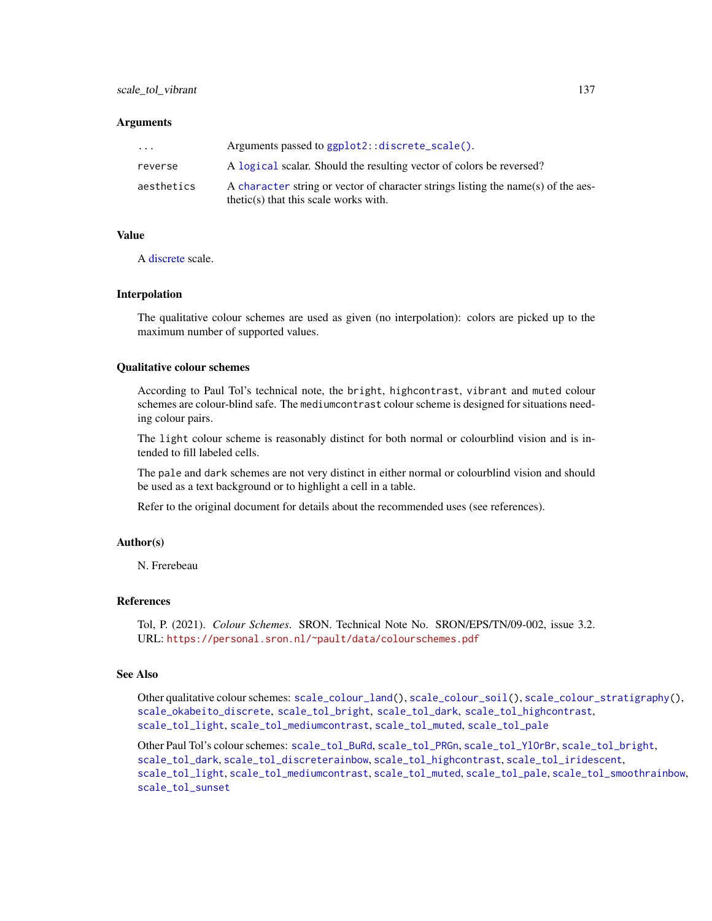<span id="page-136-0"></span>

| $\cdot$ $\cdot$ $\cdot$ | Arguments passed to ggplot2::discrete_scale().                                                                               |
|-------------------------|------------------------------------------------------------------------------------------------------------------------------|
| reverse                 | A logical scalar. Should the resulting vector of colors be reversed?                                                         |
| aesthetics              | A character string or vector of character strings listing the name(s) of the aes-<br>$thetic(s)$ that this scale works with. |

#### Value

A [discrete](#page-0-0) scale.

#### Interpolation

The qualitative colour schemes are used as given (no interpolation): colors are picked up to the maximum number of supported values.

# Qualitative colour schemes

According to Paul Tol's technical note, the bright, highcontrast, vibrant and muted colour schemes are colour-blind safe. The mediumcontrast colour scheme is designed for situations needing colour pairs.

The light colour scheme is reasonably distinct for both normal or colourblind vision and is intended to fill labeled cells.

The pale and dark schemes are not very distinct in either normal or colourblind vision and should be used as a text background or to highlight a cell in a table.

Refer to the original document for details about the recommended uses (see references).

#### Author(s)

N. Frerebeau

# References

Tol, P. (2021). *Colour Schemes*. SRON. Technical Note No. SRON/EPS/TN/09-002, issue 3.2. URL: <https://personal.sron.nl/~pault/data/colourschemes.pdf>

# See Also

Other qualitative colour schemes: [scale\\_colour\\_land\(](#page-11-0)), [scale\\_colour\\_soil\(](#page-13-0)), [scale\\_colour\\_stratigraphy\(](#page-14-0)), [scale\\_okabeito\\_discrete](#page-105-0), [scale\\_tol\\_bright](#page-107-0), [scale\\_tol\\_dark](#page-111-0), [scale\\_tol\\_highcontrast](#page-115-0), [scale\\_tol\\_light](#page-120-0), [scale\\_tol\\_mediumcontrast](#page-122-0), [scale\\_tol\\_muted](#page-124-0), [scale\\_tol\\_pale](#page-125-0)

Other Paul Tol's colour schemes: [scale\\_tol\\_BuRd](#page-109-0), [scale\\_tol\\_PRGn](#page-127-0), [scale\\_tol\\_YlOrBr](#page-137-0), [scale\\_tol\\_bright](#page-107-0), [scale\\_tol\\_dark](#page-111-0), [scale\\_tol\\_discreterainbow](#page-113-0), [scale\\_tol\\_highcontrast](#page-115-0), [scale\\_tol\\_iridescent](#page-117-0), [scale\\_tol\\_light](#page-120-0), [scale\\_tol\\_mediumcontrast](#page-122-0), [scale\\_tol\\_muted](#page-124-0), [scale\\_tol\\_pale](#page-125-0), [scale\\_tol\\_smoothrainbow](#page-130-0), [scale\\_tol\\_sunset](#page-133-0)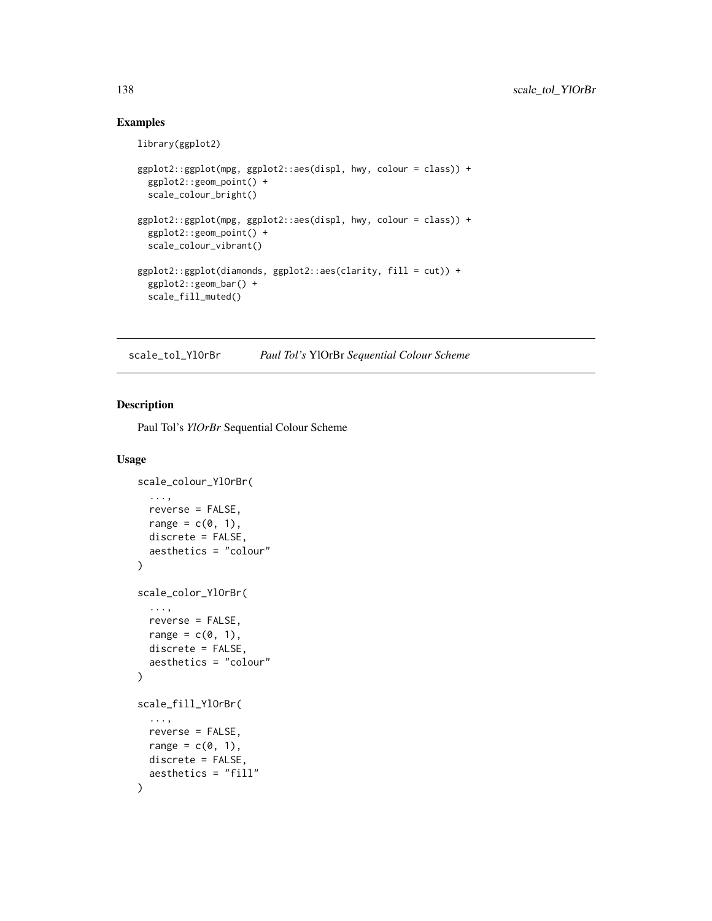# Examples

```
library(ggplot2)
ggplot2::ggplot(mpg, ggplot2::aes(displ, hwy, colour = class)) +
  ggplot2::geom_point() +
  scale_colour_bright()
ggplot2::ggplot(mpg, ggplot2::aes(displ, hwy, colour = class)) +
  ggplot2::geom_point() +
  scale_colour_vibrant()
ggplot2::ggplot(diamonds, ggplot2::aes(clarity, fill = cut)) +
  ggplot2::geom_bar() +
  scale_fill_muted()
```
<span id="page-137-0"></span>scale\_tol\_YlOrBr *Paul Tol's* YlOrBr *Sequential Colour Scheme*

## Description

Paul Tol's *YlOrBr* Sequential Colour Scheme

```
scale_colour_YlOrBr(
  ...,
  reverse = FALSE,
  range = c(\emptyset, 1),
  discrete = FALSE,
  aesthetics = "colour"
\lambdascale_color_YlOrBr(
  ...,
  reverse = FALSE,
  range = c(\emptyset, 1),
  discrete = FALSE,
  aesthetics = "colour"
)
scale_fill_YlOrBr(
  ...,
  reverse = FALSE,
  range = c(\emptyset, 1),
  discrete = FALSE,
  aesthetics = "fill"
)
```
<span id="page-137-1"></span>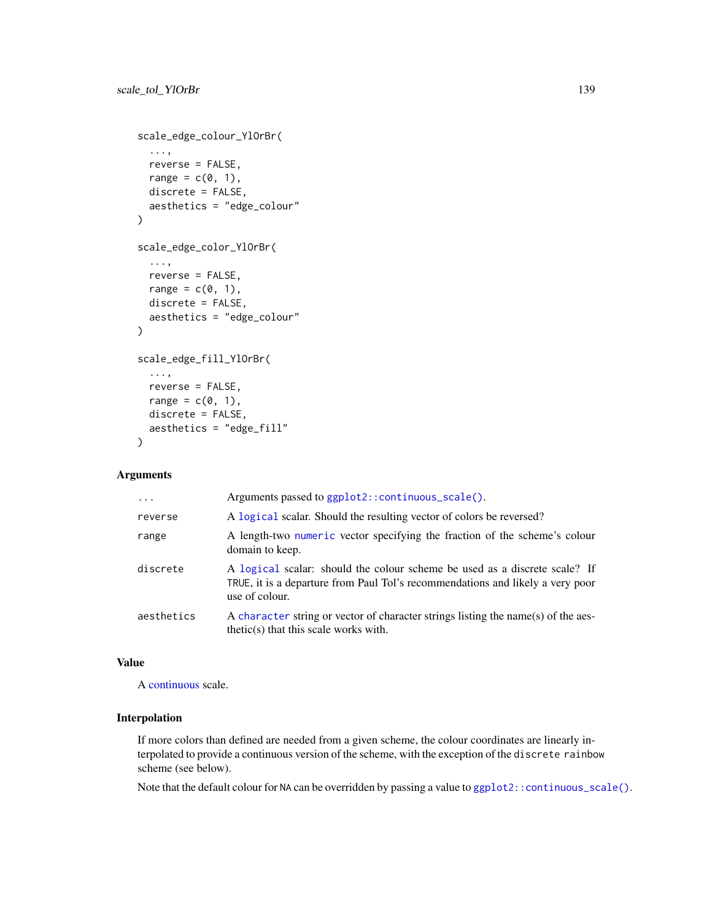```
scale_edge_colour_YlOrBr(
  ...,
  reverse = FALSE,
  range = c(\emptyset, 1),
  discrete = FALSE,
  aesthetics = "edge_colour"
\lambdascale_edge_color_YlOrBr(
  ...,
  reverse = FALSE,
  range = c(\emptyset, 1),
  discrete = FALSE,
  aesthetics = "edge_colour"
)
scale_edge_fill_YlOrBr(
  ...,
  reverse = FALSE,
  range = c(\emptyset, 1),
  discrete = FALSE,
  aesthetics = "edge_fill"
)
```

| $\ddotsc$  | Arguments passed to ggplot2::continuous_scale().                                                                                                                               |
|------------|--------------------------------------------------------------------------------------------------------------------------------------------------------------------------------|
| reverse    | A logical scalar. Should the resulting vector of colors be reversed?                                                                                                           |
| range      | A length-two numeric vector specifying the fraction of the scheme's colour<br>domain to keep.                                                                                  |
| discrete   | A logical scalar: should the colour scheme be used as a discrete scale? If<br>TRUE, it is a departure from Paul Tol's recommendations and likely a very poor<br>use of colour. |
| aesthetics | A character string or vector of character strings listing the name(s) of the aes-<br>$thetic(s)$ that this scale works with.                                                   |

#### Value

A [continuous](#page-0-0) scale.

# Interpolation

If more colors than defined are needed from a given scheme, the colour coordinates are linearly interpolated to provide a continuous version of the scheme, with the exception of the discrete rainbow scheme (see below).

Note that the default colour for NA can be overridden by passing a value to [ggplot2::continuous\\_scale\(\)](#page-0-0).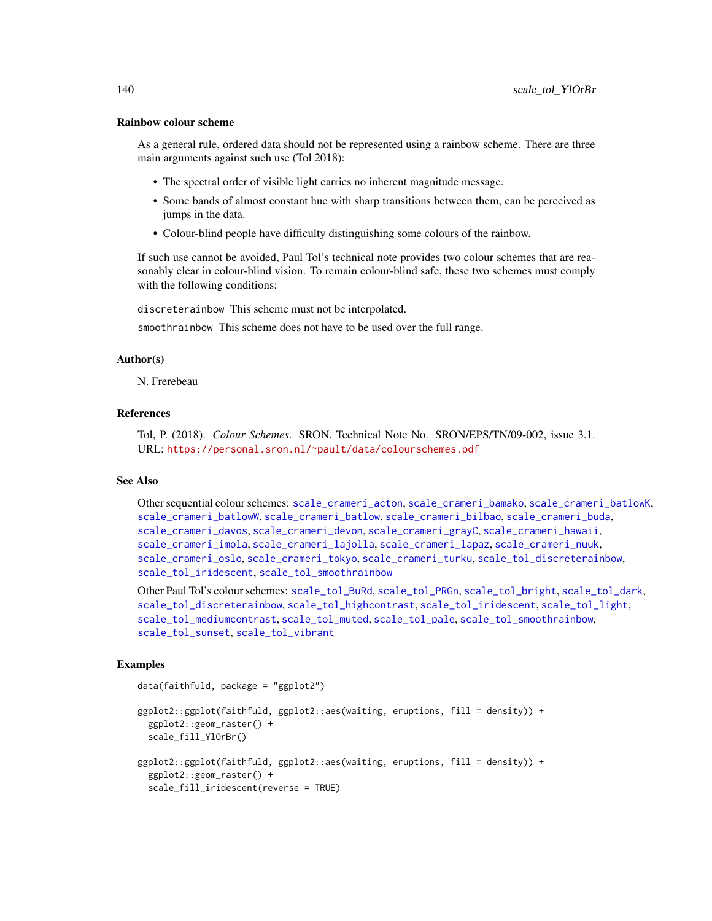#### Rainbow colour scheme

As a general rule, ordered data should not be represented using a rainbow scheme. There are three main arguments against such use (Tol 2018):

- The spectral order of visible light carries no inherent magnitude message.
- Some bands of almost constant hue with sharp transitions between them, can be perceived as jumps in the data.
- Colour-blind people have difficulty distinguishing some colours of the rainbow.

If such use cannot be avoided, Paul Tol's technical note provides two colour schemes that are reasonably clear in colour-blind vision. To remain colour-blind safe, these two schemes must comply with the following conditions:

discreterainbow This scheme must not be interpolated.

smoothrainbow This scheme does not have to be used over the full range.

## Author(s)

N. Frerebeau

# References

Tol, P. (2018). *Colour Schemes*. SRON. Technical Note No. SRON/EPS/TN/09-002, issue 3.1. URL: <https://personal.sron.nl/~pault/data/colourschemes.pdf>

#### See Also

Other sequential colour schemes: [scale\\_crameri\\_acton](#page-16-0), [scale\\_crameri\\_bamako](#page-21-0), [scale\\_crameri\\_batlowK](#page-29-0), [scale\\_crameri\\_batlowW](#page-31-0), [scale\\_crameri\\_batlow](#page-26-0), [scale\\_crameri\\_bilbao](#page-37-0), [scale\\_crameri\\_buda](#page-44-0), [scale\\_crameri\\_davos](#page-53-0), [scale\\_crameri\\_devon](#page-56-0), [scale\\_crameri\\_grayC](#page-60-0), [scale\\_crameri\\_hawaii](#page-63-0), [scale\\_crameri\\_imola](#page-66-0), [scale\\_crameri\\_lajolla](#page-68-0), [scale\\_crameri\\_lapaz](#page-71-0), [scale\\_crameri\\_nuuk](#page-76-0), [scale\\_crameri\\_oslo](#page-81-0), [scale\\_crameri\\_tokyo](#page-91-0), [scale\\_crameri\\_turku](#page-94-0), [scale\\_tol\\_discreterainbow](#page-113-0), [scale\\_tol\\_iridescent](#page-117-0), [scale\\_tol\\_smoothrainbow](#page-130-0)

Other Paul Tol's colour schemes: [scale\\_tol\\_BuRd](#page-109-0), [scale\\_tol\\_PRGn](#page-127-0), [scale\\_tol\\_bright](#page-107-0), [scale\\_tol\\_dark](#page-111-0), [scale\\_tol\\_discreterainbow](#page-113-0), [scale\\_tol\\_highcontrast](#page-115-0), [scale\\_tol\\_iridescent](#page-117-0), [scale\\_tol\\_light](#page-120-0), [scale\\_tol\\_mediumcontrast](#page-122-0), [scale\\_tol\\_muted](#page-124-0), [scale\\_tol\\_pale](#page-125-0), [scale\\_tol\\_smoothrainbow](#page-130-0), [scale\\_tol\\_sunset](#page-133-0), [scale\\_tol\\_vibrant](#page-135-0)

#### Examples

data(faithfuld, package = "ggplot2")

```
ggplot2::ggplot(faithfuld, ggplot2::aes(waiting, eruptions, fill = density)) +
 ggplot2::geom_raster() +
 scale_fill_YlOrBr()
```

```
ggplot2::ggplot(faithfuld, ggplot2::aes(waiting, eruptions, fill = density)) +
 ggplot2::geom_raster() +
 scale_fill_iridescent(reverse = TRUE)
```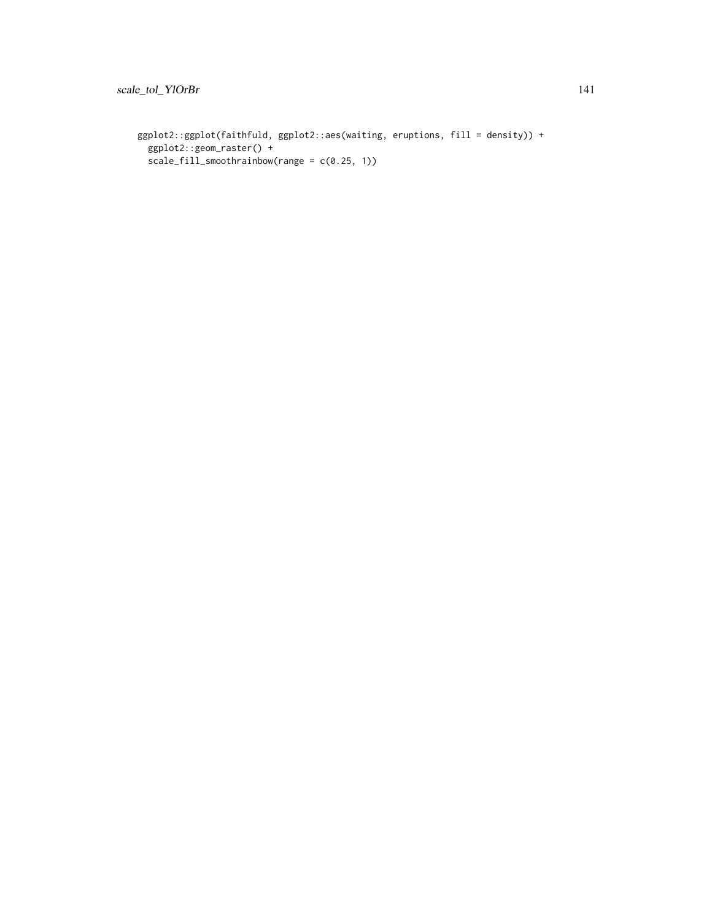```
ggplot2::ggplot(faithfuld, ggplot2::aes(waiting, eruptions, fill = density)) +
  ggplot2::geom_raster() +
  scale_fill_smoothrainbow(range = c(0.25, 1))
```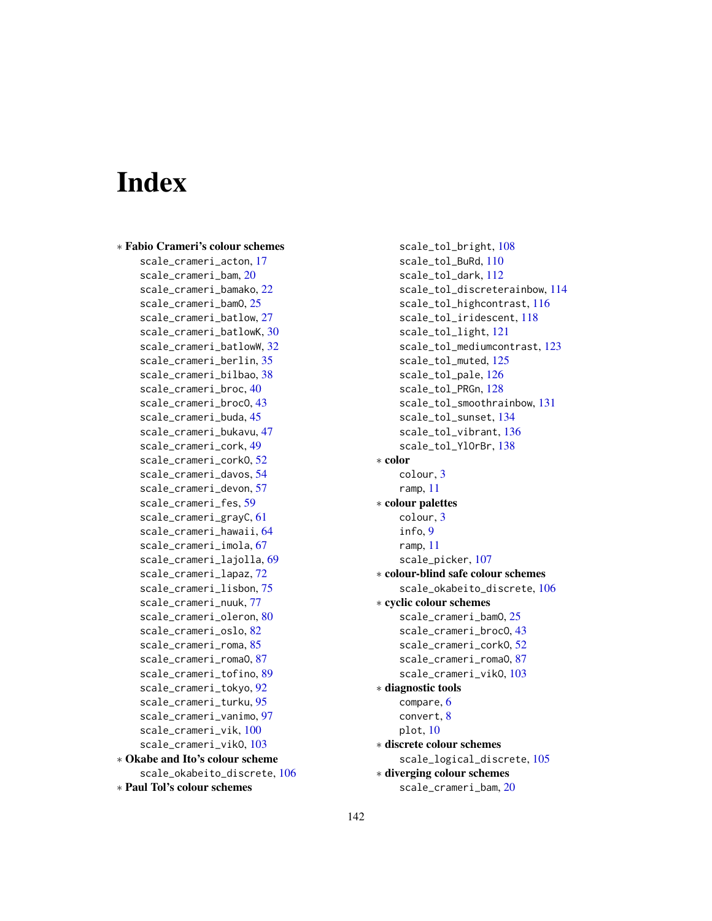# **Index**

∗ Fabio Crameri's colour schemes scale\_crameri\_acton, [17](#page-16-1) scale\_crameri\_bam, [20](#page-19-1) scale\_crameri\_bamako, [22](#page-21-1) scale\_crameri\_bamO, [25](#page-24-0) scale\_crameri\_batlow, [27](#page-26-1) scale\_crameri\_batlowK, [30](#page-29-1) scale\_crameri\_batlowW, [32](#page-31-1) scale\_crameri\_berlin, [35](#page-34-1) scale\_crameri\_bilbao, [38](#page-37-1) scale\_crameri\_broc, [40](#page-39-1) scale\_crameri\_brocO, [43](#page-42-0) scale crameri buda, [45](#page-44-1) scale\_crameri\_bukavu, [47](#page-46-0) scale\_crameri\_cork, [49](#page-48-1) scale\_crameri\_corkO, [52](#page-51-0) scale\_crameri\_davos, [54](#page-53-1) scale\_crameri\_devon, [57](#page-56-1) scale\_crameri\_fes, [59](#page-58-0) scale\_crameri\_grayC, [61](#page-60-1) scale\_crameri\_hawaii, [64](#page-63-1) scale\_crameri\_imola, [67](#page-66-1) scale\_crameri\_lajolla, [69](#page-68-1) scale\_crameri\_lapaz, [72](#page-71-1) scale\_crameri\_lisbon, [75](#page-74-1) scale\_crameri\_nuuk, [77](#page-76-1) scale\_crameri\_oleron, [80](#page-79-0) scale\_crameri\_oslo, [82](#page-81-1) scale\_crameri\_roma, [85](#page-84-1) scale\_crameri\_romaO, [87](#page-86-0) scale\_crameri\_tofino, [89](#page-88-1) scale\_crameri\_tokyo, [92](#page-91-1) scale\_crameri\_turku, [95](#page-94-1) scale\_crameri\_vanimo, [97](#page-96-1) scale\_crameri\_vik, [100](#page-99-1) scale\_crameri\_vikO, [103](#page-102-0) ∗ Okabe and Ito's colour scheme scale\_okabeito\_discrete, [106](#page-105-1) ∗ Paul Tol's colour schemes

scale\_tol\_bright, [108](#page-107-1) scale\_tol\_BuRd, [110](#page-109-1) scale\_tol\_dark, [112](#page-111-1) scale\_tol\_discreterainbow, [114](#page-113-1) scale\_tol\_highcontrast, [116](#page-115-1) scale\_tol\_iridescent, [118](#page-117-1) scale\_tol\_light, [121](#page-120-1) scale\_tol\_mediumcontrast, [123](#page-122-1) scale\_tol\_muted, [125](#page-124-1) scale\_tol\_pale, [126](#page-125-1) scale\_tol\_PRGn, [128](#page-127-1) scale\_tol\_smoothrainbow, [131](#page-130-1) scale\_tol\_sunset, [134](#page-133-1) scale\_tol\_vibrant, [136](#page-135-1) scale\_tol\_YlOrBr, [138](#page-137-1) ∗ color colour, [3](#page-2-0) ramp, [11](#page-10-0) ∗ colour palettes colour, [3](#page-2-0) info, [9](#page-8-0) ramp, [11](#page-10-0) scale\_picker, [107](#page-106-0) ∗ colour-blind safe colour schemes scale\_okabeito\_discrete, [106](#page-105-1) ∗ cyclic colour schemes scale\_crameri\_bamO, [25](#page-24-0) scale\_crameri\_brocO, [43](#page-42-0) scale\_crameri\_corkO, [52](#page-51-0) scale\_crameri\_romaO, [87](#page-86-0) scale\_crameri\_vikO, [103](#page-102-0) ∗ diagnostic tools compare, [6](#page-5-0) convert, [8](#page-7-0) plot, [10](#page-9-0) ∗ discrete colour schemes scale\_logical\_discrete, [105](#page-104-0) ∗ diverging colour schemes scale\_crameri\_bam, [20](#page-19-1)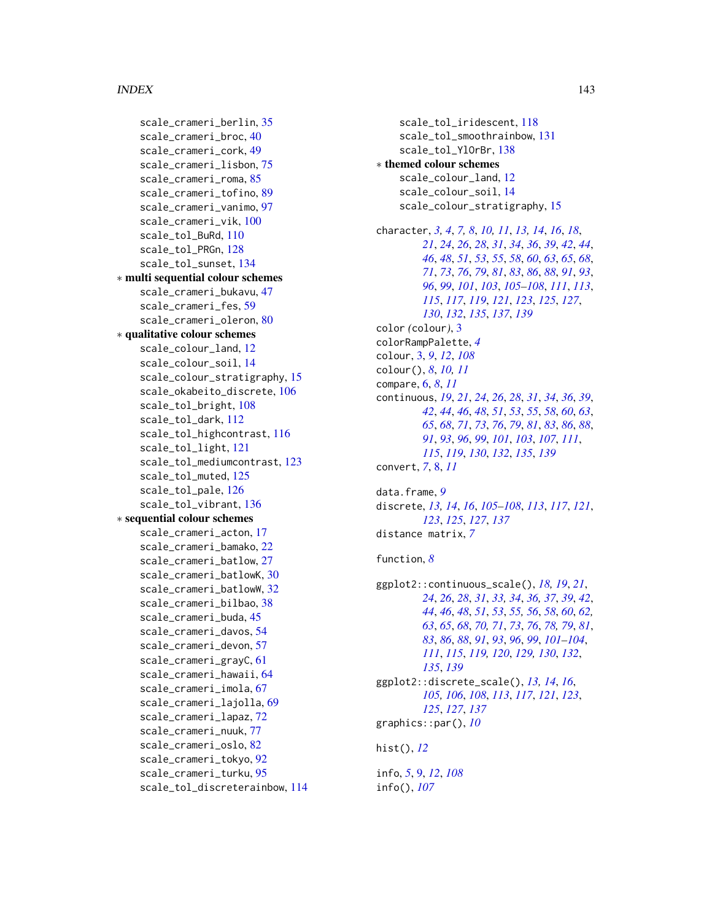# INDEX 143

```
scale_crameri_berlin, 35
    scale_crameri_broc, 40
    scale_crameri_cork, 49
    scale_crameri_lisbon, 75
    scale_crameri_roma, 85
    scale_crameri_tofino, 89
    scale_crameri_vanimo, 97
    scale_crameri_vik, 100
    scale_tol_BuRd, 110
    scale_tol_PRGn, 128
    scale_tol_sunset, 134
∗ multi sequential colour schemes
    scale_crameri_bukavu, 47
    scale_crameri_fes, 59
    scale_crameri_oleron, 80
∗ qualitative colour schemes
    scale_colour_land, 12
    scale_colour_soil, 14
    scale_colour_stratigraphy, 15
    scale_okabeito_discrete, 106
    scale_tol_bright, 108
    scale_tol_dark, 112
    scale_tol_highcontrast, 116
    scale_tol_light, 121
    scale_tol_mediumcontrast, 123
    125
    scale_tol_pale, 126
    scale_tol_vibrant, 136
∗ sequential colour schemes
    scale_crameri_acton, 17
    scale_crameri_bamako, 22
    scale_crameri_batlow, 27
    scale_crameri_batlowK, 30
    scale_crameri_batlowW, 32
    scale_crameri_bilbao, 38
    scale_crameri_buda, 45
    scale_crameri_davos, 54
    scale_crameri_devon, 57
    scale_crameri_grayC, 61
    scale_crameri_hawaii, 64
    scale_crameri_imola, 67
    scale_crameri_lajolla, 69
    scale_crameri_lapaz, 72
    scale_crameri_nuuk, 77
    scale_crameri_oslo, 82
    scale_crameri_tokyo, 92
    scale_crameri_turku, 95
    scale_tol_discreterainbow, 114
```
scale\_tol\_iridescent, [118](#page-117-1) scale\_tol\_smoothrainbow, [131](#page-130-1) scale\_tol\_YlOrBr, [138](#page-137-1) ∗ themed colour schemes scale\_colour\_land, [12](#page-11-1) scale\_colour\_soil, [14](#page-13-1) scale\_colour\_stratigraphy, [15](#page-14-1) character, *[3,](#page-2-0) [4](#page-3-0)*, *[7,](#page-6-0) [8](#page-7-0)*, *[10,](#page-9-0) [11](#page-10-0)*, *[13,](#page-12-0) [14](#page-13-1)*, *[16](#page-15-0)*, *[18](#page-17-0)*, *[21](#page-20-0)*, *[24](#page-23-0)*, *[26](#page-25-0)*, *[28](#page-27-0)*, *[31](#page-30-0)*, *[34](#page-33-0)*, *[36](#page-35-0)*, *[39](#page-38-0)*, *[42](#page-41-0)*, *[44](#page-43-0)*, *[46](#page-45-0)*, *[48](#page-47-0)*, *[51](#page-50-0)*, *[53](#page-52-0)*, *[55](#page-54-0)*, *[58](#page-57-0)*, *[60](#page-59-0)*, *[63](#page-62-0)*, *[65](#page-64-0)*, *[68](#page-67-0)*, *[71](#page-70-0)*, *[73](#page-72-0)*, *[76](#page-75-0)*, *[79](#page-78-0)*, *[81](#page-80-0)*, *[83](#page-82-0)*, *[86](#page-85-0)*, *[88](#page-87-0)*, *[91](#page-90-0)*, *[93](#page-92-0)*, *[96](#page-95-0)*, *[99](#page-98-0)*, *[101](#page-100-0)*, *[103](#page-102-0)*, *[105](#page-104-0)[–108](#page-107-1)*, *[111](#page-110-0)*, *[113](#page-112-0)*, *[115](#page-114-0)*, *[117](#page-116-0)*, *[119](#page-118-0)*, *[121](#page-120-1)*, *[123](#page-122-1)*, *[125](#page-124-1)*, *[127](#page-126-0)*, *[130](#page-129-0)*, *[132](#page-131-0)*, *[135](#page-134-0)*, *[137](#page-136-0)*, *[139](#page-138-0)* color *(*colour*)*, [3](#page-2-0) colorRampPalette, *[4](#page-3-0)* colour, [3,](#page-2-0) *[9](#page-8-0)*, *[12](#page-11-1)*, *[108](#page-107-1)* colour(), *[8](#page-7-0)*, *[10,](#page-9-0) [11](#page-10-0)* compare, [6,](#page-5-0) *[8](#page-7-0)*, *[11](#page-10-0)* continuous, *[19](#page-18-0)*, *[21](#page-20-0)*, *[24](#page-23-0)*, *[26](#page-25-0)*, *[28](#page-27-0)*, *[31](#page-30-0)*, *[34](#page-33-0)*, *[36](#page-35-0)*, *[39](#page-38-0)*, *[42](#page-41-0)*, *[44](#page-43-0)*, *[46](#page-45-0)*, *[48](#page-47-0)*, *[51](#page-50-0)*, *[53](#page-52-0)*, *[55](#page-54-0)*, *[58](#page-57-0)*, *[60](#page-59-0)*, *[63](#page-62-0)*, *[65](#page-64-0)*, *[68](#page-67-0)*, *[71](#page-70-0)*, *[73](#page-72-0)*, *[76](#page-75-0)*, *[79](#page-78-0)*, *[81](#page-80-0)*, *[83](#page-82-0)*, *[86](#page-85-0)*, *[88](#page-87-0)*, *[91](#page-90-0)*, *[93](#page-92-0)*, *[96](#page-95-0)*, *[99](#page-98-0)*, *[101](#page-100-0)*, *[103](#page-102-0)*, *[107](#page-106-0)*, *[111](#page-110-0)*, *[115](#page-114-0)*, *[119](#page-118-0)*, *[130](#page-129-0)*, *[132](#page-131-0)*, *[135](#page-134-0)*, *[139](#page-138-0)* convert, *[7](#page-6-0)*, [8,](#page-7-0) *[11](#page-10-0)* data.frame, *[9](#page-8-0)* discrete, *[13,](#page-12-0) [14](#page-13-1)*, *[16](#page-15-0)*, *[105](#page-104-0)[–108](#page-107-1)*, *[113](#page-112-0)*, *[117](#page-116-0)*, *[121](#page-120-1)*, *[123](#page-122-1)*, *[125](#page-124-1)*, *[127](#page-126-0)*, *[137](#page-136-0)* distance matrix, *[7](#page-6-0)* function, *[8](#page-7-0)* ggplot2::continuous\_scale(), *[18,](#page-17-0) [19](#page-18-0)*, *[21](#page-20-0)*, *[24](#page-23-0)*, *[26](#page-25-0)*, *[28](#page-27-0)*, *[31](#page-30-0)*, *[33,](#page-32-0) [34](#page-33-0)*, *[36,](#page-35-0) [37](#page-36-0)*, *[39](#page-38-0)*, *[42](#page-41-0)*, *[44](#page-43-0)*, *[46](#page-45-0)*, *[48](#page-47-0)*, *[51](#page-50-0)*, *[53](#page-52-0)*, *[55,](#page-54-0) [56](#page-55-0)*, *[58](#page-57-0)*, *[60](#page-59-0)*, *[62,](#page-61-0) [63](#page-62-0)*, *[65](#page-64-0)*, *[68](#page-67-0)*, *[70,](#page-69-0) [71](#page-70-0)*, *[73](#page-72-0)*, *[76](#page-75-0)*, *[78,](#page-77-0) [79](#page-78-0)*, *[81](#page-80-0)*, *[83](#page-82-0)*, *[86](#page-85-0)*, *[88](#page-87-0)*, *[91](#page-90-0)*, *[93](#page-92-0)*, *[96](#page-95-0)*, *[99](#page-98-0)*, *[101](#page-100-0)[–104](#page-103-0)*, *[111](#page-110-0)*, *[115](#page-114-0)*, *[119,](#page-118-0) [120](#page-119-0)*, *[129,](#page-128-0) [130](#page-129-0)*, *[132](#page-131-0)*, *[135](#page-134-0)*, *[139](#page-138-0)* ggplot2::discrete\_scale(), *[13,](#page-12-0) [14](#page-13-1)*, *[16](#page-15-0)*, *[105,](#page-104-0) [106](#page-105-1)*, *[108](#page-107-1)*, *[113](#page-112-0)*, *[117](#page-116-0)*, *[121](#page-120-1)*, *[123](#page-122-1)*, *[125](#page-124-1)*, *[127](#page-126-0)*, *[137](#page-136-0)* graphics::par(), *[10](#page-9-0)* hist(), *[12](#page-11-1)*

info, *[5](#page-4-0)*, [9,](#page-8-0) *[12](#page-11-1)*, *[108](#page-107-1)* info(), *[107](#page-106-0)*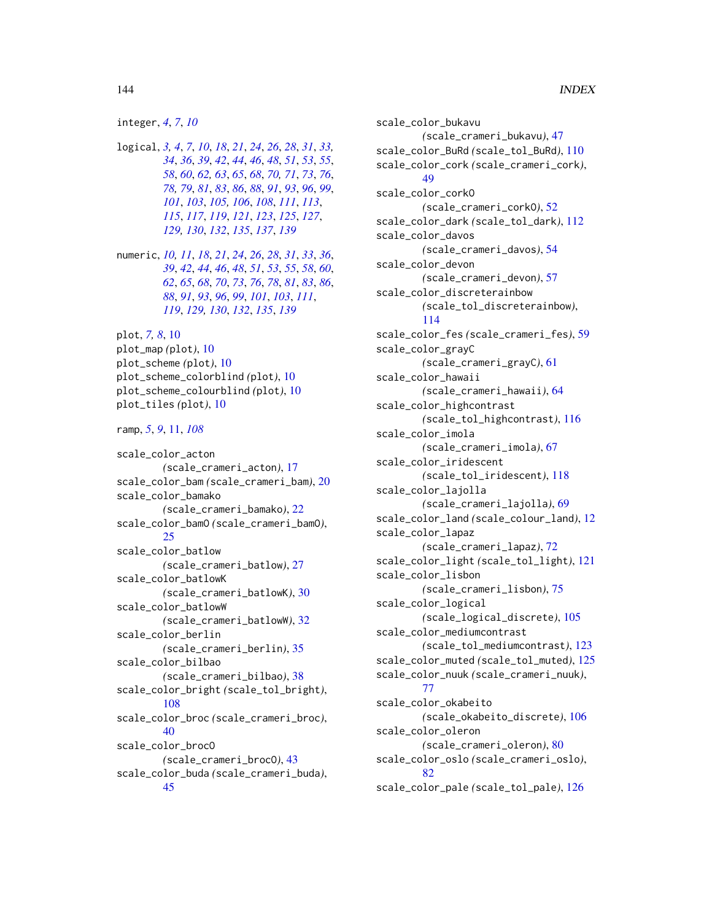#### integer, *[4](#page-3-0)*, *[7](#page-6-0)*, *[10](#page-9-0)*

- logical, *[3,](#page-2-0) [4](#page-3-0)*, *[7](#page-6-0)*, *[10](#page-9-0)*, *[18](#page-17-0)*, *[21](#page-20-0)*, *[24](#page-23-0)*, *[26](#page-25-0)*, *[28](#page-27-0)*, *[31](#page-30-0)*, *[33,](#page-32-0) [34](#page-33-0)*, *[36](#page-35-0)*, *[39](#page-38-0)*, *[42](#page-41-0)*, *[44](#page-43-0)*, *[46](#page-45-0)*, *[48](#page-47-0)*, *[51](#page-50-0)*, *[53](#page-52-0)*, *[55](#page-54-0)*, *[58](#page-57-0)*, *[60](#page-59-0)*, *[62,](#page-61-0) [63](#page-62-0)*, *[65](#page-64-0)*, *[68](#page-67-0)*, *[70,](#page-69-0) [71](#page-70-0)*, *[73](#page-72-0)*, *[76](#page-75-0)*, *[78,](#page-77-0) [79](#page-78-0)*, *[81](#page-80-0)*, *[83](#page-82-0)*, *[86](#page-85-0)*, *[88](#page-87-0)*, *[91](#page-90-0)*, *[93](#page-92-0)*, *[96](#page-95-0)*, *[99](#page-98-0)*, *[101](#page-100-0)*, *[103](#page-102-0)*, *[105,](#page-104-0) [106](#page-105-1)*, *[108](#page-107-1)*, *[111](#page-110-0)*, *[113](#page-112-0)*, *[115](#page-114-0)*, *[117](#page-116-0)*, *[119](#page-118-0)*, *[121](#page-120-1)*, *[123](#page-122-1)*, *[125](#page-124-1)*, *[127](#page-126-0)*, *[129,](#page-128-0) [130](#page-129-0)*, *[132](#page-131-0)*, *[135](#page-134-0)*, *[137](#page-136-0)*, *[139](#page-138-0)*
- numeric, *[10,](#page-9-0) [11](#page-10-0)*, *[18](#page-17-0)*, *[21](#page-20-0)*, *[24](#page-23-0)*, *[26](#page-25-0)*, *[28](#page-27-0)*, *[31](#page-30-0)*, *[33](#page-32-0)*, *[36](#page-35-0)*, *[39](#page-38-0)*, *[42](#page-41-0)*, *[44](#page-43-0)*, *[46](#page-45-0)*, *[48](#page-47-0)*, *[51](#page-50-0)*, *[53](#page-52-0)*, *[55](#page-54-0)*, *[58](#page-57-0)*, *[60](#page-59-0)*, *[62](#page-61-0)*, *[65](#page-64-0)*, *[68](#page-67-0)*, *[70](#page-69-0)*, *[73](#page-72-0)*, *[76](#page-75-0)*, *[78](#page-77-0)*, *[81](#page-80-0)*, *[83](#page-82-0)*, *[86](#page-85-0)*, *[88](#page-87-0)*, *[91](#page-90-0)*, *[93](#page-92-0)*, *[96](#page-95-0)*, *[99](#page-98-0)*, *[101](#page-100-0)*, *[103](#page-102-0)*, *[111](#page-110-0)*, *[119](#page-118-0)*, *[129,](#page-128-0) [130](#page-129-0)*, *[132](#page-131-0)*, *[135](#page-134-0)*, *[139](#page-138-0)*
- plot, *[7,](#page-6-0) [8](#page-7-0)*, [10](#page-9-0) plot\_map *(*plot*)*, [10](#page-9-0) plot\_scheme *(*plot*)*, [10](#page-9-0) plot\_scheme\_colorblind *(*plot*)*, [10](#page-9-0) plot\_scheme\_colourblind *(*plot*)*, [10](#page-9-0) plot\_tiles *(*plot*)*, [10](#page-9-0)

ramp, *[5](#page-4-0)*, *[9](#page-8-0)*, [11,](#page-10-0) *[108](#page-107-1)*

```
scale_color_acton
        (scale_crameri_acton), 17
scale_color_bam (scale_crameri_bam), 20
scale_color_bamako
        (scale_crameri_bamako), 22
scale_color_bamO (scale_crameri_bamO),
        25
scale_color_batlow
        (scale_crameri_batlow), 27
scale_color_batlowK
        (scale_crameri_batlowK), 30
scale_color_batlowW
        (scale_crameri_batlowW), 32
scale_color_berlin
        (scale_crameri_berlin), 35
scale_color_bilbao
        (scale_crameri_bilbao), 38
scale_color_bright (scale_tol_bright),
        108
scale_color_broc (scale_crameri_broc),
        40
scale_color_brocO
        (scale_crameri_brocO), 43
scale_color_buda (scale_crameri_buda),
        45
```
scale\_color\_bukavu *(*scale\_crameri\_bukavu*)*, [47](#page-46-0) scale\_color\_BuRd *(*scale\_tol\_BuRd*)*, [110](#page-109-1) scale\_color\_cork *(*scale\_crameri\_cork*)*, [49](#page-48-1) scale\_color\_corkO *(*scale\_crameri\_corkO*)*, [52](#page-51-0) scale\_color\_dark *(*scale\_tol\_dark*)*, [112](#page-111-1) scale\_color\_davos *(*scale\_crameri\_davos*)*, [54](#page-53-1) scale\_color\_devon *(*scale\_crameri\_devon*)*, [57](#page-56-1) scale\_color\_discreterainbow *(*scale\_tol\_discreterainbow*)*, [114](#page-113-1) scale\_color\_fes *(*scale\_crameri\_fes*)*, [59](#page-58-0) scale\_color\_grayC *(*scale\_crameri\_grayC*)*, [61](#page-60-1) scale\_color\_hawaii *(*scale\_crameri\_hawaii*)*, [64](#page-63-1) scale\_color\_highcontrast *(*scale\_tol\_highcontrast*)*, [116](#page-115-1) scale\_color\_imola *(*scale\_crameri\_imola*)*, [67](#page-66-1) scale\_color\_iridescent *(*scale\_tol\_iridescent*)*, [118](#page-117-1) scale\_color\_lajolla *(*scale\_crameri\_lajolla*)*, [69](#page-68-1) scale\_color\_land *(*scale\_colour\_land*)*, [12](#page-11-1) scale\_color\_lapaz *(*scale\_crameri\_lapaz*)*, [72](#page-71-1) scale\_color\_light *(*scale\_tol\_light*)*, [121](#page-120-1) scale\_color\_lisbon *(*scale\_crameri\_lisbon*)*, [75](#page-74-1) scale\_color\_logical *(*scale\_logical\_discrete*)*, [105](#page-104-0) scale\_color\_mediumcontrast *(*scale\_tol\_mediumcontrast*)*, [123](#page-122-1) scale\_color\_muted *(*scale\_tol\_muted*)*, [125](#page-124-1) scale\_color\_nuuk *(*scale\_crameri\_nuuk*)*, [77](#page-76-1) scale\_color\_okabeito *(*scale\_okabeito\_discrete*)*, [106](#page-105-1) scale\_color\_oleron *(*scale\_crameri\_oleron*)*, [80](#page-79-0) scale\_color\_oslo *(*scale\_crameri\_oslo*)*, [82](#page-81-1) scale\_color\_pale *(*scale\_tol\_pale*)*, [126](#page-125-1)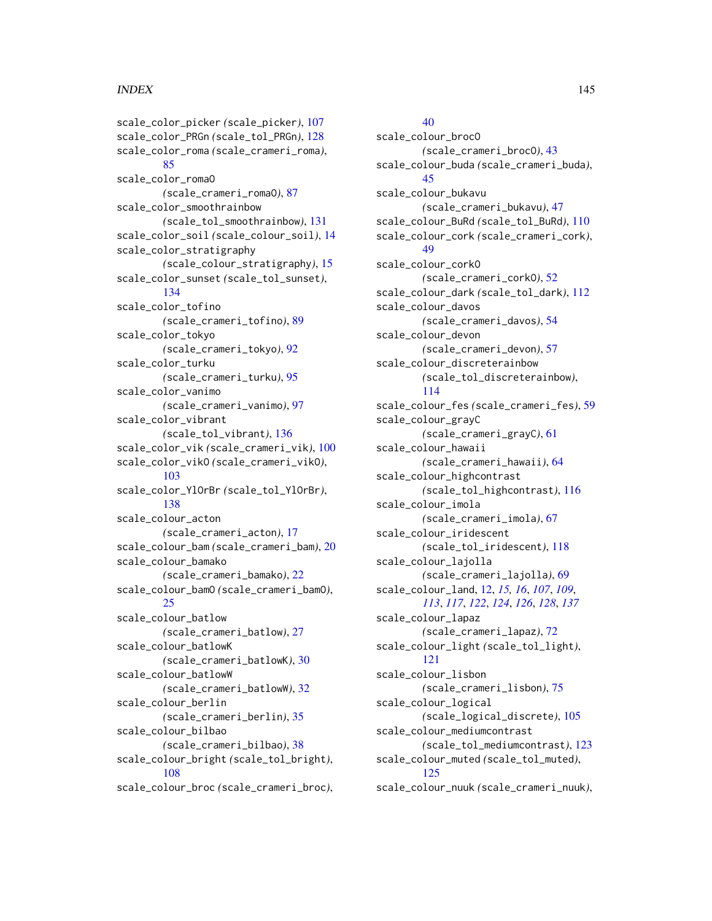scale\_color\_picker *(*scale\_picker*)*, [107](#page-106-0) scale\_color\_PRGn *(*scale\_tol\_PRGn*)*, [128](#page-127-0) scale\_color\_roma *(*scale\_crameri\_roma*)*, [85](#page-84-0) scale\_color\_romaO *(*scale\_crameri\_romaO*)*, [87](#page-86-0) scale\_color\_smoothrainbow *(*scale\_tol\_smoothrainbow*)*, [131](#page-130-0) scale\_color\_soil *(*scale\_colour\_soil*)*, [14](#page-13-0) scale\_color\_stratigraphy *(*scale\_colour\_stratigraphy*)*, [15](#page-14-0) scale\_color\_sunset *(*scale\_tol\_sunset*)*, [134](#page-133-0) scale\_color\_tofino *(*scale\_crameri\_tofino*)*, [89](#page-88-0) scale\_color\_tokyo *(*scale\_crameri\_tokyo*)*, [92](#page-91-0) scale\_color\_turku *(*scale\_crameri\_turku*)*, [95](#page-94-0) scale\_color\_vanimo *(*scale\_crameri\_vanimo*)*, [97](#page-96-0) scale\_color\_vibrant *(*scale\_tol\_vibrant*)*, [136](#page-135-0) scale\_color\_vik *(*scale\_crameri\_vik*)*, [100](#page-99-0) scale\_color\_vikO *(*scale\_crameri\_vikO*)*, [103](#page-102-0) scale\_color\_YlOrBr *(*scale\_tol\_YlOrBr*)*, [138](#page-137-0) scale\_colour\_acton *(*scale\_crameri\_acton*)*, [17](#page-16-0) scale\_colour\_bam *(*scale\_crameri\_bam*)*, [20](#page-19-0) scale\_colour\_bamako *(*scale\_crameri\_bamako*)*, [22](#page-21-0) scale\_colour\_bamO *(*scale\_crameri\_bamO*)*, [25](#page-24-0) scale\_colour\_batlow *(*scale\_crameri\_batlow*)*, [27](#page-26-0) scale\_colour\_batlowK *(*scale\_crameri\_batlowK*)*, [30](#page-29-0) scale\_colour\_batlowW *(*scale\_crameri\_batlowW*)*, [32](#page-31-0) scale\_colour\_berlin *(*scale\_crameri\_berlin*)*, [35](#page-34-0) scale\_colour\_bilbao *(*scale\_crameri\_bilbao*)*, [38](#page-37-0) scale\_colour\_bright *(*scale\_tol\_bright*)*, [108](#page-107-0) scale\_colour\_broc *(*scale\_crameri\_broc*)*,

# [40](#page-39-0)

scale\_colour\_brocO *(*scale\_crameri\_brocO*)*, [43](#page-42-0) scale\_colour\_buda *(*scale\_crameri\_buda*)*, [45](#page-44-0) scale\_colour\_bukavu *(*scale\_crameri\_bukavu*)*, [47](#page-46-0) scale\_colour\_BuRd *(*scale\_tol\_BuRd*)*, [110](#page-109-0) scale\_colour\_cork *(*scale\_crameri\_cork*)*, [49](#page-48-0) scale\_colour\_corkO *(*scale\_crameri\_corkO*)*, [52](#page-51-0) scale\_colour\_dark *(*scale\_tol\_dark*)*, [112](#page-111-0) scale\_colour\_davos *(*scale\_crameri\_davos*)*, [54](#page-53-0) scale\_colour\_devon *(*scale\_crameri\_devon*)*, [57](#page-56-0) scale\_colour\_discreterainbow *(*scale\_tol\_discreterainbow*)*, [114](#page-113-0) scale\_colour\_fes *(*scale\_crameri\_fes*)*, [59](#page-58-0) scale\_colour\_grayC *(*scale\_crameri\_grayC*)*, [61](#page-60-0) scale\_colour\_hawaii *(*scale\_crameri\_hawaii*)*, [64](#page-63-0) scale\_colour\_highcontrast *(*scale\_tol\_highcontrast*)*, [116](#page-115-0) scale\_colour\_imola *(*scale\_crameri\_imola*)*, [67](#page-66-0) scale\_colour\_iridescent *(*scale\_tol\_iridescent*)*, [118](#page-117-0) scale\_colour\_lajolla *(*scale\_crameri\_lajolla*)*, [69](#page-68-0) scale\_colour\_land, [12,](#page-11-0) *[15,](#page-14-0) [16](#page-15-0)*, *[107](#page-106-0)*, *[109](#page-108-0)*, *[113](#page-112-0)*, *[117](#page-116-0)*, *[122](#page-121-0)*, *[124](#page-123-0)*, *[126](#page-125-0)*, *[128](#page-127-0)*, *[137](#page-136-0)* scale\_colour\_lapaz *(*scale\_crameri\_lapaz*)*, [72](#page-71-0) scale\_colour\_light *(*scale\_tol\_light*)*, [121](#page-120-0) scale\_colour\_lisbon *(*scale\_crameri\_lisbon*)*, [75](#page-74-0) scale\_colour\_logical *(*scale\_logical\_discrete*)*, [105](#page-104-0) scale\_colour\_mediumcontrast *(*scale\_tol\_mediumcontrast*)*, [123](#page-122-0) scale\_colour\_muted *(*scale\_tol\_muted*)*, [125](#page-124-0) scale\_colour\_nuuk *(*scale\_crameri\_nuuk*)*,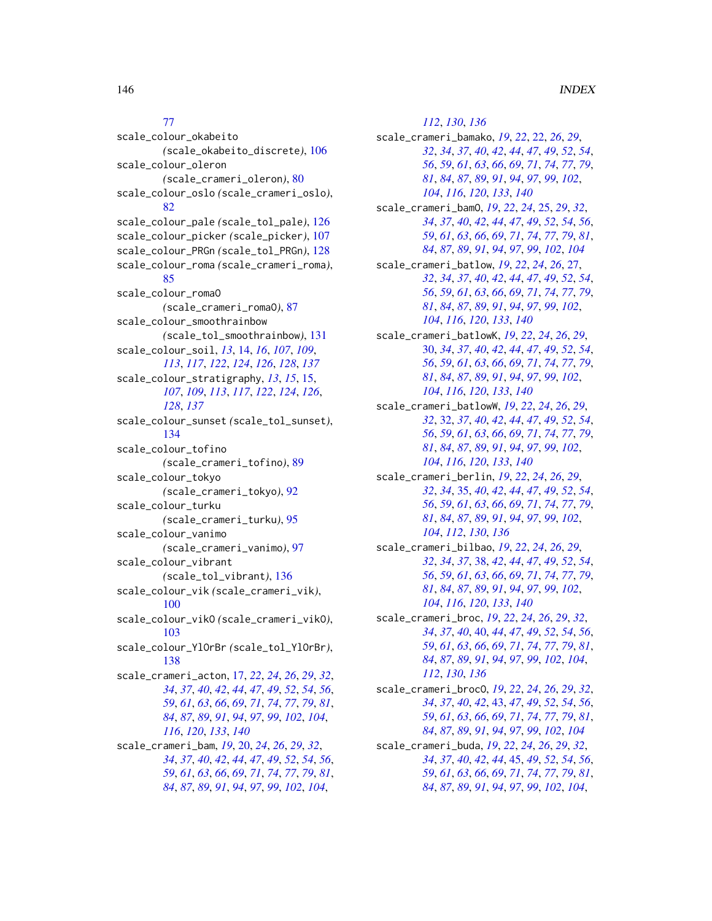# [77](#page-76-0)

scale\_colour\_okabeito *(*scale\_okabeito\_discrete*)*, [106](#page-105-0) scale\_colour\_oleron *(*scale\_crameri\_oleron*)*, [80](#page-79-0) scale\_colour\_oslo *(*scale\_crameri\_oslo*)*, [82](#page-81-0) scale\_colour\_pale *(*scale\_tol\_pale*)*, [126](#page-125-0) scale\_colour\_picker *(*scale\_picker*)*, [107](#page-106-0) scale\_colour\_PRGn *(*scale\_tol\_PRGn*)*, [128](#page-127-0) scale\_colour\_roma *(*scale\_crameri\_roma*)*, [85](#page-84-0) scale\_colour\_romaO *(*scale\_crameri\_romaO*)*, [87](#page-86-0) scale\_colour\_smoothrainbow *(*scale\_tol\_smoothrainbow*)*, [131](#page-130-0) scale\_colour\_soil, *[13](#page-12-0)*, [14,](#page-13-0) *[16](#page-15-0)*, *[107](#page-106-0)*, *[109](#page-108-0)*, *[113](#page-112-0)*, *[117](#page-116-0)*, *[122](#page-121-0)*, *[124](#page-123-0)*, *[126](#page-125-0)*, *[128](#page-127-0)*, *[137](#page-136-0)* scale\_colour\_stratigraphy, *[13](#page-12-0)*, *[15](#page-14-0)*, [15,](#page-14-0) *[107](#page-106-0)*, *[109](#page-108-0)*, *[113](#page-112-0)*, *[117](#page-116-0)*, *[122](#page-121-0)*, *[124](#page-123-0)*, *[126](#page-125-0)*, *[128](#page-127-0)*, *[137](#page-136-0)* scale\_colour\_sunset *(*scale\_tol\_sunset*)*, [134](#page-133-0) scale\_colour\_tofino *(*scale\_crameri\_tofino*)*, [89](#page-88-0) scale\_colour\_tokyo *(*scale\_crameri\_tokyo*)*, [92](#page-91-0) scale\_colour\_turku *(*scale\_crameri\_turku*)*, [95](#page-94-0) scale\_colour\_vanimo *(*scale\_crameri\_vanimo*)*, [97](#page-96-0) scale\_colour\_vibrant *(*scale\_tol\_vibrant*)*, [136](#page-135-0) scale\_colour\_vik *(*scale\_crameri\_vik*)*, [100](#page-99-0) scale\_colour\_vikO *(*scale\_crameri\_vikO*)*, [103](#page-102-0) scale\_colour\_YlOrBr *(*scale\_tol\_YlOrBr*)*, [138](#page-137-0) scale\_crameri\_acton, [17,](#page-16-0) *[22](#page-21-0)*, *[24](#page-23-0)*, *[26](#page-25-0)*, *[29](#page-28-0)*, *[32](#page-31-0)*, *[34](#page-33-0)*, *[37](#page-36-0)*, *[40](#page-39-0)*, *[42](#page-41-0)*, *[44](#page-43-0)*, *[47](#page-46-0)*, *[49](#page-48-0)*, *[52](#page-51-0)*, *[54](#page-53-0)*, *[56](#page-55-0)*, *[59](#page-58-0)*, *[61](#page-60-0)*, *[63](#page-62-0)*, *[66](#page-65-0)*, *[69](#page-68-0)*, *[71](#page-70-0)*, *[74](#page-73-0)*, *[77](#page-76-0)*, *[79](#page-78-0)*, *[81](#page-80-0)*, *[84](#page-83-0)*, *[87](#page-86-0)*, *[89](#page-88-0)*, *[91](#page-90-0)*, *[94](#page-93-0)*, *[97](#page-96-0)*, *[99](#page-98-0)*, *[102](#page-101-0)*, *[104](#page-103-0)*, *[116](#page-115-0)*, *[120](#page-119-0)*, *[133](#page-132-0)*, *[140](#page-139-0)* scale\_crameri\_bam, *[19](#page-18-0)*, [20,](#page-19-0) *[24](#page-23-0)*, *[26](#page-25-0)*, *[29](#page-28-0)*, *[32](#page-31-0)*, *[34](#page-33-0)*, *[37](#page-36-0)*, *[40](#page-39-0)*, *[42](#page-41-0)*, *[44](#page-43-0)*, *[47](#page-46-0)*, *[49](#page-48-0)*, *[52](#page-51-0)*, *[54](#page-53-0)*, *[56](#page-55-0)*, *[59](#page-58-0)*, *[61](#page-60-0)*, *[63](#page-62-0)*, *[66](#page-65-0)*, *[69](#page-68-0)*, *[71](#page-70-0)*, *[74](#page-73-0)*, *[77](#page-76-0)*, *[79](#page-78-0)*, *[81](#page-80-0)*, *[84](#page-83-0)*, *[87](#page-86-0)*, *[89](#page-88-0)*, *[91](#page-90-0)*, *[94](#page-93-0)*, *[97](#page-96-0)*, *[99](#page-98-0)*, *[102](#page-101-0)*, *[104](#page-103-0)*,

, *[130](#page-129-0)*, *[136](#page-135-0)* scale\_crameri\_bamako, *[19](#page-18-0)*, *[22](#page-21-0)*, [22,](#page-21-0) *[26](#page-25-0)*, *[29](#page-28-0)*, , *[34](#page-33-0)*, *[37](#page-36-0)*, *[40](#page-39-0)*, *[42](#page-41-0)*, *[44](#page-43-0)*, *[47](#page-46-0)*, *[49](#page-48-0)*, *[52](#page-51-0)*, *[54](#page-53-0)*, , *[59](#page-58-0)*, *[61](#page-60-0)*, *[63](#page-62-0)*, *[66](#page-65-0)*, *[69](#page-68-0)*, *[71](#page-70-0)*, *[74](#page-73-0)*, *[77](#page-76-0)*, *[79](#page-78-0)*, , *[84](#page-83-0)*, *[87](#page-86-0)*, *[89](#page-88-0)*, *[91](#page-90-0)*, *[94](#page-93-0)*, *[97](#page-96-0)*, *[99](#page-98-0)*, *[102](#page-101-0)*, , *[116](#page-115-0)*, *[120](#page-119-0)*, *[133](#page-132-0)*, *[140](#page-139-0)* scale\_crameri\_bamO, *[19](#page-18-0)*, *[22](#page-21-0)*, *[24](#page-23-0)*, [25,](#page-24-0) *[29](#page-28-0)*, *[32](#page-31-0)*, , *[37](#page-36-0)*, *[40](#page-39-0)*, *[42](#page-41-0)*, *[44](#page-43-0)*, *[47](#page-46-0)*, *[49](#page-48-0)*, *[52](#page-51-0)*, *[54](#page-53-0)*, *[56](#page-55-0)*, , *[61](#page-60-0)*, *[63](#page-62-0)*, *[66](#page-65-0)*, *[69](#page-68-0)*, *[71](#page-70-0)*, *[74](#page-73-0)*, *[77](#page-76-0)*, *[79](#page-78-0)*, *[81](#page-80-0)*, , *[87](#page-86-0)*, *[89](#page-88-0)*, *[91](#page-90-0)*, *[94](#page-93-0)*, *[97](#page-96-0)*, *[99](#page-98-0)*, *[102](#page-101-0)*, *[104](#page-103-0)* scale\_crameri\_batlow, *[19](#page-18-0)*, *[22](#page-21-0)*, *[24](#page-23-0)*, *[26](#page-25-0)*, [27,](#page-26-0) , *[34](#page-33-0)*, *[37](#page-36-0)*, *[40](#page-39-0)*, *[42](#page-41-0)*, *[44](#page-43-0)*, *[47](#page-46-0)*, *[49](#page-48-0)*, *[52](#page-51-0)*, *[54](#page-53-0)*, , *[59](#page-58-0)*, *[61](#page-60-0)*, *[63](#page-62-0)*, *[66](#page-65-0)*, *[69](#page-68-0)*, *[71](#page-70-0)*, *[74](#page-73-0)*, *[77](#page-76-0)*, *[79](#page-78-0)*, , *[84](#page-83-0)*, *[87](#page-86-0)*, *[89](#page-88-0)*, *[91](#page-90-0)*, *[94](#page-93-0)*, *[97](#page-96-0)*, *[99](#page-98-0)*, *[102](#page-101-0)*, , *[116](#page-115-0)*, *[120](#page-119-0)*, *[133](#page-132-0)*, *[140](#page-139-0)* scale\_crameri\_batlowK, *[19](#page-18-0)*, *[22](#page-21-0)*, *[24](#page-23-0)*, *[26](#page-25-0)*, *[29](#page-28-0)*, [30,](#page-29-0) *[34](#page-33-0)*, *[37](#page-36-0)*, *[40](#page-39-0)*, *[42](#page-41-0)*, *[44](#page-43-0)*, *[47](#page-46-0)*, *[49](#page-48-0)*, *[52](#page-51-0)*, *[54](#page-53-0)*, , *[59](#page-58-0)*, *[61](#page-60-0)*, *[63](#page-62-0)*, *[66](#page-65-0)*, *[69](#page-68-0)*, *[71](#page-70-0)*, *[74](#page-73-0)*, *[77](#page-76-0)*, *[79](#page-78-0)*, , *[84](#page-83-0)*, *[87](#page-86-0)*, *[89](#page-88-0)*, *[91](#page-90-0)*, *[94](#page-93-0)*, *[97](#page-96-0)*, *[99](#page-98-0)*, *[102](#page-101-0)*, , *[116](#page-115-0)*, *[120](#page-119-0)*, *[133](#page-132-0)*, *[140](#page-139-0)* scale\_crameri\_batlowW, *[19](#page-18-0)*, *[22](#page-21-0)*, *[24](#page-23-0)*, *[26](#page-25-0)*, *[29](#page-28-0)*, , [32,](#page-31-0) *[37](#page-36-0)*, *[40](#page-39-0)*, *[42](#page-41-0)*, *[44](#page-43-0)*, *[47](#page-46-0)*, *[49](#page-48-0)*, *[52](#page-51-0)*, *[54](#page-53-0)*, , *[59](#page-58-0)*, *[61](#page-60-0)*, *[63](#page-62-0)*, *[66](#page-65-0)*, *[69](#page-68-0)*, *[71](#page-70-0)*, *[74](#page-73-0)*, *[77](#page-76-0)*, *[79](#page-78-0)*, , *[84](#page-83-0)*, *[87](#page-86-0)*, *[89](#page-88-0)*, *[91](#page-90-0)*, *[94](#page-93-0)*, *[97](#page-96-0)*, *[99](#page-98-0)*, *[102](#page-101-0)*, , *[116](#page-115-0)*, *[120](#page-119-0)*, *[133](#page-132-0)*, *[140](#page-139-0)* scale\_crameri\_berlin, *[19](#page-18-0)*, *[22](#page-21-0)*, *[24](#page-23-0)*, *[26](#page-25-0)*, *[29](#page-28-0)*, , *[34](#page-33-0)*, [35,](#page-34-0) *[40](#page-39-0)*, *[42](#page-41-0)*, *[44](#page-43-0)*, *[47](#page-46-0)*, *[49](#page-48-0)*, *[52](#page-51-0)*, *[54](#page-53-0)*, , *[59](#page-58-0)*, *[61](#page-60-0)*, *[63](#page-62-0)*, *[66](#page-65-0)*, *[69](#page-68-0)*, *[71](#page-70-0)*, *[74](#page-73-0)*, *[77](#page-76-0)*, *[79](#page-78-0)*, , *[84](#page-83-0)*, *[87](#page-86-0)*, *[89](#page-88-0)*, *[91](#page-90-0)*, *[94](#page-93-0)*, *[97](#page-96-0)*, *[99](#page-98-0)*, *[102](#page-101-0)*, , *[112](#page-111-0)*, *[130](#page-129-0)*, *[136](#page-135-0)* scale\_crameri\_bilbao, *[19](#page-18-0)*, *[22](#page-21-0)*, *[24](#page-23-0)*, *[26](#page-25-0)*, *[29](#page-28-0)*, , *[34](#page-33-0)*, *[37](#page-36-0)*, [38,](#page-37-0) *[42](#page-41-0)*, *[44](#page-43-0)*, *[47](#page-46-0)*, *[49](#page-48-0)*, *[52](#page-51-0)*, *[54](#page-53-0)*, , *[59](#page-58-0)*, *[61](#page-60-0)*, *[63](#page-62-0)*, *[66](#page-65-0)*, *[69](#page-68-0)*, *[71](#page-70-0)*, *[74](#page-73-0)*, *[77](#page-76-0)*, *[79](#page-78-0)*, , *[84](#page-83-0)*, *[87](#page-86-0)*, *[89](#page-88-0)*, *[91](#page-90-0)*, *[94](#page-93-0)*, *[97](#page-96-0)*, *[99](#page-98-0)*, *[102](#page-101-0)*, , *[116](#page-115-0)*, *[120](#page-119-0)*, *[133](#page-132-0)*, *[140](#page-139-0)* scale\_crameri\_broc, *[19](#page-18-0)*, *[22](#page-21-0)*, *[24](#page-23-0)*, *[26](#page-25-0)*, *[29](#page-28-0)*, *[32](#page-31-0)*, , *[37](#page-36-0)*, *[40](#page-39-0)*, [40,](#page-39-0) *[44](#page-43-0)*, *[47](#page-46-0)*, *[49](#page-48-0)*, *[52](#page-51-0)*, *[54](#page-53-0)*, *[56](#page-55-0)*, , *[61](#page-60-0)*, *[63](#page-62-0)*, *[66](#page-65-0)*, *[69](#page-68-0)*, *[71](#page-70-0)*, *[74](#page-73-0)*, *[77](#page-76-0)*, *[79](#page-78-0)*, *[81](#page-80-0)*, , *[87](#page-86-0)*, *[89](#page-88-0)*, *[91](#page-90-0)*, *[94](#page-93-0)*, *[97](#page-96-0)*, *[99](#page-98-0)*, *[102](#page-101-0)*, *[104](#page-103-0)*, , *[130](#page-129-0)*, *[136](#page-135-0)* scale\_crameri\_brocO, *[19](#page-18-0)*, *[22](#page-21-0)*, *[24](#page-23-0)*, *[26](#page-25-0)*, *[29](#page-28-0)*, *[32](#page-31-0)*, , *[37](#page-36-0)*, *[40](#page-39-0)*, *[42](#page-41-0)*, [43,](#page-42-0) *[47](#page-46-0)*, *[49](#page-48-0)*, *[52](#page-51-0)*, *[54](#page-53-0)*, *[56](#page-55-0)*, , *[61](#page-60-0)*, *[63](#page-62-0)*, *[66](#page-65-0)*, *[69](#page-68-0)*, *[71](#page-70-0)*, *[74](#page-73-0)*, *[77](#page-76-0)*, *[79](#page-78-0)*, *[81](#page-80-0)*, , *[87](#page-86-0)*, *[89](#page-88-0)*, *[91](#page-90-0)*, *[94](#page-93-0)*, *[97](#page-96-0)*, *[99](#page-98-0)*, *[102](#page-101-0)*, *[104](#page-103-0)* scale\_crameri\_buda, *[19](#page-18-0)*, *[22](#page-21-0)*, *[24](#page-23-0)*, *[26](#page-25-0)*, *[29](#page-28-0)*, *[32](#page-31-0)*, , *[37](#page-36-0)*, *[40](#page-39-0)*, *[42](#page-41-0)*, *[44](#page-43-0)*, [45,](#page-44-0) *[49](#page-48-0)*, *[52](#page-51-0)*, *[54](#page-53-0)*, *[56](#page-55-0)*, , *[61](#page-60-0)*, *[63](#page-62-0)*, *[66](#page-65-0)*, *[69](#page-68-0)*, *[71](#page-70-0)*, *[74](#page-73-0)*, *[77](#page-76-0)*, *[79](#page-78-0)*, *[81](#page-80-0)*, , *[87](#page-86-0)*, *[89](#page-88-0)*, *[91](#page-90-0)*, *[94](#page-93-0)*, *[97](#page-96-0)*, *[99](#page-98-0)*, *[102](#page-101-0)*, *[104](#page-103-0)*,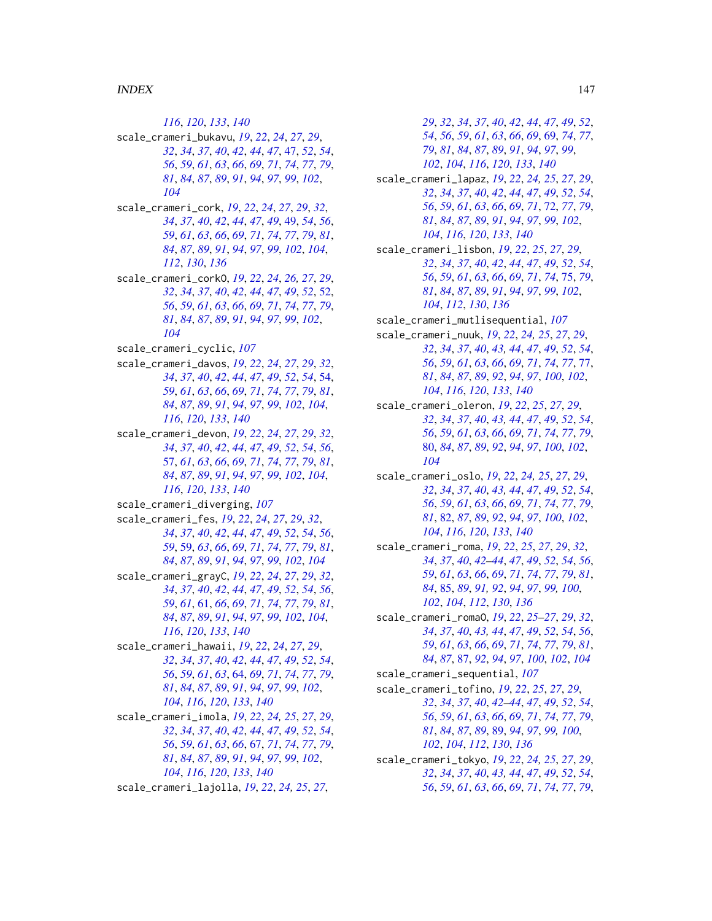, *[120](#page-119-0)*, *[133](#page-132-0)*, *[140](#page-139-0)*

- scale\_crameri\_bukavu, *[19](#page-18-0)*, *[22](#page-21-0)*, *[24](#page-23-0)*, *[27](#page-26-0)*, *[29](#page-28-0)*, , *[34](#page-33-0)*, *[37](#page-36-0)*, *[40](#page-39-0)*, *[42](#page-41-0)*, *[44](#page-43-0)*, *[47](#page-46-0)*, [47,](#page-46-0) *[52](#page-51-0)*, *[54](#page-53-0)*, , *[59](#page-58-0)*, *[61](#page-60-0)*, *[63](#page-62-0)*, *[66](#page-65-0)*, *[69](#page-68-0)*, *[71](#page-70-0)*, *[74](#page-73-0)*, *[77](#page-76-0)*, *[79](#page-78-0)*, , *[84](#page-83-0)*, *[87](#page-86-0)*, *[89](#page-88-0)*, *[91](#page-90-0)*, *[94](#page-93-0)*, *[97](#page-96-0)*, *[99](#page-98-0)*, *[102](#page-101-0)*,
- scale\_crameri\_cork, *[19](#page-18-0)*, *[22](#page-21-0)*, *[24](#page-23-0)*, *[27](#page-26-0)*, *[29](#page-28-0)*, *[32](#page-31-0)*, , *[37](#page-36-0)*, *[40](#page-39-0)*, *[42](#page-41-0)*, *[44](#page-43-0)*, *[47](#page-46-0)*, *[49](#page-48-0)*, [49,](#page-48-0) *[54](#page-53-0)*, *[56](#page-55-0)*, , *[61](#page-60-0)*, *[63](#page-62-0)*, *[66](#page-65-0)*, *[69](#page-68-0)*, *[71](#page-70-0)*, *[74](#page-73-0)*, *[77](#page-76-0)*, *[79](#page-78-0)*, *[81](#page-80-0)*, , *[87](#page-86-0)*, *[89](#page-88-0)*, *[91](#page-90-0)*, *[94](#page-93-0)*, *[97](#page-96-0)*, *[99](#page-98-0)*, *[102](#page-101-0)*, *[104](#page-103-0)*, , *[130](#page-129-0)*, *[136](#page-135-0)*
- scale\_crameri\_corkO, *[19](#page-18-0)*, *[22](#page-21-0)*, *[24](#page-23-0)*, *[26,](#page-25-0) [27](#page-26-0)*, *[29](#page-28-0)*, , *[34](#page-33-0)*, *[37](#page-36-0)*, *[40](#page-39-0)*, *[42](#page-41-0)*, *[44](#page-43-0)*, *[47](#page-46-0)*, *[49](#page-48-0)*, *[52](#page-51-0)*, [52,](#page-51-0) , *[59](#page-58-0)*, *[61](#page-60-0)*, *[63](#page-62-0)*, *[66](#page-65-0)*, *[69](#page-68-0)*, *[71](#page-70-0)*, *[74](#page-73-0)*, *[77](#page-76-0)*, *[79](#page-78-0)*, , *[84](#page-83-0)*, *[87](#page-86-0)*, *[89](#page-88-0)*, *[91](#page-90-0)*, *[94](#page-93-0)*, *[97](#page-96-0)*, *[99](#page-98-0)*, *[102](#page-101-0)*,
- scale\_crameri\_cyclic, *[107](#page-106-0)*
- scale\_crameri\_davos, *[19](#page-18-0)*, *[22](#page-21-0)*, *[24](#page-23-0)*, *[27](#page-26-0)*, *[29](#page-28-0)*, *[32](#page-31-0)*, , *[37](#page-36-0)*, *[40](#page-39-0)*, *[42](#page-41-0)*, *[44](#page-43-0)*, *[47](#page-46-0)*, *[49](#page-48-0)*, *[52](#page-51-0)*, *[54](#page-53-0)*, [54,](#page-53-0) , *[61](#page-60-0)*, *[63](#page-62-0)*, *[66](#page-65-0)*, *[69](#page-68-0)*, *[71](#page-70-0)*, *[74](#page-73-0)*, *[77](#page-76-0)*, *[79](#page-78-0)*, *[81](#page-80-0)*, , *[87](#page-86-0)*, *[89](#page-88-0)*, *[91](#page-90-0)*, *[94](#page-93-0)*, *[97](#page-96-0)*, *[99](#page-98-0)*, *[102](#page-101-0)*, *[104](#page-103-0)*, , *[120](#page-119-0)*, *[133](#page-132-0)*, *[140](#page-139-0)*
- scale\_crameri\_devon, *[19](#page-18-0)*, *[22](#page-21-0)*, *[24](#page-23-0)*, *[27](#page-26-0)*, *[29](#page-28-0)*, *[32](#page-31-0)*, , *[37](#page-36-0)*, *[40](#page-39-0)*, *[42](#page-41-0)*, *[44](#page-43-0)*, *[47](#page-46-0)*, *[49](#page-48-0)*, *[52](#page-51-0)*, *[54](#page-53-0)*, *[56](#page-55-0)*, [57,](#page-56-0) *[61](#page-60-0)*, *[63](#page-62-0)*, *[66](#page-65-0)*, *[69](#page-68-0)*, *[71](#page-70-0)*, *[74](#page-73-0)*, *[77](#page-76-0)*, *[79](#page-78-0)*, *[81](#page-80-0)*, , *[87](#page-86-0)*, *[89](#page-88-0)*, *[91](#page-90-0)*, *[94](#page-93-0)*, *[97](#page-96-0)*, *[99](#page-98-0)*, *[102](#page-101-0)*, *[104](#page-103-0)*, , *[120](#page-119-0)*, *[133](#page-132-0)*, *[140](#page-139-0)*
- scale\_crameri\_diverging, *[107](#page-106-0)*
- scale\_crameri\_fes, *[19](#page-18-0)*, *[22](#page-21-0)*, *[24](#page-23-0)*, *[27](#page-26-0)*, *[29](#page-28-0)*, *[32](#page-31-0)*, , *[37](#page-36-0)*, *[40](#page-39-0)*, *[42](#page-41-0)*, *[44](#page-43-0)*, *[47](#page-46-0)*, *[49](#page-48-0)*, *[52](#page-51-0)*, *[54](#page-53-0)*, *[56](#page-55-0)*, , [59,](#page-58-0) *[63](#page-62-0)*, *[66](#page-65-0)*, *[69](#page-68-0)*, *[71](#page-70-0)*, *[74](#page-73-0)*, *[77](#page-76-0)*, *[79](#page-78-0)*, *[81](#page-80-0)*, , *[87](#page-86-0)*, *[89](#page-88-0)*, *[91](#page-90-0)*, *[94](#page-93-0)*, *[97](#page-96-0)*, *[99](#page-98-0)*, *[102](#page-101-0)*, *[104](#page-103-0)*
- scale\_crameri\_grayC, *[19](#page-18-0)*, *[22](#page-21-0)*, *[24](#page-23-0)*, *[27](#page-26-0)*, *[29](#page-28-0)*, *[32](#page-31-0)*, , *[37](#page-36-0)*, *[40](#page-39-0)*, *[42](#page-41-0)*, *[44](#page-43-0)*, *[47](#page-46-0)*, *[49](#page-48-0)*, *[52](#page-51-0)*, *[54](#page-53-0)*, *[56](#page-55-0)*, , *[61](#page-60-0)*, [61,](#page-60-0) *[66](#page-65-0)*, *[69](#page-68-0)*, *[71](#page-70-0)*, *[74](#page-73-0)*, *[77](#page-76-0)*, *[79](#page-78-0)*, *[81](#page-80-0)*, , *[87](#page-86-0)*, *[89](#page-88-0)*, *[91](#page-90-0)*, *[94](#page-93-0)*, *[97](#page-96-0)*, *[99](#page-98-0)*, *[102](#page-101-0)*, *[104](#page-103-0)*, , *[120](#page-119-0)*, *[133](#page-132-0)*, *[140](#page-139-0)*
- scale\_crameri\_hawaii, *[19](#page-18-0)*, *[22](#page-21-0)*, *[24](#page-23-0)*, *[27](#page-26-0)*, *[29](#page-28-0)*, , *[34](#page-33-0)*, *[37](#page-36-0)*, *[40](#page-39-0)*, *[42](#page-41-0)*, *[44](#page-43-0)*, *[47](#page-46-0)*, *[49](#page-48-0)*, *[52](#page-51-0)*, *[54](#page-53-0)*, , *[59](#page-58-0)*, *[61](#page-60-0)*, *[63](#page-62-0)*, [64,](#page-63-0) *[69](#page-68-0)*, *[71](#page-70-0)*, *[74](#page-73-0)*, *[77](#page-76-0)*, *[79](#page-78-0)*, , *[84](#page-83-0)*, *[87](#page-86-0)*, *[89](#page-88-0)*, *[91](#page-90-0)*, *[94](#page-93-0)*, *[97](#page-96-0)*, *[99](#page-98-0)*, *[102](#page-101-0)*, , *[116](#page-115-0)*, *[120](#page-119-0)*, *[133](#page-132-0)*, *[140](#page-139-0)*
- scale\_crameri\_imola, *[19](#page-18-0)*, *[22](#page-21-0)*, *[24,](#page-23-0) [25](#page-24-0)*, *[27](#page-26-0)*, *[29](#page-28-0)*, , *[34](#page-33-0)*, *[37](#page-36-0)*, *[40](#page-39-0)*, *[42](#page-41-0)*, *[44](#page-43-0)*, *[47](#page-46-0)*, *[49](#page-48-0)*, *[52](#page-51-0)*, *[54](#page-53-0)*, , *[59](#page-58-0)*, *[61](#page-60-0)*, *[63](#page-62-0)*, *[66](#page-65-0)*, [67,](#page-66-0) *[71](#page-70-0)*, *[74](#page-73-0)*, *[77](#page-76-0)*, *[79](#page-78-0)*, , *[84](#page-83-0)*, *[87](#page-86-0)*, *[89](#page-88-0)*, *[91](#page-90-0)*, *[94](#page-93-0)*, *[97](#page-96-0)*, *[99](#page-98-0)*, *[102](#page-101-0)*, , *[116](#page-115-0)*, *[120](#page-119-0)*, *[133](#page-132-0)*, *[140](#page-139-0)*
- scale\_crameri\_lajolla, *[19](#page-18-0)*, *[22](#page-21-0)*, *[24,](#page-23-0) [25](#page-24-0)*, *[27](#page-26-0)*,
- , *[32](#page-31-0)*, *[34](#page-33-0)*, *[37](#page-36-0)*, *[40](#page-39-0)*, *[42](#page-41-0)*, *[44](#page-43-0)*, *[47](#page-46-0)*, *[49](#page-48-0)*, *[52](#page-51-0)*, , *[56](#page-55-0)*, *[59](#page-58-0)*, *[61](#page-60-0)*, *[63](#page-62-0)*, *[66](#page-65-0)*, *[69](#page-68-0)*, [69,](#page-68-0) *[74](#page-73-0)*, *[77](#page-76-0)*, , *[81](#page-80-0)*, *[84](#page-83-0)*, *[87](#page-86-0)*, *[89](#page-88-0)*, *[91](#page-90-0)*, *[94](#page-93-0)*, *[97](#page-96-0)*, *[99](#page-98-0)*, , *[104](#page-103-0)*, *[116](#page-115-0)*, *[120](#page-119-0)*, *[133](#page-132-0)*, *[140](#page-139-0)*
- scale\_crameri\_lapaz, *[19](#page-18-0)*, *[22](#page-21-0)*, *[24,](#page-23-0) [25](#page-24-0)*, *[27](#page-26-0)*, *[29](#page-28-0)*, , *[34](#page-33-0)*, *[37](#page-36-0)*, *[40](#page-39-0)*, *[42](#page-41-0)*, *[44](#page-43-0)*, *[47](#page-46-0)*, *[49](#page-48-0)*, *[52](#page-51-0)*, *[54](#page-53-0)*, , *[59](#page-58-0)*, *[61](#page-60-0)*, *[63](#page-62-0)*, *[66](#page-65-0)*, *[69](#page-68-0)*, *[71](#page-70-0)*, [72,](#page-71-0) *[77](#page-76-0)*, *[79](#page-78-0)*, , *[84](#page-83-0)*, *[87](#page-86-0)*, *[89](#page-88-0)*, *[91](#page-90-0)*, *[94](#page-93-0)*, *[97](#page-96-0)*, *[99](#page-98-0)*, *[102](#page-101-0)*, , *[116](#page-115-0)*, *[120](#page-119-0)*, *[133](#page-132-0)*, *[140](#page-139-0)*
- scale\_crameri\_lisbon, *[19](#page-18-0)*, *[22](#page-21-0)*, *[25](#page-24-0)*, *[27](#page-26-0)*, *[29](#page-28-0)*, , *[34](#page-33-0)*, *[37](#page-36-0)*, *[40](#page-39-0)*, *[42](#page-41-0)*, *[44](#page-43-0)*, *[47](#page-46-0)*, *[49](#page-48-0)*, *[52](#page-51-0)*, *[54](#page-53-0)*, , *[59](#page-58-0)*, *[61](#page-60-0)*, *[63](#page-62-0)*, *[66](#page-65-0)*, *[69](#page-68-0)*, *[71](#page-70-0)*, *[74](#page-73-0)*, [75,](#page-74-0) *[79](#page-78-0)*, , *[84](#page-83-0)*, *[87](#page-86-0)*, *[89](#page-88-0)*, *[91](#page-90-0)*, *[94](#page-93-0)*, *[97](#page-96-0)*, *[99](#page-98-0)*, *[102](#page-101-0)*, , *[112](#page-111-0)*, *[130](#page-129-0)*, *[136](#page-135-0)*
- scale\_crameri\_mutlisequential, *[107](#page-106-0)*
- scale\_crameri\_nuuk, *[19](#page-18-0)*, *[22](#page-21-0)*, *[24,](#page-23-0) [25](#page-24-0)*, *[27](#page-26-0)*, *[29](#page-28-0)*, , *[34](#page-33-0)*, *[37](#page-36-0)*, *[40](#page-39-0)*, *[43,](#page-42-0) [44](#page-43-0)*, *[47](#page-46-0)*, *[49](#page-48-0)*, *[52](#page-51-0)*, *[54](#page-53-0)*, , *[59](#page-58-0)*, *[61](#page-60-0)*, *[63](#page-62-0)*, *[66](#page-65-0)*, *[69](#page-68-0)*, *[71](#page-70-0)*, *[74](#page-73-0)*, *[77](#page-76-0)*, [77,](#page-76-0) , *[84](#page-83-0)*, *[87](#page-86-0)*, *[89](#page-88-0)*, *[92](#page-91-0)*, *[94](#page-93-0)*, *[97](#page-96-0)*, *[100](#page-99-0)*, *[102](#page-101-0)*, , *[116](#page-115-0)*, *[120](#page-119-0)*, *[133](#page-132-0)*, *[140](#page-139-0)*
- scale\_crameri\_oleron, *[19](#page-18-0)*, *[22](#page-21-0)*, *[25](#page-24-0)*, *[27](#page-26-0)*, *[29](#page-28-0)*, , *[34](#page-33-0)*, *[37](#page-36-0)*, *[40](#page-39-0)*, *[43,](#page-42-0) [44](#page-43-0)*, *[47](#page-46-0)*, *[49](#page-48-0)*, *[52](#page-51-0)*, *[54](#page-53-0)*, , *[59](#page-58-0)*, *[61](#page-60-0)*, *[63](#page-62-0)*, *[66](#page-65-0)*, *[69](#page-68-0)*, *[71](#page-70-0)*, *[74](#page-73-0)*, *[77](#page-76-0)*, *[79](#page-78-0)*, [80,](#page-79-0) *[84](#page-83-0)*, *[87](#page-86-0)*, *[89](#page-88-0)*, *[92](#page-91-0)*, *[94](#page-93-0)*, *[97](#page-96-0)*, *[100](#page-99-0)*, *[102](#page-101-0)*,
- scale\_crameri\_oslo, *[19](#page-18-0)*, *[22](#page-21-0)*, *[24,](#page-23-0) [25](#page-24-0)*, *[27](#page-26-0)*, *[29](#page-28-0)*, , *[34](#page-33-0)*, *[37](#page-36-0)*, *[40](#page-39-0)*, *[43,](#page-42-0) [44](#page-43-0)*, *[47](#page-46-0)*, *[49](#page-48-0)*, *[52](#page-51-0)*, *[54](#page-53-0)*, , *[59](#page-58-0)*, *[61](#page-60-0)*, *[63](#page-62-0)*, *[66](#page-65-0)*, *[69](#page-68-0)*, *[71](#page-70-0)*, *[74](#page-73-0)*, *[77](#page-76-0)*, *[79](#page-78-0)*, , [82,](#page-81-0) *[87](#page-86-0)*, *[89](#page-88-0)*, *[92](#page-91-0)*, *[94](#page-93-0)*, *[97](#page-96-0)*, *[100](#page-99-0)*, *[102](#page-101-0)*, , *[116](#page-115-0)*, *[120](#page-119-0)*, *[133](#page-132-0)*, *[140](#page-139-0)*
- scale\_crameri\_roma, *[19](#page-18-0)*, *[22](#page-21-0)*, *[25](#page-24-0)*, *[27](#page-26-0)*, *[29](#page-28-0)*, *[32](#page-31-0)*, , *[37](#page-36-0)*, *[40](#page-39-0)*, *[42](#page-41-0)[–44](#page-43-0)*, *[47](#page-46-0)*, *[49](#page-48-0)*, *[52](#page-51-0)*, *[54](#page-53-0)*, *[56](#page-55-0)*, , *[61](#page-60-0)*, *[63](#page-62-0)*, *[66](#page-65-0)*, *[69](#page-68-0)*, *[71](#page-70-0)*, *[74](#page-73-0)*, *[77](#page-76-0)*, *[79](#page-78-0)*, *[81](#page-80-0)*, , [85,](#page-84-0) *[89](#page-88-0)*, *[91,](#page-90-0) [92](#page-91-0)*, *[94](#page-93-0)*, *[97](#page-96-0)*, *[99,](#page-98-0) [100](#page-99-0)*, , *[104](#page-103-0)*, *[112](#page-111-0)*, *[130](#page-129-0)*, *[136](#page-135-0)*
- scale\_crameri\_romaO, *[19](#page-18-0)*, *[22](#page-21-0)*, *[25](#page-24-0)[–27](#page-26-0)*, *[29](#page-28-0)*, *[32](#page-31-0)*, , *[37](#page-36-0)*, *[40](#page-39-0)*, *[43,](#page-42-0) [44](#page-43-0)*, *[47](#page-46-0)*, *[49](#page-48-0)*, *[52](#page-51-0)*, *[54](#page-53-0)*, *[56](#page-55-0)*, , *[61](#page-60-0)*, *[63](#page-62-0)*, *[66](#page-65-0)*, *[69](#page-68-0)*, *[71](#page-70-0)*, *[74](#page-73-0)*, *[77](#page-76-0)*, *[79](#page-78-0)*, *[81](#page-80-0)*, , *[87](#page-86-0)*, [87,](#page-86-0) *[92](#page-91-0)*, *[94](#page-93-0)*, *[97](#page-96-0)*, *[100](#page-99-0)*, *[102](#page-101-0)*, *[104](#page-103-0)*
- scale\_crameri\_sequential, *[107](#page-106-0)*
- scale\_crameri\_tofino, *[19](#page-18-0)*, *[22](#page-21-0)*, *[25](#page-24-0)*, *[27](#page-26-0)*, *[29](#page-28-0)*, , *[34](#page-33-0)*, *[37](#page-36-0)*, *[40](#page-39-0)*, *[42](#page-41-0)[–44](#page-43-0)*, *[47](#page-46-0)*, *[49](#page-48-0)*, *[52](#page-51-0)*, *[54](#page-53-0)*, , *[59](#page-58-0)*, *[61](#page-60-0)*, *[63](#page-62-0)*, *[66](#page-65-0)*, *[69](#page-68-0)*, *[71](#page-70-0)*, *[74](#page-73-0)*, *[77](#page-76-0)*, *[79](#page-78-0)*, , *[84](#page-83-0)*, *[87](#page-86-0)*, *[89](#page-88-0)*, [89,](#page-88-0) *[94](#page-93-0)*, *[97](#page-96-0)*, *[99,](#page-98-0) [100](#page-99-0)*, , *[104](#page-103-0)*, *[112](#page-111-0)*, *[130](#page-129-0)*, *[136](#page-135-0)*
- scale\_crameri\_tokyo, *[19](#page-18-0)*, *[22](#page-21-0)*, *[24,](#page-23-0) [25](#page-24-0)*, *[27](#page-26-0)*, *[29](#page-28-0)*, , *[34](#page-33-0)*, *[37](#page-36-0)*, *[40](#page-39-0)*, *[43,](#page-42-0) [44](#page-43-0)*, *[47](#page-46-0)*, *[49](#page-48-0)*, *[52](#page-51-0)*, *[54](#page-53-0)*, , *[59](#page-58-0)*, *[61](#page-60-0)*, *[63](#page-62-0)*, *[66](#page-65-0)*, *[69](#page-68-0)*, *[71](#page-70-0)*, *[74](#page-73-0)*, *[77](#page-76-0)*, *[79](#page-78-0)*,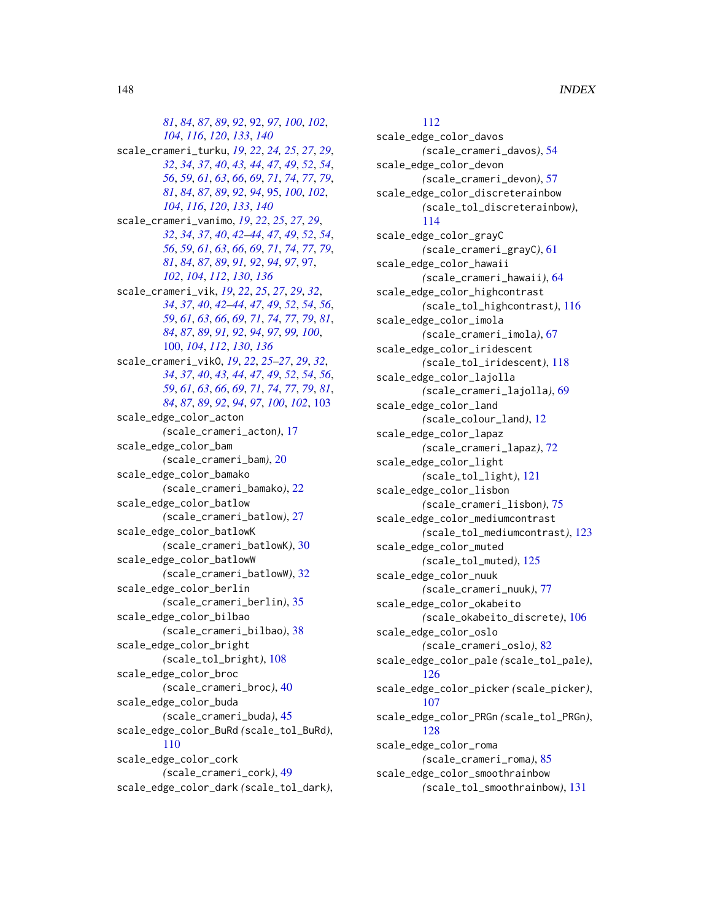*[81](#page-80-0)*, *[84](#page-83-0)*, *[87](#page-86-0)*, *[89](#page-88-0)*, *[92](#page-91-0)*, [92,](#page-91-0) *[97](#page-96-0)*, *[100](#page-99-0)*, *[102](#page-101-0)*, *[104](#page-103-0)*, *[116](#page-115-0)*, *[120](#page-119-0)*, *[133](#page-132-0)*, *[140](#page-139-0)* scale\_crameri\_turku, *[19](#page-18-0)*, *[22](#page-21-0)*, *[24,](#page-23-0) [25](#page-24-0)*, *[27](#page-26-0)*, *[29](#page-28-0)*, *[32](#page-31-0)*, *[34](#page-33-0)*, *[37](#page-36-0)*, *[40](#page-39-0)*, *[43,](#page-42-0) [44](#page-43-0)*, *[47](#page-46-0)*, *[49](#page-48-0)*, *[52](#page-51-0)*, *[54](#page-53-0)*, *[56](#page-55-0)*, *[59](#page-58-0)*, *[61](#page-60-0)*, *[63](#page-62-0)*, *[66](#page-65-0)*, *[69](#page-68-0)*, *[71](#page-70-0)*, *[74](#page-73-0)*, *[77](#page-76-0)*, *[79](#page-78-0)*, *[81](#page-80-0)*, *[84](#page-83-0)*, *[87](#page-86-0)*, *[89](#page-88-0)*, *[92](#page-91-0)*, *[94](#page-93-0)*, [95,](#page-94-0) *[100](#page-99-0)*, *[102](#page-101-0)*, *[104](#page-103-0)*, *[116](#page-115-0)*, *[120](#page-119-0)*, *[133](#page-132-0)*, *[140](#page-139-0)* scale\_crameri\_vanimo, *[19](#page-18-0)*, *[22](#page-21-0)*, *[25](#page-24-0)*, *[27](#page-26-0)*, *[29](#page-28-0)*, *[32](#page-31-0)*, *[34](#page-33-0)*, *[37](#page-36-0)*, *[40](#page-39-0)*, *[42–](#page-41-0)[44](#page-43-0)*, *[47](#page-46-0)*, *[49](#page-48-0)*, *[52](#page-51-0)*, *[54](#page-53-0)*, *[56](#page-55-0)*, *[59](#page-58-0)*, *[61](#page-60-0)*, *[63](#page-62-0)*, *[66](#page-65-0)*, *[69](#page-68-0)*, *[71](#page-70-0)*, *[74](#page-73-0)*, *[77](#page-76-0)*, *[79](#page-78-0)*, *[81](#page-80-0)*, *[84](#page-83-0)*, *[87](#page-86-0)*, *[89](#page-88-0)*, *[91,](#page-90-0) [92](#page-91-0)*, *[94](#page-93-0)*, *[97](#page-96-0)*, [97,](#page-96-0) *[102](#page-101-0)*, *[104](#page-103-0)*, *[112](#page-111-0)*, *[130](#page-129-0)*, *[136](#page-135-0)* scale\_crameri\_vik, *[19](#page-18-0)*, *[22](#page-21-0)*, *[25](#page-24-0)*, *[27](#page-26-0)*, *[29](#page-28-0)*, *[32](#page-31-0)*, *[34](#page-33-0)*, *[37](#page-36-0)*, *[40](#page-39-0)*, *[42–](#page-41-0)[44](#page-43-0)*, *[47](#page-46-0)*, *[49](#page-48-0)*, *[52](#page-51-0)*, *[54](#page-53-0)*, *[56](#page-55-0)*, *[59](#page-58-0)*, *[61](#page-60-0)*, *[63](#page-62-0)*, *[66](#page-65-0)*, *[69](#page-68-0)*, *[71](#page-70-0)*, *[74](#page-73-0)*, *[77](#page-76-0)*, *[79](#page-78-0)*, *[81](#page-80-0)*, *[84](#page-83-0)*, *[87](#page-86-0)*, *[89](#page-88-0)*, *[91,](#page-90-0) [92](#page-91-0)*, *[94](#page-93-0)*, *[97](#page-96-0)*, *[99,](#page-98-0) [100](#page-99-0)*, [100,](#page-99-0) *[104](#page-103-0)*, *[112](#page-111-0)*, *[130](#page-129-0)*, *[136](#page-135-0)* scale\_crameri\_vikO, *[19](#page-18-0)*, *[22](#page-21-0)*, *[25–](#page-24-0)[27](#page-26-0)*, *[29](#page-28-0)*, *[32](#page-31-0)*, *[34](#page-33-0)*, *[37](#page-36-0)*, *[40](#page-39-0)*, *[43,](#page-42-0) [44](#page-43-0)*, *[47](#page-46-0)*, *[49](#page-48-0)*, *[52](#page-51-0)*, *[54](#page-53-0)*, *[56](#page-55-0)*, *[59](#page-58-0)*, *[61](#page-60-0)*, *[63](#page-62-0)*, *[66](#page-65-0)*, *[69](#page-68-0)*, *[71](#page-70-0)*, *[74](#page-73-0)*, *[77](#page-76-0)*, *[79](#page-78-0)*, *[81](#page-80-0)*, *[84](#page-83-0)*, *[87](#page-86-0)*, *[89](#page-88-0)*, *[92](#page-91-0)*, *[94](#page-93-0)*, *[97](#page-96-0)*, *[100](#page-99-0)*, *[102](#page-101-0)*, [103](#page-102-0) scale\_edge\_color\_acton *(*scale\_crameri\_acton*)*, [17](#page-16-0) scale\_edge\_color\_bam *(*scale\_crameri\_bam*)*, [20](#page-19-0) scale\_edge\_color\_bamako *(*scale\_crameri\_bamako*)*, [22](#page-21-0) scale\_edge\_color\_batlow *(*scale\_crameri\_batlow*)*, [27](#page-26-0) scale\_edge\_color\_batlowK *(*scale\_crameri\_batlowK*)*, [30](#page-29-0) scale\_edge\_color\_batlowW *(*scale\_crameri\_batlowW*)*, [32](#page-31-0) scale\_edge\_color\_berlin *(*scale\_crameri\_berlin*)*, [35](#page-34-0) scale\_edge\_color\_bilbao *(*scale\_crameri\_bilbao*)*, [38](#page-37-0) scale\_edge\_color\_bright *(*scale\_tol\_bright*)*, [108](#page-107-0) scale\_edge\_color\_broc *(*scale\_crameri\_broc*)*, [40](#page-39-0) scale\_edge\_color\_buda *(*scale\_crameri\_buda*)*, [45](#page-44-0) scale\_edge\_color\_BuRd *(*scale\_tol\_BuRd*)*, [110](#page-109-0) scale\_edge\_color\_cork *(*scale\_crameri\_cork*)*, [49](#page-48-0) scale\_edge\_color\_dark *(*scale\_tol\_dark*)*,

# [112](#page-111-0)

scale\_edge\_color\_davos *(*scale\_crameri\_davos*)*, [54](#page-53-0) scale\_edge\_color\_devon *(*scale\_crameri\_devon*)*, [57](#page-56-0) scale\_edge\_color\_discreterainbow *(*scale\_tol\_discreterainbow*)*, [114](#page-113-0) scale\_edge\_color\_grayC *(*scale\_crameri\_grayC*)*, [61](#page-60-0) scale\_edge\_color\_hawaii *(*scale\_crameri\_hawaii*)*, [64](#page-63-0) scale\_edge\_color\_highcontrast *(*scale\_tol\_highcontrast*)*, [116](#page-115-0) scale\_edge\_color\_imola *(*scale\_crameri\_imola*)*, [67](#page-66-0) scale\_edge\_color\_iridescent *(*scale\_tol\_iridescent*)*, [118](#page-117-0) scale\_edge\_color\_lajolla *(*scale\_crameri\_lajolla*)*, [69](#page-68-0) scale\_edge\_color\_land *(*scale\_colour\_land*)*, [12](#page-11-0) scale\_edge\_color\_lapaz *(*scale\_crameri\_lapaz*)*, [72](#page-71-0) scale\_edge\_color\_light *(*scale\_tol\_light*)*, [121](#page-120-0) scale\_edge\_color\_lisbon *(*scale\_crameri\_lisbon*)*, [75](#page-74-0) scale\_edge\_color\_mediumcontrast *(*scale\_tol\_mediumcontrast*)*, [123](#page-122-0) scale\_edge\_color\_muted *(*scale\_tol\_muted*)*, [125](#page-124-0) scale\_edge\_color\_nuuk *(*scale\_crameri\_nuuk*)*, [77](#page-76-0) scale\_edge\_color\_okabeito *(*scale\_okabeito\_discrete*)*, [106](#page-105-0) scale\_edge\_color\_oslo *(*scale\_crameri\_oslo*)*, [82](#page-81-0) scale\_edge\_color\_pale *(*scale\_tol\_pale*)*, [126](#page-125-0) scale\_edge\_color\_picker *(*scale\_picker*)*, [107](#page-106-0) scale\_edge\_color\_PRGn *(*scale\_tol\_PRGn*)*, [128](#page-127-0) scale\_edge\_color\_roma *(*scale\_crameri\_roma*)*, [85](#page-84-0) scale\_edge\_color\_smoothrainbow *(*scale\_tol\_smoothrainbow*)*, [131](#page-130-0)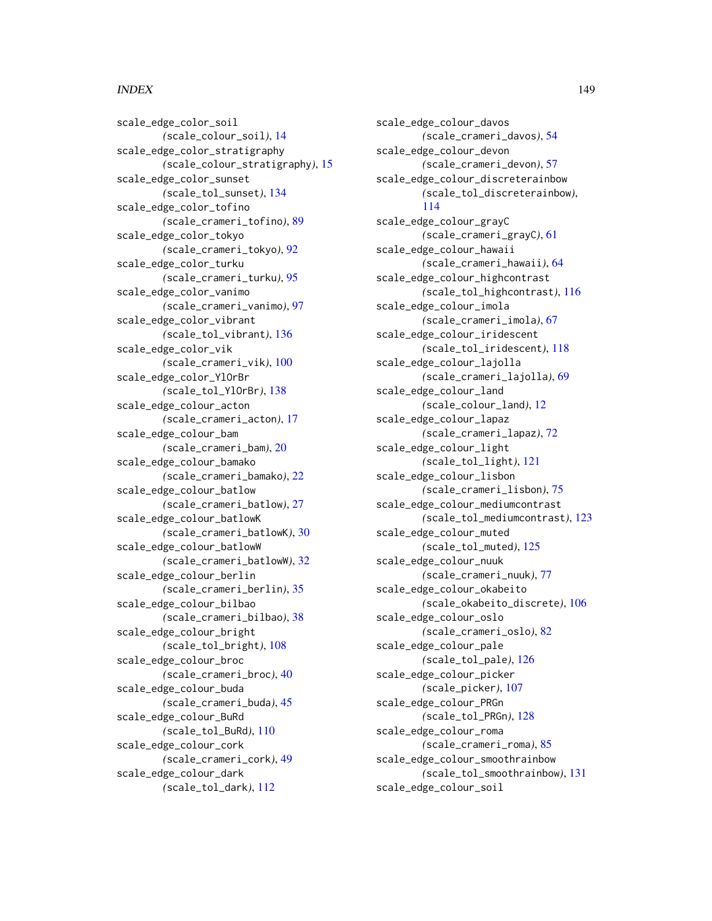#### INDEX 2008 2012 149

scale\_edge\_color\_soil *(*scale\_colour\_soil*)*, [14](#page-13-0) scale\_edge\_color\_stratigraphy *(*scale\_colour\_stratigraphy*)*, [15](#page-14-0) scale\_edge\_color\_sunset *(*scale\_tol\_sunset*)*, [134](#page-133-0) scale\_edge\_color\_tofino *(*scale\_crameri\_tofino*)*, [89](#page-88-0) scale\_edge\_color\_tokyo *(*scale\_crameri\_tokyo*)*, [92](#page-91-0) scale\_edge\_color\_turku *(*scale\_crameri\_turku*)*, [95](#page-94-0) scale\_edge\_color\_vanimo *(*scale\_crameri\_vanimo*)*, [97](#page-96-0) scale\_edge\_color\_vibrant *(*scale\_tol\_vibrant*)*, [136](#page-135-0) scale\_edge\_color\_vik *(*scale\_crameri\_vik*)*, [100](#page-99-0) scale\_edge\_color\_YlOrBr *(*scale\_tol\_YlOrBr*)*, [138](#page-137-0) scale\_edge\_colour\_acton *(*scale\_crameri\_acton*)*, [17](#page-16-0) scale\_edge\_colour\_bam *(*scale\_crameri\_bam*)*, [20](#page-19-0) scale\_edge\_colour\_bamako *(*scale\_crameri\_bamako*)*, [22](#page-21-0) scale\_edge\_colour\_batlow *(*scale\_crameri\_batlow*)*, [27](#page-26-0) scale\_edge\_colour\_batlowK *(*scale\_crameri\_batlowK*)*, [30](#page-29-0) scale\_edge\_colour\_batlowW *(*scale\_crameri\_batlowW*)*, [32](#page-31-0) scale\_edge\_colour\_berlin *(*scale\_crameri\_berlin*)*, [35](#page-34-0) scale\_edge\_colour\_bilbao *(*scale\_crameri\_bilbao*)*, [38](#page-37-0) scale\_edge\_colour\_bright *(*scale\_tol\_bright*)*, [108](#page-107-0) scale\_edge\_colour\_broc *(*scale\_crameri\_broc*)*, [40](#page-39-0) scale\_edge\_colour\_buda *(*scale\_crameri\_buda*)*, [45](#page-44-0) scale\_edge\_colour\_BuRd *(*scale\_tol\_BuRd*)*, [110](#page-109-0) scale\_edge\_colour\_cork *(*scale\_crameri\_cork*)*, [49](#page-48-0) scale\_edge\_colour\_dark *(*scale\_tol\_dark*)*, [112](#page-111-0)

scale\_edge\_colour\_davos *(*scale\_crameri\_davos*)*, [54](#page-53-0) scale\_edge\_colour\_devon *(*scale\_crameri\_devon*)*, [57](#page-56-0) scale\_edge\_colour\_discreterainbow *(*scale\_tol\_discreterainbow*)*, [114](#page-113-0) scale\_edge\_colour\_grayC *(*scale\_crameri\_grayC*)*, [61](#page-60-0) scale\_edge\_colour\_hawaii *(*scale\_crameri\_hawaii*)*, [64](#page-63-0) scale\_edge\_colour\_highcontrast *(*scale\_tol\_highcontrast*)*, [116](#page-115-0) scale\_edge\_colour\_imola *(*scale\_crameri\_imola*)*, [67](#page-66-0) scale\_edge\_colour\_iridescent *(*scale\_tol\_iridescent*)*, [118](#page-117-0) scale\_edge\_colour\_lajolla *(*scale\_crameri\_lajolla*)*, [69](#page-68-0) scale\_edge\_colour\_land *(*scale\_colour\_land*)*, [12](#page-11-0) scale\_edge\_colour\_lapaz *(*scale\_crameri\_lapaz*)*, [72](#page-71-0) scale\_edge\_colour\_light *(*scale\_tol\_light*)*, [121](#page-120-0) scale\_edge\_colour\_lisbon *(*scale\_crameri\_lisbon*)*, [75](#page-74-0) scale\_edge\_colour\_mediumcontrast *(*scale\_tol\_mediumcontrast*)*, [123](#page-122-0) scale\_edge\_colour\_muted *(*scale\_tol\_muted*)*, [125](#page-124-0) scale\_edge\_colour\_nuuk *(*scale\_crameri\_nuuk*)*, [77](#page-76-0) scale\_edge\_colour\_okabeito *(*scale\_okabeito\_discrete*)*, [106](#page-105-0) scale\_edge\_colour\_oslo *(*scale\_crameri\_oslo*)*, [82](#page-81-0) scale\_edge\_colour\_pale *(*scale\_tol\_pale*)*, [126](#page-125-0) scale\_edge\_colour\_picker *(*scale\_picker*)*, [107](#page-106-0) scale\_edge\_colour\_PRGn *(*scale\_tol\_PRGn*)*, [128](#page-127-0) scale\_edge\_colour\_roma *(*scale\_crameri\_roma*)*, [85](#page-84-0) scale\_edge\_colour\_smoothrainbow *(*scale\_tol\_smoothrainbow*)*, [131](#page-130-0) scale\_edge\_colour\_soil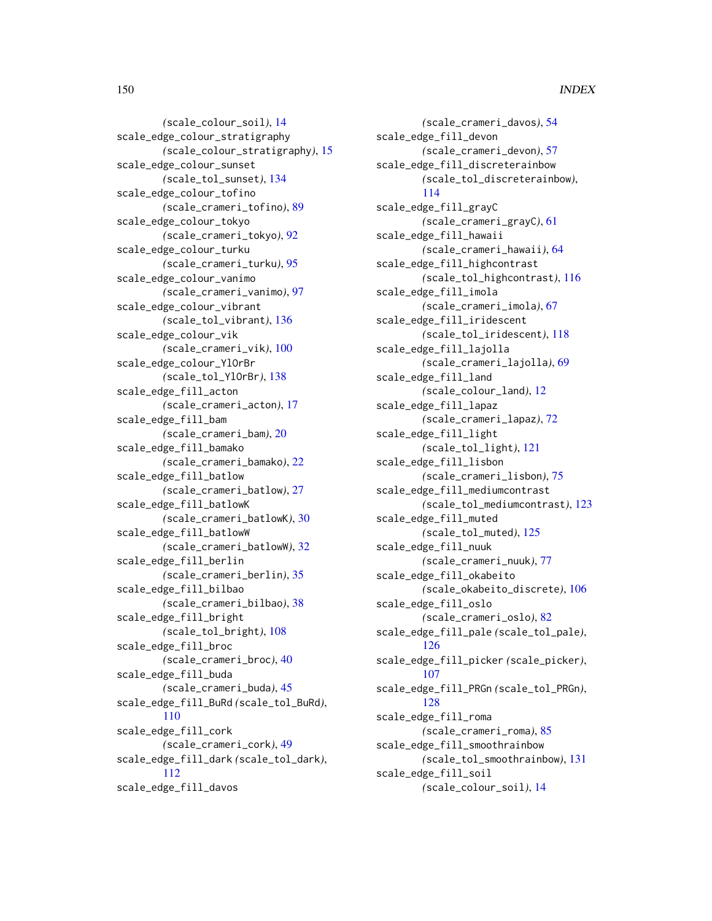*(*scale\_colour\_soil*)*, [14](#page-13-0) scale\_edge\_colour\_stratigraphy *(*scale\_colour\_stratigraphy*)*, [15](#page-14-0) scale\_edge\_colour\_sunset *(*scale\_tol\_sunset*)*, [134](#page-133-0) scale\_edge\_colour\_tofino *(*scale\_crameri\_tofino*)*, [89](#page-88-0) scale\_edge\_colour\_tokyo *(*scale\_crameri\_tokyo*)*, [92](#page-91-0) scale\_edge\_colour\_turku *(*scale\_crameri\_turku*)*, [95](#page-94-0) scale\_edge\_colour\_vanimo *(*scale\_crameri\_vanimo*)*, [97](#page-96-0) scale\_edge\_colour\_vibrant *(*scale\_tol\_vibrant*)*, [136](#page-135-0) scale\_edge\_colour\_vik *(*scale\_crameri\_vik*)*, [100](#page-99-0) scale\_edge\_colour\_YlOrBr *(*scale\_tol\_YlOrBr*)*, [138](#page-137-0) scale\_edge\_fill\_acton *(*scale\_crameri\_acton*)*, [17](#page-16-0) scale\_edge\_fill\_bam *(*scale\_crameri\_bam*)*, [20](#page-19-0) scale\_edge\_fill\_bamako *(*scale\_crameri\_bamako*)*, [22](#page-21-0) scale\_edge\_fill\_batlow *(*scale\_crameri\_batlow*)*, [27](#page-26-0) scale\_edge\_fill\_batlowK *(*scale\_crameri\_batlowK*)*, [30](#page-29-0) scale\_edge\_fill\_batlowW *(*scale\_crameri\_batlowW*)*, [32](#page-31-0) scale\_edge\_fill\_berlin *(*scale\_crameri\_berlin*)*, [35](#page-34-0) scale\_edge\_fill\_bilbao *(*scale\_crameri\_bilbao*)*, [38](#page-37-0) scale\_edge\_fill\_bright *(*scale\_tol\_bright*)*, [108](#page-107-0) scale\_edge\_fill\_broc *(*scale\_crameri\_broc*)*, [40](#page-39-0) scale\_edge\_fill\_buda *(*scale\_crameri\_buda*)*, [45](#page-44-0) scale\_edge\_fill\_BuRd *(*scale\_tol\_BuRd*)*, [110](#page-109-0) scale\_edge\_fill\_cork *(*scale\_crameri\_cork*)*, [49](#page-48-0) scale\_edge\_fill\_dark *(*scale\_tol\_dark*)*, [112](#page-111-0) scale\_edge\_fill\_davos

*(*scale\_crameri\_davos*)*, [54](#page-53-0) scale\_edge\_fill\_devon *(*scale\_crameri\_devon*)*, [57](#page-56-0) scale\_edge\_fill\_discreterainbow *(*scale\_tol\_discreterainbow*)*, [114](#page-113-0) scale\_edge\_fill\_grayC *(*scale\_crameri\_grayC*)*, [61](#page-60-0) scale\_edge\_fill\_hawaii *(*scale\_crameri\_hawaii*)*, [64](#page-63-0) scale\_edge\_fill\_highcontrast *(*scale\_tol\_highcontrast*)*, [116](#page-115-0) scale\_edge\_fill\_imola *(*scale\_crameri\_imola*)*, [67](#page-66-0) scale\_edge\_fill\_iridescent *(*scale\_tol\_iridescent*)*, [118](#page-117-0) scale\_edge\_fill\_lajolla *(*scale\_crameri\_lajolla*)*, [69](#page-68-0) scale\_edge\_fill\_land *(*scale\_colour\_land*)*, [12](#page-11-0) scale\_edge\_fill\_lapaz *(*scale\_crameri\_lapaz*)*, [72](#page-71-0) scale\_edge\_fill\_light *(*scale\_tol\_light*)*, [121](#page-120-0) scale\_edge\_fill\_lisbon *(*scale\_crameri\_lisbon*)*, [75](#page-74-0) scale\_edge\_fill\_mediumcontrast *(*scale\_tol\_mediumcontrast*)*, [123](#page-122-0) scale\_edge\_fill\_muted *(*scale\_tol\_muted*)*, [125](#page-124-0) scale\_edge\_fill\_nuuk *(*scale\_crameri\_nuuk*)*, [77](#page-76-0) scale\_edge\_fill\_okabeito *(*scale\_okabeito\_discrete*)*, [106](#page-105-0) scale\_edge\_fill\_oslo *(*scale\_crameri\_oslo*)*, [82](#page-81-0) scale\_edge\_fill\_pale *(*scale\_tol\_pale*)*, [126](#page-125-0) scale\_edge\_fill\_picker *(*scale\_picker*)*, [107](#page-106-0) scale\_edge\_fill\_PRGn *(*scale\_tol\_PRGn*)*, [128](#page-127-0) scale\_edge\_fill\_roma *(*scale\_crameri\_roma*)*, [85](#page-84-0) scale\_edge\_fill\_smoothrainbow *(*scale\_tol\_smoothrainbow*)*, [131](#page-130-0) scale\_edge\_fill\_soil *(*scale\_colour\_soil*)*, [14](#page-13-0)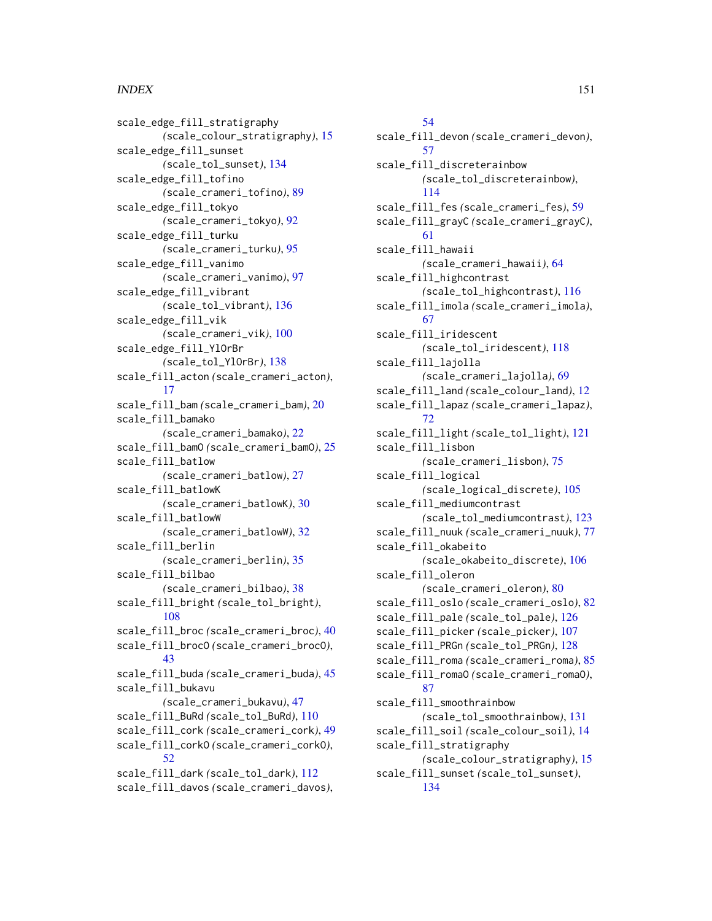scale\_edge\_fill\_stratigraphy *(*scale\_colour\_stratigraphy*)*, [15](#page-14-0) scale\_edge\_fill\_sunset *(*scale\_tol\_sunset*)*, [134](#page-133-0) scale\_edge\_fill\_tofino *(*scale\_crameri\_tofino*)*, [89](#page-88-0) scale\_edge\_fill\_tokyo *(*scale\_crameri\_tokyo*)*, [92](#page-91-0) scale\_edge\_fill\_turku *(*scale\_crameri\_turku*)*, [95](#page-94-0) scale\_edge\_fill\_vanimo *(*scale\_crameri\_vanimo*)*, [97](#page-96-0) scale\_edge\_fill\_vibrant *(*scale\_tol\_vibrant*)*, [136](#page-135-0) scale\_edge\_fill\_vik *(*scale\_crameri\_vik*)*, [100](#page-99-0) scale\_edge\_fill\_YlOrBr *(*scale\_tol\_YlOrBr*)*, [138](#page-137-0) scale\_fill\_acton *(*scale\_crameri\_acton*)*, [17](#page-16-0) scale\_fill\_bam *(*scale\_crameri\_bam*)*, [20](#page-19-0) scale\_fill\_bamako *(*scale\_crameri\_bamako*)*, [22](#page-21-0) scale\_fill\_bamO *(*scale\_crameri\_bamO*)*, [25](#page-24-0) scale\_fill\_batlow *(*scale\_crameri\_batlow*)*, [27](#page-26-0) scale\_fill\_batlowK *(*scale\_crameri\_batlowK*)*, [30](#page-29-0) scale\_fill\_batlowW *(*scale\_crameri\_batlowW*)*, [32](#page-31-0) scale\_fill\_berlin *(*scale\_crameri\_berlin*)*, [35](#page-34-0) scale\_fill\_bilbao *(*scale\_crameri\_bilbao*)*, [38](#page-37-0) scale\_fill\_bright *(*scale\_tol\_bright*)*, [108](#page-107-0) scale\_fill\_broc *(*scale\_crameri\_broc*)*, [40](#page-39-0) scale\_fill\_brocO *(*scale\_crameri\_brocO*)*, [43](#page-42-0) scale\_fill\_buda *(*scale\_crameri\_buda*)*, [45](#page-44-0) scale\_fill\_bukavu *(*scale\_crameri\_bukavu*)*, [47](#page-46-0) scale\_fill\_BuRd *(*scale\_tol\_BuRd*)*, [110](#page-109-0) scale\_fill\_cork *(*scale\_crameri\_cork*)*, [49](#page-48-0) scale\_fill\_corkO *(*scale\_crameri\_corkO*)*, [52](#page-51-0) scale\_fill\_dark *(*scale\_tol\_dark*)*, [112](#page-111-0) scale\_fill\_davos *(*scale\_crameri\_davos*)*,

[54](#page-53-0) scale\_fill\_devon *(*scale\_crameri\_devon*)*, [57](#page-56-0) scale\_fill\_discreterainbow *(*scale\_tol\_discreterainbow*)*, [114](#page-113-0) scale\_fill\_fes *(*scale\_crameri\_fes*)*, [59](#page-58-0) scale\_fill\_grayC *(*scale\_crameri\_grayC*)*, [61](#page-60-0) scale\_fill\_hawaii *(*scale\_crameri\_hawaii*)*, [64](#page-63-0) scale\_fill\_highcontrast *(*scale\_tol\_highcontrast*)*, [116](#page-115-0) scale\_fill\_imola *(*scale\_crameri\_imola*)*, [67](#page-66-0) scale\_fill\_iridescent *(*scale\_tol\_iridescent*)*, [118](#page-117-0) scale\_fill\_lajolla *(*scale\_crameri\_lajolla*)*, [69](#page-68-0) scale\_fill\_land *(*scale\_colour\_land*)*, [12](#page-11-0) scale\_fill\_lapaz *(*scale\_crameri\_lapaz*)*, [72](#page-71-0) scale\_fill\_light *(*scale\_tol\_light*)*, [121](#page-120-0) scale\_fill\_lisbon *(*scale\_crameri\_lisbon*)*, [75](#page-74-0) scale\_fill\_logical *(*scale\_logical\_discrete*)*, [105](#page-104-0) scale\_fill\_mediumcontrast *(*scale\_tol\_mediumcontrast*)*, [123](#page-122-0) scale\_fill\_nuuk *(*scale\_crameri\_nuuk*)*, [77](#page-76-0) scale\_fill\_okabeito *(*scale\_okabeito\_discrete*)*, [106](#page-105-0) scale\_fill\_oleron *(*scale\_crameri\_oleron*)*, [80](#page-79-0) scale\_fill\_oslo *(*scale\_crameri\_oslo*)*, [82](#page-81-0) scale\_fill\_pale *(*scale\_tol\_pale*)*, [126](#page-125-0) scale\_fill\_picker *(*scale\_picker*)*, [107](#page-106-0) scale\_fill\_PRGn *(*scale\_tol\_PRGn*)*, [128](#page-127-0) scale\_fill\_roma *(*scale\_crameri\_roma*)*, [85](#page-84-0) scale\_fill\_romaO *(*scale\_crameri\_romaO*)*, [87](#page-86-0) scale\_fill\_smoothrainbow *(*scale\_tol\_smoothrainbow*)*, [131](#page-130-0) scale\_fill\_soil *(*scale\_colour\_soil*)*, [14](#page-13-0) scale\_fill\_stratigraphy *(*scale\_colour\_stratigraphy*)*, [15](#page-14-0) scale\_fill\_sunset *(*scale\_tol\_sunset*)*, [134](#page-133-0)